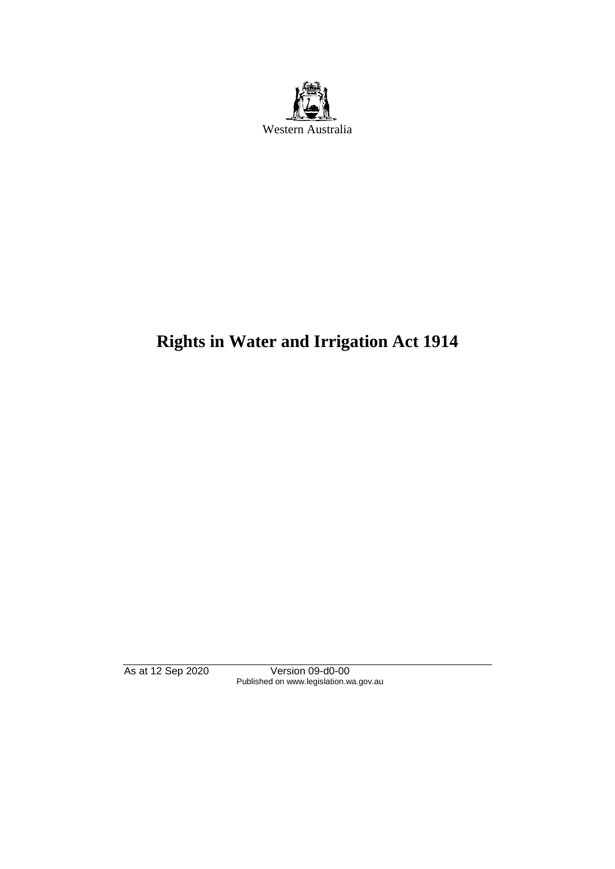

# **Rights in Water and Irrigation Act 1914**

As at 12 Sep 2020 Version 09-d0-00 Published on www.legislation.wa.gov.au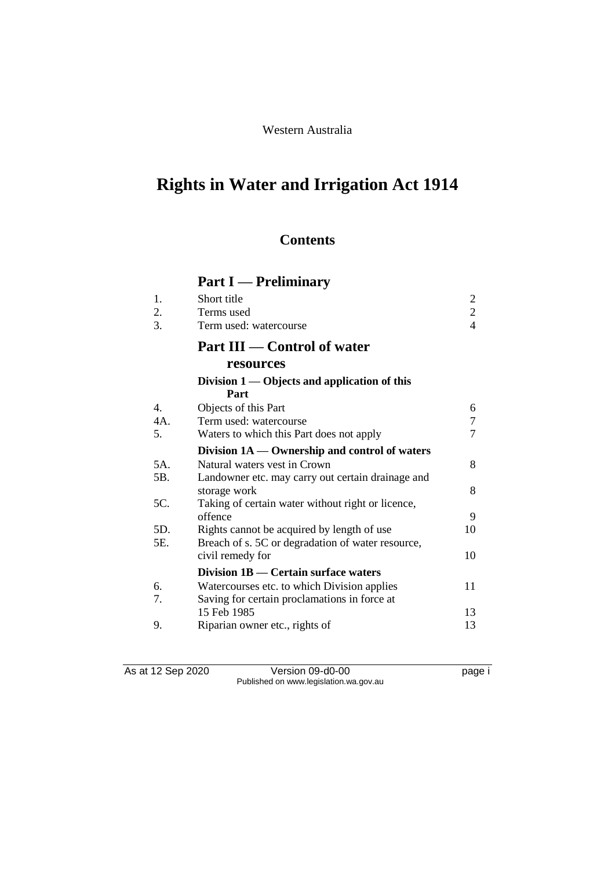Western Australia

# **Rights in Water and Irrigation Act 1914**

## **Contents**

# **Part I — Preliminary**

|    | Short title            |  |
|----|------------------------|--|
|    | Terms used             |  |
| 3. | Term used: watercourse |  |
|    |                        |  |

## **Part III — Control of water**

## **resources**

|     | Division $1$ — Objects and application of this<br>Part |    |
|-----|--------------------------------------------------------|----|
| 4.  | Objects of this Part                                   | 6  |
| 4A. | Term used: watercourse                                 | 7  |
| 5.  | Waters to which this Part does not apply               | 7  |
|     | Division 1A — Ownership and control of waters          |    |
| 5A. | Natural waters vest in Crown                           | 8  |
| 5B. | Landowner etc. may carry out certain drainage and      |    |
|     | storage work                                           | 8  |
| 5C. | Taking of certain water without right or licence,      |    |
|     | offence                                                | 9  |
| 5D. | Rights cannot be acquired by length of use             | 10 |
| 5E. | Breach of s. 5C or degradation of water resource,      |    |
|     | civil remedy for                                       | 10 |
|     | Division 1B - Certain surface waters                   |    |
| 6.  | Watercourses etc. to which Division applies            | 11 |
| 7.  | Saving for certain proclamations in force at           |    |
|     | 15 Feb 1985                                            | 13 |
| 9.  | Riparian owner etc., rights of                         | 13 |
|     |                                                        |    |

As at 12 Sep 2020 Version 09-d0-00 Page i Published on www.legislation.wa.gov.au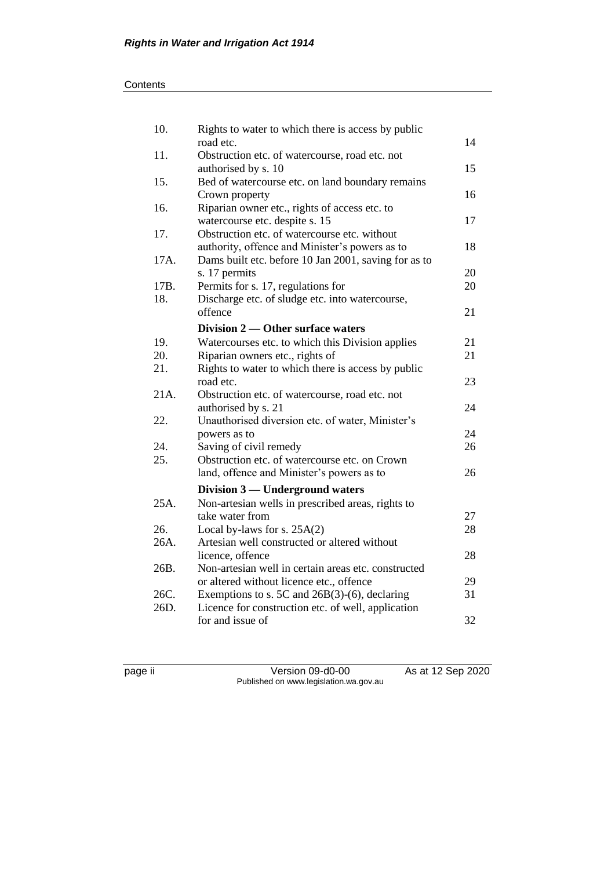| 10.  | Rights to water to which there is access by public   |    |
|------|------------------------------------------------------|----|
|      | road etc.                                            | 14 |
| 11.  | Obstruction etc. of watercourse, road etc. not       |    |
|      | authorised by s. 10                                  | 15 |
| 15.  | Bed of watercourse etc. on land boundary remains     |    |
|      | Crown property                                       | 16 |
| 16.  | Riparian owner etc., rights of access etc. to        |    |
|      | watercourse etc. despite s. 15                       | 17 |
| 17.  | Obstruction etc. of watercourse etc. without         |    |
|      | authority, offence and Minister's powers as to       | 18 |
| 17A. | Dams built etc. before 10 Jan 2001, saving for as to |    |
|      | s. 17 permits                                        | 20 |
| 17B. | Permits for s. 17, regulations for                   | 20 |
| 18.  | Discharge etc. of sludge etc. into watercourse,      |    |
|      | offence                                              | 21 |
|      | Division 2 — Other surface waters                    |    |
| 19.  | Watercourses etc. to which this Division applies     | 21 |
| 20.  | Riparian owners etc., rights of                      | 21 |
| 21.  | Rights to water to which there is access by public   |    |
|      | road etc.                                            | 23 |
| 21A. | Obstruction etc. of watercourse, road etc. not       |    |
|      | authorised by s. 21                                  | 24 |
| 22.  | Unauthorised diversion etc. of water, Minister's     |    |
|      | powers as to                                         | 24 |
| 24.  | Saving of civil remedy                               | 26 |
| 25.  | Obstruction etc. of watercourse etc. on Crown        |    |
|      | land, offence and Minister's powers as to            | 26 |
|      | Division 3 — Underground waters                      |    |
| 25A. | Non-artesian wells in prescribed areas, rights to    |    |
|      | take water from                                      | 27 |
| 26.  | Local by-laws for s. 25A(2)                          | 28 |
| 26A. | Artesian well constructed or altered without         |    |
|      | licence, offence                                     | 28 |
| 26B. | Non-artesian well in certain areas etc. constructed  |    |
|      | or altered without licence etc., offence             | 29 |
| 26C. | Exemptions to s. 5C and $26B(3)-(6)$ , declaring     | 31 |
| 26D. | Licence for construction etc. of well, application   |    |
|      | for and issue of                                     | 32 |
|      |                                                      |    |

page ii Version 09-d0-00 As at 12 Sep 2020 Published on www.legislation.wa.gov.au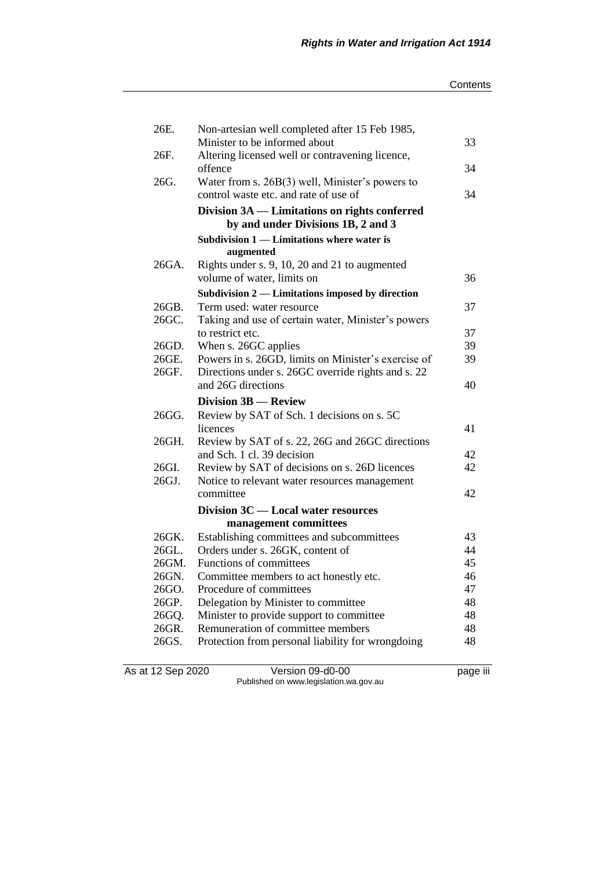| 26E.  | Non-artesian well completed after 15 Feb 1985,                                             |    |
|-------|--------------------------------------------------------------------------------------------|----|
|       | Minister to be informed about                                                              | 33 |
| 26F.  | Altering licensed well or contravening licence,                                            |    |
|       | offence                                                                                    | 34 |
| 26G.  | Water from s. $26B(3)$ well, Minister's powers to<br>control waste etc. and rate of use of | 34 |
|       |                                                                                            |    |
|       | Division 3A — Limitations on rights conferred<br>by and under Divisions 1B, 2 and 3        |    |
|       | Subdivision 1 — Limitations where water is                                                 |    |
|       | augmented                                                                                  |    |
| 26GA. | Rights under s. 9, 10, 20 and 21 to augmented                                              |    |
|       | volume of water, limits on                                                                 | 36 |
|       | Subdivision 2 — Limitations imposed by direction                                           |    |
| 26GB. | Term used: water resource                                                                  | 37 |
| 26GC. | Taking and use of certain water, Minister's powers                                         |    |
|       | to restrict etc.                                                                           | 37 |
| 26GD. | When s. 26GC applies                                                                       | 39 |
| 26GE. | Powers in s. 26GD, limits on Minister's exercise of                                        | 39 |
| 26GF. | Directions under s. 26GC override rights and s. 22                                         |    |
|       | and 26G directions                                                                         | 40 |
|       |                                                                                            |    |
|       | Division 3B - Review                                                                       |    |
| 26GG. | Review by SAT of Sch. 1 decisions on s. 5C                                                 |    |
|       | licences                                                                                   | 41 |
| 26GH. | Review by SAT of s. 22, 26G and 26GC directions                                            |    |
|       | and Sch. 1 cl. 39 decision                                                                 | 42 |
| 26GI. | Review by SAT of decisions on s. 26D licences                                              | 42 |
| 26GJ. | Notice to relevant water resources management                                              |    |
|       | committee                                                                                  | 42 |
|       | Division 3C — Local water resources                                                        |    |
|       | management committees                                                                      |    |
| 26GK. | Establishing committees and subcommittees                                                  | 43 |
| 26GL. | Orders under s. 26GK, content of                                                           | 44 |
| 26GM. | Functions of committees                                                                    | 45 |
| 26GN. | Committee members to act honestly etc.                                                     | 46 |
| 26GO. | Procedure of committees                                                                    | 47 |
| 26GP. | Delegation by Minister to committee                                                        | 48 |
| 26GQ. | Minister to provide support to committee                                                   | 48 |
| 26GR. | Remuneration of committee members                                                          | 48 |
| 26GS. | Protection from personal liability for wrongdoing                                          | 48 |

As at 12 Sep 2020 Version 09-d0-00 page iii Published on www.legislation.wa.gov.au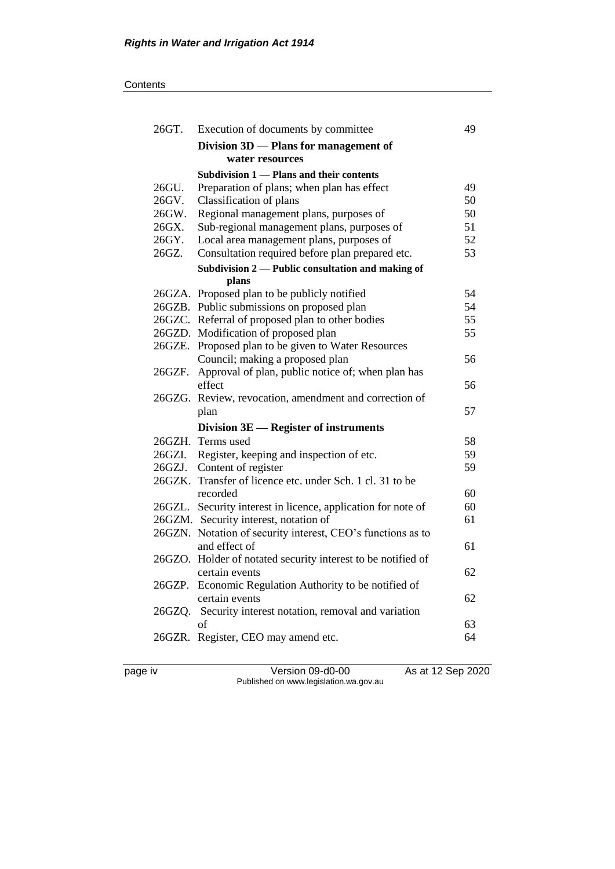| 26GT.  | Execution of documents by committee                          | 49 |
|--------|--------------------------------------------------------------|----|
|        | Division 3D - Plans for management of                        |    |
|        | water resources                                              |    |
|        | Subdivision 1 - Plans and their contents                     |    |
| 26GU.  | Preparation of plans; when plan has effect                   | 49 |
| 26GV.  | Classification of plans                                      | 50 |
| 26GW.  | Regional management plans, purposes of                       | 50 |
| 26GX.  | Sub-regional management plans, purposes of                   | 51 |
| 26GY.  | Local area management plans, purposes of                     | 52 |
| 26GZ.  | Consultation required before plan prepared etc.              | 53 |
|        | Subdivision 2 - Public consultation and making of            |    |
|        | plans                                                        |    |
|        | 26GZA. Proposed plan to be publicly notified                 | 54 |
|        | 26GZB. Public submissions on proposed plan                   | 54 |
|        | 26GZC. Referral of proposed plan to other bodies             | 55 |
|        | 26GZD. Modification of proposed plan                         | 55 |
|        | 26GZE. Proposed plan to be given to Water Resources          |    |
|        | Council; making a proposed plan                              | 56 |
| 26GZF. | Approval of plan, public notice of; when plan has            |    |
|        | effect                                                       | 56 |
|        | 26GZG. Review, revocation, amendment and correction of       |    |
|        | plan                                                         | 57 |
|        | Division 3E — Register of instruments                        |    |
|        | 26GZH. Terms used                                            | 58 |
|        | 26GZI. Register, keeping and inspection of etc.              | 59 |
|        | 26GZJ. Content of register                                   | 59 |
|        | 26GZK. Transfer of licence etc. under Sch. 1 cl. 31 to be    |    |
|        | recorded                                                     | 60 |
|        | 26GZL. Security interest in licence, application for note of | 60 |
|        | 26GZM. Security interest, notation of                        | 61 |
|        | 26GZN. Notation of security interest, CEO's functions as to  |    |
|        | and effect of                                                | 61 |
|        | 26GZO. Holder of notated security interest to be notified of |    |
|        | certain events                                               | 62 |
|        | 26GZP. Economic Regulation Authority to be notified of       |    |
|        | certain events                                               | 62 |
|        | 26GZQ. Security interest notation, removal and variation     |    |
|        | of                                                           | 63 |
|        | 26GZR. Register, CEO may amend etc.                          | 64 |
|        |                                                              |    |

page iv Version 09-d0-00 As at 12 Sep 2020 Published on www.legislation.wa.gov.au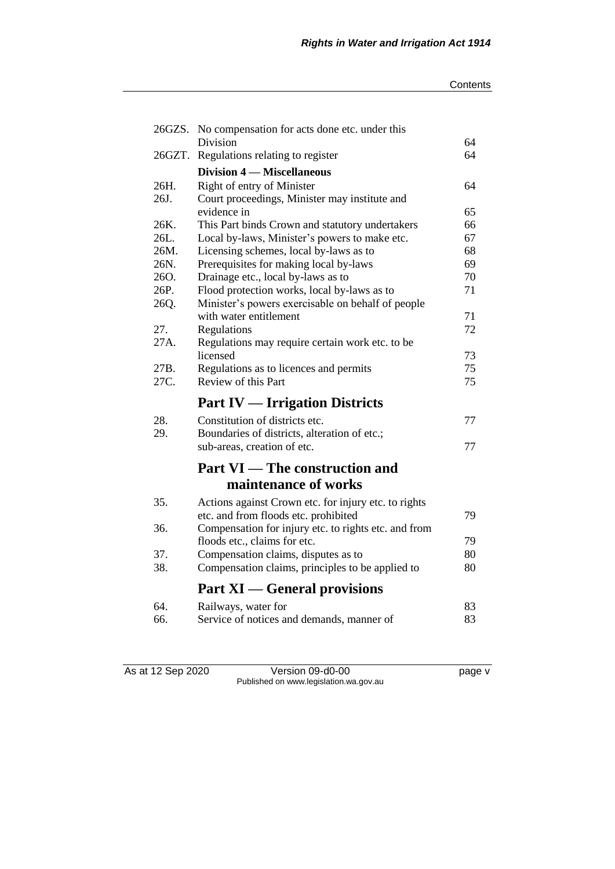|        | 26GZS. No compensation for acts done etc. under this |    |
|--------|------------------------------------------------------|----|
|        | Division                                             | 64 |
| 26GZT. | Regulations relating to register                     | 64 |
|        | <b>Division 4 – Miscellaneous</b>                    |    |
| 26H.   | Right of entry of Minister                           | 64 |
| 26J.   | Court proceedings, Minister may institute and        |    |
|        | evidence in                                          | 65 |
| 26K.   | This Part binds Crown and statutory undertakers      | 66 |
| 26L.   | Local by-laws, Minister's powers to make etc.        | 67 |
| 26M.   | Licensing schemes, local by-laws as to               | 68 |
| 26N.   | Prerequisites for making local by-laws               | 69 |
| 260.   | Drainage etc., local by-laws as to                   | 70 |
| 26P.   | Flood protection works, local by-laws as to          | 71 |
| 26Q.   | Minister's powers exercisable on behalf of people    |    |
|        | with water entitlement                               | 71 |
| 27.    | Regulations                                          | 72 |
| 27A.   | Regulations may require certain work etc. to be      |    |
|        | licensed                                             | 73 |
| 27B.   | Regulations as to licences and permits               | 75 |
| 27C.   | Review of this Part                                  | 75 |
|        | <b>Part IV — Irrigation Districts</b>                |    |
| 28.    | Constitution of districts etc.                       | 77 |
| 29.    | Boundaries of districts, alteration of etc.;         |    |
|        | sub-areas, creation of etc.                          | 77 |
|        | <b>Part VI</b> — The construction and                |    |
|        | maintenance of works                                 |    |
| 35.    | Actions against Crown etc. for injury etc. to rights |    |
|        | etc. and from floods etc. prohibited                 | 79 |
| 36.    | Compensation for injury etc. to rights etc. and from |    |
|        | floods etc., claims for etc.                         | 79 |
| 37.    | Compensation claims, disputes as to                  | 80 |
| 38.    | Compensation claims, principles to be applied to     | 80 |
|        | <b>Part XI</b> — General provisions                  |    |
| 64.    | Railways, water for                                  | 83 |
| 66.    | Service of notices and demands, manner of            | 83 |
|        |                                                      |    |

As at 12 Sep 2020 Version 09-d0-00 page v Published on www.legislation.wa.gov.au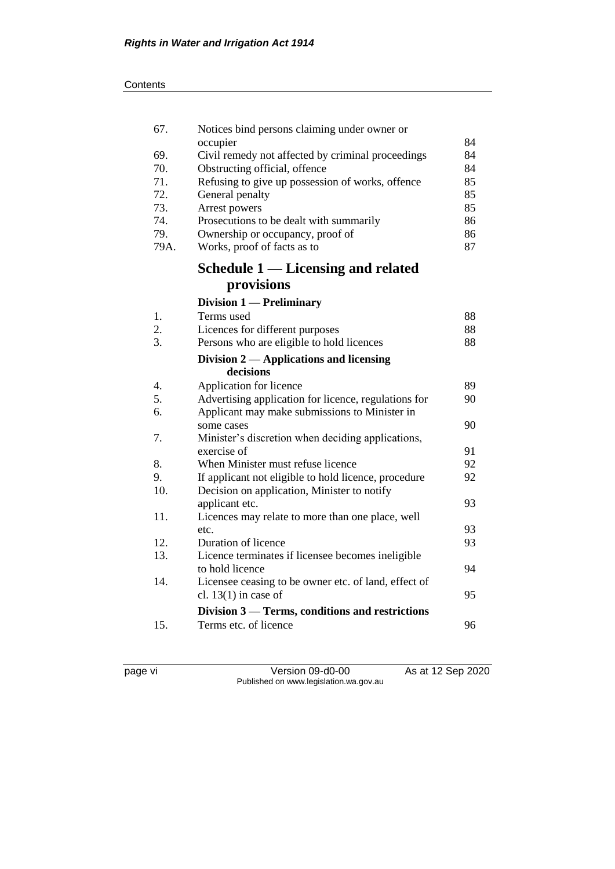| 67.  | Notices bind persons claiming under owner or                     |          |
|------|------------------------------------------------------------------|----------|
| 69.  | occupier<br>Civil remedy not affected by criminal proceedings    | 84<br>84 |
| 70.  | Obstructing official, offence                                    | 84       |
| 71.  | Refusing to give up possession of works, offence                 | 85       |
| 72.  | General penalty                                                  | 85       |
| 73.  | Arrest powers                                                    | 85       |
| 74.  | Prosecutions to be dealt with summarily                          | 86       |
| 79.  | Ownership or occupancy, proof of                                 | 86       |
| 79A. | Works, proof of facts as to                                      | 87       |
|      | <b>Schedule 1 — Licensing and related</b>                        |          |
|      | provisions                                                       |          |
|      | Division 1 - Preliminary                                         |          |
| 1.   | Terms used                                                       | 88       |
| 2.   | Licences for different purposes                                  | 88       |
| 3.   | Persons who are eligible to hold licences                        | 88       |
|      | Division 2 — Applications and licensing                          |          |
|      | decisions                                                        |          |
| 4.   | Application for licence                                          | 89       |
| 5.   | Advertising application for licence, regulations for             | 90       |
| 6.   | Applicant may make submissions to Minister in                    |          |
|      | some cases                                                       | 90       |
| 7.   | Minister's discretion when deciding applications,<br>exercise of | 91       |
| 8.   | When Minister must refuse licence                                | 92       |
| 9.   | If applicant not eligible to hold licence, procedure             | 92       |
| 10.  | Decision on application, Minister to notify                      |          |
|      | applicant etc.                                                   | 93       |
| 11.  | Licences may relate to more than one place, well                 |          |
|      | etc.                                                             | 93       |
| 12.  | Duration of licence                                              | 93       |
| 13.  | Licence terminates if licensee becomes ineligible                |          |
|      | to hold licence                                                  | 94       |
| 14.  | Licensee ceasing to be owner etc. of land, effect of             |          |
|      | cl. $13(1)$ in case of                                           | 95       |
|      | Division 3 - Terms, conditions and restrictions                  |          |
| 15.  | Terms etc. of licence                                            | 96       |
|      |                                                                  |          |

page vi Version 09-d0-00 As at 12 Sep 2020 Published on www.legislation.wa.gov.au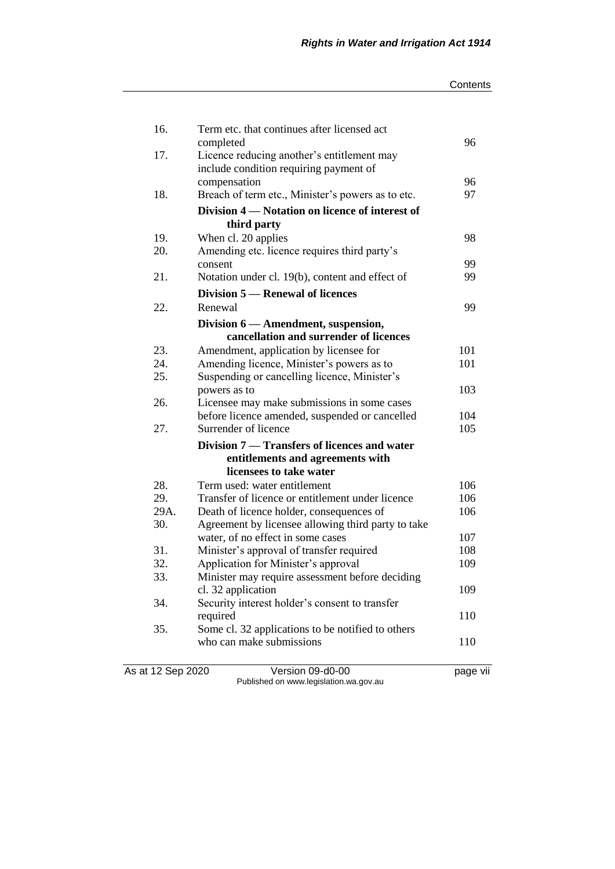| Contents |
|----------|
|----------|

| 16.               | Term etc. that continues after licensed act                                     |            |
|-------------------|---------------------------------------------------------------------------------|------------|
|                   | completed                                                                       | 96         |
| 17.               | Licence reducing another's entitlement may                                      |            |
|                   | include condition requiring payment of<br>compensation                          | 96         |
| 18.               | Breach of term etc., Minister's powers as to etc.                               | 97         |
|                   |                                                                                 |            |
|                   | Division 4 – Notation on licence of interest of                                 |            |
|                   | third party                                                                     |            |
| 19.<br>20.        | When cl. 20 applies                                                             | 98         |
|                   | Amending etc. licence requires third party's<br>consent                         | 99         |
| 21.               | Notation under cl. 19(b), content and effect of                                 | 99         |
|                   | Division 5 – Renewal of licences                                                |            |
|                   |                                                                                 |            |
| 22.               | Renewal                                                                         | 99         |
|                   | Division 6 - Amendment, suspension,                                             |            |
|                   | cancellation and surrender of licences                                          |            |
| 23.               | Amendment, application by licensee for                                          | 101        |
| 24.               | Amending licence, Minister's powers as to                                       | 101        |
| 25.               | Suspending or cancelling licence, Minister's                                    |            |
|                   | powers as to                                                                    | 103        |
| 26.               | Licensee may make submissions in some cases                                     |            |
| 27.               | before licence amended, suspended or cancelled<br>Surrender of licence          | 104<br>105 |
|                   |                                                                                 |            |
|                   | Division 7 — Transfers of licences and water                                    |            |
|                   | entitlements and agreements with                                                |            |
|                   | licensees to take water                                                         |            |
| 28.               | Term used: water entitlement                                                    | 106        |
| 29.               | Transfer of licence or entitlement under licence                                | 106        |
| 29A.              | Death of licence holder, consequences of                                        | 106        |
| 30.               | Agreement by licensee allowing third party to take                              | 107        |
| 31.               | water, of no effect in some cases                                               | 108        |
| 32.               | Minister's approval of transfer required<br>Application for Minister's approval | 109        |
| 33.               |                                                                                 |            |
|                   | Minister may require assessment before deciding<br>cl. 32 application           | 109        |
| 34.               | Security interest holder's consent to transfer                                  |            |
|                   | required                                                                        | 110        |
| 35.               | Some cl. 32 applications to be notified to others                               |            |
|                   | who can make submissions                                                        | 110        |
|                   |                                                                                 |            |
| As at 12 Sep 2020 | Version 09-d0-00                                                                | page vii   |
|                   |                                                                                 |            |

Published on www.legislation.wa.gov.au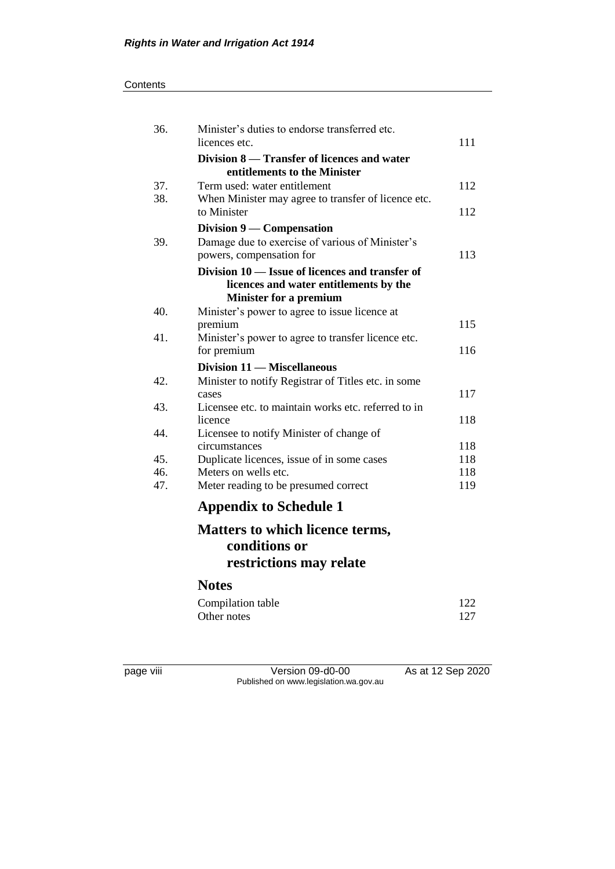#### **Contents**

| 36.        | Minister's duties to endorse transferred etc.<br>licences etc.                            | 111 |
|------------|-------------------------------------------------------------------------------------------|-----|
|            | Division 8 – Transfer of licences and water                                               |     |
|            | entitlements to the Minister                                                              |     |
| 37.<br>38. | Term used: water entitlement                                                              | 112 |
|            | When Minister may agree to transfer of licence etc.<br>to Minister                        | 112 |
|            | Division $9$ — Compensation                                                               |     |
| 39.        | Damage due to exercise of various of Minister's                                           |     |
|            | powers, compensation for                                                                  | 113 |
|            | Division 10 — Issue of licences and transfer of<br>licences and water entitlements by the |     |
|            | <b>Minister for a premium</b>                                                             |     |
| 40.        | Minister's power to agree to issue licence at                                             |     |
|            | premium                                                                                   | 115 |
| 41.        | Minister's power to agree to transfer licence etc.                                        |     |
|            | for premium                                                                               | 116 |
|            | Division 11 - Miscellaneous                                                               |     |
| 42.        | Minister to notify Registrar of Titles etc. in some                                       |     |
|            | cases                                                                                     | 117 |
| 43.        | Licensee etc. to maintain works etc. referred to in                                       |     |
|            | licence                                                                                   | 118 |
| 44.        | Licensee to notify Minister of change of                                                  |     |
|            | circumstances                                                                             | 118 |
| 45.        | Duplicate licences, issue of in some cases                                                | 118 |
| 46.<br>47. | Meters on wells etc.                                                                      | 118 |
|            | Meter reading to be presumed correct                                                      | 119 |
|            | <b>Appendix to Schedule 1</b>                                                             |     |
|            | <b>Matters to which licence terms,</b>                                                    |     |
|            | conditions or                                                                             |     |
|            | restrictions may relate                                                                   |     |
|            | <b>Notes</b>                                                                              |     |
|            | Compilation table                                                                         | 122 |
|            | Other notes                                                                               | 127 |
|            |                                                                                           |     |

page viii Version 09-d0-00 As at 12 Sep 2020 Published on www.legislation.wa.gov.au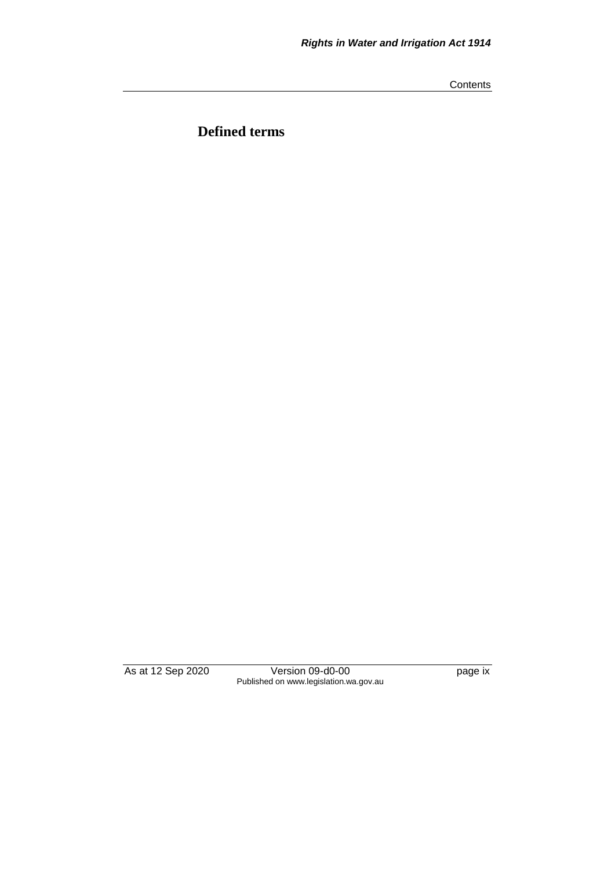**Contents** 

**Defined terms**

As at 12 Sep 2020 Version 09-d0-00 page ix Published on www.legislation.wa.gov.au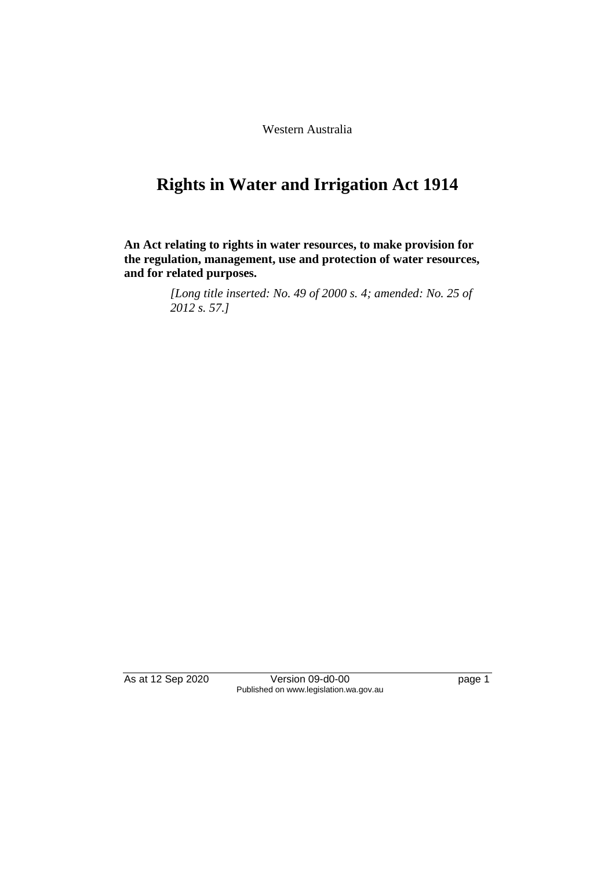Western Australia

# **Rights in Water and Irrigation Act 1914**

**An Act relating to rights in water resources, to make provision for the regulation, management, use and protection of water resources, and for related purposes.**

> *[Long title inserted: No. 49 of 2000 s. 4; amended: No. 25 of 2012 s. 57.]*

As at 12 Sep 2020 Version 09-d0-00 page 1 Published on www.legislation.wa.gov.au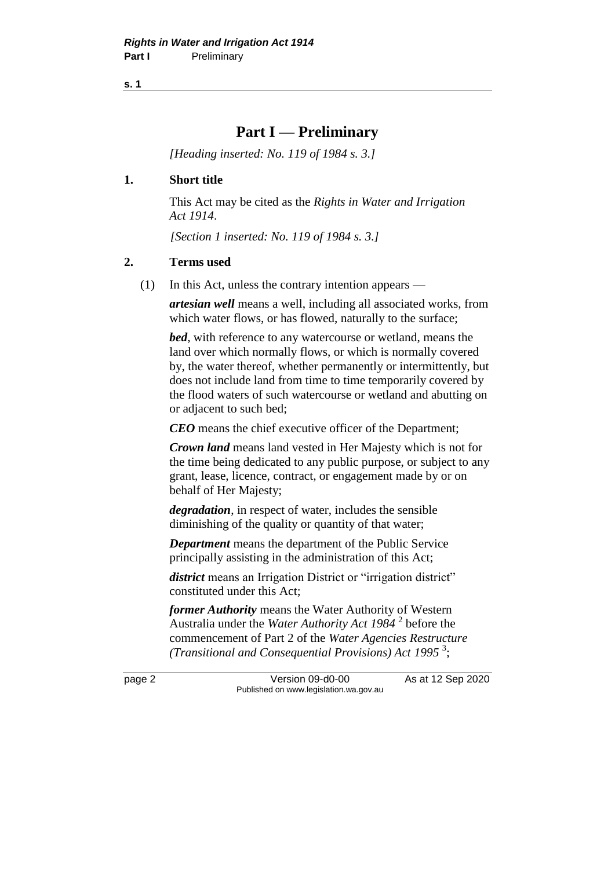**s. 1**

## **Part I — Preliminary**

*[Heading inserted: No. 119 of 1984 s. 3.]* 

#### **1. Short title**

This Act may be cited as the *Rights in Water and Irrigation Act 1914*.

*[Section 1 inserted: No. 119 of 1984 s. 3.]* 

#### **2. Terms used**

(1) In this Act, unless the contrary intention appears —

*artesian well* means a well, including all associated works, from which water flows, or has flowed, naturally to the surface;

*bed*, with reference to any watercourse or wetland, means the land over which normally flows, or which is normally covered by, the water thereof, whether permanently or intermittently, but does not include land from time to time temporarily covered by the flood waters of such watercourse or wetland and abutting on or adjacent to such bed;

*CEO* means the chief executive officer of the Department;

*Crown land* means land vested in Her Majesty which is not for the time being dedicated to any public purpose, or subject to any grant, lease, licence, contract, or engagement made by or on behalf of Her Majesty;

*degradation*, in respect of water, includes the sensible diminishing of the quality or quantity of that water;

*Department* means the department of the Public Service principally assisting in the administration of this Act;

*district* means an Irrigation District or "irrigation district" constituted under this Act;

*former Authority* means the Water Authority of Western Australia under the *Water Authority Act 1984* <sup>2</sup> before the commencement of Part 2 of the *Water Agencies Restructure (Transitional and Consequential Provisions) Act 1995* <sup>3</sup> ;

page 2 Version 09-d0-00 As at 12 Sep 2020 Published on www.legislation.wa.gov.au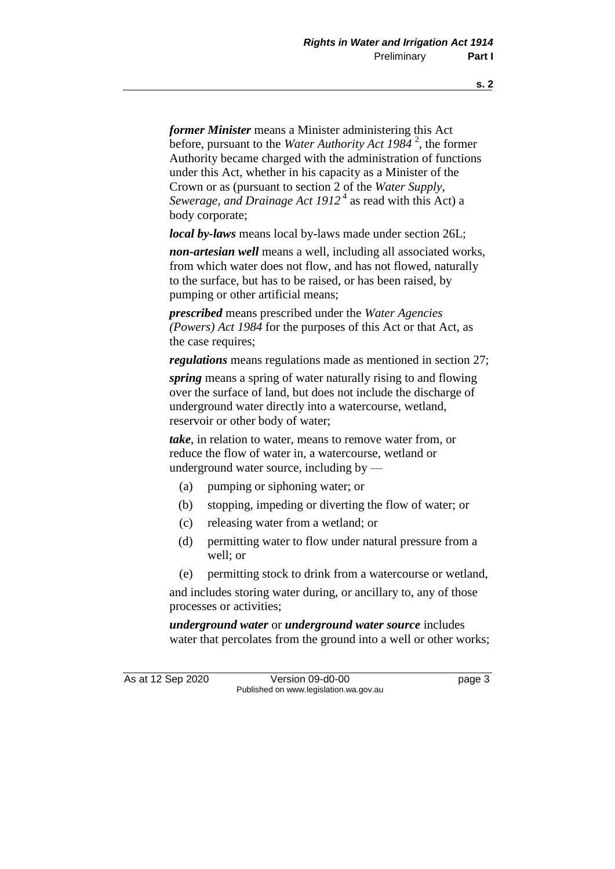*former Minister* means a Minister administering this Act before, pursuant to the *Water Authority Act 1984* <sup>2</sup> , the former Authority became charged with the administration of functions under this Act, whether in his capacity as a Minister of the Crown or as (pursuant to section 2 of the *Water Supply,*  Sewerage, and Drainage Act 1912<sup>4</sup> as read with this Act) a body corporate;

*local by-laws* means local by-laws made under section 26L;

*non-artesian well* means a well, including all associated works, from which water does not flow, and has not flowed, naturally to the surface, but has to be raised, or has been raised, by pumping or other artificial means;

*prescribed* means prescribed under the *Water Agencies (Powers) Act 1984* for the purposes of this Act or that Act, as the case requires;

*regulations* means regulations made as mentioned in section 27;

*spring* means a spring of water naturally rising to and flowing over the surface of land, but does not include the discharge of underground water directly into a watercourse, wetland, reservoir or other body of water;

*take*, in relation to water, means to remove water from, or reduce the flow of water in, a watercourse, wetland or underground water source, including by —

- (a) pumping or siphoning water; or
- (b) stopping, impeding or diverting the flow of water; or
- (c) releasing water from a wetland; or
- (d) permitting water to flow under natural pressure from a well; or
- (e) permitting stock to drink from a watercourse or wetland,

and includes storing water during, or ancillary to, any of those processes or activities;

*underground water* or *underground water source* includes water that percolates from the ground into a well or other works;

As at 12 Sep 2020 Version 09-d0-00 page 3 Published on www.legislation.wa.gov.au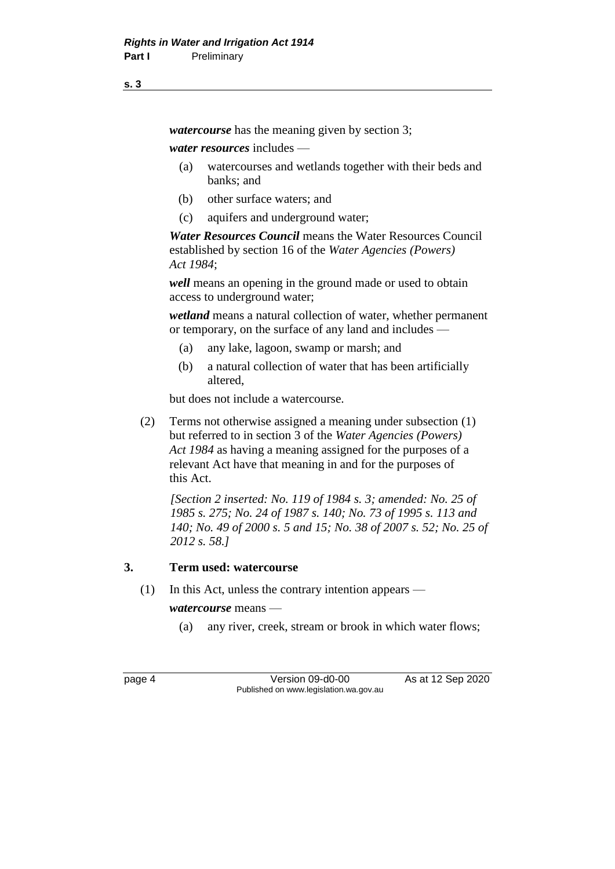*watercourse* has the meaning given by section 3;

*water resources* includes —

- (a) watercourses and wetlands together with their beds and banks; and
- (b) other surface waters; and
- (c) aquifers and underground water;

*Water Resources Council* means the Water Resources Council established by section 16 of the *Water Agencies (Powers) Act 1984*;

*well* means an opening in the ground made or used to obtain access to underground water;

*wetland* means a natural collection of water, whether permanent or temporary, on the surface of any land and includes —

- (a) any lake, lagoon, swamp or marsh; and
- (b) a natural collection of water that has been artificially altered,

but does not include a watercourse.

(2) Terms not otherwise assigned a meaning under subsection (1) but referred to in section 3 of the *Water Agencies (Powers) Act 1984* as having a meaning assigned for the purposes of a relevant Act have that meaning in and for the purposes of this Act.

*[Section 2 inserted: No. 119 of 1984 s. 3; amended: No. 25 of 1985 s. 275; No. 24 of 1987 s. 140; No. 73 of 1995 s. 113 and 140; No. 49 of 2000 s. 5 and 15; No. 38 of 2007 s. 52; No. 25 of 2012 s. 58.]* 

### **3. Term used: watercourse**

(1) In this Act, unless the contrary intention appears —

*watercourse* means —

(a) any river, creek, stream or brook in which water flows;

page 4 Version 09-d0-00 As at 12 Sep 2020 Published on www.legislation.wa.gov.au

**s. 3**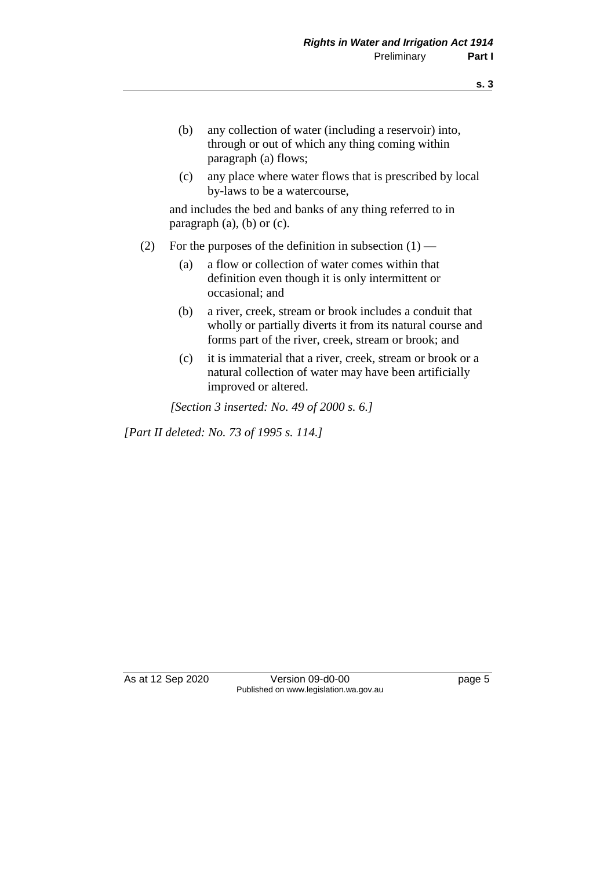- (b) any collection of water (including a reservoir) into, through or out of which any thing coming within paragraph (a) flows;
- (c) any place where water flows that is prescribed by local by-laws to be a watercourse,

and includes the bed and banks of any thing referred to in paragraph (a), (b) or (c).

- (2) For the purposes of the definition in subsection  $(1)$ 
	- (a) a flow or collection of water comes within that definition even though it is only intermittent or occasional; and
	- (b) a river, creek, stream or brook includes a conduit that wholly or partially diverts it from its natural course and forms part of the river, creek, stream or brook; and
	- (c) it is immaterial that a river, creek, stream or brook or a natural collection of water may have been artificially improved or altered.

*[Section 3 inserted: No. 49 of 2000 s. 6.]*

*[Part II deleted: No. 73 of 1995 s. 114.]* 

As at 12 Sep 2020 Version 09-d0-00 page 5 Published on www.legislation.wa.gov.au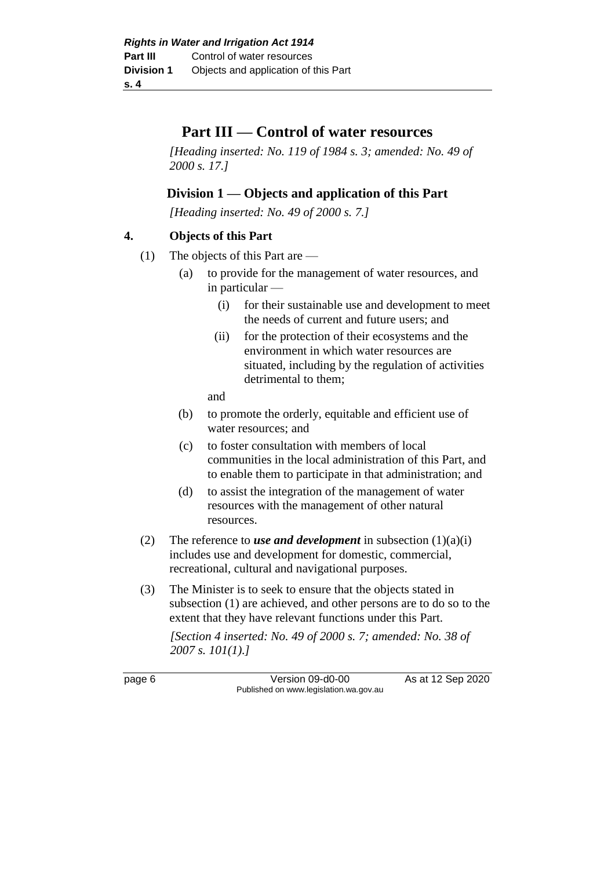## **Part III — Control of water resources**

*[Heading inserted: No. 119 of 1984 s. 3; amended: No. 49 of 2000 s. 17.]* 

## **Division 1 — Objects and application of this Part**

*[Heading inserted: No. 49 of 2000 s. 7.]* 

### **4. Objects of this Part**

- (1) The objects of this Part are
	- (a) to provide for the management of water resources, and in particular —
		- (i) for their sustainable use and development to meet the needs of current and future users; and
		- (ii) for the protection of their ecosystems and the environment in which water resources are situated, including by the regulation of activities detrimental to them;

and

- (b) to promote the orderly, equitable and efficient use of water resources; and
- (c) to foster consultation with members of local communities in the local administration of this Part, and to enable them to participate in that administration; and
- (d) to assist the integration of the management of water resources with the management of other natural resources.
- (2) The reference to *use and development* in subsection  $(1)(a)(i)$ includes use and development for domestic, commercial, recreational, cultural and navigational purposes.
- (3) The Minister is to seek to ensure that the objects stated in subsection (1) are achieved, and other persons are to do so to the extent that they have relevant functions under this Part.

*[Section 4 inserted: No. 49 of 2000 s. 7; amended: No. 38 of 2007 s. 101(1).]*

page 6 Version 09-d0-00 As at 12 Sep 2020 Published on www.legislation.wa.gov.au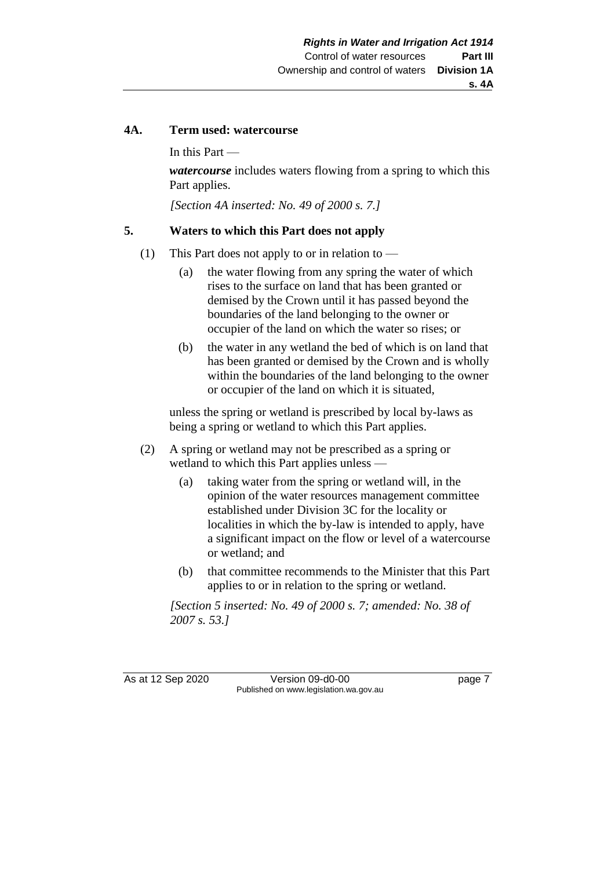#### **s. 4A**

#### **4A. Term used: watercourse**

In this Part —

*watercourse* includes waters flowing from a spring to which this Part applies.

*[Section 4A inserted: No. 49 of 2000 s. 7.]*

#### **5. Waters to which this Part does not apply**

- (1) This Part does not apply to or in relation to
	- (a) the water flowing from any spring the water of which rises to the surface on land that has been granted or demised by the Crown until it has passed beyond the boundaries of the land belonging to the owner or occupier of the land on which the water so rises; or
	- (b) the water in any wetland the bed of which is on land that has been granted or demised by the Crown and is wholly within the boundaries of the land belonging to the owner or occupier of the land on which it is situated,

unless the spring or wetland is prescribed by local by-laws as being a spring or wetland to which this Part applies.

- (2) A spring or wetland may not be prescribed as a spring or wetland to which this Part applies unless —
	- (a) taking water from the spring or wetland will, in the opinion of the water resources management committee established under Division 3C for the locality or localities in which the by-law is intended to apply, have a significant impact on the flow or level of a watercourse or wetland; and
	- (b) that committee recommends to the Minister that this Part applies to or in relation to the spring or wetland.

*[Section 5 inserted: No. 49 of 2000 s. 7; amended: No. 38 of 2007 s. 53.]*

As at 12 Sep 2020 Version 09-d0-00 page 7 Published on www.legislation.wa.gov.au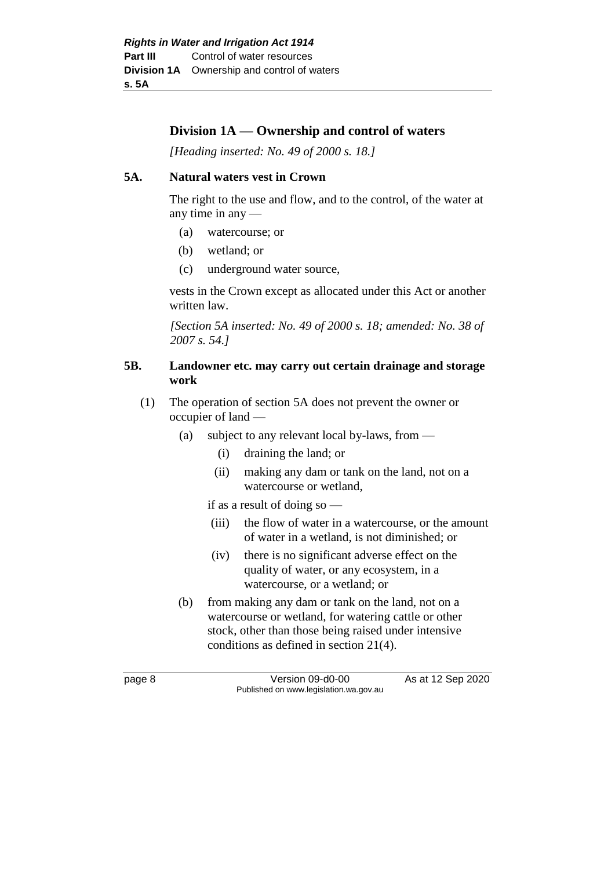## **Division 1A — Ownership and control of waters**

*[Heading inserted: No. 49 of 2000 s. 18.]* 

#### **5A. Natural waters vest in Crown**

The right to the use and flow, and to the control, of the water at any time in any —

- (a) watercourse; or
- (b) wetland; or
- (c) underground water source,

vests in the Crown except as allocated under this Act or another written law.

*[Section 5A inserted: No. 49 of 2000 s. 18; amended: No. 38 of 2007 s. 54.]*

#### **5B. Landowner etc. may carry out certain drainage and storage work**

- (1) The operation of section 5A does not prevent the owner or occupier of land —
	- (a) subject to any relevant local by-laws, from
		- (i) draining the land; or
		- (ii) making any dam or tank on the land, not on a watercourse or wetland,

if as a result of doing so —

- (iii) the flow of water in a watercourse, or the amount of water in a wetland, is not diminished; or
- (iv) there is no significant adverse effect on the quality of water, or any ecosystem, in a watercourse, or a wetland; or
- (b) from making any dam or tank on the land, not on a watercourse or wetland, for watering cattle or other stock, other than those being raised under intensive conditions as defined in section 21(4).

page 8 Version 09-d0-00 As at 12 Sep 2020 Published on www.legislation.wa.gov.au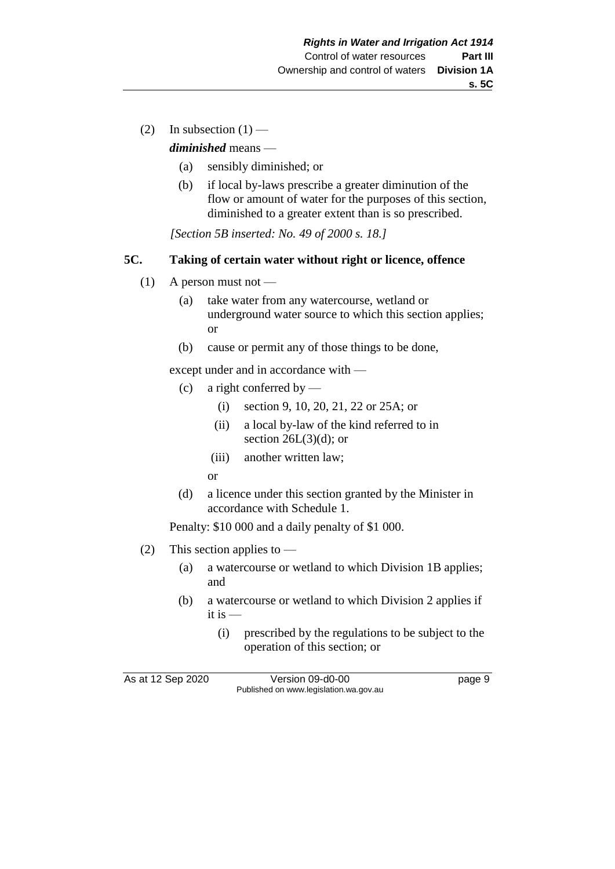(2) In subsection  $(1)$  —

*diminished* means —

- (a) sensibly diminished; or
- (b) if local by-laws prescribe a greater diminution of the flow or amount of water for the purposes of this section, diminished to a greater extent than is so prescribed.

*[Section 5B inserted: No. 49 of 2000 s. 18.]*

#### **5C. Taking of certain water without right or licence, offence**

- $(1)$  A person must not
	- (a) take water from any watercourse, wetland or underground water source to which this section applies; or
	- (b) cause or permit any of those things to be done,

except under and in accordance with —

- (c) a right conferred by
	- (i) section 9, 10, 20, 21, 22 or 25A; or
	- (ii) a local by-law of the kind referred to in section  $26L(3)(d)$ ; or
	- (iii) another written law;
	- or
- (d) a licence under this section granted by the Minister in accordance with Schedule 1.

Penalty: \$10 000 and a daily penalty of \$1 000.

- (2) This section applies to
	- (a) a watercourse or wetland to which Division 1B applies; and
	- (b) a watercourse or wetland to which Division 2 applies if it is —
		- (i) prescribed by the regulations to be subject to the operation of this section; or

As at 12 Sep 2020 Version 09-d0-00 page 9 Published on www.legislation.wa.gov.au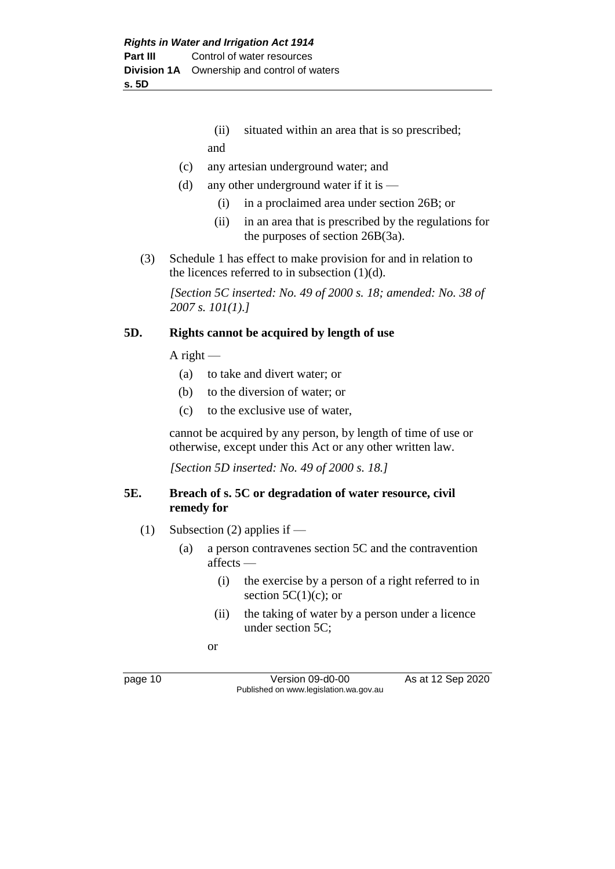## (ii) situated within an area that is so prescribed; and

- (c) any artesian underground water; and
- (d) any other underground water if it is  $-$ 
	- (i) in a proclaimed area under section 26B; or
	- (ii) in an area that is prescribed by the regulations for the purposes of section 26B(3a).
- (3) Schedule 1 has effect to make provision for and in relation to the licences referred to in subsection (1)(d).

*[Section 5C inserted: No. 49 of 2000 s. 18; amended: No. 38 of 2007 s. 101(1).]*

#### **5D. Rights cannot be acquired by length of use**

A right  $-$ 

- (a) to take and divert water; or
- (b) to the diversion of water; or
- (c) to the exclusive use of water,

cannot be acquired by any person, by length of time of use or otherwise, except under this Act or any other written law.

*[Section 5D inserted: No. 49 of 2000 s. 18.]*

#### **5E. Breach of s. 5C or degradation of water resource, civil remedy for**

- (1) Subsection (2) applies if
	- (a) a person contravenes section 5C and the contravention affects —
		- (i) the exercise by a person of a right referred to in section  $5C(1)(c)$ ; or
		- (ii) the taking of water by a person under a licence under section 5C;

or

page 10 Version 09-d0-00 As at 12 Sep 2020 Published on www.legislation.wa.gov.au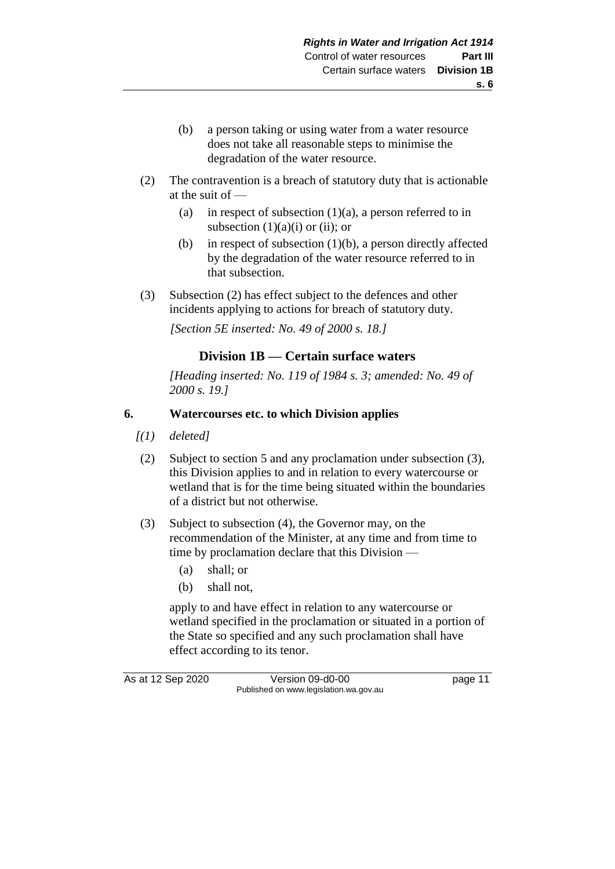- (b) a person taking or using water from a water resource does not take all reasonable steps to minimise the degradation of the water resource.
- (2) The contravention is a breach of statutory duty that is actionable at the suit of —
	- (a) in respect of subsection  $(1)(a)$ , a person referred to in subsection  $(1)(a)(i)$  or  $(ii)$ ; or
	- (b) in respect of subsection  $(1)(b)$ , a person directly affected by the degradation of the water resource referred to in that subsection.
- (3) Subsection (2) has effect subject to the defences and other incidents applying to actions for breach of statutory duty.

*[Section 5E inserted: No. 49 of 2000 s. 18.]*

## **Division 1B — Certain surface waters**

*[Heading inserted: No. 119 of 1984 s. 3; amended: No. 49 of 2000 s. 19.]* 

### **6. Watercourses etc. to which Division applies**

- *[(1) deleted]*
- (2) Subject to section 5 and any proclamation under subsection (3), this Division applies to and in relation to every watercourse or wetland that is for the time being situated within the boundaries of a district but not otherwise.
- (3) Subject to subsection (4), the Governor may, on the recommendation of the Minister, at any time and from time to time by proclamation declare that this Division —
	- (a) shall; or
	- (b) shall not,

apply to and have effect in relation to any watercourse or wetland specified in the proclamation or situated in a portion of the State so specified and any such proclamation shall have effect according to its tenor.

As at 12 Sep 2020 Version 09-d0-00 page 11 Published on www.legislation.wa.gov.au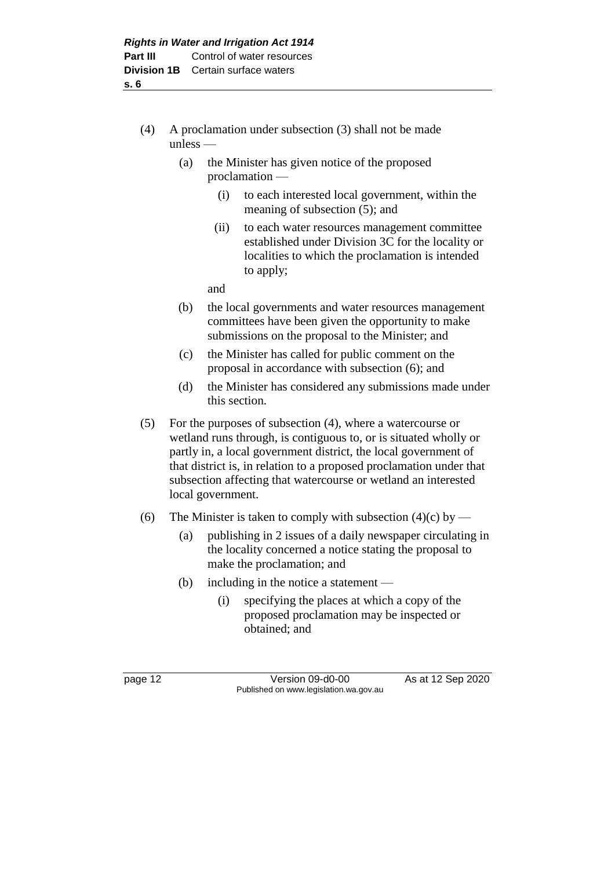- (4) A proclamation under subsection (3) shall not be made unless —
	- (a) the Minister has given notice of the proposed proclamation —
		- (i) to each interested local government, within the meaning of subsection (5); and
		- (ii) to each water resources management committee established under Division 3C for the locality or localities to which the proclamation is intended to apply;

and

- (b) the local governments and water resources management committees have been given the opportunity to make submissions on the proposal to the Minister; and
- (c) the Minister has called for public comment on the proposal in accordance with subsection (6); and
- (d) the Minister has considered any submissions made under this section.
- (5) For the purposes of subsection (4), where a watercourse or wetland runs through, is contiguous to, or is situated wholly or partly in, a local government district, the local government of that district is, in relation to a proposed proclamation under that subsection affecting that watercourse or wetland an interested local government.
- (6) The Minister is taken to comply with subsection  $(4)(c)$  by
	- (a) publishing in 2 issues of a daily newspaper circulating in the locality concerned a notice stating the proposal to make the proclamation; and
	- (b) including in the notice a statement
		- (i) specifying the places at which a copy of the proposed proclamation may be inspected or obtained; and

page 12 Version 09-d0-00 As at 12 Sep 2020 Published on www.legislation.wa.gov.au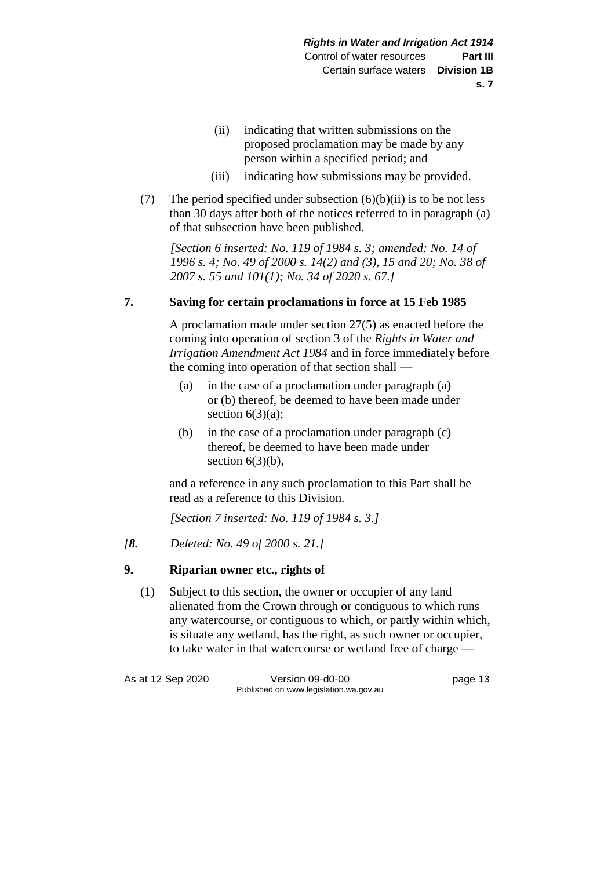- (ii) indicating that written submissions on the proposed proclamation may be made by any person within a specified period; and
- (iii) indicating how submissions may be provided.
- (7) The period specified under subsection  $(6)(b)(ii)$  is to be not less than 30 days after both of the notices referred to in paragraph (a) of that subsection have been published.

*[Section 6 inserted: No. 119 of 1984 s. 3; amended: No. 14 of 1996 s. 4; No. 49 of 2000 s. 14(2) and (3), 15 and 20; No. 38 of 2007 s. 55 and 101(1); No. 34 of 2020 s. 67.]* 

#### **7. Saving for certain proclamations in force at 15 Feb 1985**

A proclamation made under section 27(5) as enacted before the coming into operation of section 3 of the *Rights in Water and Irrigation Amendment Act 1984* and in force immediately before the coming into operation of that section shall —

- (a) in the case of a proclamation under paragraph (a) or (b) thereof, be deemed to have been made under section  $6(3)(a)$ ;
- (b) in the case of a proclamation under paragraph (c) thereof, be deemed to have been made under section  $6(3)(b)$ ,

and a reference in any such proclamation to this Part shall be read as a reference to this Division.

*[Section 7 inserted: No. 119 of 1984 s. 3.]* 

*[8. Deleted: No. 49 of 2000 s. 21.]*

#### **9. Riparian owner etc., rights of**

(1) Subject to this section, the owner or occupier of any land alienated from the Crown through or contiguous to which runs any watercourse, or contiguous to which, or partly within which, is situate any wetland, has the right, as such owner or occupier, to take water in that watercourse or wetland free of charge —

As at 12 Sep 2020 Version 09-d0-00 page 13 Published on www.legislation.wa.gov.au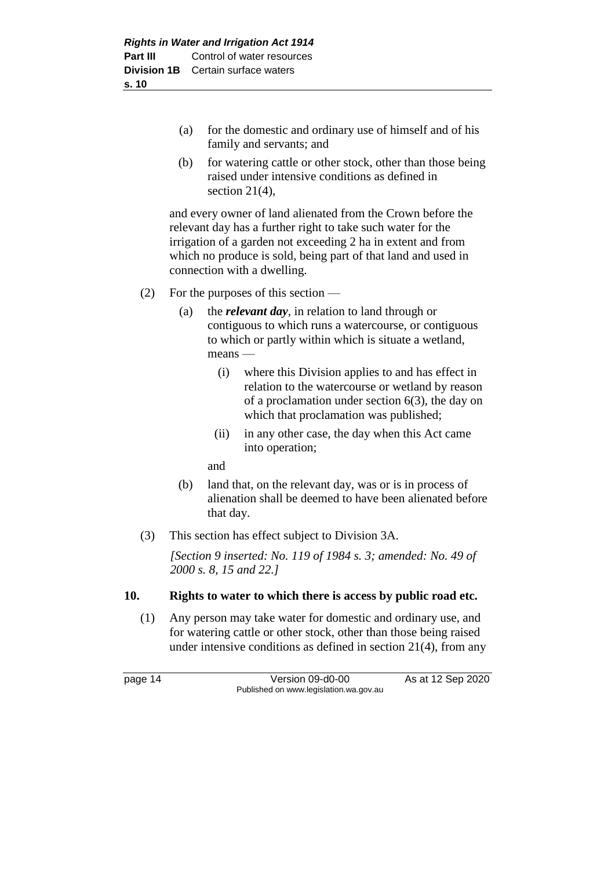- (a) for the domestic and ordinary use of himself and of his family and servants; and
- (b) for watering cattle or other stock, other than those being raised under intensive conditions as defined in section 21(4),

and every owner of land alienated from the Crown before the relevant day has a further right to take such water for the irrigation of a garden not exceeding 2 ha in extent and from which no produce is sold, being part of that land and used in connection with a dwelling.

- (2) For the purposes of this section
	- (a) the *relevant day*, in relation to land through or contiguous to which runs a watercourse, or contiguous to which or partly within which is situate a wetland, means —
		- (i) where this Division applies to and has effect in relation to the watercourse or wetland by reason of a proclamation under section 6(3), the day on which that proclamation was published;
		- (ii) in any other case, the day when this Act came into operation;

and

- (b) land that, on the relevant day, was or is in process of alienation shall be deemed to have been alienated before that day.
- (3) This section has effect subject to Division 3A.

*[Section 9 inserted: No. 119 of 1984 s. 3; amended: No. 49 of 2000 s. 8, 15 and 22.]* 

#### **10. Rights to water to which there is access by public road etc.**

(1) Any person may take water for domestic and ordinary use, and for watering cattle or other stock, other than those being raised under intensive conditions as defined in section 21(4), from any

page 14 Version 09-d0-00 As at 12 Sep 2020 Published on www.legislation.wa.gov.au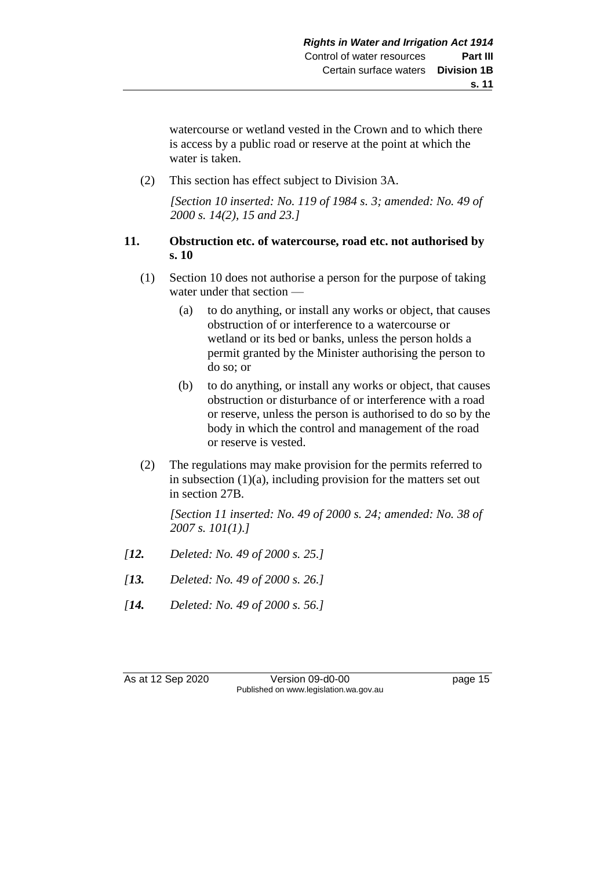watercourse or wetland vested in the Crown and to which there is access by a public road or reserve at the point at which the water is taken.

(2) This section has effect subject to Division 3A.

*[Section 10 inserted: No. 119 of 1984 s. 3; amended: No. 49 of 2000 s. 14(2), 15 and 23.]* 

#### **11. Obstruction etc. of watercourse, road etc. not authorised by s. 10**

- (1) Section 10 does not authorise a person for the purpose of taking water under that section —
	- (a) to do anything, or install any works or object, that causes obstruction of or interference to a watercourse or wetland or its bed or banks, unless the person holds a permit granted by the Minister authorising the person to do so; or
	- (b) to do anything, or install any works or object, that causes obstruction or disturbance of or interference with a road or reserve, unless the person is authorised to do so by the body in which the control and management of the road or reserve is vested.
- (2) The regulations may make provision for the permits referred to in subsection (1)(a), including provision for the matters set out in section 27B.

*[Section 11 inserted: No. 49 of 2000 s. 24; amended: No. 38 of 2007 s. 101(1).]* 

- *[12. Deleted: No. 49 of 2000 s. 25.]*
- *[13. Deleted: No. 49 of 2000 s. 26.]*
- *[14. Deleted: No. 49 of 2000 s. 56.]*

As at 12 Sep 2020 Version 09-d0-00 page 15 Published on www.legislation.wa.gov.au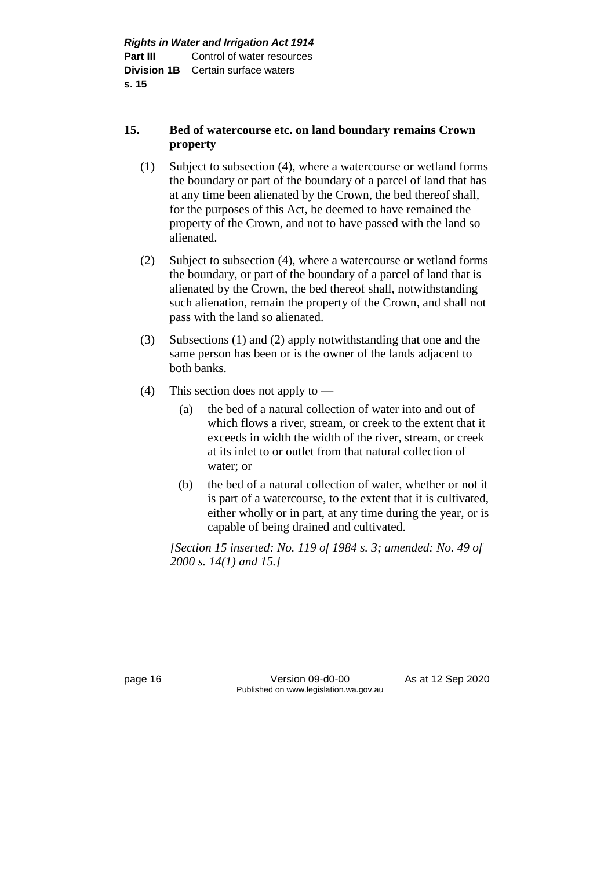## **15. Bed of watercourse etc. on land boundary remains Crown property**

- (1) Subject to subsection (4), where a watercourse or wetland forms the boundary or part of the boundary of a parcel of land that has at any time been alienated by the Crown, the bed thereof shall, for the purposes of this Act, be deemed to have remained the property of the Crown, and not to have passed with the land so alienated.
- (2) Subject to subsection (4), where a watercourse or wetland forms the boundary, or part of the boundary of a parcel of land that is alienated by the Crown, the bed thereof shall, notwithstanding such alienation, remain the property of the Crown, and shall not pass with the land so alienated.
- (3) Subsections (1) and (2) apply notwithstanding that one and the same person has been or is the owner of the lands adjacent to both banks.
- (4) This section does not apply to
	- (a) the bed of a natural collection of water into and out of which flows a river, stream, or creek to the extent that it exceeds in width the width of the river, stream, or creek at its inlet to or outlet from that natural collection of water; or
	- (b) the bed of a natural collection of water, whether or not it is part of a watercourse, to the extent that it is cultivated, either wholly or in part, at any time during the year, or is capable of being drained and cultivated.

*[Section 15 inserted: No. 119 of 1984 s. 3; amended: No. 49 of 2000 s. 14(1) and 15.]* 

page 16 Version 09-d0-00 As at 12 Sep 2020 Published on www.legislation.wa.gov.au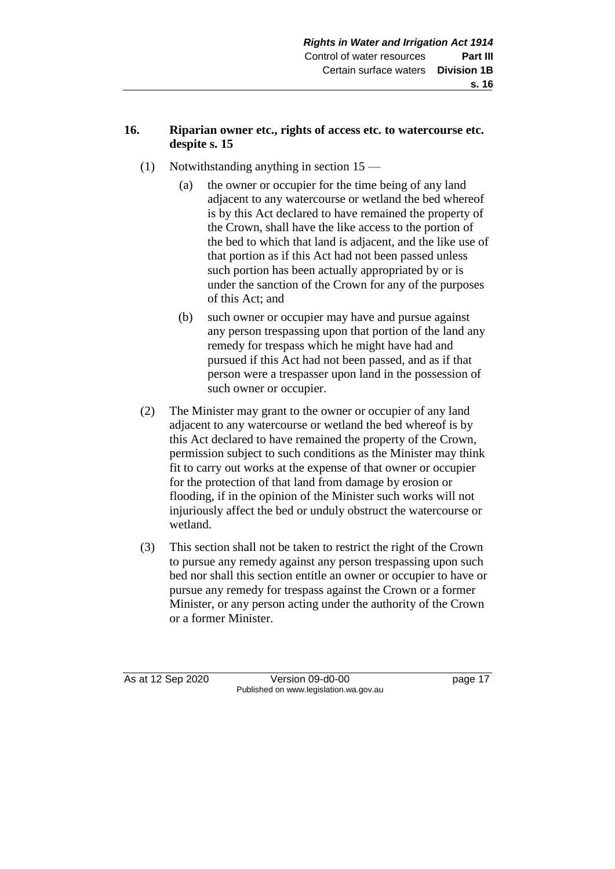## **16. Riparian owner etc., rights of access etc. to watercourse etc. despite s. 15**

- (1) Notwithstanding anything in section 15
	- (a) the owner or occupier for the time being of any land adjacent to any watercourse or wetland the bed whereof is by this Act declared to have remained the property of the Crown, shall have the like access to the portion of the bed to which that land is adjacent, and the like use of that portion as if this Act had not been passed unless such portion has been actually appropriated by or is under the sanction of the Crown for any of the purposes of this Act; and
	- (b) such owner or occupier may have and pursue against any person trespassing upon that portion of the land any remedy for trespass which he might have had and pursued if this Act had not been passed, and as if that person were a trespasser upon land in the possession of such owner or occupier.
- (2) The Minister may grant to the owner or occupier of any land adjacent to any watercourse or wetland the bed whereof is by this Act declared to have remained the property of the Crown, permission subject to such conditions as the Minister may think fit to carry out works at the expense of that owner or occupier for the protection of that land from damage by erosion or flooding, if in the opinion of the Minister such works will not injuriously affect the bed or unduly obstruct the watercourse or wetland.
- (3) This section shall not be taken to restrict the right of the Crown to pursue any remedy against any person trespassing upon such bed nor shall this section entitle an owner or occupier to have or pursue any remedy for trespass against the Crown or a former Minister, or any person acting under the authority of the Crown or a former Minister.

As at 12 Sep 2020 Version 09-d0-00 page 17 Published on www.legislation.wa.gov.au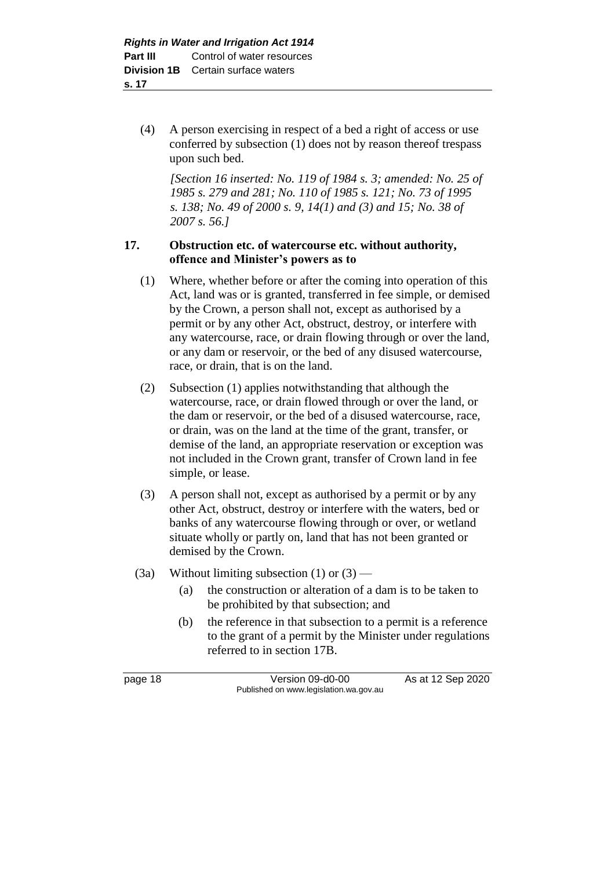(4) A person exercising in respect of a bed a right of access or use conferred by subsection (1) does not by reason thereof trespass upon such bed.

*[Section 16 inserted: No. 119 of 1984 s. 3; amended: No. 25 of 1985 s. 279 and 281; No. 110 of 1985 s. 121; No. 73 of 1995 s. 138; No. 49 of 2000 s. 9, 14(1) and (3) and 15; No. 38 of 2007 s. 56.]* 

#### **17. Obstruction etc. of watercourse etc. without authority, offence and Minister's powers as to**

- (1) Where, whether before or after the coming into operation of this Act, land was or is granted, transferred in fee simple, or demised by the Crown, a person shall not, except as authorised by a permit or by any other Act, obstruct, destroy, or interfere with any watercourse, race, or drain flowing through or over the land, or any dam or reservoir, or the bed of any disused watercourse, race, or drain, that is on the land.
- (2) Subsection (1) applies notwithstanding that although the watercourse, race, or drain flowed through or over the land, or the dam or reservoir, or the bed of a disused watercourse, race, or drain, was on the land at the time of the grant, transfer, or demise of the land, an appropriate reservation or exception was not included in the Crown grant, transfer of Crown land in fee simple, or lease.
- (3) A person shall not, except as authorised by a permit or by any other Act, obstruct, destroy or interfere with the waters, bed or banks of any watercourse flowing through or over, or wetland situate wholly or partly on, land that has not been granted or demised by the Crown.
- (3a) Without limiting subsection  $(1)$  or  $(3)$ 
	- (a) the construction or alteration of a dam is to be taken to be prohibited by that subsection; and
	- (b) the reference in that subsection to a permit is a reference to the grant of a permit by the Minister under regulations referred to in section 17B.

page 18 Version 09-d0-00 As at 12 Sep 2020 Published on www.legislation.wa.gov.au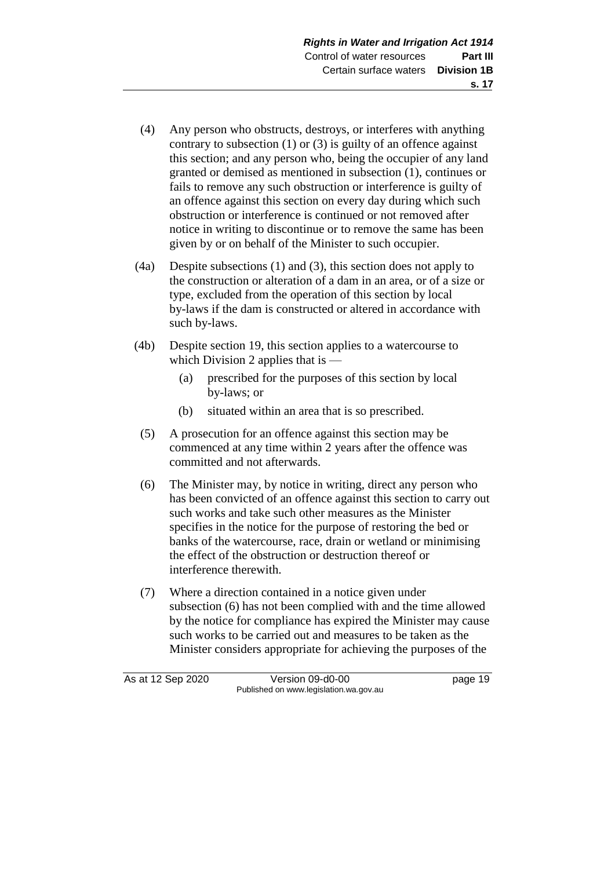- (4) Any person who obstructs, destroys, or interferes with anything contrary to subsection  $(1)$  or  $(3)$  is guilty of an offence against this section; and any person who, being the occupier of any land granted or demised as mentioned in subsection (1), continues or fails to remove any such obstruction or interference is guilty of an offence against this section on every day during which such obstruction or interference is continued or not removed after notice in writing to discontinue or to remove the same has been given by or on behalf of the Minister to such occupier.
- (4a) Despite subsections (1) and (3), this section does not apply to the construction or alteration of a dam in an area, or of a size or type, excluded from the operation of this section by local by-laws if the dam is constructed or altered in accordance with such by-laws.
- (4b) Despite section 19, this section applies to a watercourse to which Division 2 applies that is —
	- (a) prescribed for the purposes of this section by local by-laws; or
	- (b) situated within an area that is so prescribed.
	- (5) A prosecution for an offence against this section may be commenced at any time within 2 years after the offence was committed and not afterwards.
	- (6) The Minister may, by notice in writing, direct any person who has been convicted of an offence against this section to carry out such works and take such other measures as the Minister specifies in the notice for the purpose of restoring the bed or banks of the watercourse, race, drain or wetland or minimising the effect of the obstruction or destruction thereof or interference therewith.
	- (7) Where a direction contained in a notice given under subsection (6) has not been complied with and the time allowed by the notice for compliance has expired the Minister may cause such works to be carried out and measures to be taken as the Minister considers appropriate for achieving the purposes of the

As at 12 Sep 2020 Version 09-d0-00 page 19 Published on www.legislation.wa.gov.au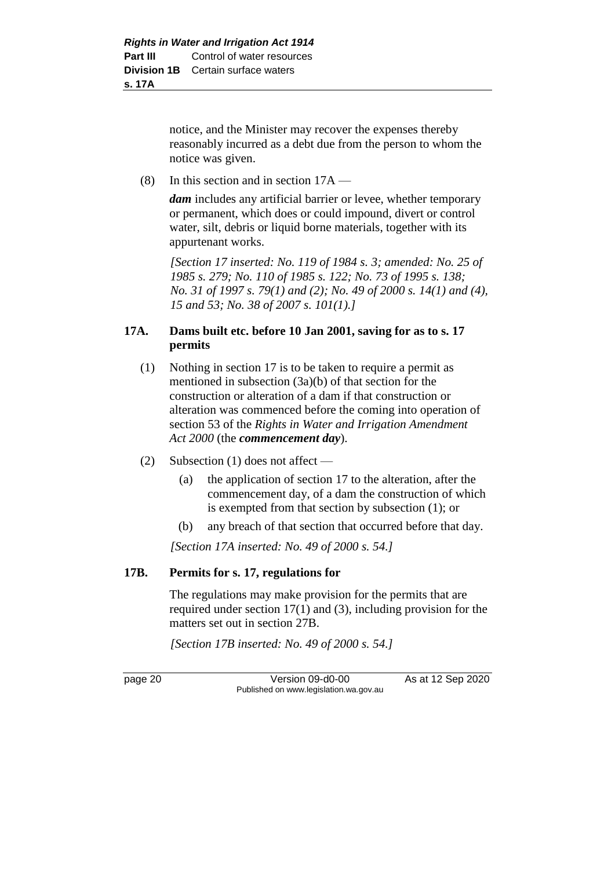notice, and the Minister may recover the expenses thereby reasonably incurred as a debt due from the person to whom the notice was given.

(8) In this section and in section 17A —

*dam* includes any artificial barrier or levee, whether temporary or permanent, which does or could impound, divert or control water, silt, debris or liquid borne materials, together with its appurtenant works.

*[Section 17 inserted: No. 119 of 1984 s. 3; amended: No. 25 of 1985 s. 279; No. 110 of 1985 s. 122; No. 73 of 1995 s. 138; No. 31 of 1997 s. 79(1) and (2); No. 49 of 2000 s. 14(1) and (4), 15 and 53; No. 38 of 2007 s. 101(1).]* 

#### **17A. Dams built etc. before 10 Jan 2001, saving for as to s. 17 permits**

- (1) Nothing in section 17 is to be taken to require a permit as mentioned in subsection (3a)(b) of that section for the construction or alteration of a dam if that construction or alteration was commenced before the coming into operation of section 53 of the *Rights in Water and Irrigation Amendment Act 2000* (the *commencement day*).
- (2) Subsection (1) does not affect
	- (a) the application of section 17 to the alteration, after the commencement day, of a dam the construction of which is exempted from that section by subsection (1); or
	- (b) any breach of that section that occurred before that day.

*[Section 17A inserted: No. 49 of 2000 s. 54.]*

### **17B. Permits for s. 17, regulations for**

The regulations may make provision for the permits that are required under section 17(1) and (3), including provision for the matters set out in section 27B.

*[Section 17B inserted: No. 49 of 2000 s. 54.]*

page 20 Version 09-d0-00 As at 12 Sep 2020 Published on www.legislation.wa.gov.au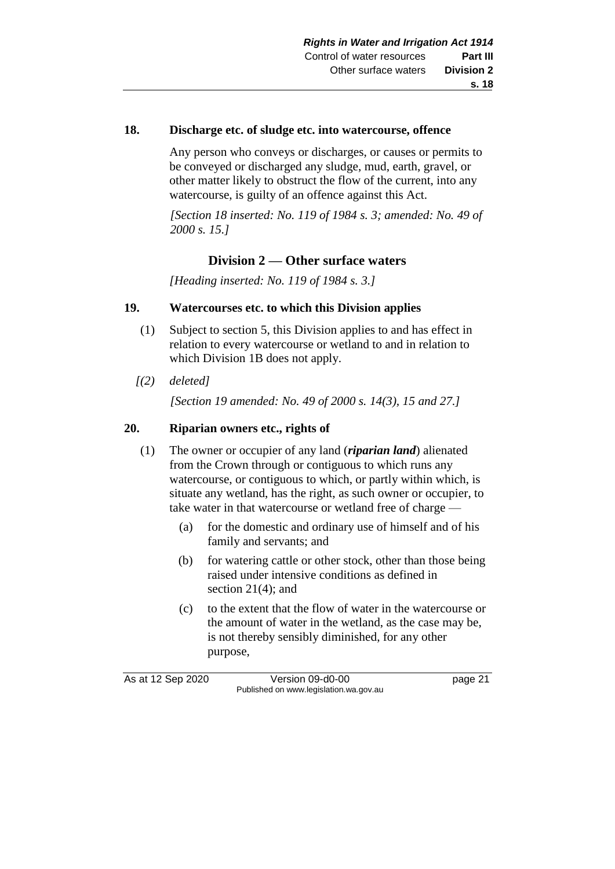## **18. Discharge etc. of sludge etc. into watercourse, offence**

Any person who conveys or discharges, or causes or permits to be conveyed or discharged any sludge, mud, earth, gravel, or other matter likely to obstruct the flow of the current, into any watercourse, is guilty of an offence against this Act.

*[Section 18 inserted: No. 119 of 1984 s. 3; amended: No. 49 of 2000 s. 15.]* 

## **Division 2 — Other surface waters**

*[Heading inserted: No. 119 of 1984 s. 3.]* 

#### **19. Watercourses etc. to which this Division applies**

- (1) Subject to section 5, this Division applies to and has effect in relation to every watercourse or wetland to and in relation to which Division 1B does not apply.
- *[(2) deleted]*

*[Section 19 amended: No. 49 of 2000 s. 14(3), 15 and 27.]*

#### **20. Riparian owners etc., rights of**

- (1) The owner or occupier of any land (*riparian land*) alienated from the Crown through or contiguous to which runs any watercourse, or contiguous to which, or partly within which, is situate any wetland, has the right, as such owner or occupier, to take water in that watercourse or wetland free of charge -
	- (a) for the domestic and ordinary use of himself and of his family and servants; and
	- (b) for watering cattle or other stock, other than those being raised under intensive conditions as defined in section 21(4); and
	- (c) to the extent that the flow of water in the watercourse or the amount of water in the wetland, as the case may be, is not thereby sensibly diminished, for any other purpose,

As at 12 Sep 2020 Version 09-d0-00 page 21 Published on www.legislation.wa.gov.au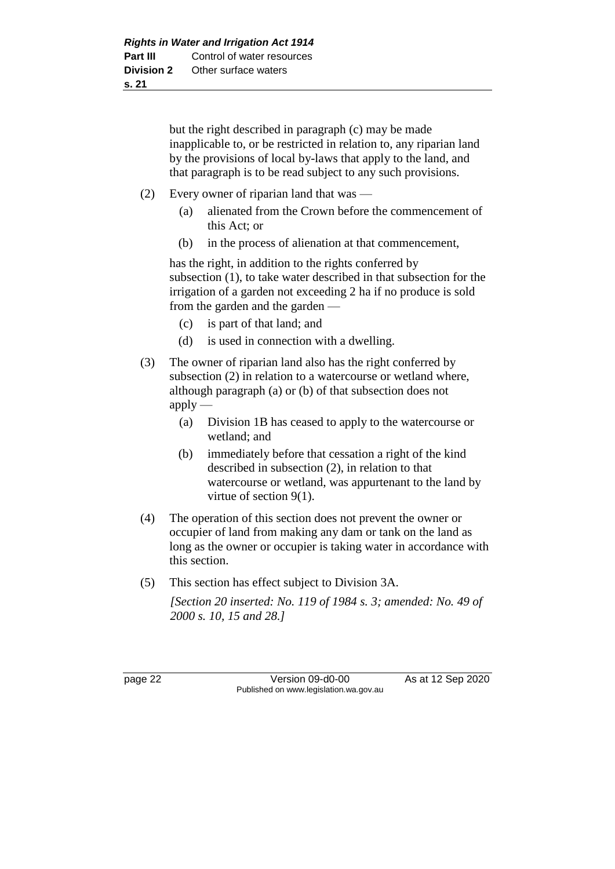but the right described in paragraph (c) may be made inapplicable to, or be restricted in relation to, any riparian land by the provisions of local by-laws that apply to the land, and that paragraph is to be read subject to any such provisions.

- (2) Every owner of riparian land that was
	- (a) alienated from the Crown before the commencement of this Act; or
	- (b) in the process of alienation at that commencement,

has the right, in addition to the rights conferred by subsection (1), to take water described in that subsection for the irrigation of a garden not exceeding 2 ha if no produce is sold from the garden and the garden —

- (c) is part of that land; and
- (d) is used in connection with a dwelling.
- (3) The owner of riparian land also has the right conferred by subsection (2) in relation to a watercourse or wetland where, although paragraph (a) or (b) of that subsection does not  $apply -$ 
	- (a) Division 1B has ceased to apply to the watercourse or wetland; and
	- (b) immediately before that cessation a right of the kind described in subsection (2), in relation to that watercourse or wetland, was appurtenant to the land by virtue of section 9(1).
- (4) The operation of this section does not prevent the owner or occupier of land from making any dam or tank on the land as long as the owner or occupier is taking water in accordance with this section.
- (5) This section has effect subject to Division 3A.

*[Section 20 inserted: No. 119 of 1984 s. 3; amended: No. 49 of 2000 s. 10, 15 and 28.]* 

page 22 Version 09-d0-00 As at 12 Sep 2020 Published on www.legislation.wa.gov.au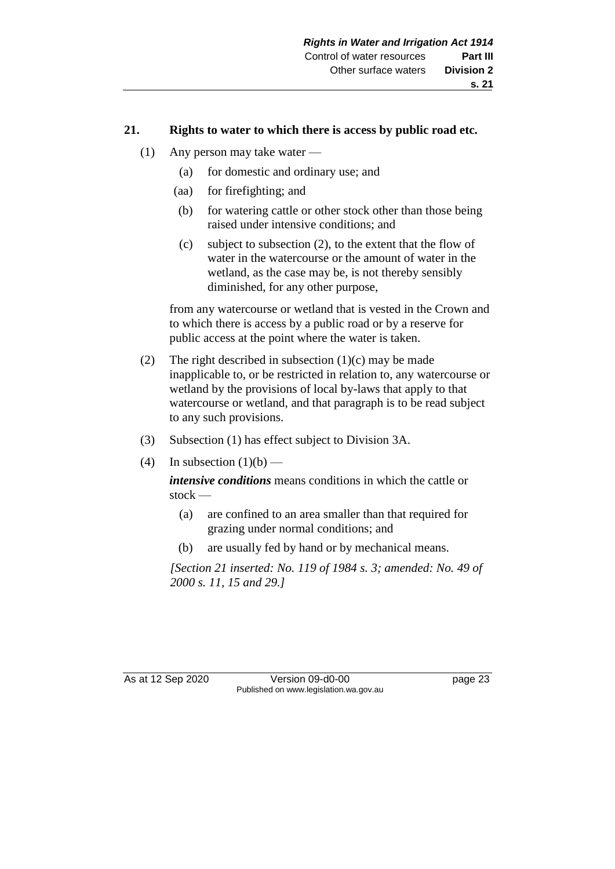## **21. Rights to water to which there is access by public road etc.**

- (1) Any person may take water
	- (a) for domestic and ordinary use; and
	- (aa) for firefighting; and
	- (b) for watering cattle or other stock other than those being raised under intensive conditions; and
	- (c) subject to subsection (2), to the extent that the flow of water in the watercourse or the amount of water in the wetland, as the case may be, is not thereby sensibly diminished, for any other purpose,

from any watercourse or wetland that is vested in the Crown and to which there is access by a public road or by a reserve for public access at the point where the water is taken.

- (2) The right described in subsection  $(1)(c)$  may be made inapplicable to, or be restricted in relation to, any watercourse or wetland by the provisions of local by-laws that apply to that watercourse or wetland, and that paragraph is to be read subject to any such provisions.
- (3) Subsection (1) has effect subject to Division 3A.
- (4) In subsection  $(1)(b)$  —

*intensive conditions* means conditions in which the cattle or stock —

- (a) are confined to an area smaller than that required for grazing under normal conditions; and
- (b) are usually fed by hand or by mechanical means.

*[Section 21 inserted: No. 119 of 1984 s. 3; amended: No. 49 of 2000 s. 11, 15 and 29.]* 

As at 12 Sep 2020 Version 09-d0-00 page 23 Published on www.legislation.wa.gov.au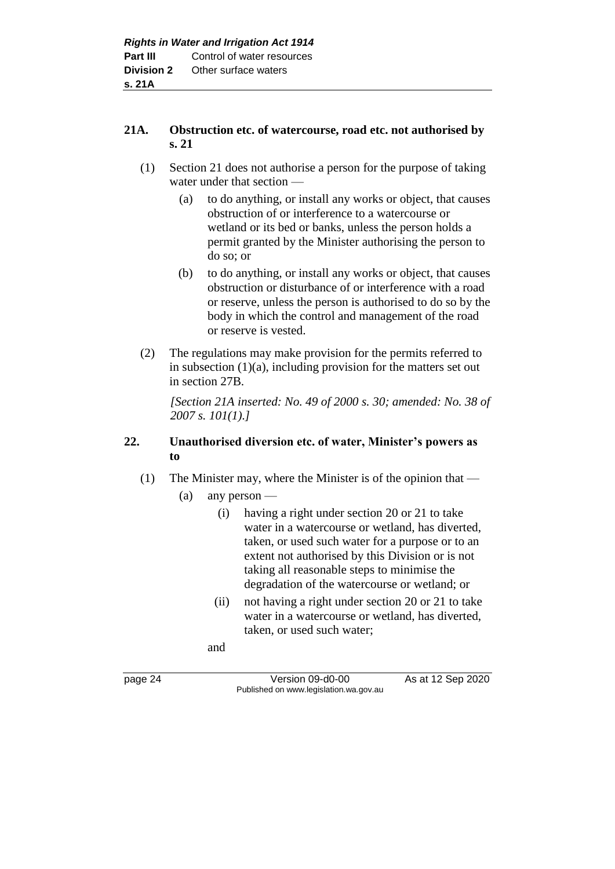#### **21A. Obstruction etc. of watercourse, road etc. not authorised by s. 21**

- (1) Section 21 does not authorise a person for the purpose of taking water under that section —
	- (a) to do anything, or install any works or object, that causes obstruction of or interference to a watercourse or wetland or its bed or banks, unless the person holds a permit granted by the Minister authorising the person to do so; or
	- (b) to do anything, or install any works or object, that causes obstruction or disturbance of or interference with a road or reserve, unless the person is authorised to do so by the body in which the control and management of the road or reserve is vested.
- (2) The regulations may make provision for the permits referred to in subsection  $(1)(a)$ , including provision for the matters set out in section 27B.

*[Section 21A inserted: No. 49 of 2000 s. 30; amended: No. 38 of 2007 s. 101(1).]*

#### **22. Unauthorised diversion etc. of water, Minister's powers as to**

- (1) The Minister may, where the Minister is of the opinion that
	- (a) any person
		- (i) having a right under section 20 or 21 to take water in a watercourse or wetland, has diverted, taken, or used such water for a purpose or to an extent not authorised by this Division or is not taking all reasonable steps to minimise the degradation of the watercourse or wetland; or
		- (ii) not having a right under section 20 or 21 to take water in a watercourse or wetland, has diverted, taken, or used such water;

and

page 24 Version 09-d0-00 As at 12 Sep 2020 Published on www.legislation.wa.gov.au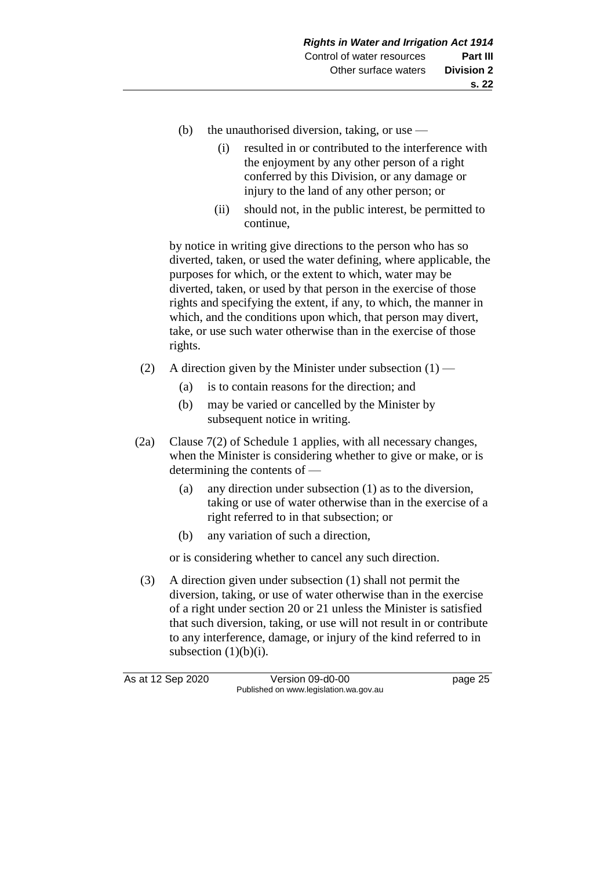- (b) the unauthorised diversion, taking, or use  $-$ 
	- (i) resulted in or contributed to the interference with the enjoyment by any other person of a right conferred by this Division, or any damage or injury to the land of any other person; or
	- (ii) should not, in the public interest, be permitted to continue,

by notice in writing give directions to the person who has so diverted, taken, or used the water defining, where applicable, the purposes for which, or the extent to which, water may be diverted, taken, or used by that person in the exercise of those rights and specifying the extent, if any, to which, the manner in which, and the conditions upon which, that person may divert, take, or use such water otherwise than in the exercise of those rights.

- (2) A direction given by the Minister under subsection  $(1)$ 
	- (a) is to contain reasons for the direction; and
	- (b) may be varied or cancelled by the Minister by subsequent notice in writing.
- (2a) Clause 7(2) of Schedule 1 applies, with all necessary changes, when the Minister is considering whether to give or make, or is determining the contents of —
	- (a) any direction under subsection (1) as to the diversion, taking or use of water otherwise than in the exercise of a right referred to in that subsection; or
	- (b) any variation of such a direction,

or is considering whether to cancel any such direction.

(3) A direction given under subsection (1) shall not permit the diversion, taking, or use of water otherwise than in the exercise of a right under section 20 or 21 unless the Minister is satisfied that such diversion, taking, or use will not result in or contribute to any interference, damage, or injury of the kind referred to in subsection  $(1)(b)(i)$ .

As at 12 Sep 2020 Version 09-d0-00 page 25 Published on www.legislation.wa.gov.au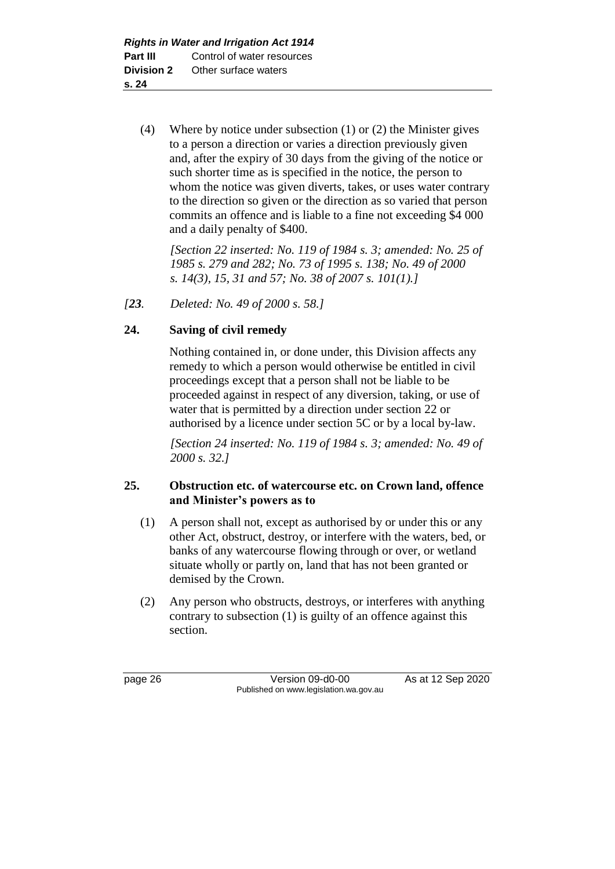(4) Where by notice under subsection (1) or (2) the Minister gives to a person a direction or varies a direction previously given and, after the expiry of 30 days from the giving of the notice or such shorter time as is specified in the notice, the person to whom the notice was given diverts, takes, or uses water contrary to the direction so given or the direction as so varied that person commits an offence and is liable to a fine not exceeding \$4 000 and a daily penalty of \$400.

*[Section 22 inserted: No. 119 of 1984 s. 3; amended: No. 25 of 1985 s. 279 and 282; No. 73 of 1995 s. 138; No. 49 of 2000 s. 14(3), 15, 31 and 57; No. 38 of 2007 s. 101(1).]* 

*[23. Deleted: No. 49 of 2000 s. 58.]*

## **24. Saving of civil remedy**

Nothing contained in, or done under, this Division affects any remedy to which a person would otherwise be entitled in civil proceedings except that a person shall not be liable to be proceeded against in respect of any diversion, taking, or use of water that is permitted by a direction under section 22 or authorised by a licence under section 5C or by a local by-law.

*[Section 24 inserted: No. 119 of 1984 s. 3; amended: No. 49 of 2000 s. 32.]* 

### **25. Obstruction etc. of watercourse etc. on Crown land, offence and Minister's powers as to**

- (1) A person shall not, except as authorised by or under this or any other Act, obstruct, destroy, or interfere with the waters, bed, or banks of any watercourse flowing through or over, or wetland situate wholly or partly on, land that has not been granted or demised by the Crown.
- (2) Any person who obstructs, destroys, or interferes with anything contrary to subsection (1) is guilty of an offence against this section.

page 26 Version 09-d0-00 As at 12 Sep 2020 Published on www.legislation.wa.gov.au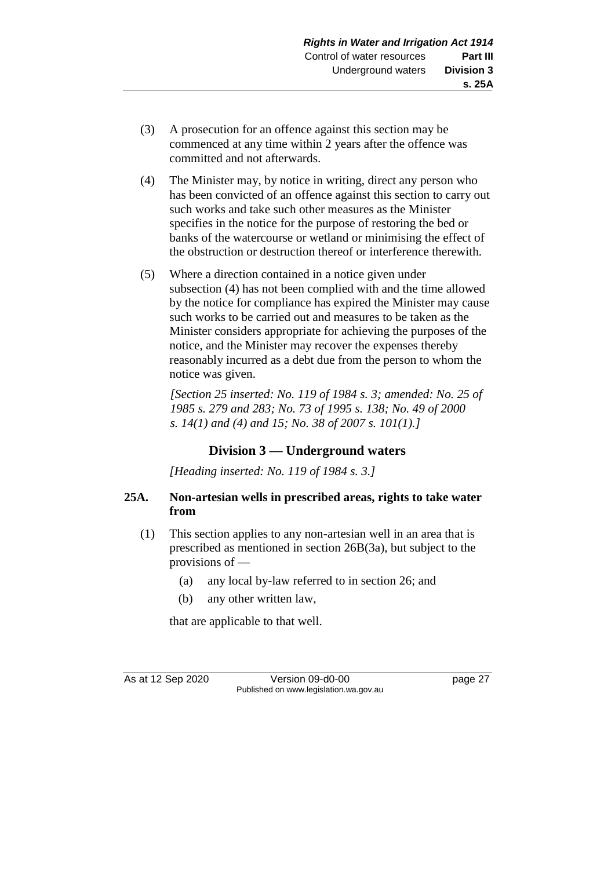- (3) A prosecution for an offence against this section may be commenced at any time within 2 years after the offence was committed and not afterwards.
- (4) The Minister may, by notice in writing, direct any person who has been convicted of an offence against this section to carry out such works and take such other measures as the Minister specifies in the notice for the purpose of restoring the bed or banks of the watercourse or wetland or minimising the effect of the obstruction or destruction thereof or interference therewith.
- (5) Where a direction contained in a notice given under subsection (4) has not been complied with and the time allowed by the notice for compliance has expired the Minister may cause such works to be carried out and measures to be taken as the Minister considers appropriate for achieving the purposes of the notice, and the Minister may recover the expenses thereby reasonably incurred as a debt due from the person to whom the notice was given.

*[Section 25 inserted: No. 119 of 1984 s. 3; amended: No. 25 of 1985 s. 279 and 283; No. 73 of 1995 s. 138; No. 49 of 2000 s. 14(1) and (4) and 15; No. 38 of 2007 s. 101(1).]* 

# **Division 3 — Underground waters**

*[Heading inserted: No. 119 of 1984 s. 3.]* 

## **25A. Non-artesian wells in prescribed areas, rights to take water from**

- (1) This section applies to any non-artesian well in an area that is prescribed as mentioned in section 26B(3a), but subject to the provisions of —
	- (a) any local by-law referred to in section 26; and
	- (b) any other written law,

that are applicable to that well.

As at 12 Sep 2020 Version 09-d0-00 page 27 Published on www.legislation.wa.gov.au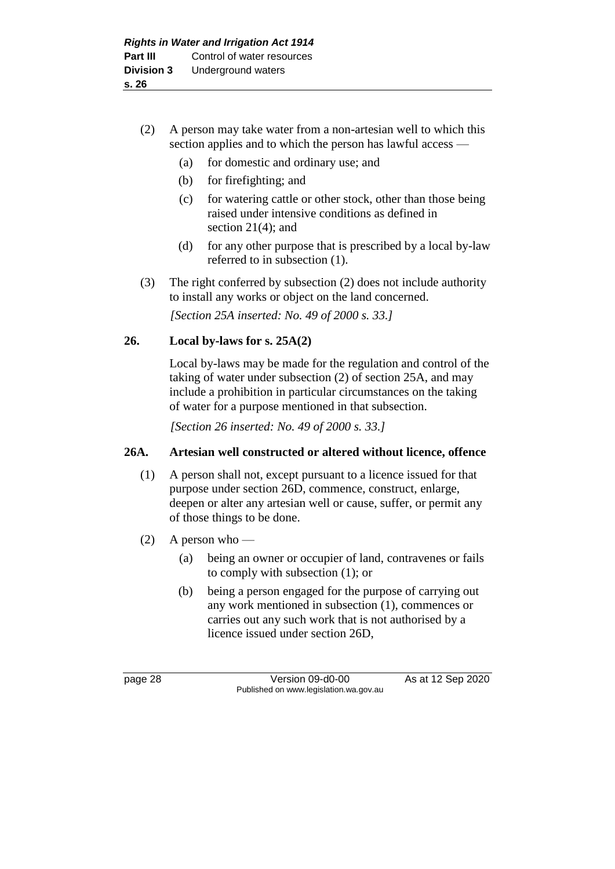## (2) A person may take water from a non-artesian well to which this section applies and to which the person has lawful access —

- (a) for domestic and ordinary use; and
- (b) for firefighting; and
- (c) for watering cattle or other stock, other than those being raised under intensive conditions as defined in section 21(4); and
- (d) for any other purpose that is prescribed by a local by-law referred to in subsection (1).
- (3) The right conferred by subsection (2) does not include authority to install any works or object on the land concerned.

*[Section 25A inserted: No. 49 of 2000 s. 33.]*

## **26. Local by-laws for s. 25A(2)**

Local by-laws may be made for the regulation and control of the taking of water under subsection (2) of section 25A, and may include a prohibition in particular circumstances on the taking of water for a purpose mentioned in that subsection.

*[Section 26 inserted: No. 49 of 2000 s. 33.]*

## **26A. Artesian well constructed or altered without licence, offence**

- (1) A person shall not, except pursuant to a licence issued for that purpose under section 26D, commence, construct, enlarge, deepen or alter any artesian well or cause, suffer, or permit any of those things to be done.
- (2) A person who
	- (a) being an owner or occupier of land, contravenes or fails to comply with subsection (1); or
	- (b) being a person engaged for the purpose of carrying out any work mentioned in subsection (1), commences or carries out any such work that is not authorised by a licence issued under section 26D,

page 28 Version 09-d0-00 As at 12 Sep 2020 Published on www.legislation.wa.gov.au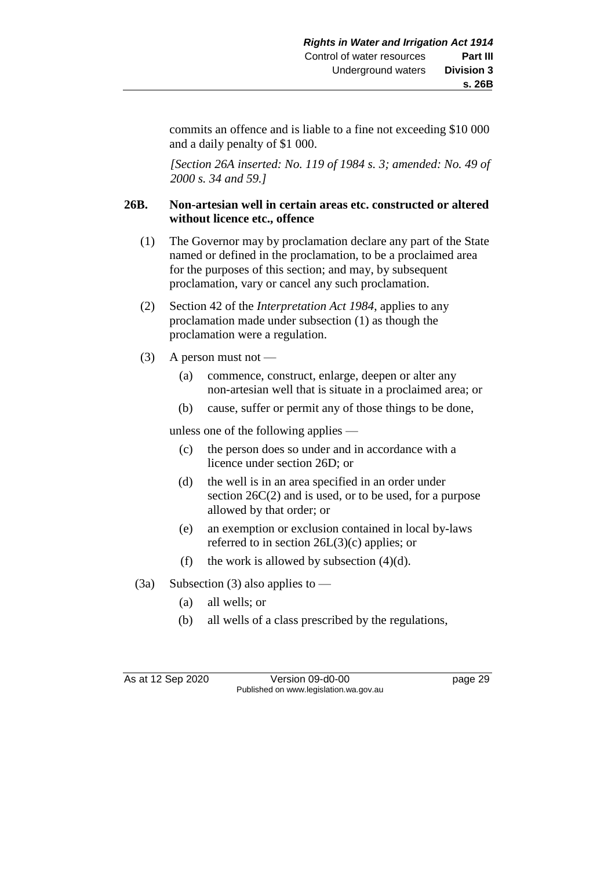commits an offence and is liable to a fine not exceeding \$10 000 and a daily penalty of \$1 000.

*[Section 26A inserted: No. 119 of 1984 s. 3; amended: No. 49 of 2000 s. 34 and 59.]* 

### **26B. Non-artesian well in certain areas etc. constructed or altered without licence etc., offence**

- (1) The Governor may by proclamation declare any part of the State named or defined in the proclamation, to be a proclaimed area for the purposes of this section; and may, by subsequent proclamation, vary or cancel any such proclamation.
- (2) Section 42 of the *Interpretation Act 1984*, applies to any proclamation made under subsection (1) as though the proclamation were a regulation.
- (3) A person must not
	- (a) commence, construct, enlarge, deepen or alter any non-artesian well that is situate in a proclaimed area; or
	- (b) cause, suffer or permit any of those things to be done,

unless one of the following applies —

- (c) the person does so under and in accordance with a licence under section 26D; or
- (d) the well is in an area specified in an order under section 26C(2) and is used, or to be used, for a purpose allowed by that order; or
- (e) an exemption or exclusion contained in local by-laws referred to in section 26L(3)(c) applies; or
- (f) the work is allowed by subsection  $(4)(d)$ .
- (3a) Subsection (3) also applies to  $-$ 
	- (a) all wells; or
	- (b) all wells of a class prescribed by the regulations,

As at 12 Sep 2020 Version 09-d0-00 page 29 Published on www.legislation.wa.gov.au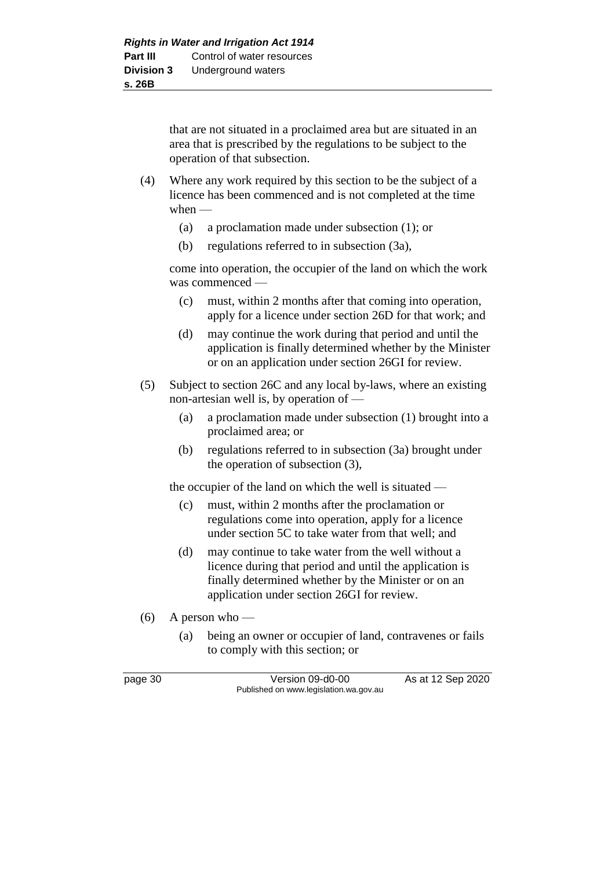that are not situated in a proclaimed area but are situated in an area that is prescribed by the regulations to be subject to the operation of that subsection.

- (4) Where any work required by this section to be the subject of a licence has been commenced and is not completed at the time when —
	- (a) a proclamation made under subsection (1); or
	- (b) regulations referred to in subsection (3a),

come into operation, the occupier of the land on which the work was commenced —

- (c) must, within 2 months after that coming into operation, apply for a licence under section 26D for that work; and
- (d) may continue the work during that period and until the application is finally determined whether by the Minister or on an application under section 26GI for review.
- (5) Subject to section 26C and any local by-laws, where an existing non-artesian well is, by operation of —
	- (a) a proclamation made under subsection (1) brought into a proclaimed area; or
	- (b) regulations referred to in subsection (3a) brought under the operation of subsection (3),

the occupier of the land on which the well is situated —

- (c) must, within 2 months after the proclamation or regulations come into operation, apply for a licence under section 5C to take water from that well; and
- (d) may continue to take water from the well without a licence during that period and until the application is finally determined whether by the Minister or on an application under section 26GI for review.
- (6) A person who
	- (a) being an owner or occupier of land, contravenes or fails to comply with this section; or

page 30 Version 09-d0-00 As at 12 Sep 2020 Published on www.legislation.wa.gov.au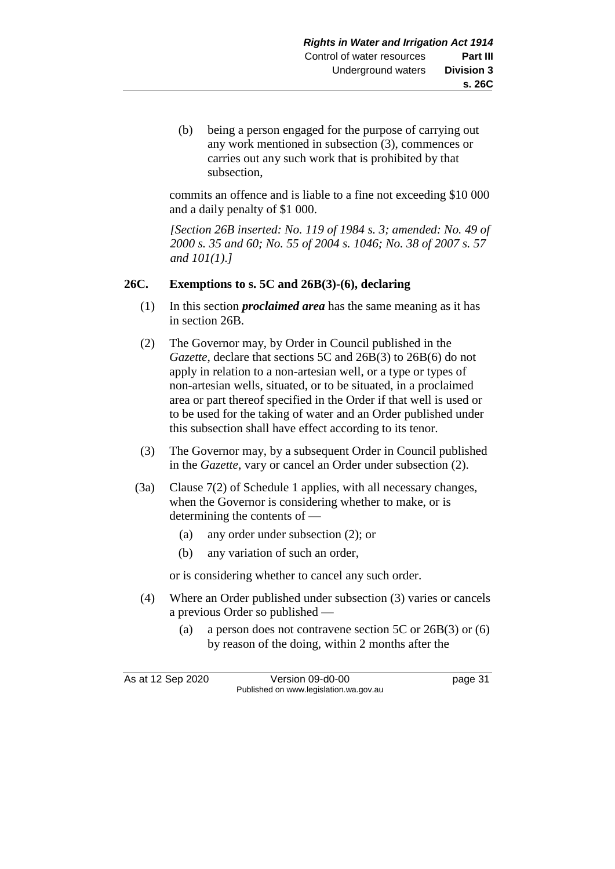(b) being a person engaged for the purpose of carrying out any work mentioned in subsection (3), commences or carries out any such work that is prohibited by that subsection,

commits an offence and is liable to a fine not exceeding \$10 000 and a daily penalty of \$1 000.

*[Section 26B inserted: No. 119 of 1984 s. 3; amended: No. 49 of 2000 s. 35 and 60; No. 55 of 2004 s. 1046; No. 38 of 2007 s. 57 and 101(1).]* 

### **26C. Exemptions to s. 5C and 26B(3)-(6), declaring**

- (1) In this section *proclaimed area* has the same meaning as it has in section 26B.
- (2) The Governor may, by Order in Council published in the *Gazette*, declare that sections 5C and 26B(3) to 26B(6) do not apply in relation to a non-artesian well, or a type or types of non-artesian wells, situated, or to be situated, in a proclaimed area or part thereof specified in the Order if that well is used or to be used for the taking of water and an Order published under this subsection shall have effect according to its tenor.
- (3) The Governor may, by a subsequent Order in Council published in the *Gazette*, vary or cancel an Order under subsection (2).
- (3a) Clause 7(2) of Schedule 1 applies, with all necessary changes, when the Governor is considering whether to make, or is determining the contents of —
	- (a) any order under subsection (2); or
	- (b) any variation of such an order,

or is considering whether to cancel any such order.

- (4) Where an Order published under subsection (3) varies or cancels a previous Order so published —
	- (a) a person does not contravene section 5C or 26B(3) or (6) by reason of the doing, within 2 months after the

As at 12 Sep 2020 Version 09-d0-00 page 31 Published on www.legislation.wa.gov.au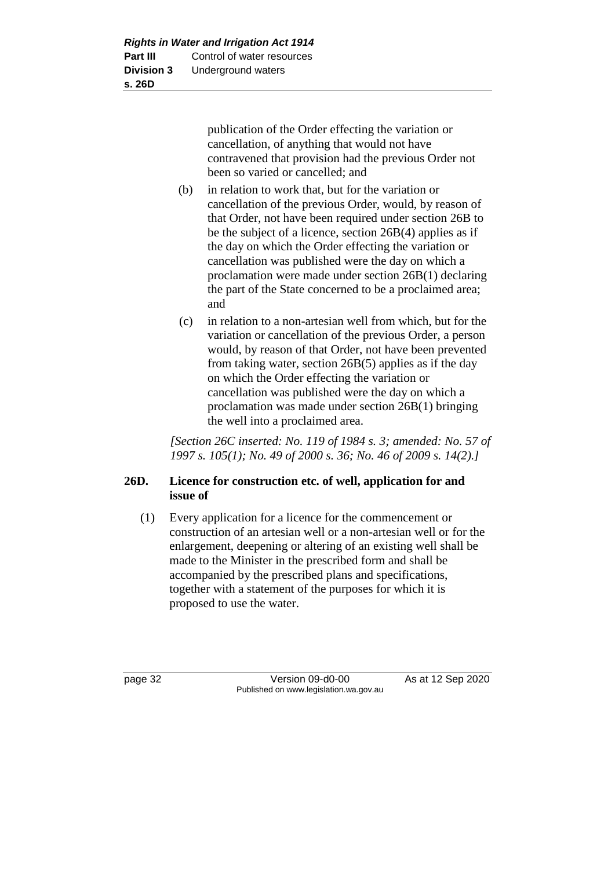publication of the Order effecting the variation or cancellation, of anything that would not have contravened that provision had the previous Order not been so varied or cancelled; and

- (b) in relation to work that, but for the variation or cancellation of the previous Order, would, by reason of that Order, not have been required under section 26B to be the subject of a licence, section 26B(4) applies as if the day on which the Order effecting the variation or cancellation was published were the day on which a proclamation were made under section 26B(1) declaring the part of the State concerned to be a proclaimed area; and
- (c) in relation to a non-artesian well from which, but for the variation or cancellation of the previous Order, a person would, by reason of that Order, not have been prevented from taking water, section 26B(5) applies as if the day on which the Order effecting the variation or cancellation was published were the day on which a proclamation was made under section 26B(1) bringing the well into a proclaimed area.

*[Section 26C inserted: No. 119 of 1984 s. 3; amended: No. 57 of 1997 s. 105(1); No. 49 of 2000 s. 36; No. 46 of 2009 s. 14(2).]* 

## **26D. Licence for construction etc. of well, application for and issue of**

(1) Every application for a licence for the commencement or construction of an artesian well or a non-artesian well or for the enlargement, deepening or altering of an existing well shall be made to the Minister in the prescribed form and shall be accompanied by the prescribed plans and specifications, together with a statement of the purposes for which it is proposed to use the water.

page 32 Version 09-d0-00 As at 12 Sep 2020 Published on www.legislation.wa.gov.au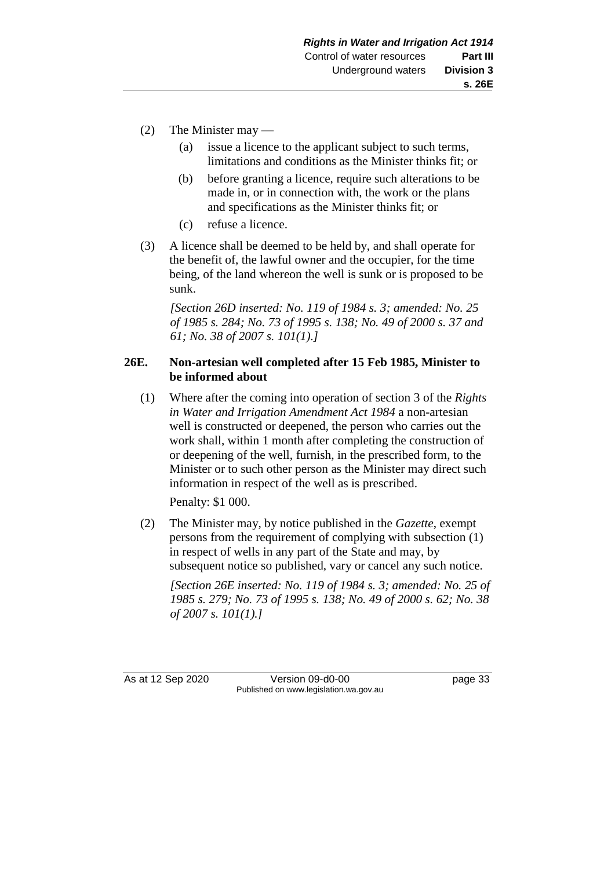- (2) The Minister may
	- (a) issue a licence to the applicant subject to such terms, limitations and conditions as the Minister thinks fit; or
	- (b) before granting a licence, require such alterations to be made in, or in connection with, the work or the plans and specifications as the Minister thinks fit; or
	- (c) refuse a licence.
- (3) A licence shall be deemed to be held by, and shall operate for the benefit of, the lawful owner and the occupier, for the time being, of the land whereon the well is sunk or is proposed to be sunk.

*[Section 26D inserted: No. 119 of 1984 s. 3; amended: No. 25 of 1985 s. 284; No. 73 of 1995 s. 138; No. 49 of 2000 s. 37 and 61; No. 38 of 2007 s. 101(1).]* 

### **26E. Non-artesian well completed after 15 Feb 1985, Minister to be informed about**

(1) Where after the coming into operation of section 3 of the *Rights in Water and Irrigation Amendment Act 1984* a non-artesian well is constructed or deepened, the person who carries out the work shall, within 1 month after completing the construction of or deepening of the well, furnish, in the prescribed form, to the Minister or to such other person as the Minister may direct such information in respect of the well as is prescribed.

Penalty: \$1 000.

(2) The Minister may, by notice published in the *Gazette*, exempt persons from the requirement of complying with subsection (1) in respect of wells in any part of the State and may, by subsequent notice so published, vary or cancel any such notice.

*[Section 26E inserted: No. 119 of 1984 s. 3; amended: No. 25 of 1985 s. 279; No. 73 of 1995 s. 138; No. 49 of 2000 s. 62; No. 38 of 2007 s. 101(1).]* 

As at 12 Sep 2020 Version 09-d0-00 page 33 Published on www.legislation.wa.gov.au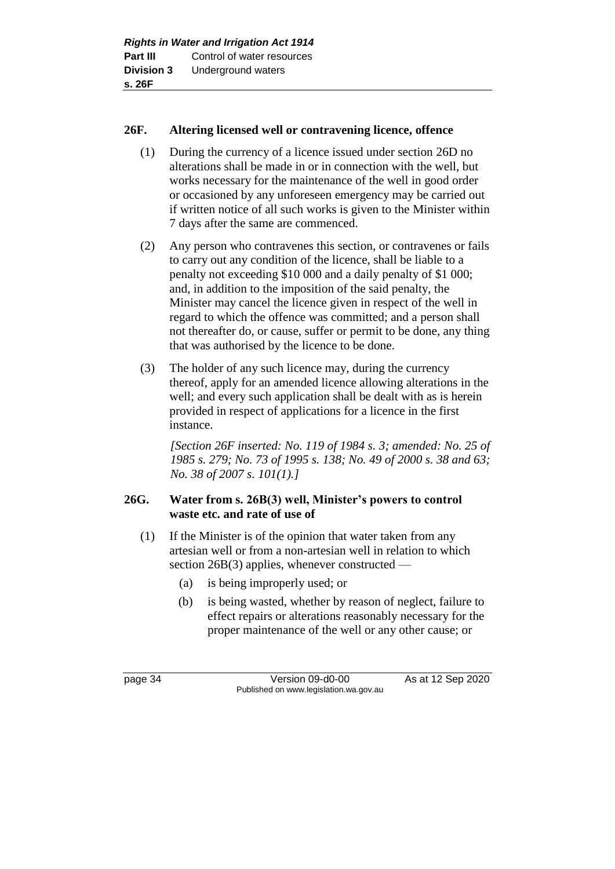### **26F. Altering licensed well or contravening licence, offence**

- (1) During the currency of a licence issued under section 26D no alterations shall be made in or in connection with the well, but works necessary for the maintenance of the well in good order or occasioned by any unforeseen emergency may be carried out if written notice of all such works is given to the Minister within 7 days after the same are commenced.
- (2) Any person who contravenes this section, or contravenes or fails to carry out any condition of the licence, shall be liable to a penalty not exceeding \$10 000 and a daily penalty of \$1 000; and, in addition to the imposition of the said penalty, the Minister may cancel the licence given in respect of the well in regard to which the offence was committed; and a person shall not thereafter do, or cause, suffer or permit to be done, any thing that was authorised by the licence to be done.
- (3) The holder of any such licence may, during the currency thereof, apply for an amended licence allowing alterations in the well; and every such application shall be dealt with as is herein provided in respect of applications for a licence in the first instance.

*[Section 26F inserted: No. 119 of 1984 s. 3; amended: No. 25 of 1985 s. 279; No. 73 of 1995 s. 138; No. 49 of 2000 s. 38 and 63; No. 38 of 2007 s. 101(1).]* 

## **26G. Water from s. 26B(3) well, Minister's powers to control waste etc. and rate of use of**

- (1) If the Minister is of the opinion that water taken from any artesian well or from a non-artesian well in relation to which section 26B(3) applies, whenever constructed —
	- (a) is being improperly used; or
	- (b) is being wasted, whether by reason of neglect, failure to effect repairs or alterations reasonably necessary for the proper maintenance of the well or any other cause; or

page 34 Version 09-d0-00 As at 12 Sep 2020 Published on www.legislation.wa.gov.au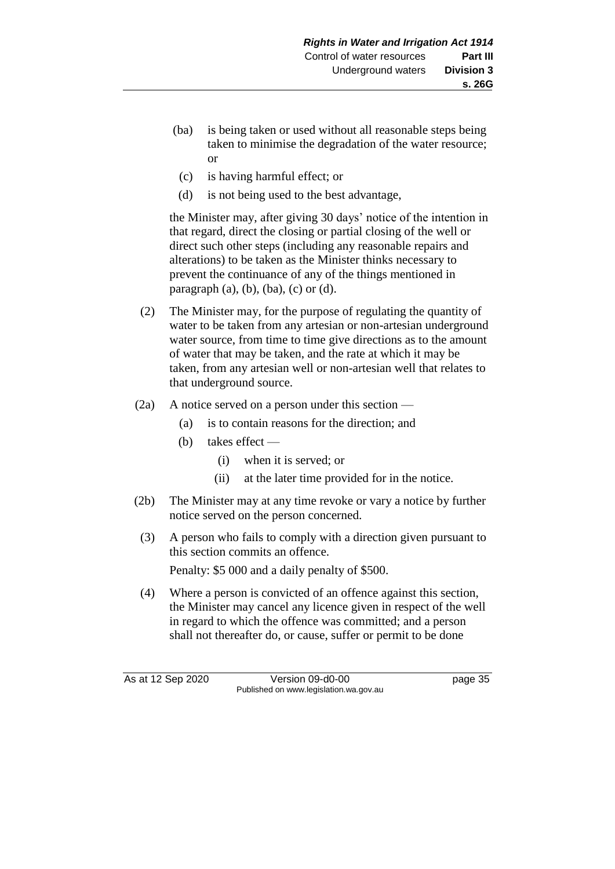- (ba) is being taken or used without all reasonable steps being taken to minimise the degradation of the water resource; or
- (c) is having harmful effect; or
- (d) is not being used to the best advantage,

the Minister may, after giving 30 days' notice of the intention in that regard, direct the closing or partial closing of the well or direct such other steps (including any reasonable repairs and alterations) to be taken as the Minister thinks necessary to prevent the continuance of any of the things mentioned in paragraph  $(a)$ ,  $(b)$ ,  $(ba)$ ,  $(c)$  or  $(d)$ .

- (2) The Minister may, for the purpose of regulating the quantity of water to be taken from any artesian or non-artesian underground water source, from time to time give directions as to the amount of water that may be taken, and the rate at which it may be taken, from any artesian well or non-artesian well that relates to that underground source.
- (2a) A notice served on a person under this section
	- (a) is to contain reasons for the direction; and
	- (b) takes effect
		- (i) when it is served; or
		- (ii) at the later time provided for in the notice.
- (2b) The Minister may at any time revoke or vary a notice by further notice served on the person concerned.
- (3) A person who fails to comply with a direction given pursuant to this section commits an offence.

Penalty: \$5 000 and a daily penalty of \$500.

(4) Where a person is convicted of an offence against this section, the Minister may cancel any licence given in respect of the well in regard to which the offence was committed; and a person shall not thereafter do, or cause, suffer or permit to be done

As at 12 Sep 2020 Version 09-d0-00 page 35 Published on www.legislation.wa.gov.au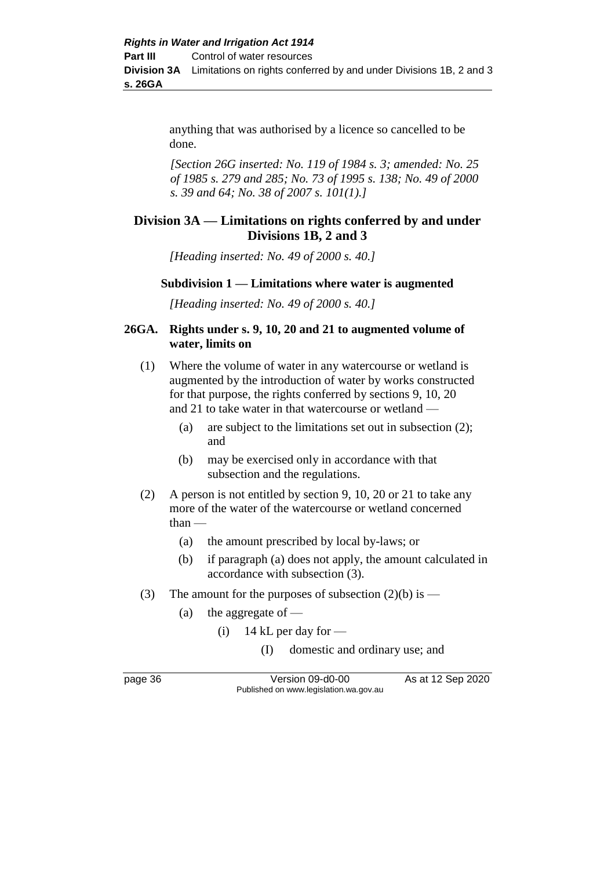anything that was authorised by a licence so cancelled to be done.

*[Section 26G inserted: No. 119 of 1984 s. 3; amended: No. 25 of 1985 s. 279 and 285; No. 73 of 1995 s. 138; No. 49 of 2000 s. 39 and 64; No. 38 of 2007 s. 101(1).]* 

# **Division 3A — Limitations on rights conferred by and under Divisions 1B, 2 and 3**

*[Heading inserted: No. 49 of 2000 s. 40.]*

#### **Subdivision 1 — Limitations where water is augmented**

*[Heading inserted: No. 49 of 2000 s. 40.]*

#### **26GA. Rights under s. 9, 10, 20 and 21 to augmented volume of water, limits on**

- (1) Where the volume of water in any watercourse or wetland is augmented by the introduction of water by works constructed for that purpose, the rights conferred by sections 9, 10, 20 and 21 to take water in that watercourse or wetland —
	- (a) are subject to the limitations set out in subsection (2); and
	- (b) may be exercised only in accordance with that subsection and the regulations.
- (2) A person is not entitled by section 9, 10, 20 or 21 to take any more of the water of the watercourse or wetland concerned than —
	- (a) the amount prescribed by local by-laws; or
	- (b) if paragraph (a) does not apply, the amount calculated in accordance with subsection (3).
- (3) The amount for the purposes of subsection  $(2)(b)$  is
	- (a) the aggregate of  $-$ 
		- (i) 14 kL per day for  $-$ 
			- (I) domestic and ordinary use; and

page 36 Version 09-d0-00 As at 12 Sep 2020 Published on www.legislation.wa.gov.au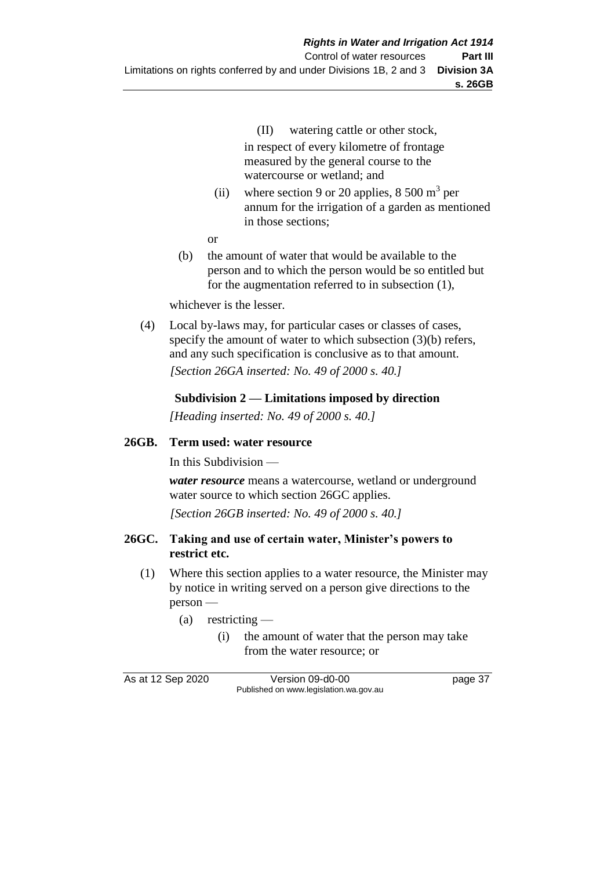- (II) watering cattle or other stock, in respect of every kilometre of frontage measured by the general course to the watercourse or wetland; and
- (ii) where section 9 or 20 applies,  $8\,500 \text{ m}^3$  per annum for the irrigation of a garden as mentioned in those sections;
- or
- (b) the amount of water that would be available to the person and to which the person would be so entitled but for the augmentation referred to in subsection (1),

whichever is the lesser.

(4) Local by-laws may, for particular cases or classes of cases, specify the amount of water to which subsection (3)(b) refers, and any such specification is conclusive as to that amount. *[Section 26GA inserted: No. 49 of 2000 s. 40.]*

### **Subdivision 2 — Limitations imposed by direction**

*[Heading inserted: No. 49 of 2000 s. 40.]*

#### **26GB. Term used: water resource**

In this Subdivision —

*water resource* means a watercourse, wetland or underground water source to which section 26GC applies.

*[Section 26GB inserted: No. 49 of 2000 s. 40.]*

#### **26GC. Taking and use of certain water, Minister's powers to restrict etc.**

- (1) Where this section applies to a water resource, the Minister may by notice in writing served on a person give directions to the person —
	- $(a)$  restricting
		- (i) the amount of water that the person may take from the water resource; or

As at 12 Sep 2020 Version 09-d0-00 page 37 Published on www.legislation.wa.gov.au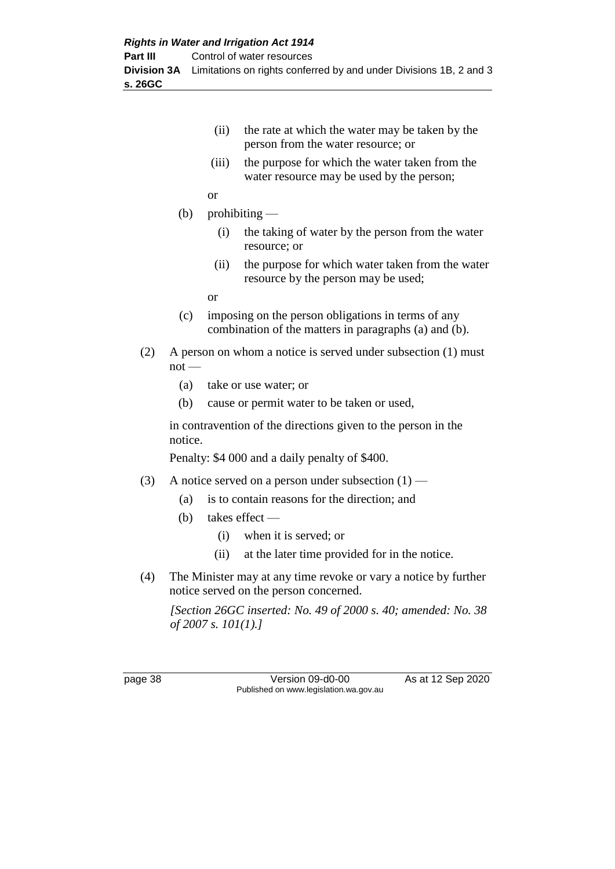**s. 26GC**

| (ii) | the rate at which the water may be taken by the |
|------|-------------------------------------------------|
|      | person from the water resource; or              |

(iii) the purpose for which the water taken from the water resource may be used by the person;

or

- (b) prohibiting
	- (i) the taking of water by the person from the water resource; or
	- (ii) the purpose for which water taken from the water resource by the person may be used;

or

- (c) imposing on the person obligations in terms of any combination of the matters in paragraphs (a) and (b).
- (2) A person on whom a notice is served under subsection (1) must  $not -$ 
	- (a) take or use water; or
	- (b) cause or permit water to be taken or used,

in contravention of the directions given to the person in the notice.

Penalty: \$4 000 and a daily penalty of \$400.

- (3) A notice served on a person under subsection  $(1)$ 
	- (a) is to contain reasons for the direction; and
	- (b) takes effect
		- (i) when it is served; or
		- (ii) at the later time provided for in the notice.
- (4) The Minister may at any time revoke or vary a notice by further notice served on the person concerned.

*[Section 26GC inserted: No. 49 of 2000 s. 40; amended: No. 38 of 2007 s. 101(1).]*

page 38 Version 09-d0-00 As at 12 Sep 2020 Published on www.legislation.wa.gov.au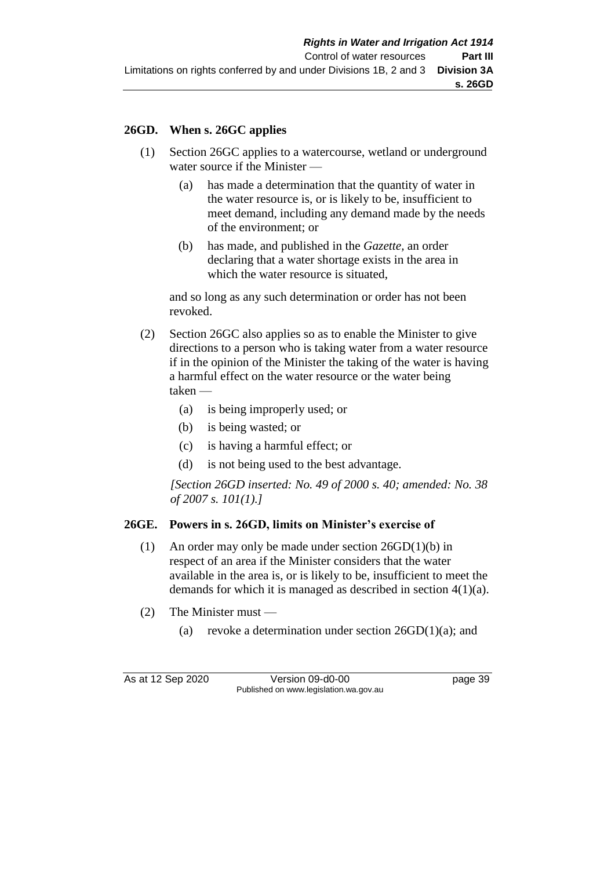## **26GD. When s. 26GC applies**

- (1) Section 26GC applies to a watercourse, wetland or underground water source if the Minister —
	- (a) has made a determination that the quantity of water in the water resource is, or is likely to be, insufficient to meet demand, including any demand made by the needs of the environment; or
	- (b) has made, and published in the *Gazette,* an order declaring that a water shortage exists in the area in which the water resource is situated,

and so long as any such determination or order has not been revoked.

- (2) Section 26GC also applies so as to enable the Minister to give directions to a person who is taking water from a water resource if in the opinion of the Minister the taking of the water is having a harmful effect on the water resource or the water being taken —
	- (a) is being improperly used; or
	- (b) is being wasted; or
	- (c) is having a harmful effect; or
	- (d) is not being used to the best advantage.

*[Section 26GD inserted: No. 49 of 2000 s. 40; amended: No. 38 of 2007 s. 101(1).]*

## **26GE. Powers in s. 26GD, limits on Minister's exercise of**

- (1) An order may only be made under section 26GD(1)(b) in respect of an area if the Minister considers that the water available in the area is, or is likely to be, insufficient to meet the demands for which it is managed as described in section 4(1)(a).
- (2) The Minister must
	- (a) revoke a determination under section  $26GD(1)(a)$ ; and

As at 12 Sep 2020 Version 09-d0-00 page 39 Published on www.legislation.wa.gov.au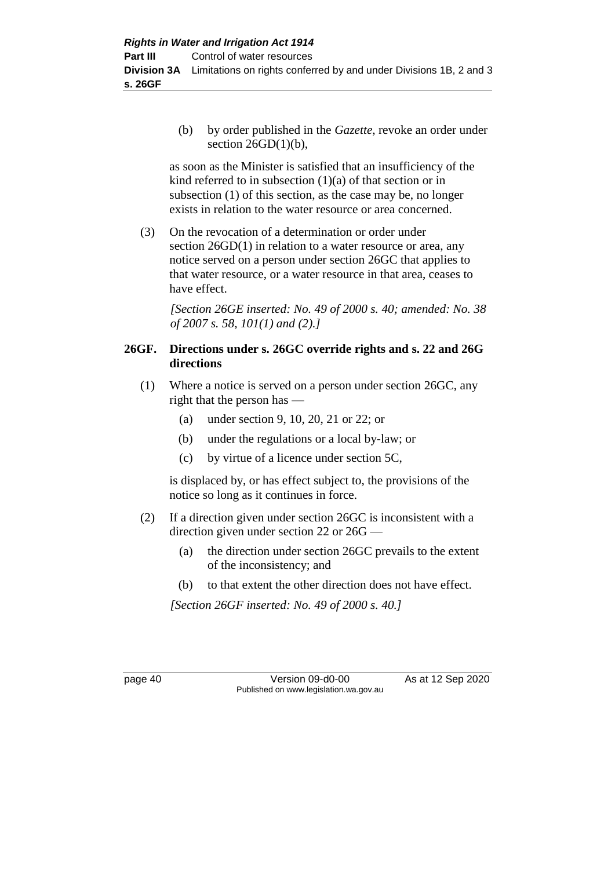(b) by order published in the *Gazette*, revoke an order under section  $26GD(1)(b)$ ,

as soon as the Minister is satisfied that an insufficiency of the kind referred to in subsection  $(1)(a)$  of that section or in subsection (1) of this section, as the case may be, no longer exists in relation to the water resource or area concerned.

(3) On the revocation of a determination or order under section  $26GD(1)$  in relation to a water resource or area, any notice served on a person under section 26GC that applies to that water resource, or a water resource in that area, ceases to have effect.

*[Section 26GE inserted: No. 49 of 2000 s. 40; amended: No. 38 of 2007 s. 58, 101(1) and (2).]*

## **26GF. Directions under s. 26GC override rights and s. 22 and 26G directions**

- (1) Where a notice is served on a person under section 26GC, any right that the person has —
	- (a) under section 9, 10, 20, 21 or 22; or
	- (b) under the regulations or a local by-law; or
	- (c) by virtue of a licence under section 5C,

is displaced by, or has effect subject to, the provisions of the notice so long as it continues in force.

- (2) If a direction given under section 26GC is inconsistent with a direction given under section 22 or 26G —
	- (a) the direction under section 26GC prevails to the extent of the inconsistency; and
	- (b) to that extent the other direction does not have effect.

*[Section 26GF inserted: No. 49 of 2000 s. 40.]*

page 40 Version 09-d0-00 As at 12 Sep 2020 Published on www.legislation.wa.gov.au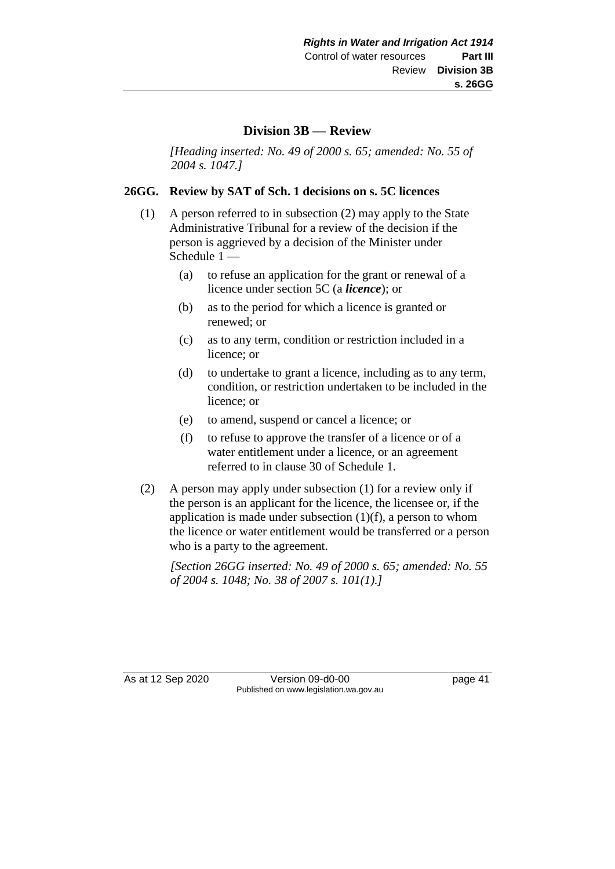### **Division 3B — Review**

*[Heading inserted: No. 49 of 2000 s. 65; amended: No. 55 of 2004 s. 1047.]*

#### **26GG. Review by SAT of Sch. 1 decisions on s. 5C licences**

- (1) A person referred to in subsection (2) may apply to the State Administrative Tribunal for a review of the decision if the person is aggrieved by a decision of the Minister under Schedule 1 —
	- (a) to refuse an application for the grant or renewal of a licence under section 5C (a *licence*); or
	- (b) as to the period for which a licence is granted or renewed; or
	- (c) as to any term, condition or restriction included in a licence; or
	- (d) to undertake to grant a licence, including as to any term, condition, or restriction undertaken to be included in the licence; or
	- (e) to amend, suspend or cancel a licence; or
	- (f) to refuse to approve the transfer of a licence or of a water entitlement under a licence, or an agreement referred to in clause 30 of Schedule 1.
- (2) A person may apply under subsection (1) for a review only if the person is an applicant for the licence, the licensee or, if the application is made under subsection  $(1)(f)$ , a person to whom the licence or water entitlement would be transferred or a person who is a party to the agreement.

*[Section 26GG inserted: No. 49 of 2000 s. 65; amended: No. 55 of 2004 s. 1048; No. 38 of 2007 s. 101(1).]*

As at 12 Sep 2020 Version 09-d0-00 page 41 Published on www.legislation.wa.gov.au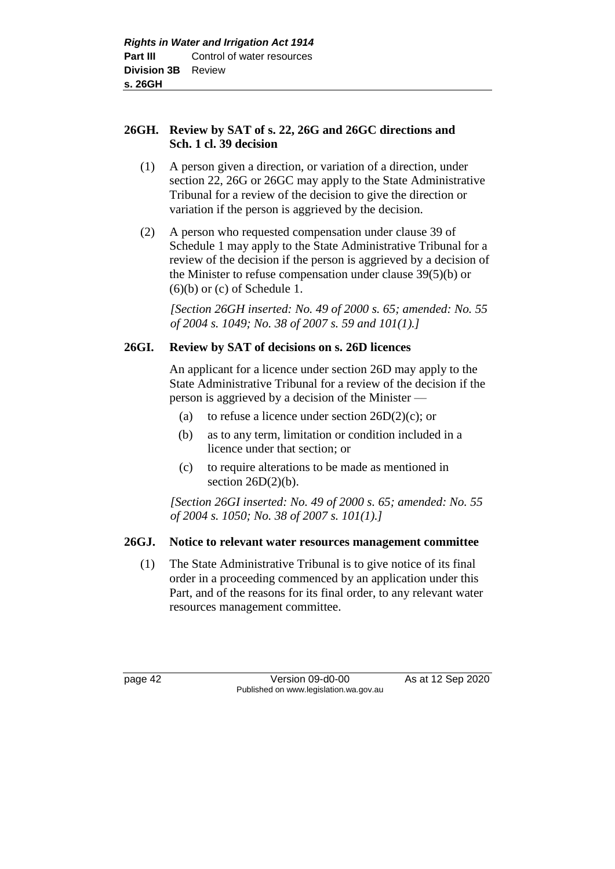### **26GH. Review by SAT of s. 22, 26G and 26GC directions and Sch. 1 cl. 39 decision**

- (1) A person given a direction, or variation of a direction, under section 22, 26G or 26GC may apply to the State Administrative Tribunal for a review of the decision to give the direction or variation if the person is aggrieved by the decision.
- (2) A person who requested compensation under clause 39 of Schedule 1 may apply to the State Administrative Tribunal for a review of the decision if the person is aggrieved by a decision of the Minister to refuse compensation under clause 39(5)(b) or  $(6)(b)$  or  $(c)$  of Schedule 1.

*[Section 26GH inserted: No. 49 of 2000 s. 65; amended: No. 55 of 2004 s. 1049; No. 38 of 2007 s. 59 and 101(1).]*

### **26GI. Review by SAT of decisions on s. 26D licences**

An applicant for a licence under section 26D may apply to the State Administrative Tribunal for a review of the decision if the person is aggrieved by a decision of the Minister —

- (a) to refuse a licence under section  $26D(2)(c)$ ; or
- (b) as to any term, limitation or condition included in a licence under that section; or
- (c) to require alterations to be made as mentioned in section  $26D(2)(b)$ .

*[Section 26GI inserted: No. 49 of 2000 s. 65; amended: No. 55 of 2004 s. 1050; No. 38 of 2007 s. 101(1).]*

#### **26GJ. Notice to relevant water resources management committee**

(1) The State Administrative Tribunal is to give notice of its final order in a proceeding commenced by an application under this Part, and of the reasons for its final order, to any relevant water resources management committee.

page 42 Version 09-d0-00 As at 12 Sep 2020 Published on www.legislation.wa.gov.au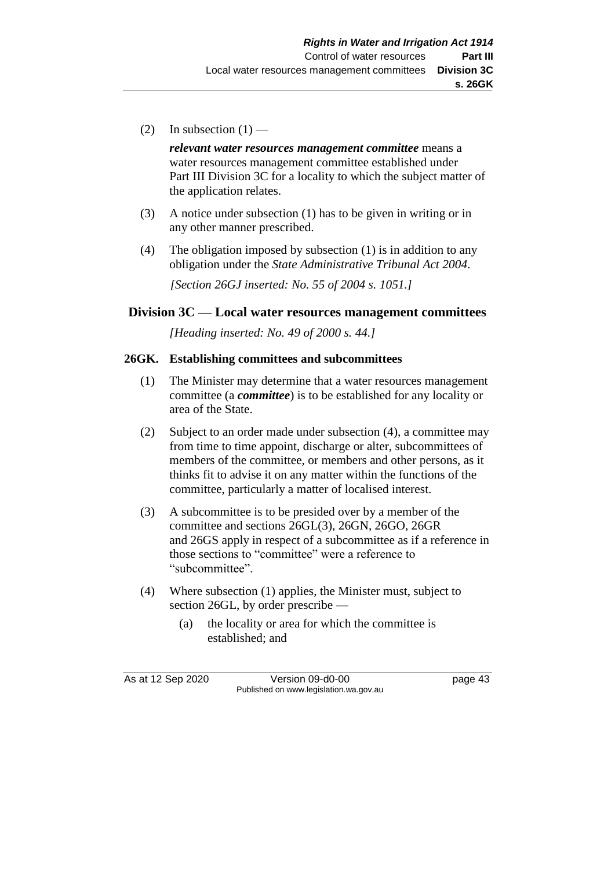(2) In subsection  $(1)$  —

*relevant water resources management committee* means a water resources management committee established under Part III Division 3C for a locality to which the subject matter of the application relates.

- (3) A notice under subsection (1) has to be given in writing or in any other manner prescribed.
- (4) The obligation imposed by subsection (1) is in addition to any obligation under the *State Administrative Tribunal Act 2004*.

*[Section 26GJ inserted: No. 55 of 2004 s. 1051.]*

### **Division 3C — Local water resources management committees**

*[Heading inserted: No. 49 of 2000 s. 44.]*

#### **26GK. Establishing committees and subcommittees**

- (1) The Minister may determine that a water resources management committee (a *committee*) is to be established for any locality or area of the State.
- (2) Subject to an order made under subsection (4), a committee may from time to time appoint, discharge or alter, subcommittees of members of the committee, or members and other persons, as it thinks fit to advise it on any matter within the functions of the committee, particularly a matter of localised interest.
- (3) A subcommittee is to be presided over by a member of the committee and sections 26GL(3), 26GN, 26GO, 26GR and 26GS apply in respect of a subcommittee as if a reference in those sections to "committee" were a reference to "subcommittee".
- (4) Where subsection (1) applies, the Minister must, subject to section 26GL, by order prescribe —
	- (a) the locality or area for which the committee is established; and

As at 12 Sep 2020 Version 09-d0-00 page 43 Published on www.legislation.wa.gov.au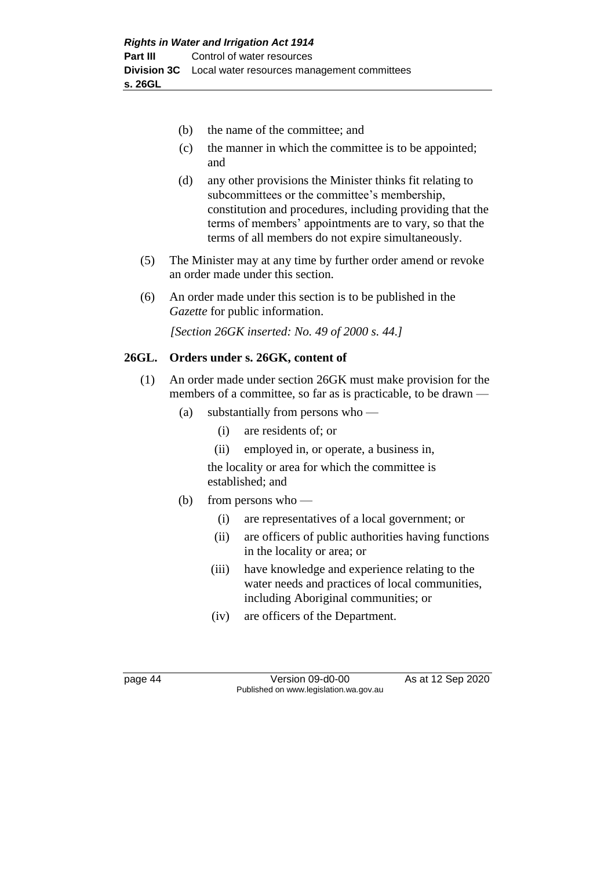- (b) the name of the committee; and
- (c) the manner in which the committee is to be appointed; and
- (d) any other provisions the Minister thinks fit relating to subcommittees or the committee's membership, constitution and procedures, including providing that the terms of members' appointments are to vary, so that the terms of all members do not expire simultaneously.
- (5) The Minister may at any time by further order amend or revoke an order made under this section.
- (6) An order made under this section is to be published in the *Gazette* for public information.

*[Section 26GK inserted: No. 49 of 2000 s. 44.]*

### **26GL. Orders under s. 26GK, content of**

- (1) An order made under section 26GK must make provision for the members of a committee, so far as is practicable, to be drawn —
	- (a) substantially from persons who
		- (i) are residents of; or
		- (ii) employed in, or operate, a business in,

the locality or area for which the committee is established; and

- (b) from persons who
	- (i) are representatives of a local government; or
	- (ii) are officers of public authorities having functions in the locality or area; or
	- (iii) have knowledge and experience relating to the water needs and practices of local communities, including Aboriginal communities; or
	- (iv) are officers of the Department.

page 44 Version 09-d0-00 As at 12 Sep 2020 Published on www.legislation.wa.gov.au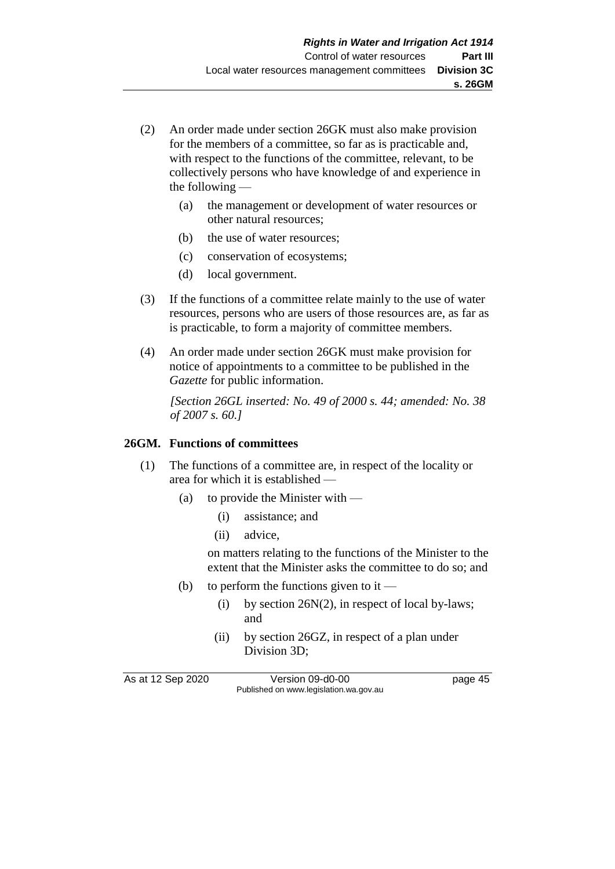- (2) An order made under section 26GK must also make provision for the members of a committee, so far as is practicable and, with respect to the functions of the committee, relevant, to be collectively persons who have knowledge of and experience in the following —
	- (a) the management or development of water resources or other natural resources;
	- (b) the use of water resources;
	- (c) conservation of ecosystems;
	- (d) local government.
- (3) If the functions of a committee relate mainly to the use of water resources, persons who are users of those resources are, as far as is practicable, to form a majority of committee members.
- (4) An order made under section 26GK must make provision for notice of appointments to a committee to be published in the *Gazette* for public information.

*[Section 26GL inserted: No. 49 of 2000 s. 44; amended: No. 38 of 2007 s. 60.]*

#### **26GM. Functions of committees**

- (1) The functions of a committee are, in respect of the locality or area for which it is established —
	- (a) to provide the Minister with
		- (i) assistance; and
		- (ii) advice,

on matters relating to the functions of the Minister to the extent that the Minister asks the committee to do so; and

- (b) to perform the functions given to it
	- (i) by section 26N(2), in respect of local by-laws; and
	- (ii) by section 26GZ, in respect of a plan under Division 3D;

As at 12 Sep 2020 Version 09-d0-00 page 45 Published on www.legislation.wa.gov.au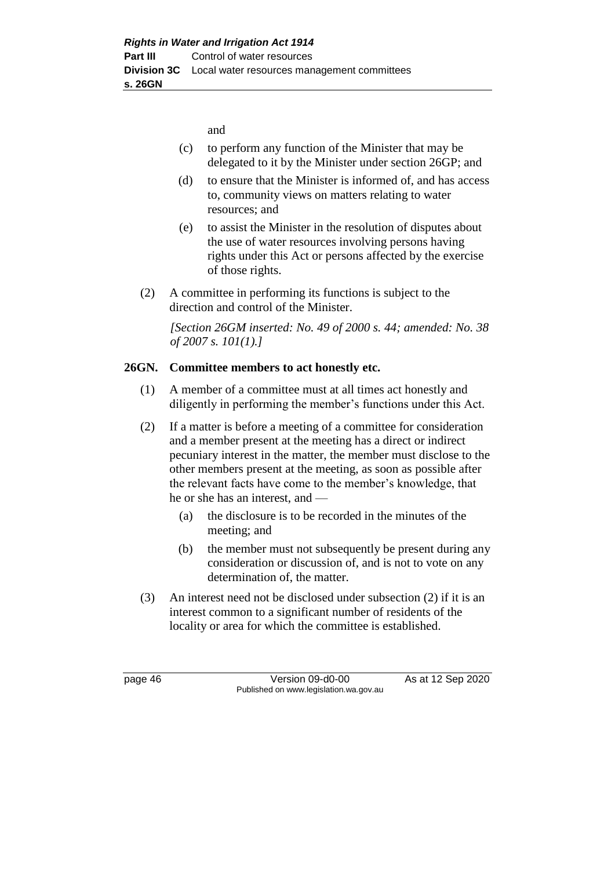and

- (c) to perform any function of the Minister that may be delegated to it by the Minister under section 26GP; and
- (d) to ensure that the Minister is informed of, and has access to, community views on matters relating to water resources; and
- (e) to assist the Minister in the resolution of disputes about the use of water resources involving persons having rights under this Act or persons affected by the exercise of those rights.
- (2) A committee in performing its functions is subject to the direction and control of the Minister.

*[Section 26GM inserted: No. 49 of 2000 s. 44; amended: No. 38 of 2007 s. 101(1).]*

### **26GN. Committee members to act honestly etc.**

- (1) A member of a committee must at all times act honestly and diligently in performing the member's functions under this Act.
- (2) If a matter is before a meeting of a committee for consideration and a member present at the meeting has a direct or indirect pecuniary interest in the matter, the member must disclose to the other members present at the meeting, as soon as possible after the relevant facts have come to the member's knowledge, that he or she has an interest, and —
	- (a) the disclosure is to be recorded in the minutes of the meeting; and
	- (b) the member must not subsequently be present during any consideration or discussion of, and is not to vote on any determination of, the matter.
- (3) An interest need not be disclosed under subsection (2) if it is an interest common to a significant number of residents of the locality or area for which the committee is established.

page 46 Version 09-d0-00 As at 12 Sep 2020 Published on www.legislation.wa.gov.au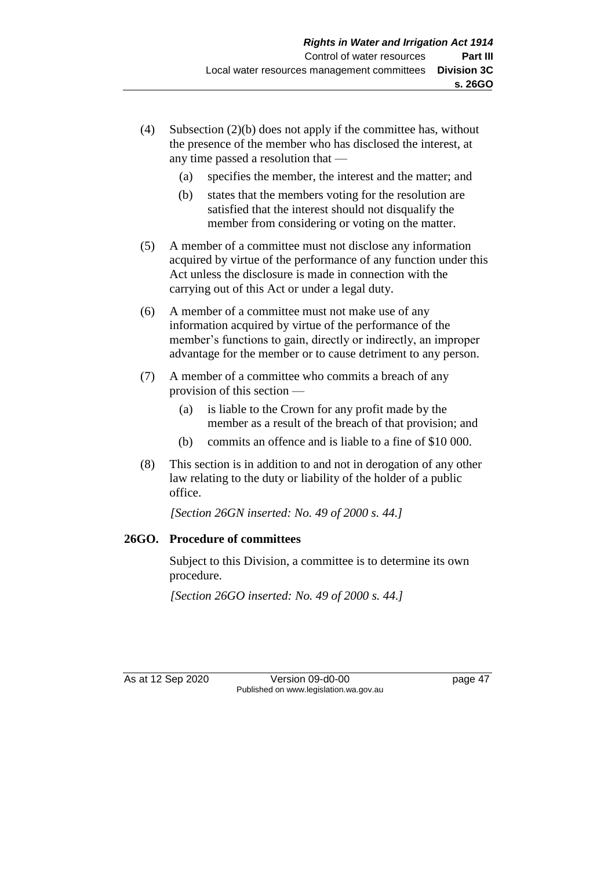- (4) Subsection (2)(b) does not apply if the committee has, without the presence of the member who has disclosed the interest, at any time passed a resolution that —
	- (a) specifies the member, the interest and the matter; and
	- (b) states that the members voting for the resolution are satisfied that the interest should not disqualify the member from considering or voting on the matter.
- (5) A member of a committee must not disclose any information acquired by virtue of the performance of any function under this Act unless the disclosure is made in connection with the carrying out of this Act or under a legal duty.
- (6) A member of a committee must not make use of any information acquired by virtue of the performance of the member's functions to gain, directly or indirectly, an improper advantage for the member or to cause detriment to any person.
- (7) A member of a committee who commits a breach of any provision of this section —
	- (a) is liable to the Crown for any profit made by the member as a result of the breach of that provision; and
	- (b) commits an offence and is liable to a fine of \$10 000.
- (8) This section is in addition to and not in derogation of any other law relating to the duty or liability of the holder of a public office.

*[Section 26GN inserted: No. 49 of 2000 s. 44.]*

## **26GO. Procedure of committees**

Subject to this Division, a committee is to determine its own procedure.

*[Section 26GO inserted: No. 49 of 2000 s. 44.]*

As at 12 Sep 2020 Version 09-d0-00 page 47 Published on www.legislation.wa.gov.au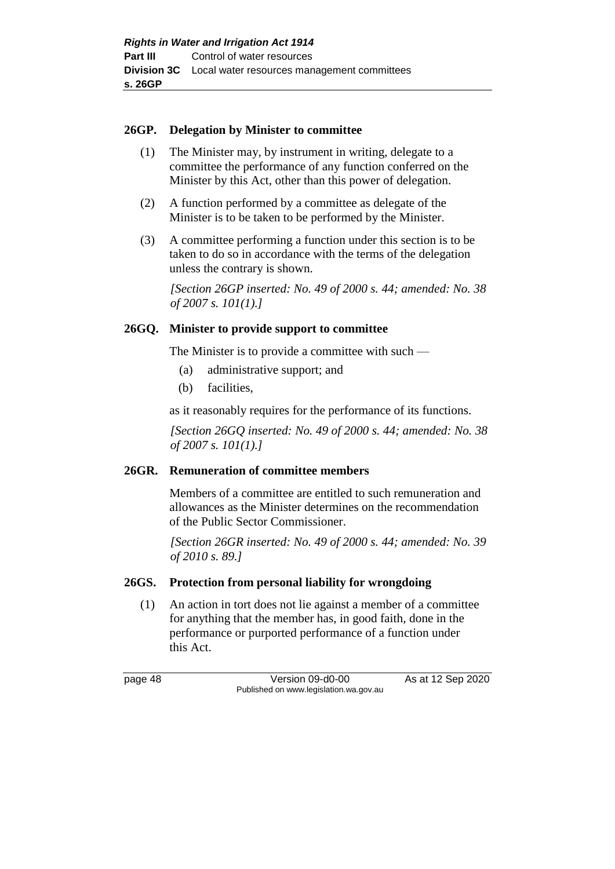#### **26GP. Delegation by Minister to committee**

- (1) The Minister may, by instrument in writing, delegate to a committee the performance of any function conferred on the Minister by this Act, other than this power of delegation.
- (2) A function performed by a committee as delegate of the Minister is to be taken to be performed by the Minister.
- (3) A committee performing a function under this section is to be taken to do so in accordance with the terms of the delegation unless the contrary is shown.

*[Section 26GP inserted: No. 49 of 2000 s. 44; amended: No. 38 of 2007 s. 101(1).]*

#### **26GQ. Minister to provide support to committee**

The Minister is to provide a committee with such —

- (a) administrative support; and
- (b) facilities,

as it reasonably requires for the performance of its functions.

*[Section 26GQ inserted: No. 49 of 2000 s. 44; amended: No. 38 of 2007 s. 101(1).]*

#### **26GR. Remuneration of committee members**

Members of a committee are entitled to such remuneration and allowances as the Minister determines on the recommendation of the Public Sector Commissioner.

*[Section 26GR inserted: No. 49 of 2000 s. 44; amended: No. 39 of 2010 s. 89.]*

#### **26GS. Protection from personal liability for wrongdoing**

(1) An action in tort does not lie against a member of a committee for anything that the member has, in good faith, done in the performance or purported performance of a function under this Act.

page 48 Version 09-d0-00 As at 12 Sep 2020 Published on www.legislation.wa.gov.au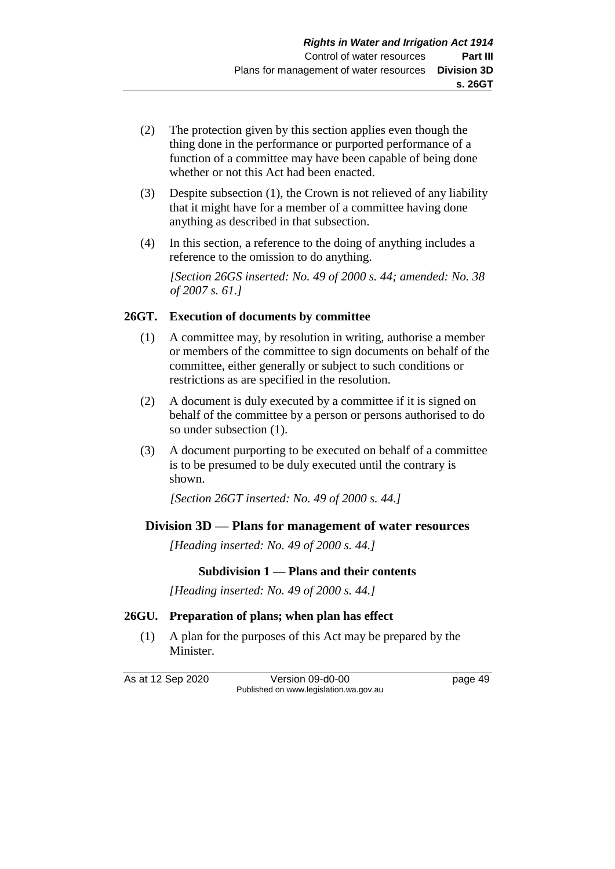- (2) The protection given by this section applies even though the thing done in the performance or purported performance of a function of a committee may have been capable of being done whether or not this Act had been enacted.
- (3) Despite subsection (1), the Crown is not relieved of any liability that it might have for a member of a committee having done anything as described in that subsection.
- (4) In this section, a reference to the doing of anything includes a reference to the omission to do anything.

*[Section 26GS inserted: No. 49 of 2000 s. 44; amended: No. 38 of 2007 s. 61.]*

### **26GT. Execution of documents by committee**

- (1) A committee may, by resolution in writing, authorise a member or members of the committee to sign documents on behalf of the committee, either generally or subject to such conditions or restrictions as are specified in the resolution.
- (2) A document is duly executed by a committee if it is signed on behalf of the committee by a person or persons authorised to do so under subsection (1).
- (3) A document purporting to be executed on behalf of a committee is to be presumed to be duly executed until the contrary is shown.

*[Section 26GT inserted: No. 49 of 2000 s. 44.]*

# **Division 3D — Plans for management of water resources**

*[Heading inserted: No. 49 of 2000 s. 44.]*

## **Subdivision 1 — Plans and their contents**

*[Heading inserted: No. 49 of 2000 s. 44.]*

## **26GU. Preparation of plans; when plan has effect**

(1) A plan for the purposes of this Act may be prepared by the Minister.

As at 12 Sep 2020 Version 09-d0-00 page 49 Published on www.legislation.wa.gov.au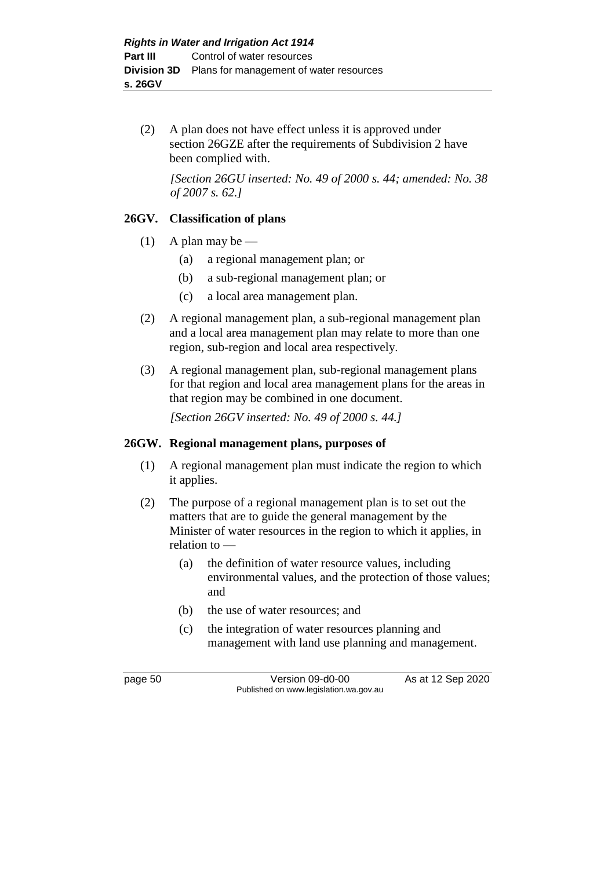(2) A plan does not have effect unless it is approved under section 26GZE after the requirements of Subdivision 2 have been complied with.

*[Section 26GU inserted: No. 49 of 2000 s. 44; amended: No. 38 of 2007 s. 62.]*

### **26GV. Classification of plans**

- (1) A plan may be
	- (a) a regional management plan; or
	- (b) a sub-regional management plan; or
	- (c) a local area management plan.
- (2) A regional management plan, a sub-regional management plan and a local area management plan may relate to more than one region, sub-region and local area respectively.
- (3) A regional management plan, sub-regional management plans for that region and local area management plans for the areas in that region may be combined in one document.

*[Section 26GV inserted: No. 49 of 2000 s. 44.]*

#### **26GW. Regional management plans, purposes of**

- (1) A regional management plan must indicate the region to which it applies.
- (2) The purpose of a regional management plan is to set out the matters that are to guide the general management by the Minister of water resources in the region to which it applies, in relation to —
	- (a) the definition of water resource values, including environmental values, and the protection of those values; and
	- (b) the use of water resources; and
	- (c) the integration of water resources planning and management with land use planning and management.

page 50 Version 09-d0-00 As at 12 Sep 2020 Published on www.legislation.wa.gov.au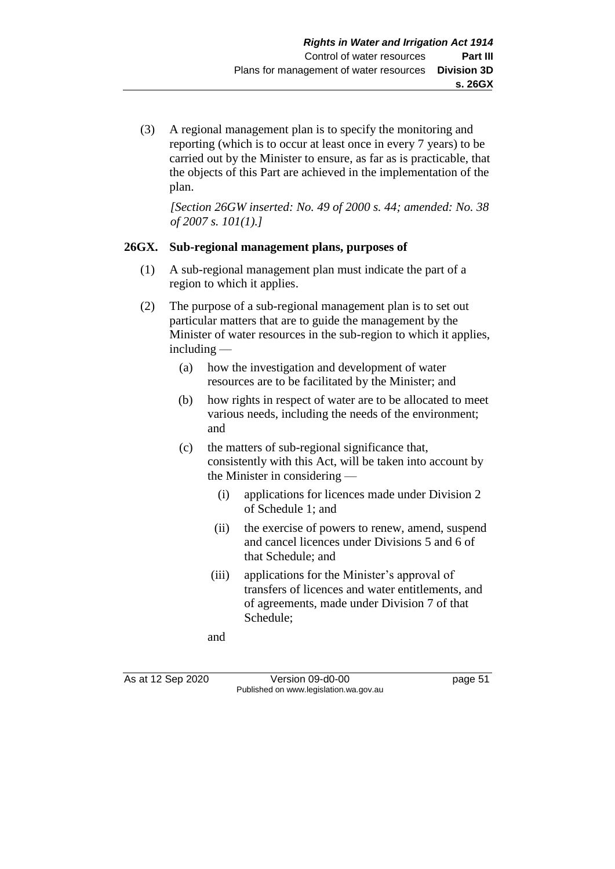(3) A regional management plan is to specify the monitoring and reporting (which is to occur at least once in every 7 years) to be carried out by the Minister to ensure, as far as is practicable, that the objects of this Part are achieved in the implementation of the plan.

*[Section 26GW inserted: No. 49 of 2000 s. 44; amended: No. 38 of 2007 s. 101(1).]*

### **26GX. Sub-regional management plans, purposes of**

- (1) A sub-regional management plan must indicate the part of a region to which it applies.
- (2) The purpose of a sub-regional management plan is to set out particular matters that are to guide the management by the Minister of water resources in the sub-region to which it applies, including —
	- (a) how the investigation and development of water resources are to be facilitated by the Minister; and
	- (b) how rights in respect of water are to be allocated to meet various needs, including the needs of the environment; and
	- (c) the matters of sub-regional significance that, consistently with this Act, will be taken into account by the Minister in considering —
		- (i) applications for licences made under Division 2 of Schedule 1; and
		- (ii) the exercise of powers to renew, amend, suspend and cancel licences under Divisions 5 and 6 of that Schedule; and
		- (iii) applications for the Minister's approval of transfers of licences and water entitlements, and of agreements, made under Division 7 of that Schedule;

and

As at 12 Sep 2020 Version 09-d0-00 page 51 Published on www.legislation.wa.gov.au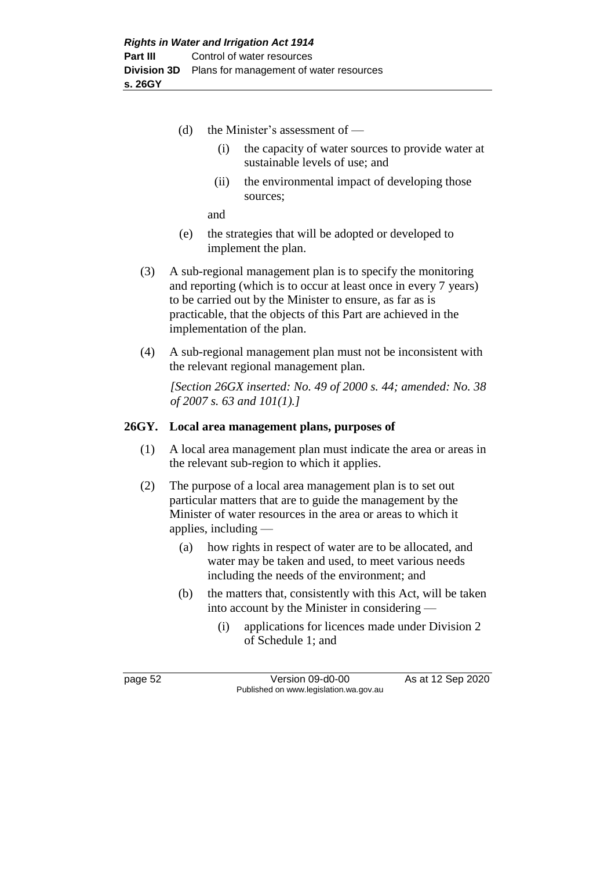- (d) the Minister's assessment of
	- (i) the capacity of water sources to provide water at sustainable levels of use; and
	- (ii) the environmental impact of developing those sources;

and

- (e) the strategies that will be adopted or developed to implement the plan.
- (3) A sub-regional management plan is to specify the monitoring and reporting (which is to occur at least once in every 7 years) to be carried out by the Minister to ensure, as far as is practicable, that the objects of this Part are achieved in the implementation of the plan.
- (4) A sub-regional management plan must not be inconsistent with the relevant regional management plan.

*[Section 26GX inserted: No. 49 of 2000 s. 44; amended: No. 38 of 2007 s. 63 and 101(1).]*

#### **26GY. Local area management plans, purposes of**

- (1) A local area management plan must indicate the area or areas in the relevant sub-region to which it applies.
- (2) The purpose of a local area management plan is to set out particular matters that are to guide the management by the Minister of water resources in the area or areas to which it applies, including —
	- (a) how rights in respect of water are to be allocated, and water may be taken and used, to meet various needs including the needs of the environment; and
	- (b) the matters that, consistently with this Act, will be taken into account by the Minister in considering —
		- (i) applications for licences made under Division 2 of Schedule 1; and

page 52 Version 09-d0-00 As at 12 Sep 2020 Published on www.legislation.wa.gov.au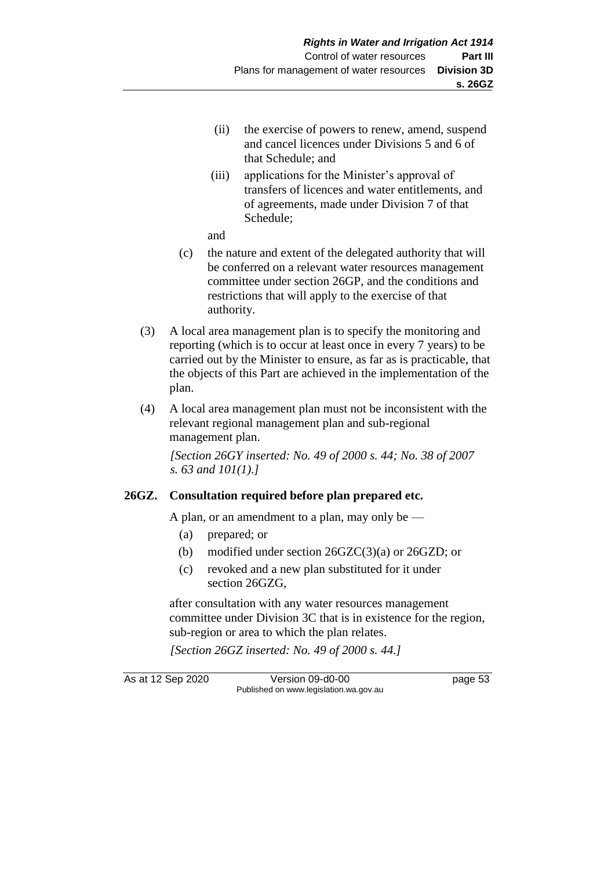- (ii) the exercise of powers to renew, amend, suspend and cancel licences under Divisions 5 and 6 of that Schedule; and
- (iii) applications for the Minister's approval of transfers of licences and water entitlements, and of agreements, made under Division 7 of that Schedule;

and

- (c) the nature and extent of the delegated authority that will be conferred on a relevant water resources management committee under section 26GP, and the conditions and restrictions that will apply to the exercise of that authority.
- (3) A local area management plan is to specify the monitoring and reporting (which is to occur at least once in every 7 years) to be carried out by the Minister to ensure, as far as is practicable, that the objects of this Part are achieved in the implementation of the plan.
- (4) A local area management plan must not be inconsistent with the relevant regional management plan and sub-regional management plan.

*[Section 26GY inserted: No. 49 of 2000 s. 44; No. 38 of 2007 s. 63 and 101(1).]*

## **26GZ. Consultation required before plan prepared etc.**

A plan, or an amendment to a plan, may only be  $-$ 

- (a) prepared; or
- (b) modified under section 26GZC(3)(a) or 26GZD; or
- (c) revoked and a new plan substituted for it under section 26GZG,

after consultation with any water resources management committee under Division 3C that is in existence for the region, sub-region or area to which the plan relates.

*[Section 26GZ inserted: No. 49 of 2000 s. 44.]*

As at 12 Sep 2020 Version 09-d0-00 page 53 Published on www.legislation.wa.gov.au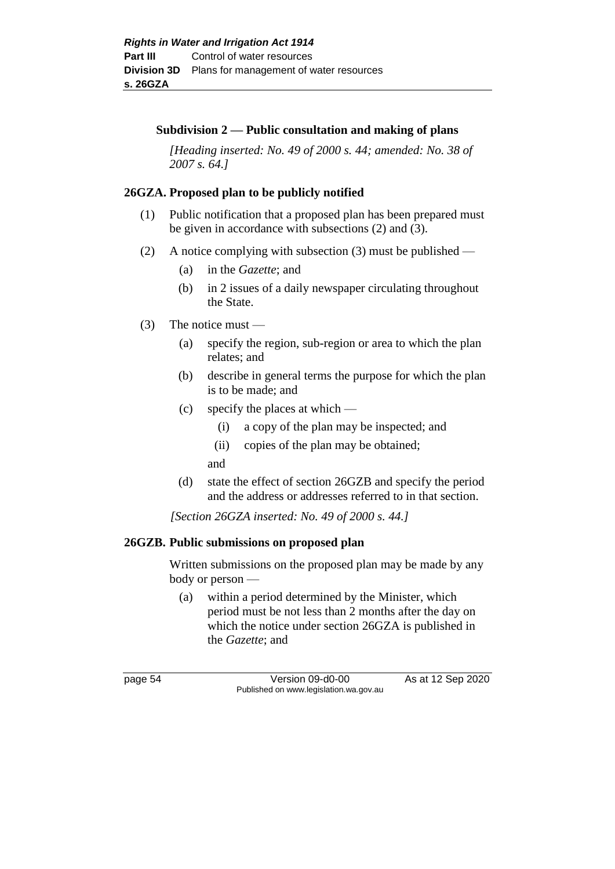#### **Subdivision 2 — Public consultation and making of plans**

*[Heading inserted: No. 49 of 2000 s. 44; amended: No. 38 of 2007 s. 64.]*

### **26GZA. Proposed plan to be publicly notified**

- (1) Public notification that a proposed plan has been prepared must be given in accordance with subsections (2) and (3).
- (2) A notice complying with subsection (3) must be published
	- (a) in the *Gazette*; and
	- (b) in 2 issues of a daily newspaper circulating throughout the State.
- (3) The notice must
	- (a) specify the region, sub-region or area to which the plan relates; and
	- (b) describe in general terms the purpose for which the plan is to be made; and
	- (c) specify the places at which
		- (i) a copy of the plan may be inspected; and
		- (ii) copies of the plan may be obtained;
		- and
	- (d) state the effect of section 26GZB and specify the period and the address or addresses referred to in that section.

*[Section 26GZA inserted: No. 49 of 2000 s. 44.]*

#### **26GZB. Public submissions on proposed plan**

Written submissions on the proposed plan may be made by any body or person —

(a) within a period determined by the Minister, which period must be not less than 2 months after the day on which the notice under section 26GZA is published in the *Gazette*; and

page 54 Version 09-d0-00 As at 12 Sep 2020 Published on www.legislation.wa.gov.au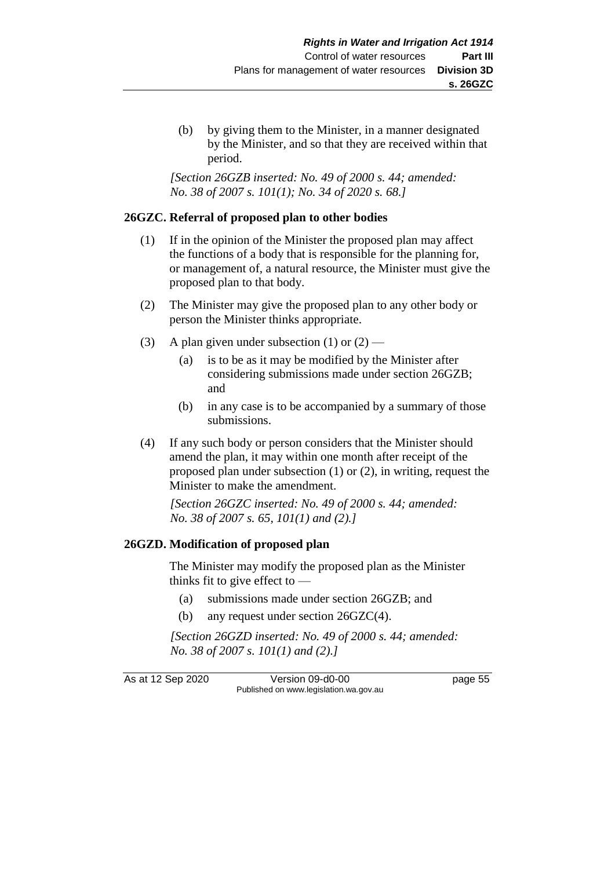(b) by giving them to the Minister, in a manner designated by the Minister, and so that they are received within that period.

*[Section 26GZB inserted: No. 49 of 2000 s. 44; amended: No. 38 of 2007 s. 101(1); No. 34 of 2020 s. 68.]*

## **26GZC. Referral of proposed plan to other bodies**

- (1) If in the opinion of the Minister the proposed plan may affect the functions of a body that is responsible for the planning for, or management of, a natural resource, the Minister must give the proposed plan to that body.
- (2) The Minister may give the proposed plan to any other body or person the Minister thinks appropriate.
- (3) A plan given under subsection (1) or  $(2)$ 
	- (a) is to be as it may be modified by the Minister after considering submissions made under section 26GZB; and
	- (b) in any case is to be accompanied by a summary of those submissions.
- (4) If any such body or person considers that the Minister should amend the plan, it may within one month after receipt of the proposed plan under subsection (1) or (2), in writing, request the Minister to make the amendment.

*[Section 26GZC inserted: No. 49 of 2000 s. 44; amended: No. 38 of 2007 s. 65, 101(1) and (2).]*

## **26GZD. Modification of proposed plan**

The Minister may modify the proposed plan as the Minister thinks fit to give effect to —

- (a) submissions made under section 26GZB; and
- (b) any request under section 26GZC(4).

*[Section 26GZD inserted: No. 49 of 2000 s. 44; amended: No. 38 of 2007 s. 101(1) and (2).]*

As at 12 Sep 2020 Version 09-d0-00 page 55 Published on www.legislation.wa.gov.au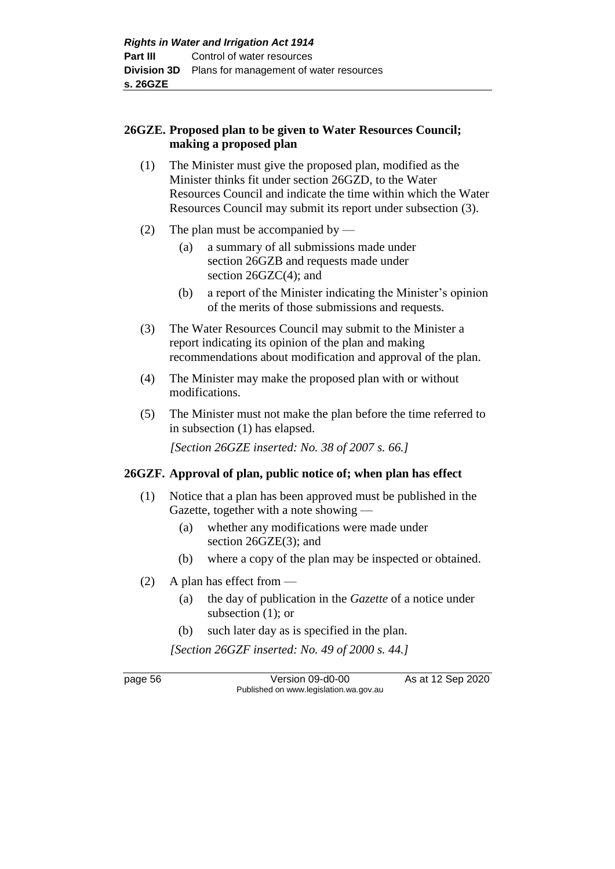### **26GZE. Proposed plan to be given to Water Resources Council; making a proposed plan**

- (1) The Minister must give the proposed plan, modified as the Minister thinks fit under section 26GZD, to the Water Resources Council and indicate the time within which the Water Resources Council may submit its report under subsection (3).
- (2) The plan must be accompanied by
	- (a) a summary of all submissions made under section 26GZB and requests made under section 26GZC(4); and
	- (b) a report of the Minister indicating the Minister's opinion of the merits of those submissions and requests.
- (3) The Water Resources Council may submit to the Minister a report indicating its opinion of the plan and making recommendations about modification and approval of the plan.
- (4) The Minister may make the proposed plan with or without modifications.
- (5) The Minister must not make the plan before the time referred to in subsection (1) has elapsed.

*[Section 26GZE inserted: No. 38 of 2007 s. 66.]*

## **26GZF. Approval of plan, public notice of; when plan has effect**

- (1) Notice that a plan has been approved must be published in the Gazette, together with a note showing —
	- (a) whether any modifications were made under section 26GZE(3); and
	- (b) where a copy of the plan may be inspected or obtained.
- (2) A plan has effect from
	- (a) the day of publication in the *Gazette* of a notice under subsection (1); or
	- (b) such later day as is specified in the plan.

*[Section 26GZF inserted: No. 49 of 2000 s. 44.]*

page 56 Version 09-d0-00 As at 12 Sep 2020 Published on www.legislation.wa.gov.au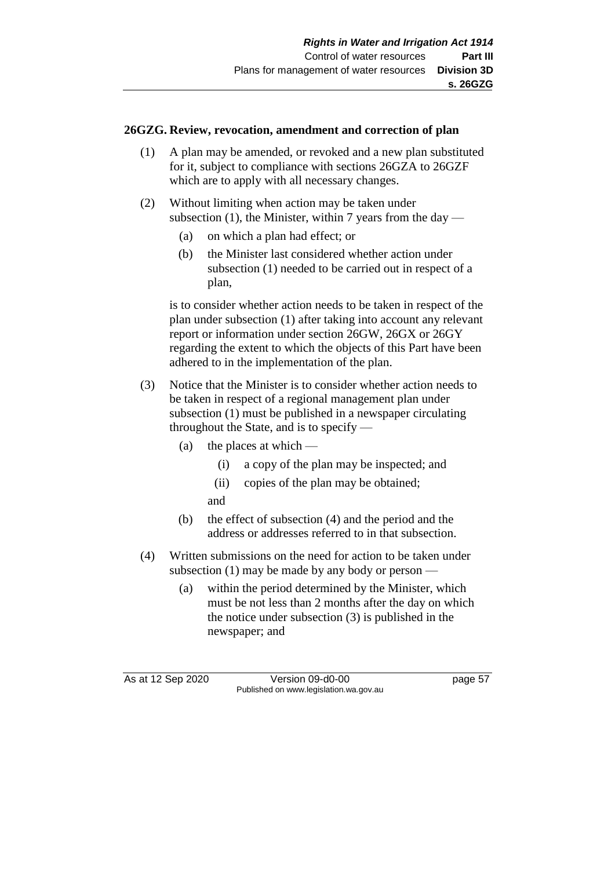### **26GZG. Review, revocation, amendment and correction of plan**

- (1) A plan may be amended, or revoked and a new plan substituted for it, subject to compliance with sections 26GZA to 26GZF which are to apply with all necessary changes.
- (2) Without limiting when action may be taken under subsection  $(1)$ , the Minister, within 7 years from the day —
	- (a) on which a plan had effect; or
	- (b) the Minister last considered whether action under subsection (1) needed to be carried out in respect of a plan,

is to consider whether action needs to be taken in respect of the plan under subsection (1) after taking into account any relevant report or information under section 26GW, 26GX or 26GY regarding the extent to which the objects of this Part have been adhered to in the implementation of the plan.

- (3) Notice that the Minister is to consider whether action needs to be taken in respect of a regional management plan under subsection (1) must be published in a newspaper circulating throughout the State, and is to specify —
	- (a) the places at which  $-$ 
		- (i) a copy of the plan may be inspected; and
		- (ii) copies of the plan may be obtained;
		- and
	- (b) the effect of subsection (4) and the period and the address or addresses referred to in that subsection.
- (4) Written submissions on the need for action to be taken under subsection (1) may be made by any body or person —
	- (a) within the period determined by the Minister, which must be not less than 2 months after the day on which the notice under subsection (3) is published in the newspaper; and

As at 12 Sep 2020 Version 09-d0-00 page 57 Published on www.legislation.wa.gov.au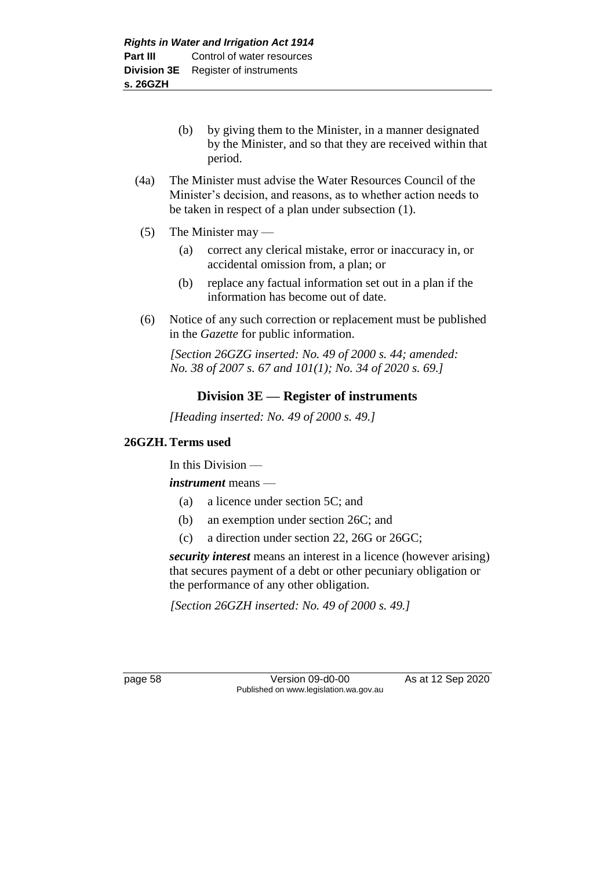(b) by giving them to the Minister, in a manner designated by the Minister, and so that they are received within that period.

- (4a) The Minister must advise the Water Resources Council of the Minister's decision, and reasons, as to whether action needs to be taken in respect of a plan under subsection (1).
- (5) The Minister may
	- (a) correct any clerical mistake, error or inaccuracy in, or accidental omission from, a plan; or
	- (b) replace any factual information set out in a plan if the information has become out of date.
- (6) Notice of any such correction or replacement must be published in the *Gazette* for public information.

*[Section 26GZG inserted: No. 49 of 2000 s. 44; amended: No. 38 of 2007 s. 67 and 101(1); No. 34 of 2020 s. 69.]*

# **Division 3E — Register of instruments**

*[Heading inserted: No. 49 of 2000 s. 49.]*

## **26GZH. Terms used**

In this Division —

*instrument* means —

- (a) a licence under section 5C; and
- (b) an exemption under section 26C; and
- (c) a direction under section 22, 26G or 26GC;

*security interest* means an interest in a licence (however arising) that secures payment of a debt or other pecuniary obligation or the performance of any other obligation.

*[Section 26GZH inserted: No. 49 of 2000 s. 49.]*

page 58 Version 09-d0-00 As at 12 Sep 2020 Published on www.legislation.wa.gov.au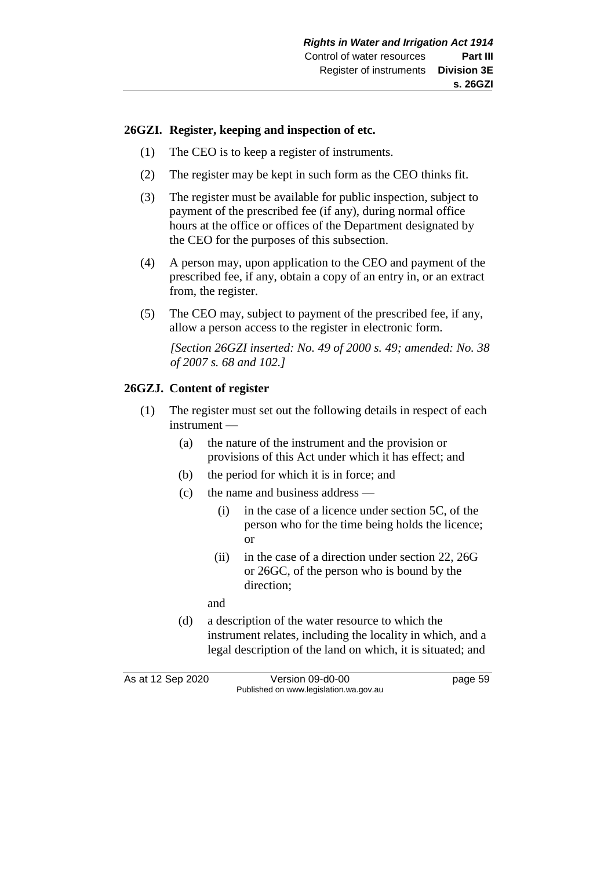### **26GZI. Register, keeping and inspection of etc.**

- (1) The CEO is to keep a register of instruments.
- (2) The register may be kept in such form as the CEO thinks fit.
- (3) The register must be available for public inspection, subject to payment of the prescribed fee (if any), during normal office hours at the office or offices of the Department designated by the CEO for the purposes of this subsection.
- (4) A person may, upon application to the CEO and payment of the prescribed fee, if any, obtain a copy of an entry in, or an extract from, the register.
- (5) The CEO may, subject to payment of the prescribed fee, if any, allow a person access to the register in electronic form.

*[Section 26GZI inserted: No. 49 of 2000 s. 49; amended: No. 38 of 2007 s. 68 and 102.]*

## **26GZJ. Content of register**

- (1) The register must set out the following details in respect of each instrument —
	- (a) the nature of the instrument and the provision or provisions of this Act under which it has effect; and
	- (b) the period for which it is in force; and
	- (c) the name and business address
		- (i) in the case of a licence under section 5C, of the person who for the time being holds the licence; or
		- (ii) in the case of a direction under section 22, 26G or 26GC, of the person who is bound by the direction;

and

(d) a description of the water resource to which the instrument relates, including the locality in which, and a legal description of the land on which, it is situated; and

As at 12 Sep 2020 Version 09-d0-00 page 59 Published on www.legislation.wa.gov.au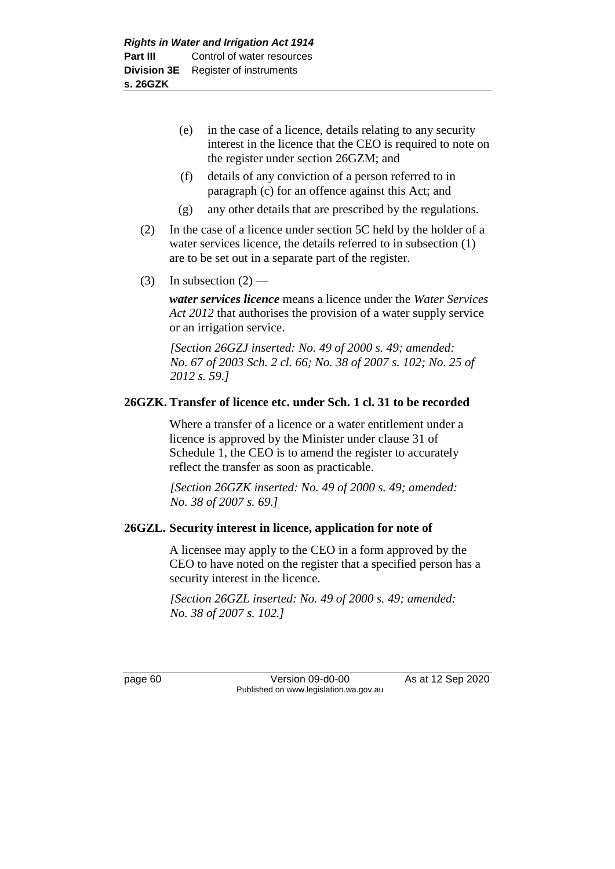(e) in the case of a licence, details relating to any security interest in the licence that the CEO is required to note on the register under section 26GZM; and

- (f) details of any conviction of a person referred to in paragraph (c) for an offence against this Act; and
- (g) any other details that are prescribed by the regulations.
- (2) In the case of a licence under section 5C held by the holder of a water services licence, the details referred to in subsection (1) are to be set out in a separate part of the register.
- (3) In subsection  $(2)$  —

*water services licence* means a licence under the *Water Services Act 2012* that authorises the provision of a water supply service or an irrigation service.

*[Section 26GZJ inserted: No. 49 of 2000 s. 49; amended: No. 67 of 2003 Sch. 2 cl. 66; No. 38 of 2007 s. 102; No. 25 of 2012 s. 59.]*

## **26GZK. Transfer of licence etc. under Sch. 1 cl. 31 to be recorded**

Where a transfer of a licence or a water entitlement under a licence is approved by the Minister under clause 31 of Schedule 1, the CEO is to amend the register to accurately reflect the transfer as soon as practicable.

*[Section 26GZK inserted: No. 49 of 2000 s. 49; amended: No. 38 of 2007 s. 69.]*

#### **26GZL. Security interest in licence, application for note of**

A licensee may apply to the CEO in a form approved by the CEO to have noted on the register that a specified person has a security interest in the licence.

*[Section 26GZL inserted: No. 49 of 2000 s. 49; amended: No. 38 of 2007 s. 102.]*

page 60 Version 09-d0-00 As at 12 Sep 2020 Published on www.legislation.wa.gov.au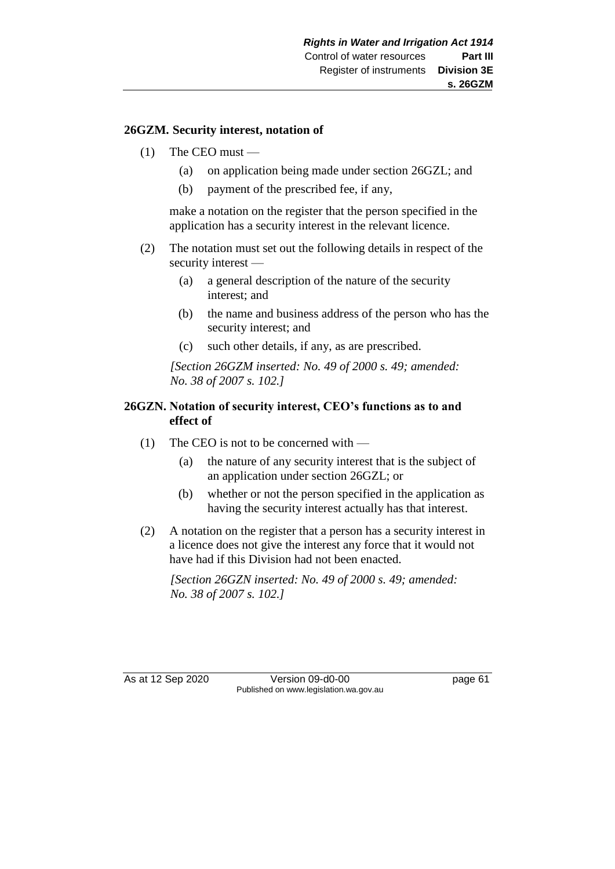### **26GZM. Security interest, notation of**

- $(1)$  The CEO must
	- (a) on application being made under section 26GZL; and
	- (b) payment of the prescribed fee, if any,

make a notation on the register that the person specified in the application has a security interest in the relevant licence.

- (2) The notation must set out the following details in respect of the security interest —
	- (a) a general description of the nature of the security interest; and
	- (b) the name and business address of the person who has the security interest; and
	- (c) such other details, if any, as are prescribed.

*[Section 26GZM inserted: No. 49 of 2000 s. 49; amended: No. 38 of 2007 s. 102.]*

### **26GZN. Notation of security interest, CEO's functions as to and effect of**

- (1) The CEO is not to be concerned with
	- (a) the nature of any security interest that is the subject of an application under section 26GZL; or
	- (b) whether or not the person specified in the application as having the security interest actually has that interest.
- (2) A notation on the register that a person has a security interest in a licence does not give the interest any force that it would not have had if this Division had not been enacted.

*[Section 26GZN inserted: No. 49 of 2000 s. 49; amended: No. 38 of 2007 s. 102.]*

As at 12 Sep 2020 Version 09-d0-00 page 61 Published on www.legislation.wa.gov.au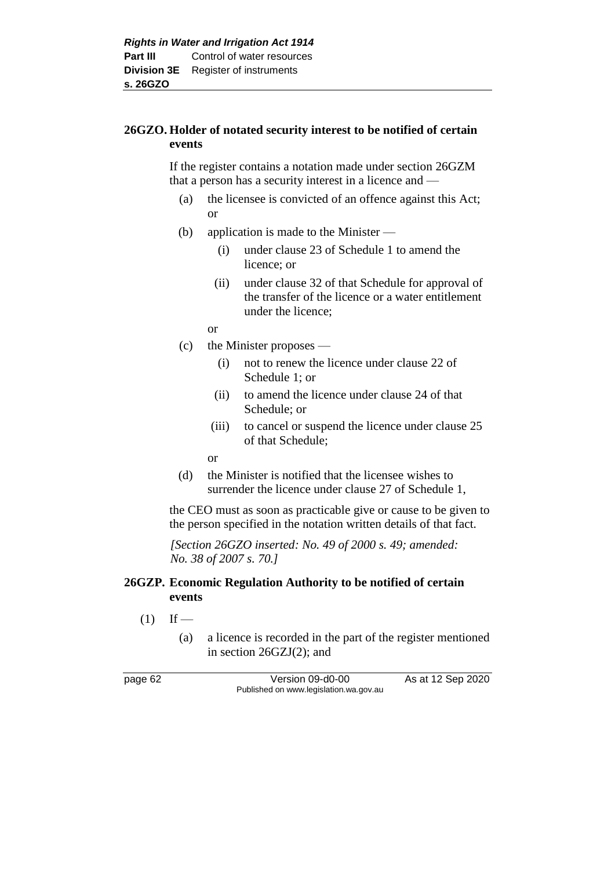# **26GZO. Holder of notated security interest to be notified of certain events**

If the register contains a notation made under section 26GZM that a person has a security interest in a licence and —

- (a) the licensee is convicted of an offence against this Act; or
- (b) application is made to the Minister
	- (i) under clause 23 of Schedule 1 to amend the licence; or
	- (ii) under clause 32 of that Schedule for approval of the transfer of the licence or a water entitlement under the licence;
	- or
- (c) the Minister proposes
	- (i) not to renew the licence under clause 22 of Schedule 1; or
	- (ii) to amend the licence under clause 24 of that Schedule; or
	- (iii) to cancel or suspend the licence under clause 25 of that Schedule;

or

(d) the Minister is notified that the licensee wishes to surrender the licence under clause 27 of Schedule 1,

the CEO must as soon as practicable give or cause to be given to the person specified in the notation written details of that fact.

*[Section 26GZO inserted: No. 49 of 2000 s. 49; amended: No. 38 of 2007 s. 70.]*

# **26GZP. Economic Regulation Authority to be notified of certain events**

- $(1)$  If
	- (a) a licence is recorded in the part of the register mentioned in section 26GZJ(2); and

page 62 Version 09-d0-00 As at 12 Sep 2020 Published on www.legislation.wa.gov.au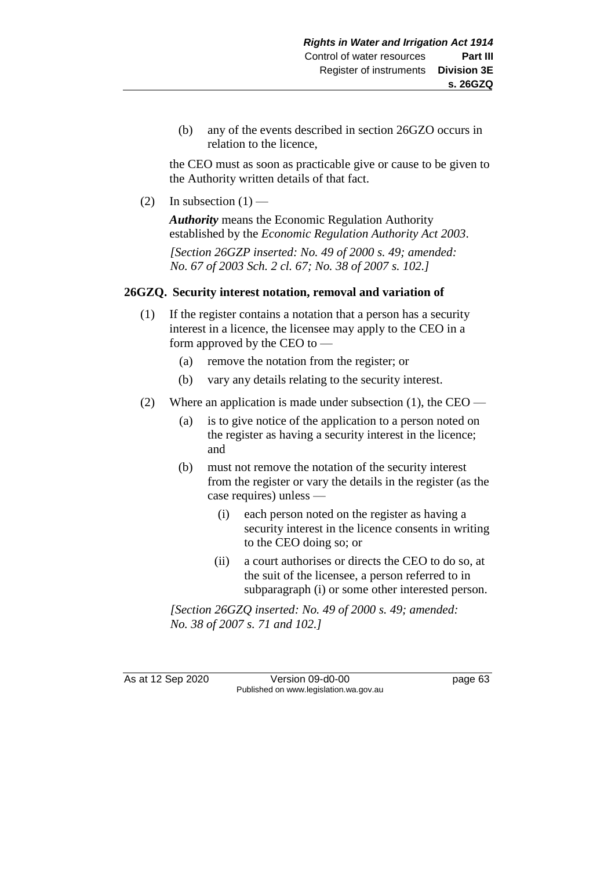(b) any of the events described in section 26GZO occurs in relation to the licence,

the CEO must as soon as practicable give or cause to be given to the Authority written details of that fact.

(2) In subsection  $(1)$  —

*Authority* means the Economic Regulation Authority established by the *Economic Regulation Authority Act 2003*.

*[Section 26GZP inserted: No. 49 of 2000 s. 49; amended: No. 67 of 2003 Sch. 2 cl. 67; No. 38 of 2007 s. 102.]*

# **26GZQ. Security interest notation, removal and variation of**

- (1) If the register contains a notation that a person has a security interest in a licence, the licensee may apply to the CEO in a form approved by the CEO to —
	- (a) remove the notation from the register; or
	- (b) vary any details relating to the security interest.
- (2) Where an application is made under subsection (1), the CEO
	- (a) is to give notice of the application to a person noted on the register as having a security interest in the licence; and
	- (b) must not remove the notation of the security interest from the register or vary the details in the register (as the case requires) unless —
		- (i) each person noted on the register as having a security interest in the licence consents in writing to the CEO doing so; or
		- (ii) a court authorises or directs the CEO to do so, at the suit of the licensee, a person referred to in subparagraph (i) or some other interested person.

*[Section 26GZQ inserted: No. 49 of 2000 s. 49; amended: No. 38 of 2007 s. 71 and 102.]*

As at 12 Sep 2020 Version 09-d0-00 page 63 Published on www.legislation.wa.gov.au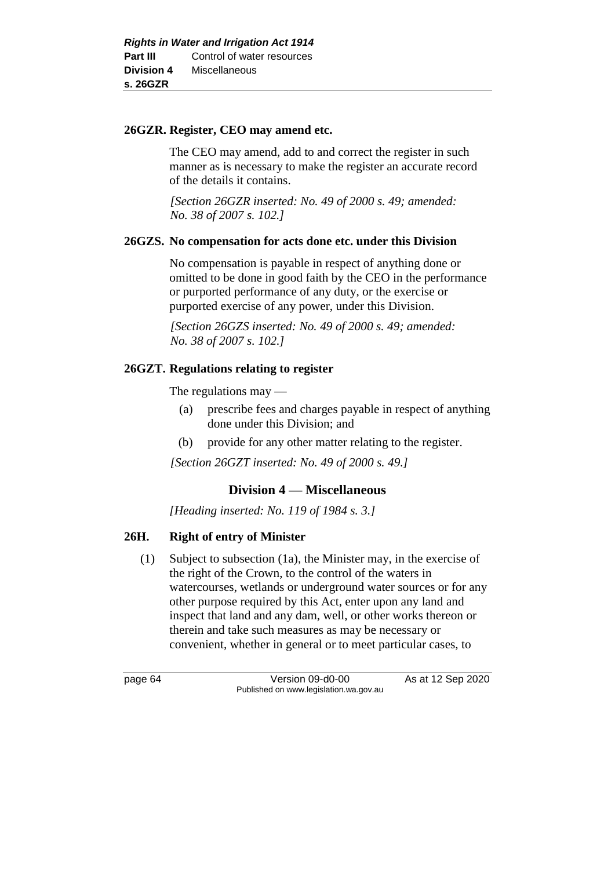## **26GZR. Register, CEO may amend etc.**

The CEO may amend, add to and correct the register in such manner as is necessary to make the register an accurate record of the details it contains.

*[Section 26GZR inserted: No. 49 of 2000 s. 49; amended: No. 38 of 2007 s. 102.]*

# **26GZS. No compensation for acts done etc. under this Division**

No compensation is payable in respect of anything done or omitted to be done in good faith by the CEO in the performance or purported performance of any duty, or the exercise or purported exercise of any power, under this Division.

*[Section 26GZS inserted: No. 49 of 2000 s. 49; amended: No. 38 of 2007 s. 102.]*

# **26GZT. Regulations relating to register**

The regulations may —

- (a) prescribe fees and charges payable in respect of anything done under this Division; and
- (b) provide for any other matter relating to the register.

*[Section 26GZT inserted: No. 49 of 2000 s. 49.]*

# **Division 4 — Miscellaneous**

*[Heading inserted: No. 119 of 1984 s. 3.]* 

# **26H. Right of entry of Minister**

(1) Subject to subsection (1a), the Minister may, in the exercise of the right of the Crown, to the control of the waters in watercourses, wetlands or underground water sources or for any other purpose required by this Act, enter upon any land and inspect that land and any dam, well, or other works thereon or therein and take such measures as may be necessary or convenient, whether in general or to meet particular cases, to

page 64 Version 09-d0-00 As at 12 Sep 2020 Published on www.legislation.wa.gov.au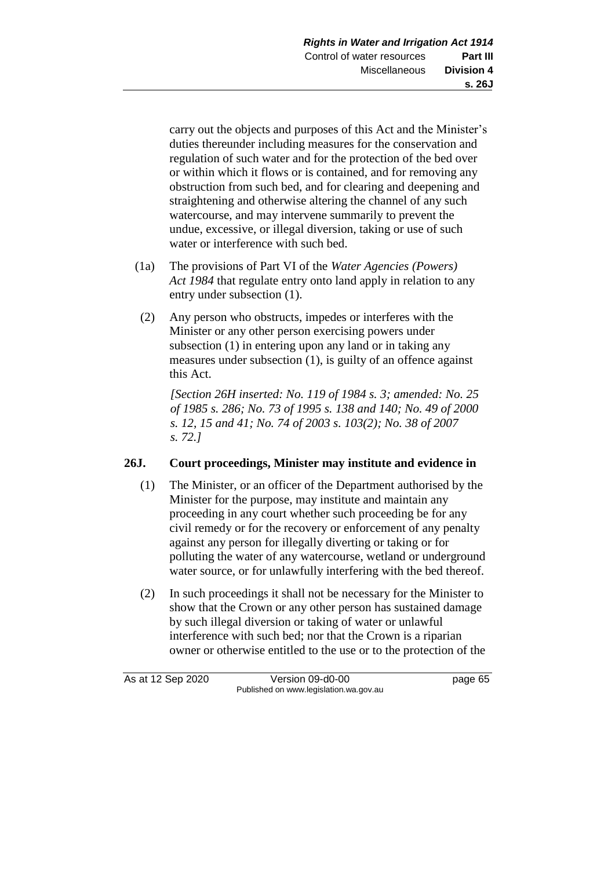carry out the objects and purposes of this Act and the Minister's duties thereunder including measures for the conservation and regulation of such water and for the protection of the bed over or within which it flows or is contained, and for removing any obstruction from such bed, and for clearing and deepening and straightening and otherwise altering the channel of any such watercourse, and may intervene summarily to prevent the undue, excessive, or illegal diversion, taking or use of such water or interference with such bed.

- (1a) The provisions of Part VI of the *Water Agencies (Powers) Act 1984* that regulate entry onto land apply in relation to any entry under subsection (1).
- (2) Any person who obstructs, impedes or interferes with the Minister or any other person exercising powers under subsection (1) in entering upon any land or in taking any measures under subsection (1), is guilty of an offence against this Act.

*[Section 26H inserted: No. 119 of 1984 s. 3; amended: No. 25 of 1985 s. 286; No. 73 of 1995 s. 138 and 140; No. 49 of 2000 s. 12, 15 and 41; No. 74 of 2003 s. 103(2); No. 38 of 2007 s. 72.]* 

### **26J. Court proceedings, Minister may institute and evidence in**

- (1) The Minister, or an officer of the Department authorised by the Minister for the purpose, may institute and maintain any proceeding in any court whether such proceeding be for any civil remedy or for the recovery or enforcement of any penalty against any person for illegally diverting or taking or for polluting the water of any watercourse, wetland or underground water source, or for unlawfully interfering with the bed thereof.
- (2) In such proceedings it shall not be necessary for the Minister to show that the Crown or any other person has sustained damage by such illegal diversion or taking of water or unlawful interference with such bed; nor that the Crown is a riparian owner or otherwise entitled to the use or to the protection of the

As at 12 Sep 2020 Version 09-d0-00 page 65 Published on www.legislation.wa.gov.au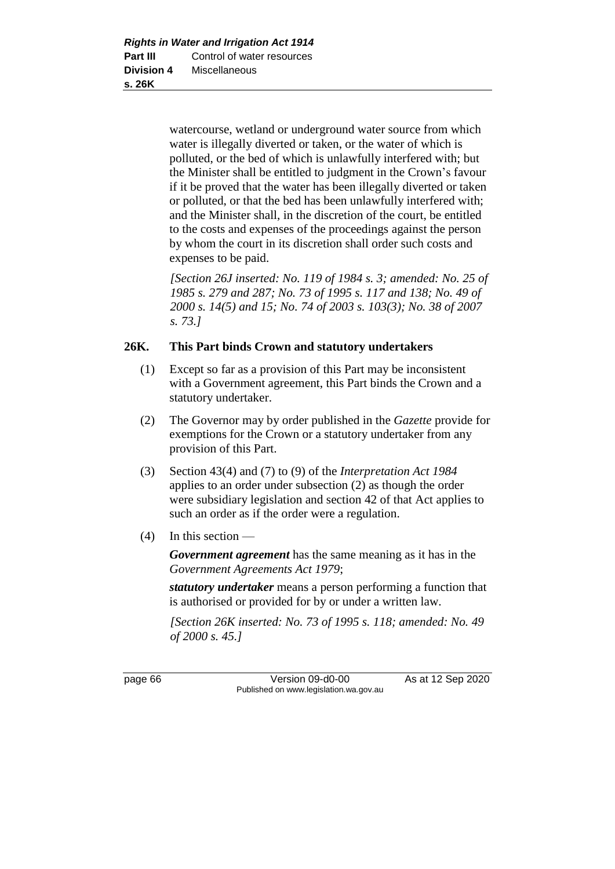watercourse, wetland or underground water source from which water is illegally diverted or taken, or the water of which is polluted, or the bed of which is unlawfully interfered with; but the Minister shall be entitled to judgment in the Crown's favour if it be proved that the water has been illegally diverted or taken or polluted, or that the bed has been unlawfully interfered with; and the Minister shall, in the discretion of the court, be entitled to the costs and expenses of the proceedings against the person by whom the court in its discretion shall order such costs and expenses to be paid.

*[Section 26J inserted: No. 119 of 1984 s. 3; amended: No. 25 of 1985 s. 279 and 287; No. 73 of 1995 s. 117 and 138; No. 49 of 2000 s. 14(5) and 15; No. 74 of 2003 s. 103(3); No. 38 of 2007 s. 73.]* 

# **26K. This Part binds Crown and statutory undertakers**

- (1) Except so far as a provision of this Part may be inconsistent with a Government agreement, this Part binds the Crown and a statutory undertaker.
- (2) The Governor may by order published in the *Gazette* provide for exemptions for the Crown or a statutory undertaker from any provision of this Part.
- (3) Section 43(4) and (7) to (9) of the *Interpretation Act 1984* applies to an order under subsection (2) as though the order were subsidiary legislation and section 42 of that Act applies to such an order as if the order were a regulation.
- (4) In this section —

*Government agreement* has the same meaning as it has in the *Government Agreements Act 1979*;

*statutory undertaker* means a person performing a function that is authorised or provided for by or under a written law.

*[Section 26K inserted: No. 73 of 1995 s. 118; amended: No. 49 of 2000 s. 45.]* 

page 66 Version 09-d0-00 As at 12 Sep 2020 Published on www.legislation.wa.gov.au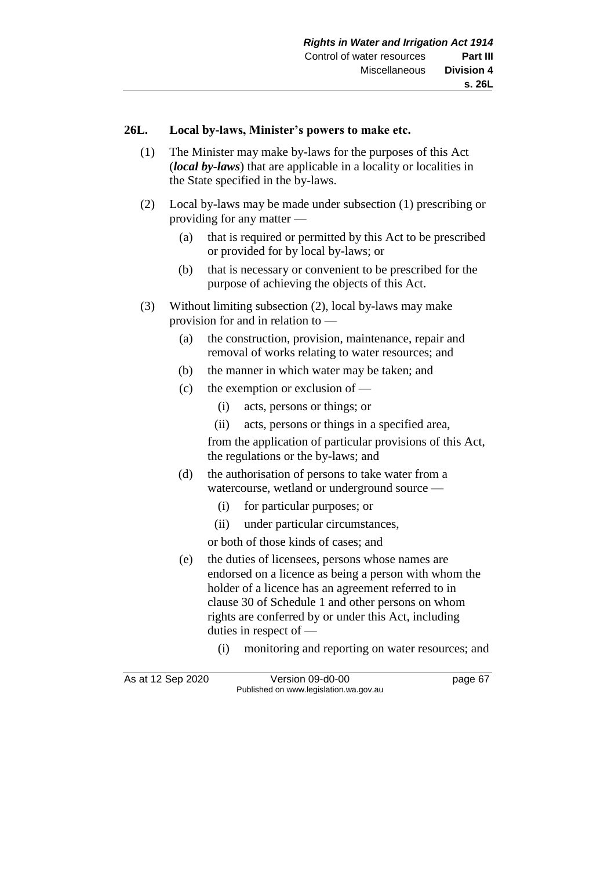### **26L. Local by-laws, Minister's powers to make etc.**

- (1) The Minister may make by-laws for the purposes of this Act (*local by-laws*) that are applicable in a locality or localities in the State specified in the by-laws.
- (2) Local by-laws may be made under subsection (1) prescribing or providing for any matter —
	- (a) that is required or permitted by this Act to be prescribed or provided for by local by-laws; or
	- (b) that is necessary or convenient to be prescribed for the purpose of achieving the objects of this Act.
- (3) Without limiting subsection (2), local by-laws may make provision for and in relation to —
	- (a) the construction, provision, maintenance, repair and removal of works relating to water resources; and
	- (b) the manner in which water may be taken; and
	- (c) the exemption or exclusion of
		- (i) acts, persons or things; or
		- (ii) acts, persons or things in a specified area,

from the application of particular provisions of this Act, the regulations or the by-laws; and

- (d) the authorisation of persons to take water from a watercourse, wetland or underground source —
	- (i) for particular purposes; or
	- (ii) under particular circumstances,

or both of those kinds of cases; and

- (e) the duties of licensees, persons whose names are endorsed on a licence as being a person with whom the holder of a licence has an agreement referred to in clause 30 of Schedule 1 and other persons on whom rights are conferred by or under this Act, including duties in respect of —
	- (i) monitoring and reporting on water resources; and

As at 12 Sep 2020 Version 09-d0-00 page 67 Published on www.legislation.wa.gov.au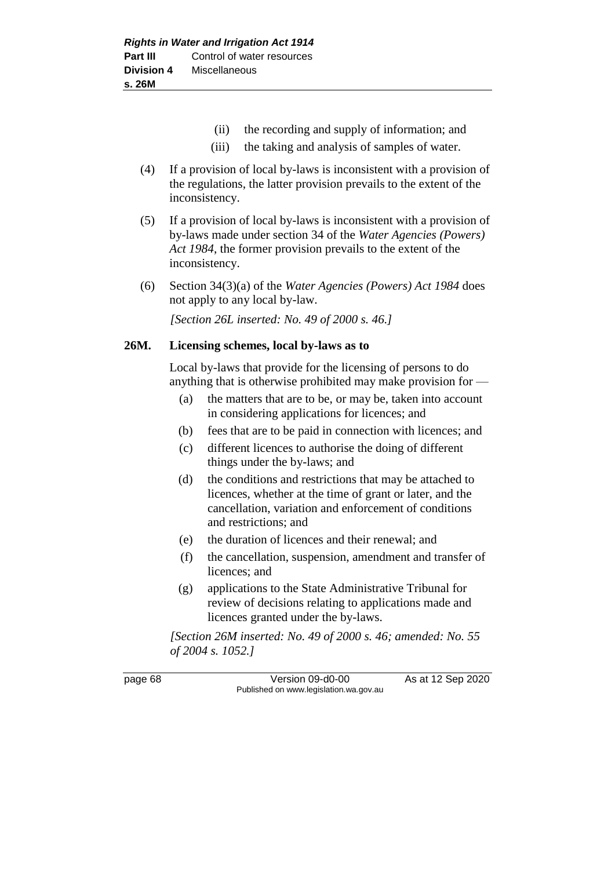- (ii) the recording and supply of information; and
- (iii) the taking and analysis of samples of water.
- (4) If a provision of local by-laws is inconsistent with a provision of the regulations, the latter provision prevails to the extent of the inconsistency.
- (5) If a provision of local by-laws is inconsistent with a provision of by-laws made under section 34 of the *Water Agencies (Powers) Act 1984*, the former provision prevails to the extent of the inconsistency.
- (6) Section 34(3)(a) of the *Water Agencies (Powers) Act 1984* does not apply to any local by-law.

*[Section 26L inserted: No. 49 of 2000 s. 46.]*

### **26M. Licensing schemes, local by-laws as to**

Local by-laws that provide for the licensing of persons to do anything that is otherwise prohibited may make provision for —

- (a) the matters that are to be, or may be, taken into account in considering applications for licences; and
- (b) fees that are to be paid in connection with licences; and
- (c) different licences to authorise the doing of different things under the by-laws; and
- (d) the conditions and restrictions that may be attached to licences, whether at the time of grant or later, and the cancellation, variation and enforcement of conditions and restrictions; and
- (e) the duration of licences and their renewal; and
- (f) the cancellation, suspension, amendment and transfer of licences; and
- (g) applications to the State Administrative Tribunal for review of decisions relating to applications made and licences granted under the by-laws.

*[Section 26M inserted: No. 49 of 2000 s. 46; amended: No. 55 of 2004 s. 1052.]*

page 68 Version 09-d0-00 As at 12 Sep 2020 Published on www.legislation.wa.gov.au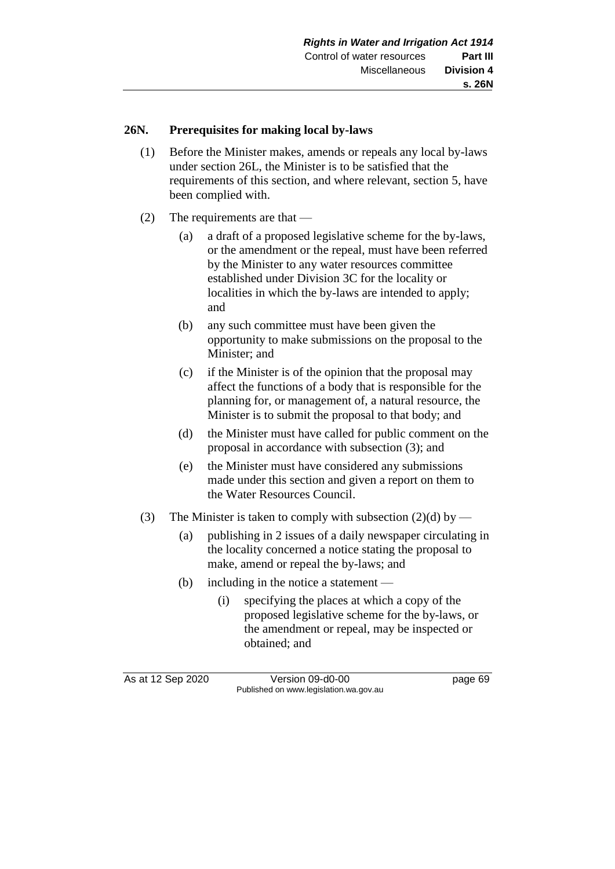# **26N. Prerequisites for making local by-laws**

- (1) Before the Minister makes, amends or repeals any local by-laws under section 26L, the Minister is to be satisfied that the requirements of this section, and where relevant, section 5, have been complied with.
- (2) The requirements are that
	- (a) a draft of a proposed legislative scheme for the by-laws, or the amendment or the repeal, must have been referred by the Minister to any water resources committee established under Division 3C for the locality or localities in which the by-laws are intended to apply; and
	- (b) any such committee must have been given the opportunity to make submissions on the proposal to the Minister; and
	- (c) if the Minister is of the opinion that the proposal may affect the functions of a body that is responsible for the planning for, or management of, a natural resource, the Minister is to submit the proposal to that body; and
	- (d) the Minister must have called for public comment on the proposal in accordance with subsection (3); and
	- (e) the Minister must have considered any submissions made under this section and given a report on them to the Water Resources Council.
- (3) The Minister is taken to comply with subsection (2)(d) by
	- (a) publishing in 2 issues of a daily newspaper circulating in the locality concerned a notice stating the proposal to make, amend or repeal the by-laws; and
	- (b) including in the notice a statement
		- (i) specifying the places at which a copy of the proposed legislative scheme for the by-laws, or the amendment or repeal, may be inspected or obtained; and

As at 12 Sep 2020 Version 09-d0-00 page 69 Published on www.legislation.wa.gov.au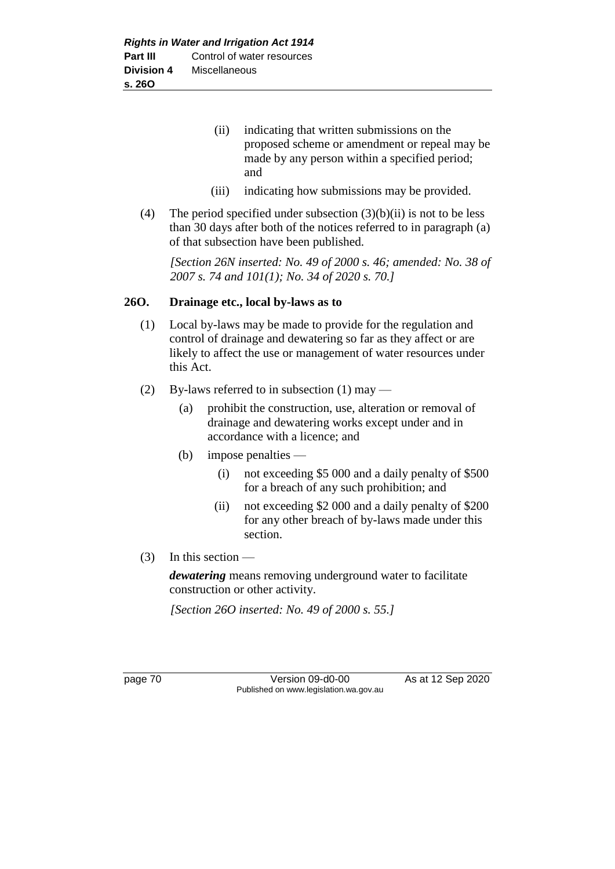- (ii) indicating that written submissions on the proposed scheme or amendment or repeal may be made by any person within a specified period; and
- (iii) indicating how submissions may be provided.
- (4) The period specified under subsection  $(3)(b)(ii)$  is not to be less than 30 days after both of the notices referred to in paragraph (a) of that subsection have been published.

*[Section 26N inserted: No. 49 of 2000 s. 46; amended: No. 38 of 2007 s. 74 and 101(1); No. 34 of 2020 s. 70.]*

# **26O. Drainage etc., local by-laws as to**

- (1) Local by-laws may be made to provide for the regulation and control of drainage and dewatering so far as they affect or are likely to affect the use or management of water resources under this Act.
- (2) By-laws referred to in subsection  $(1)$  may
	- (a) prohibit the construction, use, alteration or removal of drainage and dewatering works except under and in accordance with a licence; and
	- (b) impose penalties
		- (i) not exceeding \$5 000 and a daily penalty of \$500 for a breach of any such prohibition; and
		- (ii) not exceeding \$2 000 and a daily penalty of \$200 for any other breach of by-laws made under this section.
- (3) In this section —

*dewatering* means removing underground water to facilitate construction or other activity.

*[Section 26O inserted: No. 49 of 2000 s. 55.]*

page 70 Version 09-d0-00 As at 12 Sep 2020 Published on www.legislation.wa.gov.au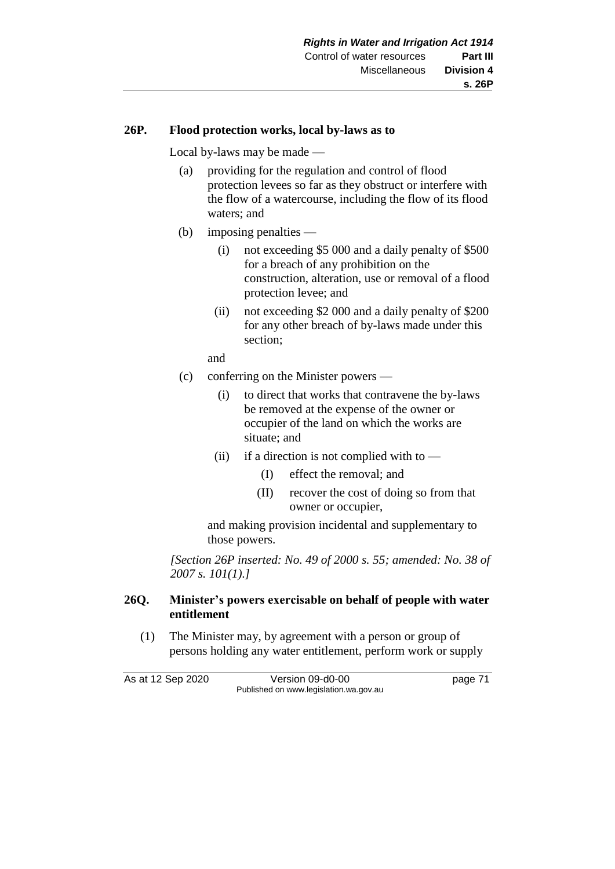### **26P. Flood protection works, local by-laws as to**

Local by-laws may be made —

- (a) providing for the regulation and control of flood protection levees so far as they obstruct or interfere with the flow of a watercourse, including the flow of its flood waters; and
- (b) imposing penalties
	- (i) not exceeding \$5 000 and a daily penalty of \$500 for a breach of any prohibition on the construction, alteration, use or removal of a flood protection levee; and
	- (ii) not exceeding \$2 000 and a daily penalty of \$200 for any other breach of by-laws made under this section;

and

- (c) conferring on the Minister powers
	- (i) to direct that works that contravene the by-laws be removed at the expense of the owner or occupier of the land on which the works are situate; and
	- (ii) if a direction is not complied with to  $-$ 
		- (I) effect the removal; and
		- (II) recover the cost of doing so from that owner or occupier,

and making provision incidental and supplementary to those powers.

*[Section 26P inserted: No. 49 of 2000 s. 55; amended: No. 38 of 2007 s. 101(1).]*

### **26Q. Minister's powers exercisable on behalf of people with water entitlement**

(1) The Minister may, by agreement with a person or group of persons holding any water entitlement, perform work or supply

As at 12 Sep 2020 Version 09-d0-00 page 71 Published on www.legislation.wa.gov.au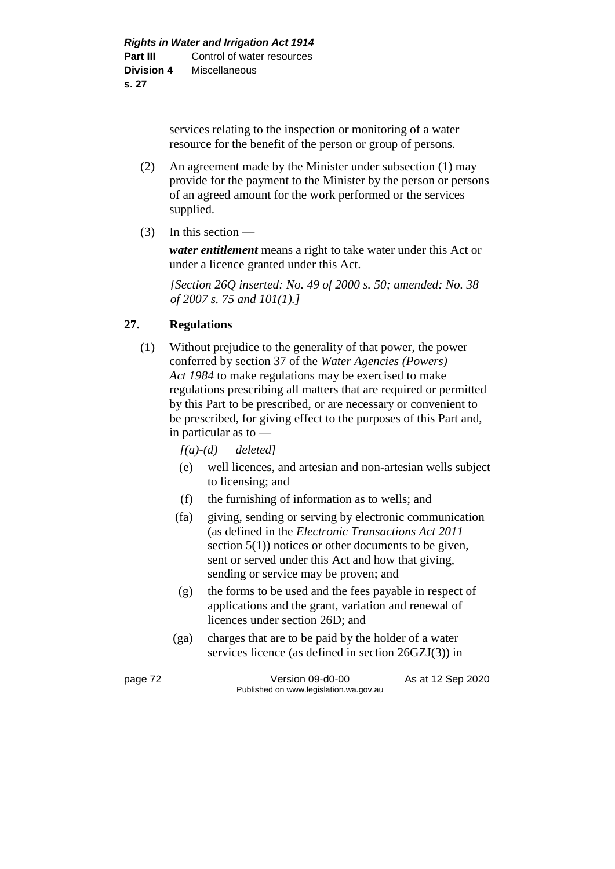services relating to the inspection or monitoring of a water resource for the benefit of the person or group of persons.

- (2) An agreement made by the Minister under subsection (1) may provide for the payment to the Minister by the person or persons of an agreed amount for the work performed or the services supplied.
- $(3)$  In this section —

*water entitlement* means a right to take water under this Act or under a licence granted under this Act.

*[Section 26Q inserted: No. 49 of 2000 s. 50; amended: No. 38 of 2007 s. 75 and 101(1).]*

# **27. Regulations**

- (1) Without prejudice to the generality of that power, the power conferred by section 37 of the *Water Agencies (Powers) Act 1984* to make regulations may be exercised to make regulations prescribing all matters that are required or permitted by this Part to be prescribed, or are necessary or convenient to be prescribed, for giving effect to the purposes of this Part and, in particular as to —
	- *[(a)-(d) deleted]*
	- (e) well licences, and artesian and non-artesian wells subject to licensing; and
	- (f) the furnishing of information as to wells; and
	- (fa) giving, sending or serving by electronic communication (as defined in the *Electronic Transactions Act 2011* section  $5(1)$ ) notices or other documents to be given, sent or served under this Act and how that giving, sending or service may be proven; and
	- (g) the forms to be used and the fees payable in respect of applications and the grant, variation and renewal of licences under section 26D; and
	- (ga) charges that are to be paid by the holder of a water services licence (as defined in section 26GZJ(3)) in

page 72 Version 09-d0-00 As at 12 Sep 2020 Published on www.legislation.wa.gov.au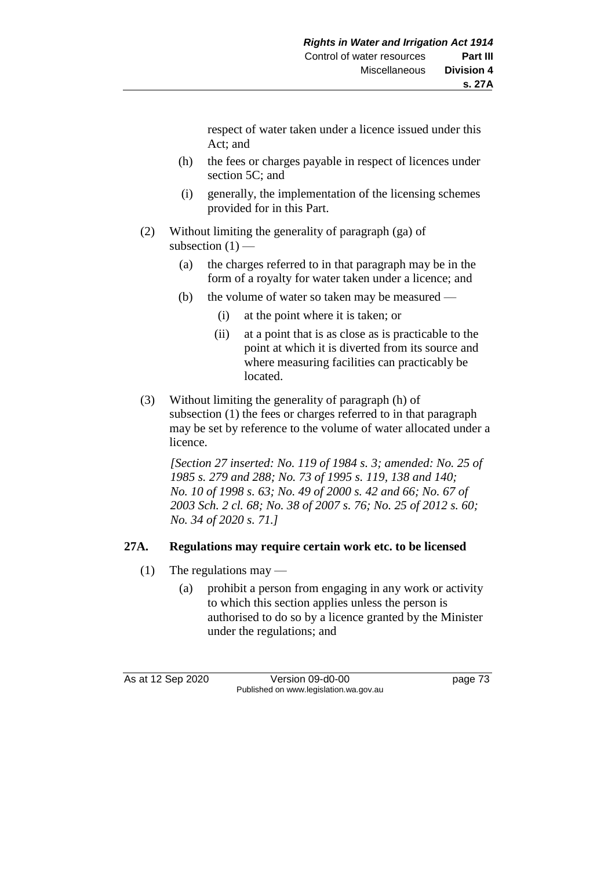respect of water taken under a licence issued under this Act; and

- (h) the fees or charges payable in respect of licences under section 5C; and
- (i) generally, the implementation of the licensing schemes provided for in this Part.
- (2) Without limiting the generality of paragraph (ga) of subsection  $(1)$  —
	- (a) the charges referred to in that paragraph may be in the form of a royalty for water taken under a licence; and
	- (b) the volume of water so taken may be measured
		- (i) at the point where it is taken; or
		- (ii) at a point that is as close as is practicable to the point at which it is diverted from its source and where measuring facilities can practicably be located.
- (3) Without limiting the generality of paragraph (h) of subsection (1) the fees or charges referred to in that paragraph may be set by reference to the volume of water allocated under a licence.

*[Section 27 inserted: No. 119 of 1984 s. 3; amended: No. 25 of 1985 s. 279 and 288; No. 73 of 1995 s. 119, 138 and 140; No. 10 of 1998 s. 63; No. 49 of 2000 s. 42 and 66; No. 67 of 2003 Sch. 2 cl. 68; No. 38 of 2007 s. 76; No. 25 of 2012 s. 60; No. 34 of 2020 s. 71.]* 

# **27A. Regulations may require certain work etc. to be licensed**

- (1) The regulations may
	- (a) prohibit a person from engaging in any work or activity to which this section applies unless the person is authorised to do so by a licence granted by the Minister under the regulations; and

As at 12 Sep 2020 Version 09-d0-00 page 73 Published on www.legislation.wa.gov.au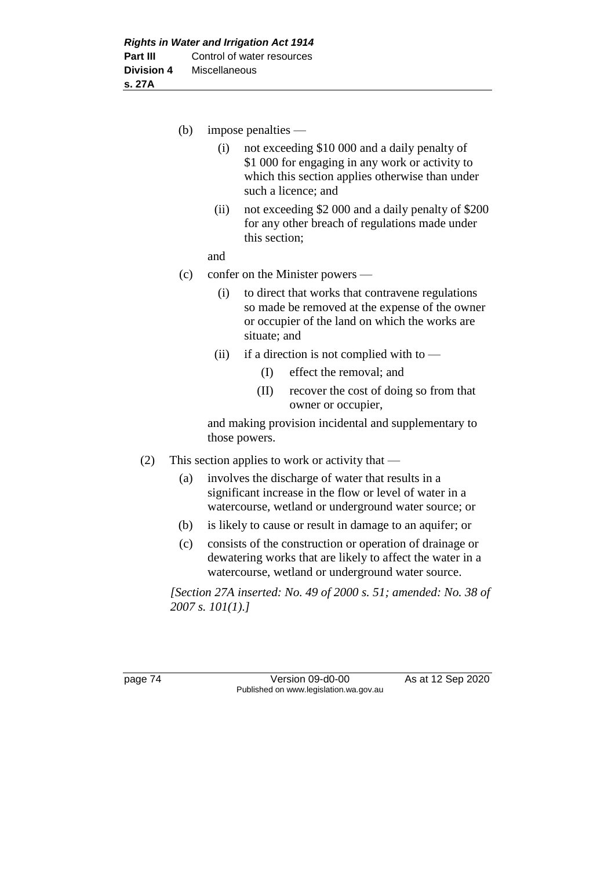(b) impose penalties —

- (i) not exceeding \$10 000 and a daily penalty of \$1 000 for engaging in any work or activity to which this section applies otherwise than under such a licence; and
- (ii) not exceeding \$2 000 and a daily penalty of \$200 for any other breach of regulations made under this section;

and

- (c) confer on the Minister powers
	- (i) to direct that works that contravene regulations so made be removed at the expense of the owner or occupier of the land on which the works are situate; and
	- (ii) if a direction is not complied with to  $-$ 
		- (I) effect the removal; and
		- (II) recover the cost of doing so from that owner or occupier,

and making provision incidental and supplementary to those powers.

- (2) This section applies to work or activity that
	- (a) involves the discharge of water that results in a significant increase in the flow or level of water in a watercourse, wetland or underground water source; or
	- (b) is likely to cause or result in damage to an aquifer; or
	- (c) consists of the construction or operation of drainage or dewatering works that are likely to affect the water in a watercourse, wetland or underground water source.

*[Section 27A inserted: No. 49 of 2000 s. 51; amended: No. 38 of 2007 s. 101(1).]*

page 74 Version 09-d0-00 As at 12 Sep 2020 Published on www.legislation.wa.gov.au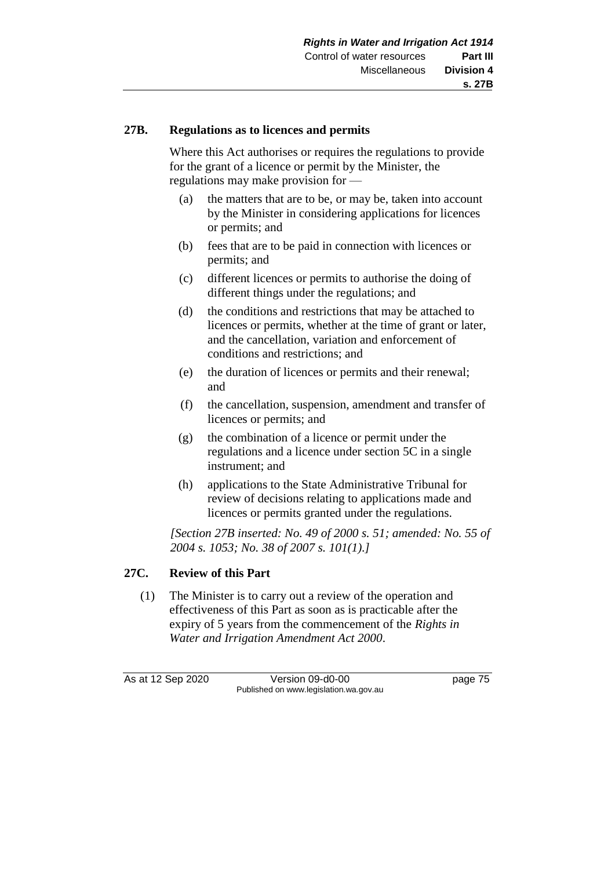## **27B. Regulations as to licences and permits**

Where this Act authorises or requires the regulations to provide for the grant of a licence or permit by the Minister, the regulations may make provision for —

- (a) the matters that are to be, or may be, taken into account by the Minister in considering applications for licences or permits; and
- (b) fees that are to be paid in connection with licences or permits; and
- (c) different licences or permits to authorise the doing of different things under the regulations; and
- (d) the conditions and restrictions that may be attached to licences or permits, whether at the time of grant or later, and the cancellation, variation and enforcement of conditions and restrictions; and
- (e) the duration of licences or permits and their renewal; and
- (f) the cancellation, suspension, amendment and transfer of licences or permits; and
- (g) the combination of a licence or permit under the regulations and a licence under section 5C in a single instrument; and
- (h) applications to the State Administrative Tribunal for review of decisions relating to applications made and licences or permits granted under the regulations.

*[Section 27B inserted: No. 49 of 2000 s. 51; amended: No. 55 of 2004 s. 1053; No. 38 of 2007 s. 101(1).]*

# **27C. Review of this Part**

(1) The Minister is to carry out a review of the operation and effectiveness of this Part as soon as is practicable after the expiry of 5 years from the commencement of the *Rights in Water and Irrigation Amendment Act 2000*.

As at 12 Sep 2020 Version 09-d0-00 page 75 Published on www.legislation.wa.gov.au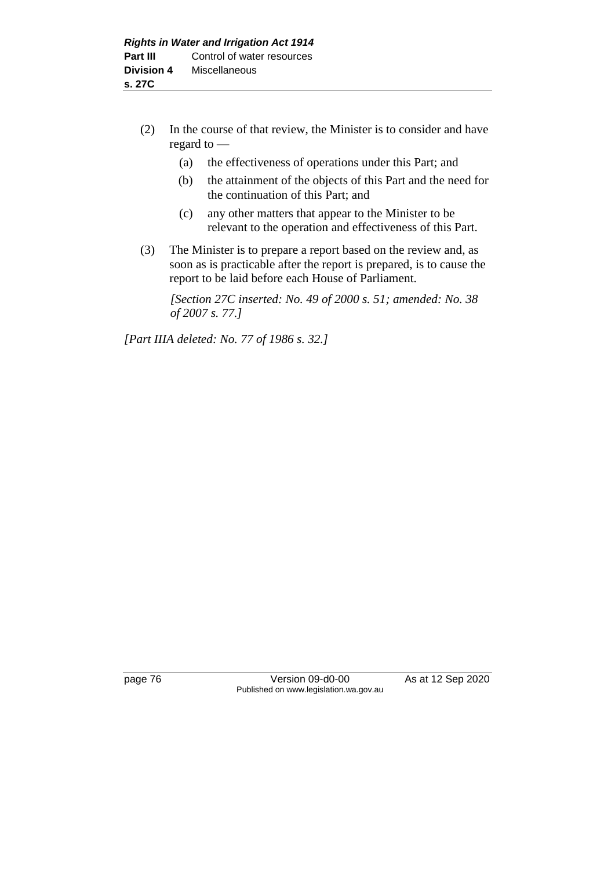- (2) In the course of that review, the Minister is to consider and have regard to —
	- (a) the effectiveness of operations under this Part; and
	- (b) the attainment of the objects of this Part and the need for the continuation of this Part; and
	- (c) any other matters that appear to the Minister to be relevant to the operation and effectiveness of this Part.
- (3) The Minister is to prepare a report based on the review and, as soon as is practicable after the report is prepared, is to cause the report to be laid before each House of Parliament.

*[Section 27C inserted: No. 49 of 2000 s. 51; amended: No. 38 of 2007 s. 77.]*

*[Part IIIA deleted: No. 77 of 1986 s. 32.]*

page 76 Version 09-d0-00 As at 12 Sep 2020 Published on www.legislation.wa.gov.au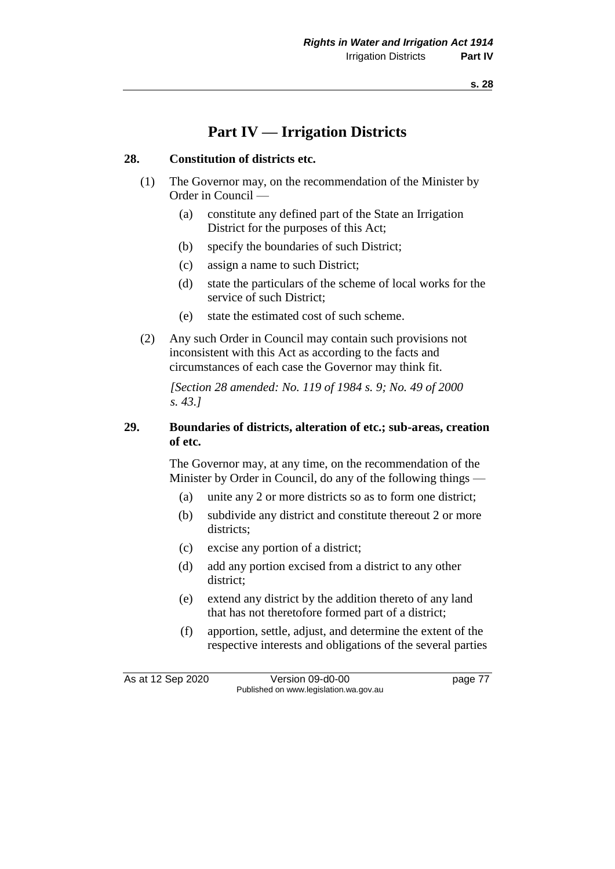# **Part IV — Irrigation Districts**

## **28. Constitution of districts etc.**

- (1) The Governor may, on the recommendation of the Minister by Order in Council —
	- (a) constitute any defined part of the State an Irrigation District for the purposes of this Act;
	- (b) specify the boundaries of such District;
	- (c) assign a name to such District;
	- (d) state the particulars of the scheme of local works for the service of such District;
	- (e) state the estimated cost of such scheme.
- (2) Any such Order in Council may contain such provisions not inconsistent with this Act as according to the facts and circumstances of each case the Governor may think fit.

*[Section 28 amended: No. 119 of 1984 s. 9; No. 49 of 2000 s. 43.]* 

# **29. Boundaries of districts, alteration of etc.; sub-areas, creation of etc.**

The Governor may, at any time, on the recommendation of the Minister by Order in Council, do any of the following things —

- (a) unite any 2 or more districts so as to form one district;
- (b) subdivide any district and constitute thereout 2 or more districts;
- (c) excise any portion of a district;
- (d) add any portion excised from a district to any other district;
- (e) extend any district by the addition thereto of any land that has not theretofore formed part of a district;
- (f) apportion, settle, adjust, and determine the extent of the respective interests and obligations of the several parties

As at 12 Sep 2020 Version 09-d0-00 page 77 Published on www.legislation.wa.gov.au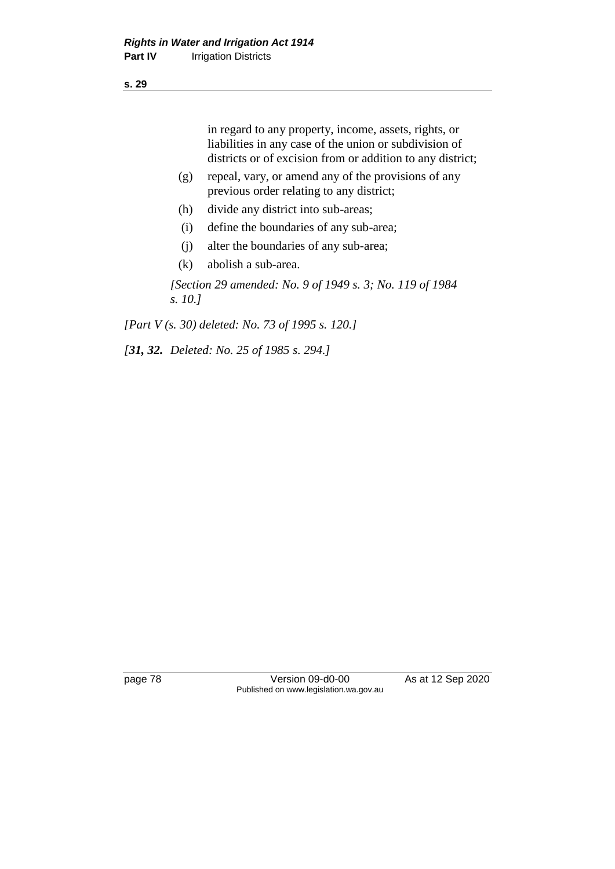in regard to any property, income, assets, rights, or liabilities in any case of the union or subdivision of districts or of excision from or addition to any district;

- (g) repeal, vary, or amend any of the provisions of any previous order relating to any district;
- (h) divide any district into sub-areas;
- (i) define the boundaries of any sub-area;
- (j) alter the boundaries of any sub-area;
- (k) abolish a sub-area.

*[Section 29 amended: No. 9 of 1949 s. 3; No. 119 of 1984 s. 10.]* 

*[Part V (s. 30) deleted: No. 73 of 1995 s. 120.]*

*[31, 32. Deleted: No. 25 of 1985 s. 294.]* 

page 78 Version 09-d0-00 As at 12 Sep 2020 Published on www.legislation.wa.gov.au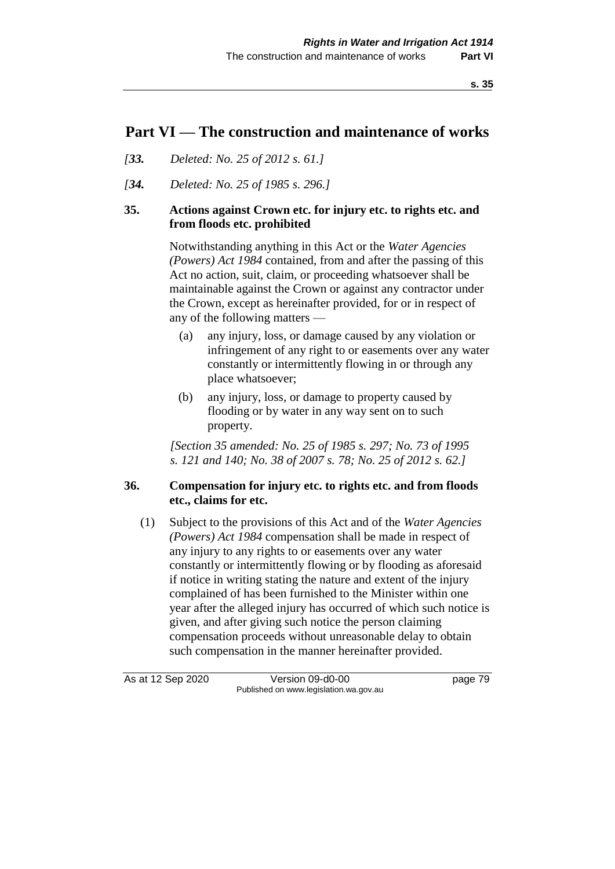# **Part VI — The construction and maintenance of works**

- *[33. Deleted: No. 25 of 2012 s. 61.]*
- *[34. Deleted: No. 25 of 1985 s. 296.]*

# **35. Actions against Crown etc. for injury etc. to rights etc. and from floods etc. prohibited**

Notwithstanding anything in this Act or the *Water Agencies (Powers) Act 1984* contained, from and after the passing of this Act no action, suit, claim, or proceeding whatsoever shall be maintainable against the Crown or against any contractor under the Crown, except as hereinafter provided, for or in respect of any of the following matters —

- (a) any injury, loss, or damage caused by any violation or infringement of any right to or easements over any water constantly or intermittently flowing in or through any place whatsoever;
- (b) any injury, loss, or damage to property caused by flooding or by water in any way sent on to such property.

*[Section 35 amended: No. 25 of 1985 s. 297; No. 73 of 1995 s. 121 and 140; No. 38 of 2007 s. 78; No. 25 of 2012 s. 62.]* 

# **36. Compensation for injury etc. to rights etc. and from floods etc., claims for etc.**

(1) Subject to the provisions of this Act and of the *Water Agencies (Powers) Act 1984* compensation shall be made in respect of any injury to any rights to or easements over any water constantly or intermittently flowing or by flooding as aforesaid if notice in writing stating the nature and extent of the injury complained of has been furnished to the Minister within one year after the alleged injury has occurred of which such notice is given, and after giving such notice the person claiming compensation proceeds without unreasonable delay to obtain such compensation in the manner hereinafter provided.

As at 12 Sep 2020 Version 09-d0-00 page 79 Published on www.legislation.wa.gov.au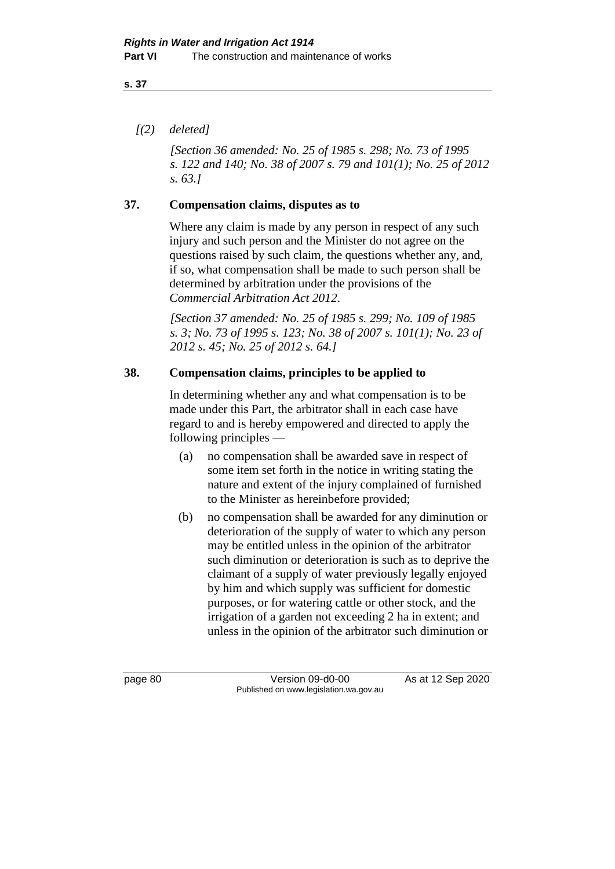# *[(2) deleted]*

*[Section 36 amended: No. 25 of 1985 s. 298; No. 73 of 1995 s. 122 and 140; No. 38 of 2007 s. 79 and 101(1); No. 25 of 2012 s. 63.]* 

# **37. Compensation claims, disputes as to**

Where any claim is made by any person in respect of any such injury and such person and the Minister do not agree on the questions raised by such claim, the questions whether any, and, if so, what compensation shall be made to such person shall be determined by arbitration under the provisions of the *Commercial Arbitration Act 2012*.

*[Section 37 amended: No. 25 of 1985 s. 299; No. 109 of 1985 s. 3; No. 73 of 1995 s. 123; No. 38 of 2007 s. 101(1); No. 23 of 2012 s. 45; No. 25 of 2012 s. 64.]* 

### **38. Compensation claims, principles to be applied to**

In determining whether any and what compensation is to be made under this Part, the arbitrator shall in each case have regard to and is hereby empowered and directed to apply the following principles —

- (a) no compensation shall be awarded save in respect of some item set forth in the notice in writing stating the nature and extent of the injury complained of furnished to the Minister as hereinbefore provided;
- (b) no compensation shall be awarded for any diminution or deterioration of the supply of water to which any person may be entitled unless in the opinion of the arbitrator such diminution or deterioration is such as to deprive the claimant of a supply of water previously legally enjoyed by him and which supply was sufficient for domestic purposes, or for watering cattle or other stock, and the irrigation of a garden not exceeding 2 ha in extent; and unless in the opinion of the arbitrator such diminution or

page 80 Version 09-d0-00 As at 12 Sep 2020 Published on www.legislation.wa.gov.au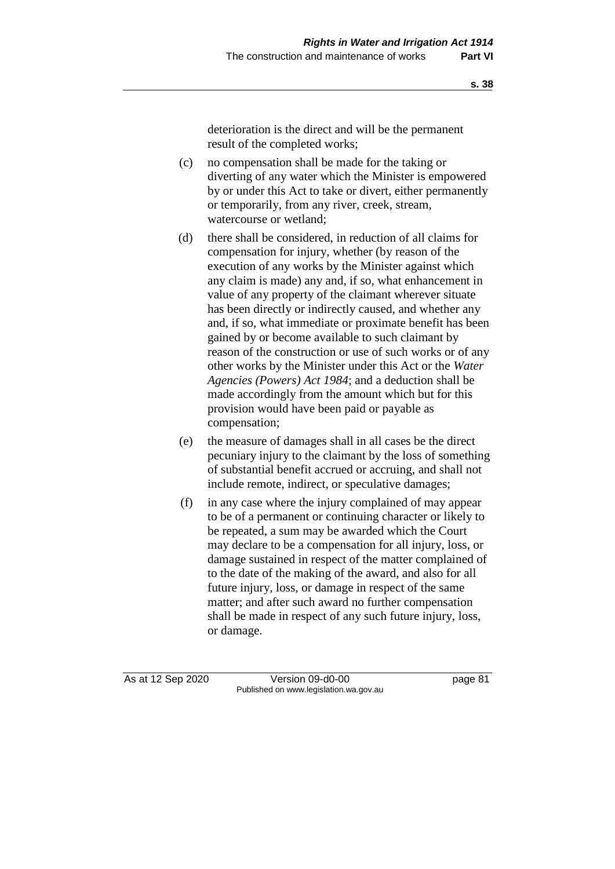deterioration is the direct and will be the permanent result of the completed works;

- (c) no compensation shall be made for the taking or diverting of any water which the Minister is empowered by or under this Act to take or divert, either permanently or temporarily, from any river, creek, stream, watercourse or wetland;
- (d) there shall be considered, in reduction of all claims for compensation for injury, whether (by reason of the execution of any works by the Minister against which any claim is made) any and, if so, what enhancement in value of any property of the claimant wherever situate has been directly or indirectly caused, and whether any and, if so, what immediate or proximate benefit has been gained by or become available to such claimant by reason of the construction or use of such works or of any other works by the Minister under this Act or the *Water Agencies (Powers) Act 1984*; and a deduction shall be made accordingly from the amount which but for this provision would have been paid or payable as compensation;
- (e) the measure of damages shall in all cases be the direct pecuniary injury to the claimant by the loss of something of substantial benefit accrued or accruing, and shall not include remote, indirect, or speculative damages;
- (f) in any case where the injury complained of may appear to be of a permanent or continuing character or likely to be repeated, a sum may be awarded which the Court may declare to be a compensation for all injury, loss, or damage sustained in respect of the matter complained of to the date of the making of the award, and also for all future injury, loss, or damage in respect of the same matter; and after such award no further compensation shall be made in respect of any such future injury, loss, or damage.

As at 12 Sep 2020 Version 09-d0-00 page 81 Published on www.legislation.wa.gov.au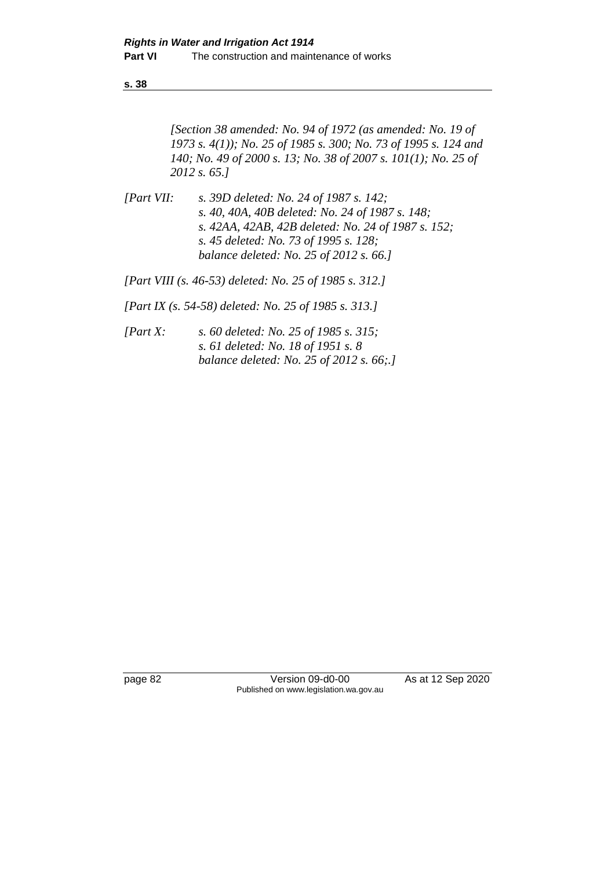*[Section 38 amended: No. 94 of 1972 (as amended: No. 19 of 1973 s. 4(1)); No. 25 of 1985 s. 300; No. 73 of 1995 s. 124 and 140; No. 49 of 2000 s. 13; No. 38 of 2007 s. 101(1); No. 25 of 2012 s. 65.]* 

*[Part VII: s. 39D deleted: No. 24 of 1987 s. 142; s. 40, 40A, 40B deleted: No. 24 of 1987 s. 148; s. 42AA, 42AB, 42B deleted: No. 24 of 1987 s. 152; s. 45 deleted: No. 73 of 1995 s. 128; balance deleted: No. 25 of 2012 s. 66.]*

*[Part VIII (s. 46-53) deleted: No. 25 of 1985 s. 312.]*

*[Part IX (s. 54-58) deleted: No. 25 of 1985 s. 313.]*

*[Part X: s. 60 deleted: No. 25 of 1985 s. 315; s. 61 deleted: No. 18 of 1951 s. 8 balance deleted: No. 25 of 2012 s. 66;.]*

page 82 Version 09-d0-00 As at 12 Sep 2020 Published on www.legislation.wa.gov.au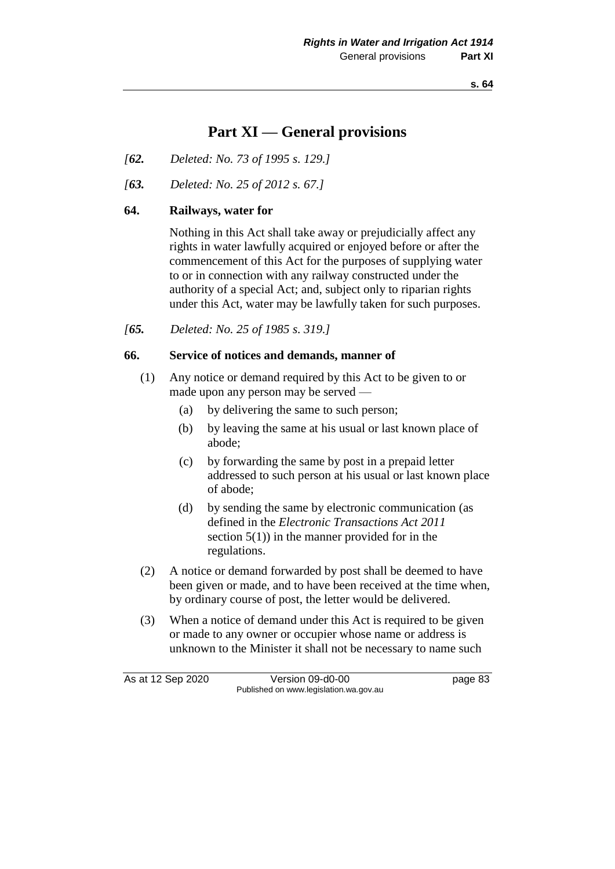# **Part XI — General provisions**

- *[62. Deleted: No. 73 of 1995 s. 129.]*
- *[63. Deleted: No. 25 of 2012 s. 67.]*

### **64. Railways, water for**

Nothing in this Act shall take away or prejudicially affect any rights in water lawfully acquired or enjoyed before or after the commencement of this Act for the purposes of supplying water to or in connection with any railway constructed under the authority of a special Act; and, subject only to riparian rights under this Act, water may be lawfully taken for such purposes.

*[65. Deleted: No. 25 of 1985 s. 319.]* 

### **66. Service of notices and demands, manner of**

- (1) Any notice or demand required by this Act to be given to or made upon any person may be served —
	- (a) by delivering the same to such person;
	- (b) by leaving the same at his usual or last known place of abode;
	- (c) by forwarding the same by post in a prepaid letter addressed to such person at his usual or last known place of abode;
	- (d) by sending the same by electronic communication (as defined in the *Electronic Transactions Act 2011* section  $5(1)$  in the manner provided for in the regulations.
- (2) A notice or demand forwarded by post shall be deemed to have been given or made, and to have been received at the time when, by ordinary course of post, the letter would be delivered.
- (3) When a notice of demand under this Act is required to be given or made to any owner or occupier whose name or address is unknown to the Minister it shall not be necessary to name such

As at 12 Sep 2020 Version 09-d0-00 Published on www.legislation.wa.gov.au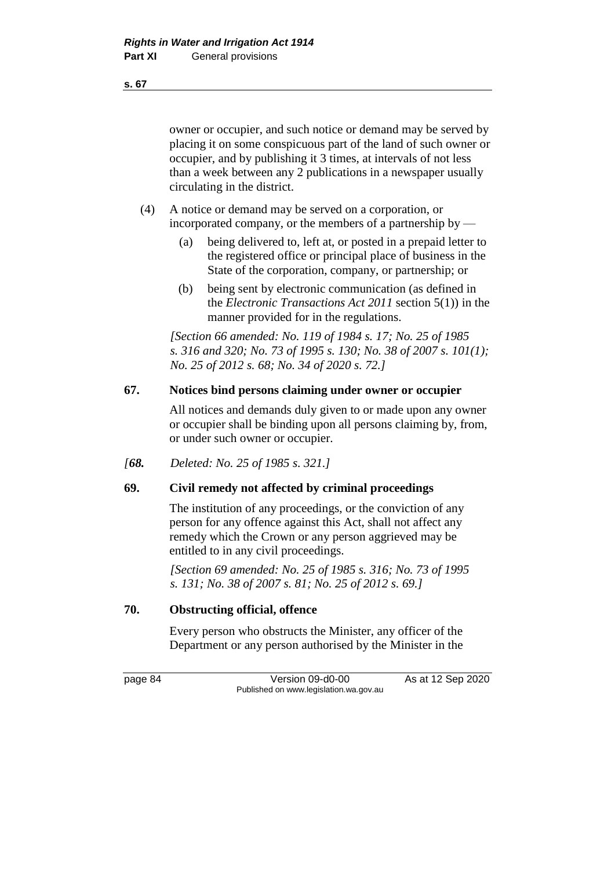owner or occupier, and such notice or demand may be served by placing it on some conspicuous part of the land of such owner or occupier, and by publishing it 3 times, at intervals of not less than a week between any 2 publications in a newspaper usually circulating in the district.

- (4) A notice or demand may be served on a corporation, or incorporated company, or the members of a partnership by  $-$ 
	- (a) being delivered to, left at, or posted in a prepaid letter to the registered office or principal place of business in the State of the corporation, company, or partnership; or
	- (b) being sent by electronic communication (as defined in the *Electronic Transactions Act 2011* section 5(1)) in the manner provided for in the regulations.

*[Section 66 amended: No. 119 of 1984 s. 17; No. 25 of 1985 s. 316 and 320; No. 73 of 1995 s. 130; No. 38 of 2007 s. 101(1); No. 25 of 2012 s. 68; No. 34 of 2020 s. 72.]* 

# **67. Notices bind persons claiming under owner or occupier**

All notices and demands duly given to or made upon any owner or occupier shall be binding upon all persons claiming by, from, or under such owner or occupier.

*[68. Deleted: No. 25 of 1985 s. 321.]* 

# **69. Civil remedy not affected by criminal proceedings**

The institution of any proceedings, or the conviction of any person for any offence against this Act, shall not affect any remedy which the Crown or any person aggrieved may be entitled to in any civil proceedings.

*[Section 69 amended: No. 25 of 1985 s. 316; No. 73 of 1995 s. 131; No. 38 of 2007 s. 81; No. 25 of 2012 s. 69.]* 

## **70. Obstructing official, offence**

Every person who obstructs the Minister, any officer of the Department or any person authorised by the Minister in the

page 84 Version 09-d0-00 As at 12 Sep 2020 Published on www.legislation.wa.gov.au

**s. 67**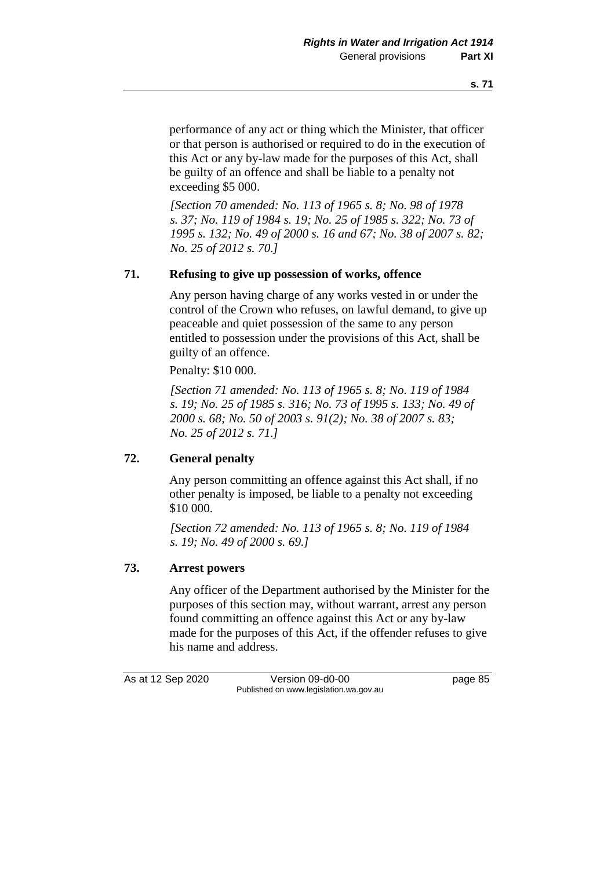performance of any act or thing which the Minister, that officer or that person is authorised or required to do in the execution of this Act or any by-law made for the purposes of this Act, shall be guilty of an offence and shall be liable to a penalty not exceeding \$5 000.

*[Section 70 amended: No. 113 of 1965 s. 8; No. 98 of 1978 s. 37; No. 119 of 1984 s. 19; No. 25 of 1985 s. 322; No. 73 of 1995 s. 132; No. 49 of 2000 s. 16 and 67; No. 38 of 2007 s. 82; No. 25 of 2012 s. 70.]* 

## **71. Refusing to give up possession of works, offence**

Any person having charge of any works vested in or under the control of the Crown who refuses, on lawful demand, to give up peaceable and quiet possession of the same to any person entitled to possession under the provisions of this Act, shall be guilty of an offence.

Penalty: \$10 000.

*[Section 71 amended: No. 113 of 1965 s. 8; No. 119 of 1984 s. 19; No. 25 of 1985 s. 316; No. 73 of 1995 s. 133; No. 49 of 2000 s. 68; No. 50 of 2003 s. 91(2); No. 38 of 2007 s. 83; No. 25 of 2012 s. 71.]* 

# **72. General penalty**

Any person committing an offence against this Act shall, if no other penalty is imposed, be liable to a penalty not exceeding \$10 000.

*[Section 72 amended: No. 113 of 1965 s. 8; No. 119 of 1984 s. 19; No. 49 of 2000 s. 69.]* 

### **73. Arrest powers**

Any officer of the Department authorised by the Minister for the purposes of this section may, without warrant, arrest any person found committing an offence against this Act or any by-law made for the purposes of this Act, if the offender refuses to give his name and address.

As at 12 Sep 2020 Version 09-d0-00 page 85 Published on www.legislation.wa.gov.au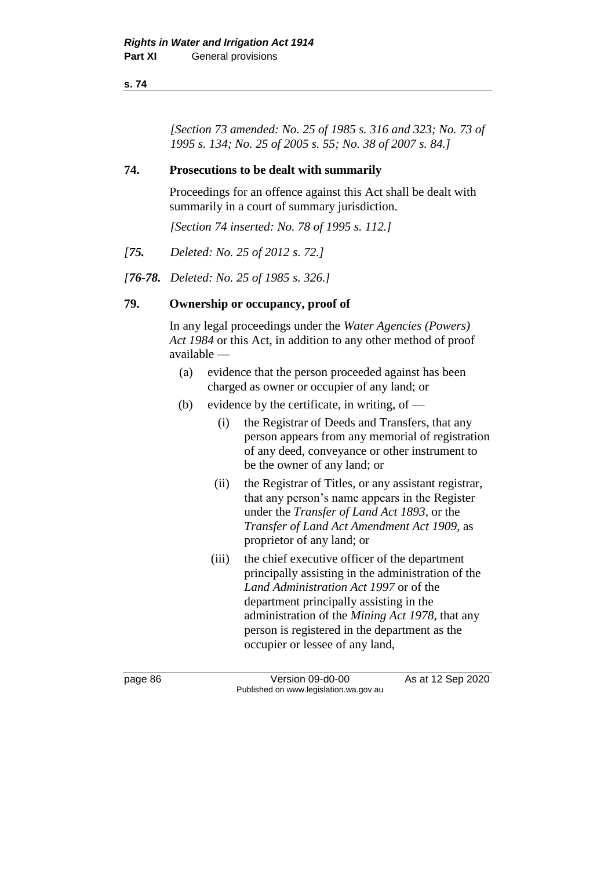*[Section 73 amended: No. 25 of 1985 s. 316 and 323; No. 73 of 1995 s. 134; No. 25 of 2005 s. 55; No. 38 of 2007 s. 84.]* 

# **74. Prosecutions to be dealt with summarily**

Proceedings for an offence against this Act shall be dealt with summarily in a court of summary jurisdiction.

*[Section 74 inserted: No. 78 of 1995 s. 112.]* 

- *[75. Deleted: No. 25 of 2012 s. 72.]*
- *[76-78. Deleted: No. 25 of 1985 s. 326.]*

### **79. Ownership or occupancy, proof of**

In any legal proceedings under the *Water Agencies (Powers) Act 1984* or this Act, in addition to any other method of proof available —

- (a) evidence that the person proceeded against has been charged as owner or occupier of any land; or
- (b) evidence by the certificate, in writing, of  $-$ 
	- (i) the Registrar of Deeds and Transfers, that any person appears from any memorial of registration of any deed, conveyance or other instrument to be the owner of any land; or
	- (ii) the Registrar of Titles, or any assistant registrar, that any person's name appears in the Register under the *Transfer of Land Act 1893*, or the *Transfer of Land Act Amendment Act 1909*, as proprietor of any land; or
	- (iii) the chief executive officer of the department principally assisting in the administration of the *Land Administration Act 1997* or of the department principally assisting in the administration of the *Mining Act 1978*, that any person is registered in the department as the occupier or lessee of any land,

page 86 Version 09-d0-00 As at 12 Sep 2020 Published on www.legislation.wa.gov.au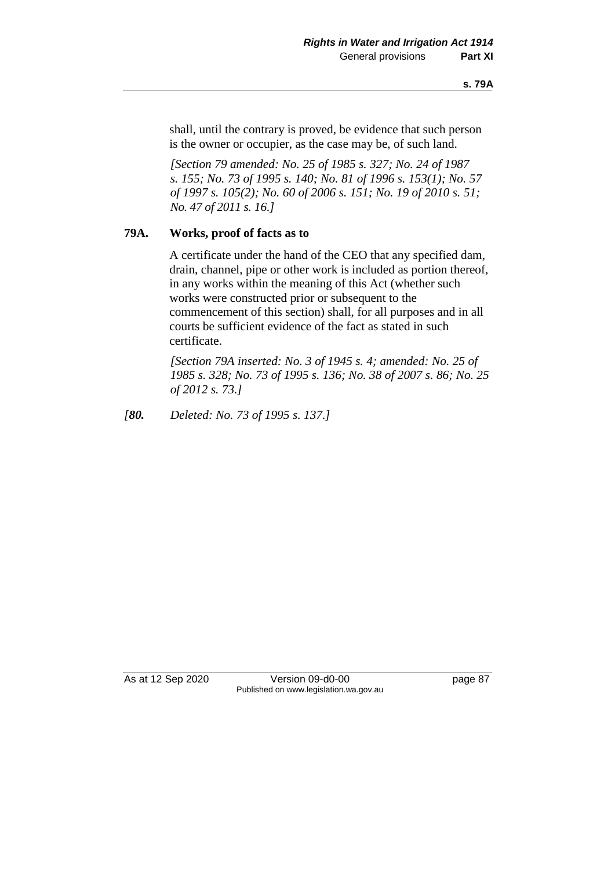shall, until the contrary is proved, be evidence that such person is the owner or occupier, as the case may be, of such land.

*[Section 79 amended: No. 25 of 1985 s. 327; No. 24 of 1987 s. 155; No. 73 of 1995 s. 140; No. 81 of 1996 s. 153(1); No. 57 of 1997 s. 105(2); No. 60 of 2006 s. 151; No. 19 of 2010 s. 51; No. 47 of 2011 s. 16.]* 

# **79A. Works, proof of facts as to**

A certificate under the hand of the CEO that any specified dam, drain, channel, pipe or other work is included as portion thereof, in any works within the meaning of this Act (whether such works were constructed prior or subsequent to the commencement of this section) shall, for all purposes and in all courts be sufficient evidence of the fact as stated in such certificate.

*[Section 79A inserted: No. 3 of 1945 s. 4; amended: No. 25 of 1985 s. 328; No. 73 of 1995 s. 136; No. 38 of 2007 s. 86; No. 25 of 2012 s. 73.]* 

*[80. Deleted: No. 73 of 1995 s. 137.]* 

As at 12 Sep 2020 Version 09-d0-00 page 87 Published on www.legislation.wa.gov.au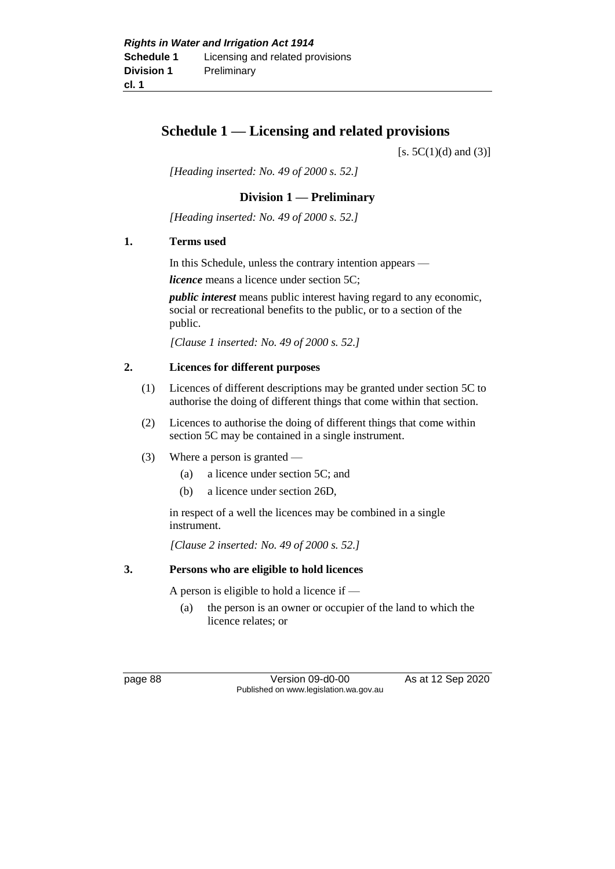# **Schedule 1 — Licensing and related provisions**

 $[s. 5C(1)(d)$  and  $(3)]$ 

*[Heading inserted: No. 49 of 2000 s. 52.]*

# **Division 1 — Preliminary**

*[Heading inserted: No. 49 of 2000 s. 52.]*

### **1. Terms used**

In this Schedule, unless the contrary intention appears —

*licence* means a licence under section 5C;

*public interest* means public interest having regard to any economic, social or recreational benefits to the public, or to a section of the public.

*[Clause 1 inserted: No. 49 of 2000 s. 52.]*

# **2. Licences for different purposes**

- (1) Licences of different descriptions may be granted under section 5C to authorise the doing of different things that come within that section.
- (2) Licences to authorise the doing of different things that come within section 5C may be contained in a single instrument.
- (3) Where a person is granted
	- (a) a licence under section 5C; and
	- (b) a licence under section 26D,

in respect of a well the licences may be combined in a single instrument.

*[Clause 2 inserted: No. 49 of 2000 s. 52.]*

#### **3. Persons who are eligible to hold licences**

A person is eligible to hold a licence if —

(a) the person is an owner or occupier of the land to which the licence relates; or

page 88 Version 09-d0-00 As at 12 Sep 2020 Published on www.legislation.wa.gov.au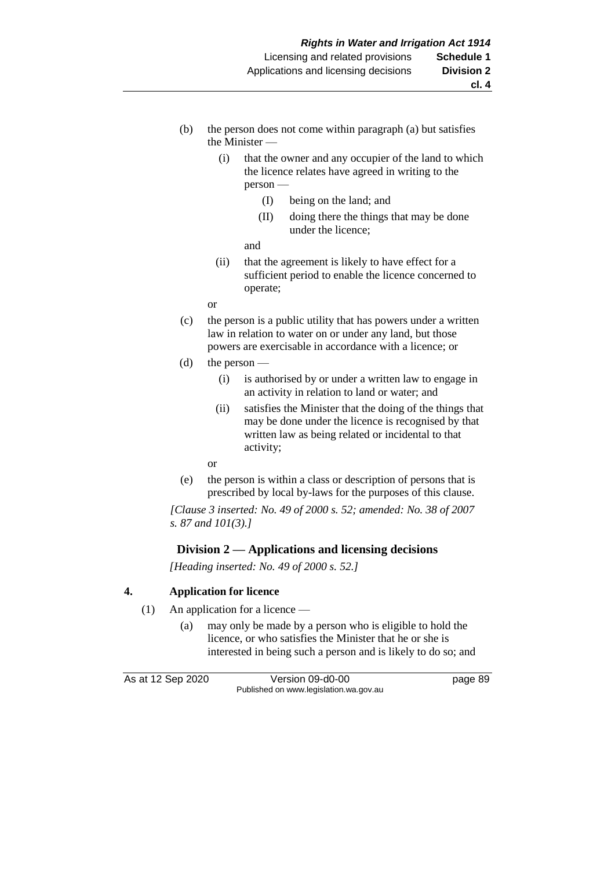- (b) the person does not come within paragraph (a) but satisfies the Minister —
	- (i) that the owner and any occupier of the land to which the licence relates have agreed in writing to the person —
		- (I) being on the land; and
		- (II) doing there the things that may be done under the licence;

and

- (ii) that the agreement is likely to have effect for a sufficient period to enable the licence concerned to operate;
- or
- (c) the person is a public utility that has powers under a written law in relation to water on or under any land, but those powers are exercisable in accordance with a licence; or
- (d) the person
	- (i) is authorised by or under a written law to engage in an activity in relation to land or water; and
	- (ii) satisfies the Minister that the doing of the things that may be done under the licence is recognised by that written law as being related or incidental to that activity;

or

(e) the person is within a class or description of persons that is prescribed by local by-laws for the purposes of this clause.

*[Clause 3 inserted: No. 49 of 2000 s. 52; amended: No. 38 of 2007 s. 87 and 101(3).]*

# **Division 2 — Applications and licensing decisions**

*[Heading inserted: No. 49 of 2000 s. 52.]*

### **4. Application for licence**

- (1) An application for a licence
	- (a) may only be made by a person who is eligible to hold the licence, or who satisfies the Minister that he or she is interested in being such a person and is likely to do so; and

As at 12 Sep 2020 Version 09-d0-00 page 89 Published on www.legislation.wa.gov.au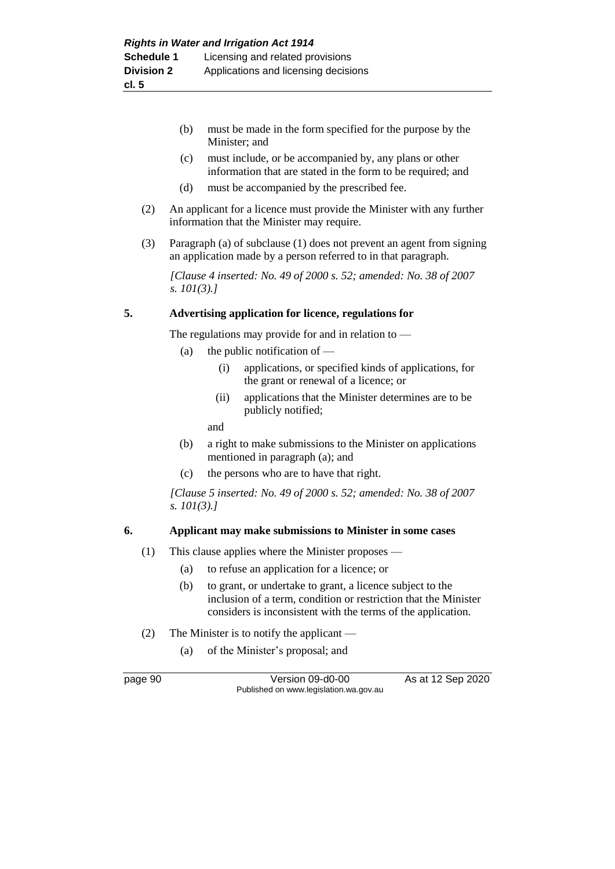- (b) must be made in the form specified for the purpose by the Minister; and
- (c) must include, or be accompanied by, any plans or other information that are stated in the form to be required; and
- (d) must be accompanied by the prescribed fee.
- (2) An applicant for a licence must provide the Minister with any further information that the Minister may require.
- (3) Paragraph (a) of subclause (1) does not prevent an agent from signing an application made by a person referred to in that paragraph.

*[Clause 4 inserted: No. 49 of 2000 s. 52; amended: No. 38 of 2007 s. 101(3).]*

### **5. Advertising application for licence, regulations for**

The regulations may provide for and in relation to —

- (a) the public notification of  $-$ 
	- (i) applications, or specified kinds of applications, for the grant or renewal of a licence; or
	- (ii) applications that the Minister determines are to be publicly notified;

and

- (b) a right to make submissions to the Minister on applications mentioned in paragraph (a); and
- (c) the persons who are to have that right.

*[Clause 5 inserted: No. 49 of 2000 s. 52; amended: No. 38 of 2007 s. 101(3).]*

#### **6. Applicant may make submissions to Minister in some cases**

- (1) This clause applies where the Minister proposes
	- (a) to refuse an application for a licence; or
	- (b) to grant, or undertake to grant, a licence subject to the inclusion of a term, condition or restriction that the Minister considers is inconsistent with the terms of the application.
- (2) The Minister is to notify the applicant
	- (a) of the Minister's proposal; and

page 90 Version 09-d0-00 As at 12 Sep 2020 Published on www.legislation.wa.gov.au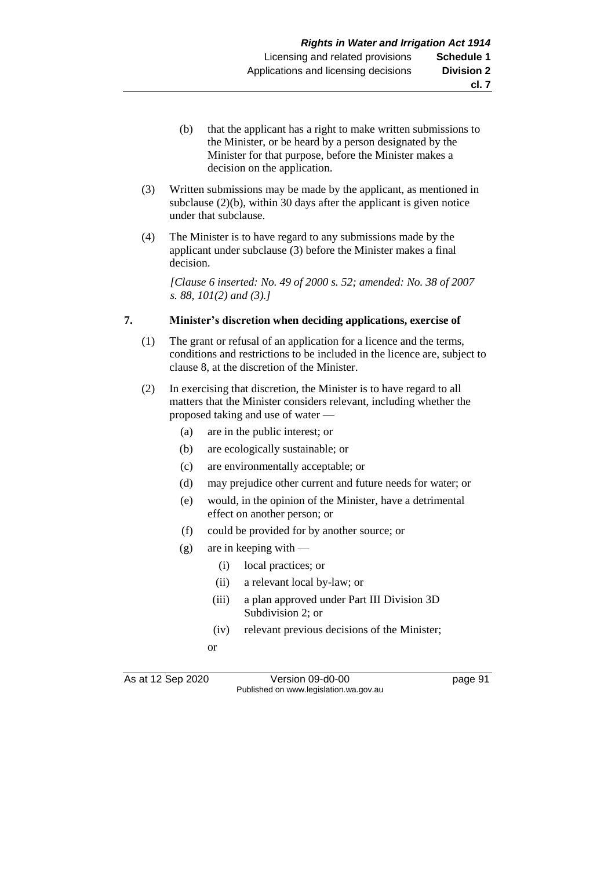- (b) that the applicant has a right to make written submissions to the Minister, or be heard by a person designated by the Minister for that purpose, before the Minister makes a decision on the application.
- (3) Written submissions may be made by the applicant, as mentioned in subclause (2)(b), within 30 days after the applicant is given notice under that subclause.
- (4) The Minister is to have regard to any submissions made by the applicant under subclause (3) before the Minister makes a final decision.

*[Clause 6 inserted: No. 49 of 2000 s. 52; amended: No. 38 of 2007 s. 88, 101(2) and (3).]*

#### **7. Minister's discretion when deciding applications, exercise of**

- (1) The grant or refusal of an application for a licence and the terms, conditions and restrictions to be included in the licence are, subject to clause 8, at the discretion of the Minister.
- (2) In exercising that discretion, the Minister is to have regard to all matters that the Minister considers relevant, including whether the proposed taking and use of water —
	- (a) are in the public interest; or
	- (b) are ecologically sustainable; or
	- (c) are environmentally acceptable; or
	- (d) may prejudice other current and future needs for water; or
	- (e) would, in the opinion of the Minister, have a detrimental effect on another person; or
	- (f) could be provided for by another source; or
	- $(g)$  are in keeping with
		- (i) local practices; or
		- (ii) a relevant local by-law; or
		- (iii) a plan approved under Part III Division 3D Subdivision 2; or
		- (iv) relevant previous decisions of the Minister;
		- or

As at 12 Sep 2020 Version 09-d0-00 page 91 Published on www.legislation.wa.gov.au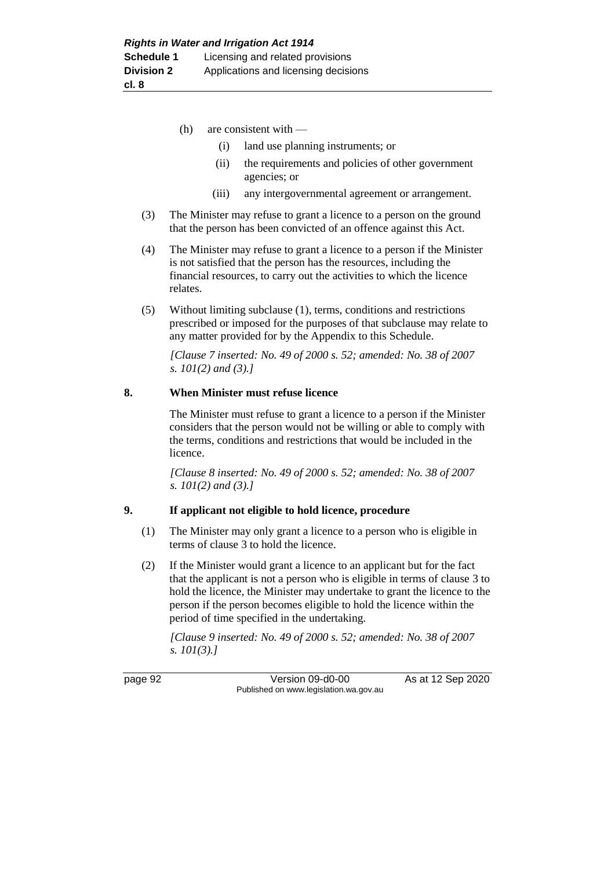- (h) are consistent with
	- (i) land use planning instruments; or
	- (ii) the requirements and policies of other government agencies; or
	- (iii) any intergovernmental agreement or arrangement.
- (3) The Minister may refuse to grant a licence to a person on the ground that the person has been convicted of an offence against this Act.
- (4) The Minister may refuse to grant a licence to a person if the Minister is not satisfied that the person has the resources, including the financial resources, to carry out the activities to which the licence relates.
- (5) Without limiting subclause (1), terms, conditions and restrictions prescribed or imposed for the purposes of that subclause may relate to any matter provided for by the Appendix to this Schedule.

*[Clause 7 inserted: No. 49 of 2000 s. 52; amended: No. 38 of 2007 s. 101(2) and (3).]*

#### **8. When Minister must refuse licence**

The Minister must refuse to grant a licence to a person if the Minister considers that the person would not be willing or able to comply with the terms, conditions and restrictions that would be included in the licence.

*[Clause 8 inserted: No. 49 of 2000 s. 52; amended: No. 38 of 2007 s. 101(2) and (3).]*

#### **9. If applicant not eligible to hold licence, procedure**

- (1) The Minister may only grant a licence to a person who is eligible in terms of clause 3 to hold the licence.
- (2) If the Minister would grant a licence to an applicant but for the fact that the applicant is not a person who is eligible in terms of clause 3 to hold the licence, the Minister may undertake to grant the licence to the person if the person becomes eligible to hold the licence within the period of time specified in the undertaking.

*[Clause 9 inserted: No. 49 of 2000 s. 52; amended: No. 38 of 2007 s. 101(3).]*

page 92 Version 09-d0-00 As at 12 Sep 2020 Published on www.legislation.wa.gov.au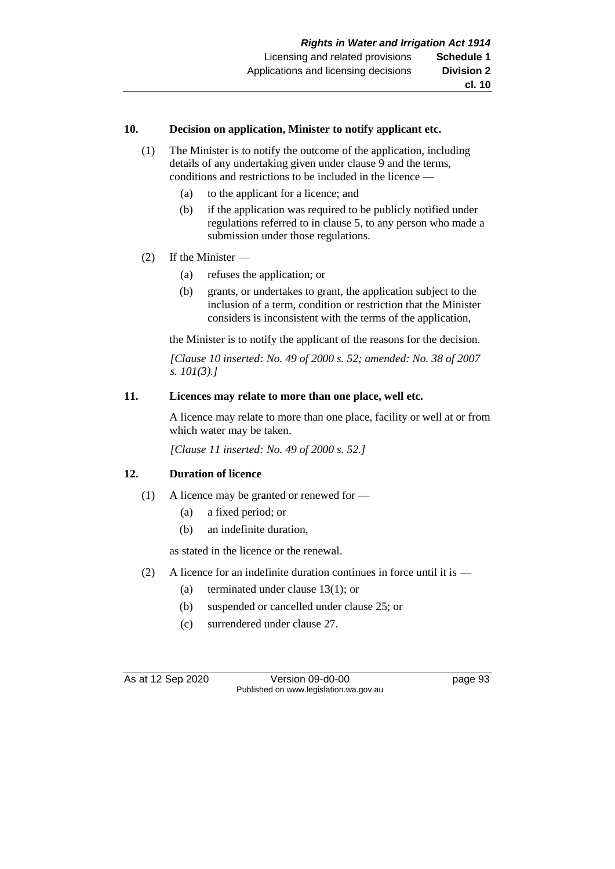#### **10. Decision on application, Minister to notify applicant etc.**

- (1) The Minister is to notify the outcome of the application, including details of any undertaking given under clause 9 and the terms, conditions and restrictions to be included in the licence —
	- (a) to the applicant for a licence; and
	- (b) if the application was required to be publicly notified under regulations referred to in clause 5, to any person who made a submission under those regulations.
- (2) If the Minister
	- (a) refuses the application; or
	- (b) grants, or undertakes to grant, the application subject to the inclusion of a term, condition or restriction that the Minister considers is inconsistent with the terms of the application,

the Minister is to notify the applicant of the reasons for the decision.

*[Clause 10 inserted: No. 49 of 2000 s. 52; amended: No. 38 of 2007 s. 101(3).]*

#### **11. Licences may relate to more than one place, well etc.**

A licence may relate to more than one place, facility or well at or from which water may be taken.

*[Clause 11 inserted: No. 49 of 2000 s. 52.]*

#### **12. Duration of licence**

- (1) A licence may be granted or renewed for
	- (a) a fixed period; or
	- (b) an indefinite duration,

as stated in the licence or the renewal.

- (2) A licence for an indefinite duration continues in force until it is
	- (a) terminated under clause 13(1); or
	- (b) suspended or cancelled under clause 25; or
	- (c) surrendered under clause 27.

As at 12 Sep 2020 Version 09-d0-00 page 93 Published on www.legislation.wa.gov.au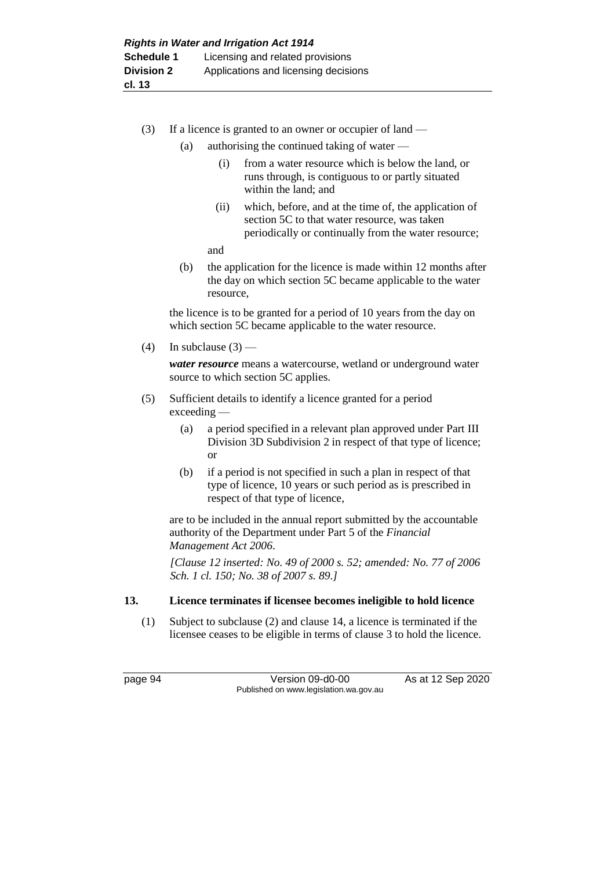- (3) If a licence is granted to an owner or occupier of land
	- (a) authorising the continued taking of water
		- (i) from a water resource which is below the land, or runs through, is contiguous to or partly situated within the land; and
		- (ii) which, before, and at the time of, the application of section 5C to that water resource, was taken periodically or continually from the water resource;
		- and
	- (b) the application for the licence is made within 12 months after the day on which section 5C became applicable to the water resource,

the licence is to be granted for a period of 10 years from the day on which section 5C became applicable to the water resource.

(4) In subclause  $(3)$  —

*water resource* means a watercourse, wetland or underground water source to which section 5C applies.

- (5) Sufficient details to identify a licence granted for a period exceeding —
	- (a) a period specified in a relevant plan approved under Part III Division 3D Subdivision 2 in respect of that type of licence; or
	- (b) if a period is not specified in such a plan in respect of that type of licence, 10 years or such period as is prescribed in respect of that type of licence,

are to be included in the annual report submitted by the accountable authority of the Department under Part 5 of the *Financial Management Act 2006*.

*[Clause 12 inserted: No. 49 of 2000 s. 52; amended: No. 77 of 2006 Sch. 1 cl. 150; No. 38 of 2007 s. 89.]*

### **13. Licence terminates if licensee becomes ineligible to hold licence**

(1) Subject to subclause (2) and clause 14, a licence is terminated if the licensee ceases to be eligible in terms of clause 3 to hold the licence.

page 94 Version 09-d0-00 As at 12 Sep 2020 Published on www.legislation.wa.gov.au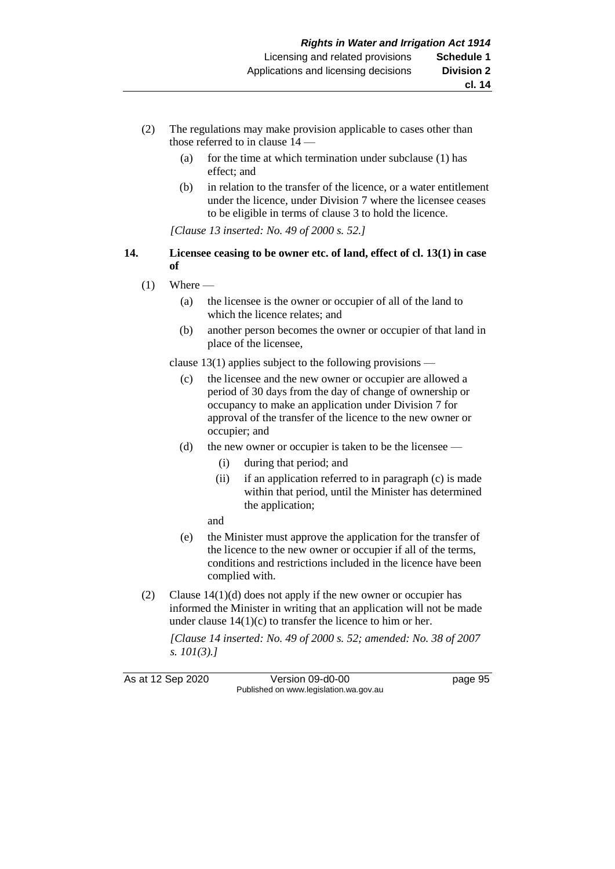- (2) The regulations may make provision applicable to cases other than those referred to in clause 14 —
	- (a) for the time at which termination under subclause (1) has effect; and
	- (b) in relation to the transfer of the licence, or a water entitlement under the licence, under Division 7 where the licensee ceases to be eligible in terms of clause 3 to hold the licence.

*[Clause 13 inserted: No. 49 of 2000 s. 52.]*

#### **14. Licensee ceasing to be owner etc. of land, effect of cl. 13(1) in case of**

- $(1)$  Where
	- (a) the licensee is the owner or occupier of all of the land to which the licence relates; and
	- (b) another person becomes the owner or occupier of that land in place of the licensee,

clause 13(1) applies subject to the following provisions —

- (c) the licensee and the new owner or occupier are allowed a period of 30 days from the day of change of ownership or occupancy to make an application under Division 7 for approval of the transfer of the licence to the new owner or occupier; and
- (d) the new owner or occupier is taken to be the licensee
	- (i) during that period; and
	- (ii) if an application referred to in paragraph (c) is made within that period, until the Minister has determined the application;
	- and
- (e) the Minister must approve the application for the transfer of the licence to the new owner or occupier if all of the terms, conditions and restrictions included in the licence have been complied with.
- (2) Clause  $14(1)(d)$  does not apply if the new owner or occupier has informed the Minister in writing that an application will not be made under clause  $14(1)(c)$  to transfer the licence to him or her.

*[Clause 14 inserted: No. 49 of 2000 s. 52; amended: No. 38 of 2007 s. 101(3).]*

As at 12 Sep 2020 Version 09-d0-00 page 95 Published on www.legislation.wa.gov.au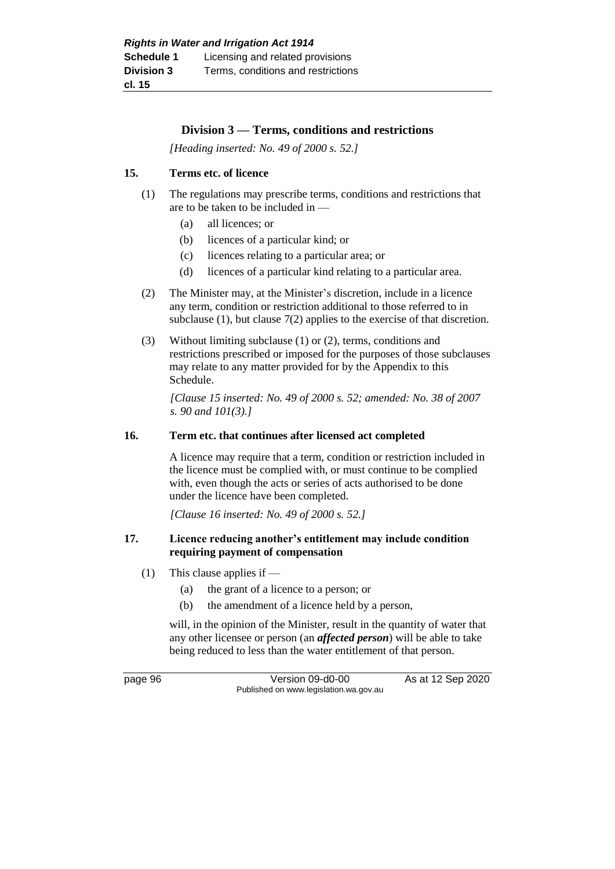### **Division 3 — Terms, conditions and restrictions**

*[Heading inserted: No. 49 of 2000 s. 52.]*

### **15. Terms etc. of licence**

- (1) The regulations may prescribe terms, conditions and restrictions that are to be taken to be included in —
	- (a) all licences; or
	- (b) licences of a particular kind; or
	- (c) licences relating to a particular area; or
	- (d) licences of a particular kind relating to a particular area.
- (2) The Minister may, at the Minister's discretion, include in a licence any term, condition or restriction additional to those referred to in subclause (1), but clause 7(2) applies to the exercise of that discretion.
- (3) Without limiting subclause (1) or (2), terms, conditions and restrictions prescribed or imposed for the purposes of those subclauses may relate to any matter provided for by the Appendix to this Schedule.

*[Clause 15 inserted: No. 49 of 2000 s. 52; amended: No. 38 of 2007 s. 90 and 101(3).]*

#### **16. Term etc. that continues after licensed act completed**

A licence may require that a term, condition or restriction included in the licence must be complied with, or must continue to be complied with, even though the acts or series of acts authorised to be done under the licence have been completed.

*[Clause 16 inserted: No. 49 of 2000 s. 52.]*

### **17. Licence reducing another's entitlement may include condition requiring payment of compensation**

- (1) This clause applies if
	- (a) the grant of a licence to a person; or
	- (b) the amendment of a licence held by a person,

will, in the opinion of the Minister, result in the quantity of water that any other licensee or person (an *affected person*) will be able to take being reduced to less than the water entitlement of that person.

page 96 Version 09-d0-00 As at 12 Sep 2020 Published on www.legislation.wa.gov.au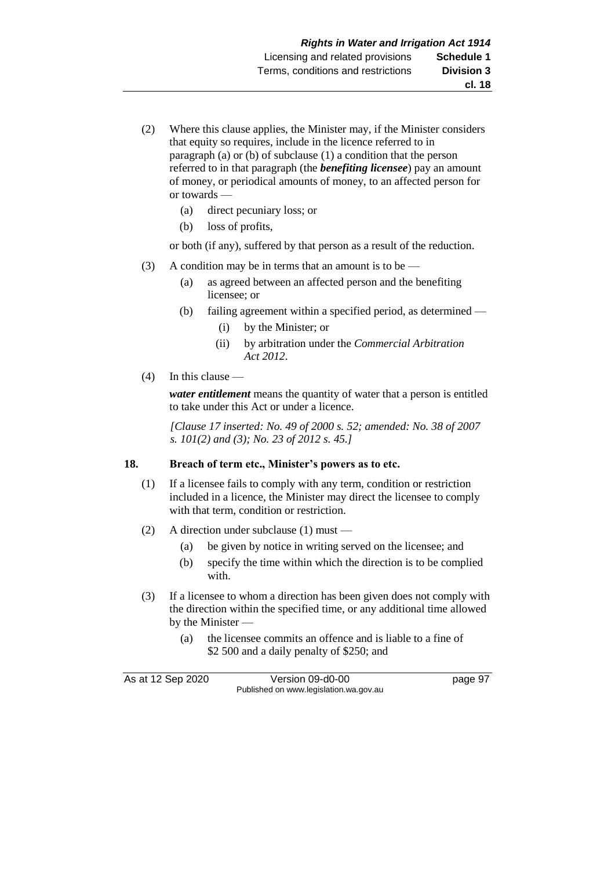- (2) Where this clause applies, the Minister may, if the Minister considers that equity so requires, include in the licence referred to in paragraph (a) or (b) of subclause (1) a condition that the person referred to in that paragraph (the *benefiting licensee*) pay an amount of money, or periodical amounts of money, to an affected person for or towards —
	- (a) direct pecuniary loss; or
	- (b) loss of profits,

or both (if any), suffered by that person as a result of the reduction.

- (3) A condition may be in terms that an amount is to be
	- (a) as agreed between an affected person and the benefiting licensee; or
	- (b) failing agreement within a specified period, as determined
		- (i) by the Minister; or
		- (ii) by arbitration under the *Commercial Arbitration Act 2012*.
- (4) In this clause —

*water entitlement* means the quantity of water that a person is entitled to take under this Act or under a licence.

*[Clause 17 inserted: No. 49 of 2000 s. 52; amended: No. 38 of 2007 s. 101(2) and (3); No. 23 of 2012 s. 45.]*

#### **18. Breach of term etc., Minister's powers as to etc.**

- (1) If a licensee fails to comply with any term, condition or restriction included in a licence, the Minister may direct the licensee to comply with that term, condition or restriction.
- (2) A direction under subclause (1) must
	- (a) be given by notice in writing served on the licensee; and
	- (b) specify the time within which the direction is to be complied with.
- (3) If a licensee to whom a direction has been given does not comply with the direction within the specified time, or any additional time allowed by the Minister —
	- (a) the licensee commits an offence and is liable to a fine of \$2 500 and a daily penalty of \$250; and

As at 12 Sep 2020 Version 09-d0-00 page 97 Published on www.legislation.wa.gov.au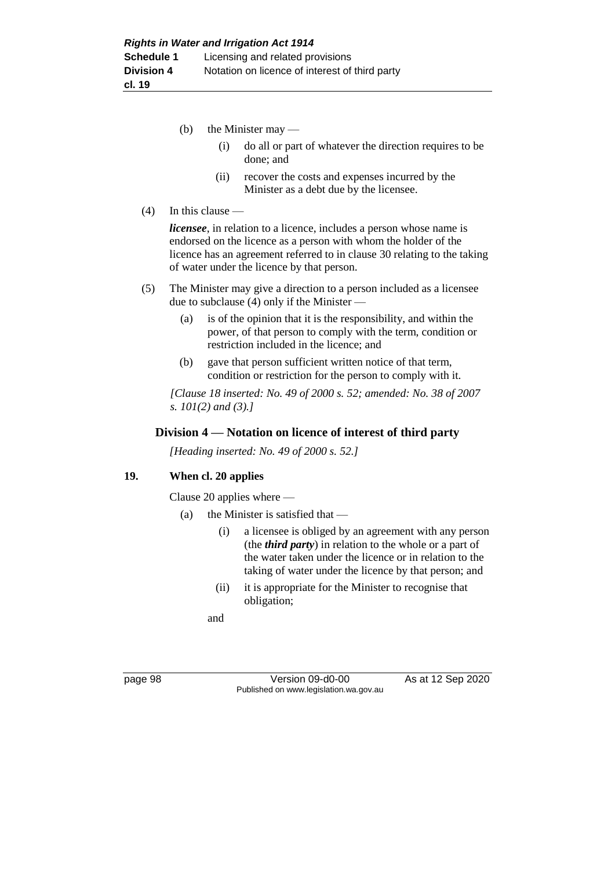- (b) the Minister may  $-$ 
	- (i) do all or part of whatever the direction requires to be done; and
	- (ii) recover the costs and expenses incurred by the Minister as a debt due by the licensee.

#### $(4)$  In this clause —

*licensee*, in relation to a licence, includes a person whose name is endorsed on the licence as a person with whom the holder of the licence has an agreement referred to in clause 30 relating to the taking of water under the licence by that person.

- (5) The Minister may give a direction to a person included as a licensee due to subclause (4) only if the Minister —
	- (a) is of the opinion that it is the responsibility, and within the power, of that person to comply with the term, condition or restriction included in the licence; and
	- (b) gave that person sufficient written notice of that term, condition or restriction for the person to comply with it.

*[Clause 18 inserted: No. 49 of 2000 s. 52; amended: No. 38 of 2007 s. 101(2) and (3).]*

#### **Division 4 — Notation on licence of interest of third party**

*[Heading inserted: No. 49 of 2000 s. 52.]*

#### **19. When cl. 20 applies**

Clause 20 applies where —

- (a) the Minister is satisfied that
	- (i) a licensee is obliged by an agreement with any person (the *third party*) in relation to the whole or a part of the water taken under the licence or in relation to the taking of water under the licence by that person; and
	- (ii) it is appropriate for the Minister to recognise that obligation;

and

page 98 Version 09-d0-00 As at 12 Sep 2020 Published on www.legislation.wa.gov.au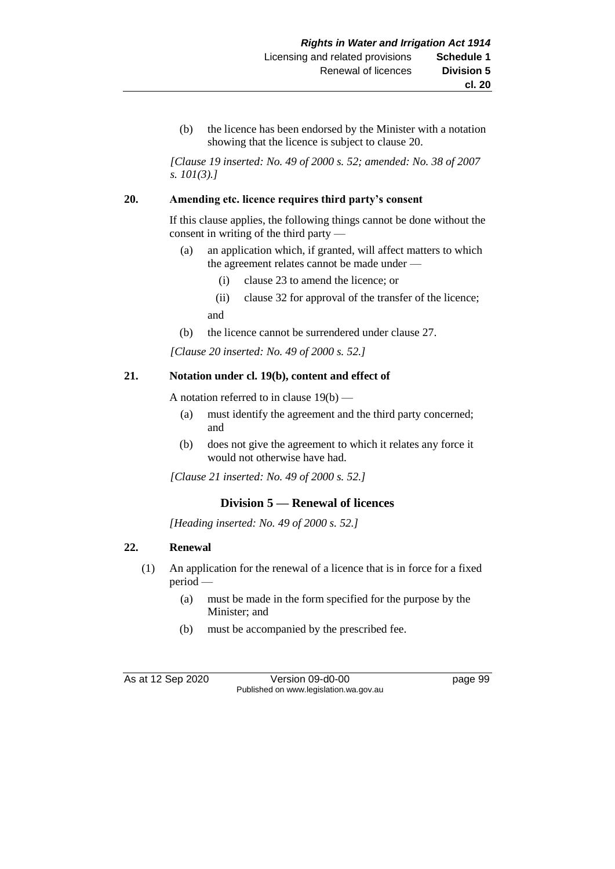(b) the licence has been endorsed by the Minister with a notation showing that the licence is subject to clause 20.

*[Clause 19 inserted: No. 49 of 2000 s. 52; amended: No. 38 of 2007 s. 101(3).]*

#### **20. Amending etc. licence requires third party's consent**

If this clause applies, the following things cannot be done without the consent in writing of the third party —

- (a) an application which, if granted, will affect matters to which the agreement relates cannot be made under —
	- (i) clause 23 to amend the licence; or
	- (ii) clause 32 for approval of the transfer of the licence; and
- (b) the licence cannot be surrendered under clause 27.

*[Clause 20 inserted: No. 49 of 2000 s. 52.]*

#### **21. Notation under cl. 19(b), content and effect of**

A notation referred to in clause  $19(b)$  —

- (a) must identify the agreement and the third party concerned; and
- (b) does not give the agreement to which it relates any force it would not otherwise have had.

*[Clause 21 inserted: No. 49 of 2000 s. 52.]*

#### **Division 5 — Renewal of licences**

*[Heading inserted: No. 49 of 2000 s. 52.]*

#### **22. Renewal**

- (1) An application for the renewal of a licence that is in force for a fixed period —
	- (a) must be made in the form specified for the purpose by the Minister; and
	- (b) must be accompanied by the prescribed fee.

As at 12 Sep 2020 Version 09-d0-00 page 99 Published on www.legislation.wa.gov.au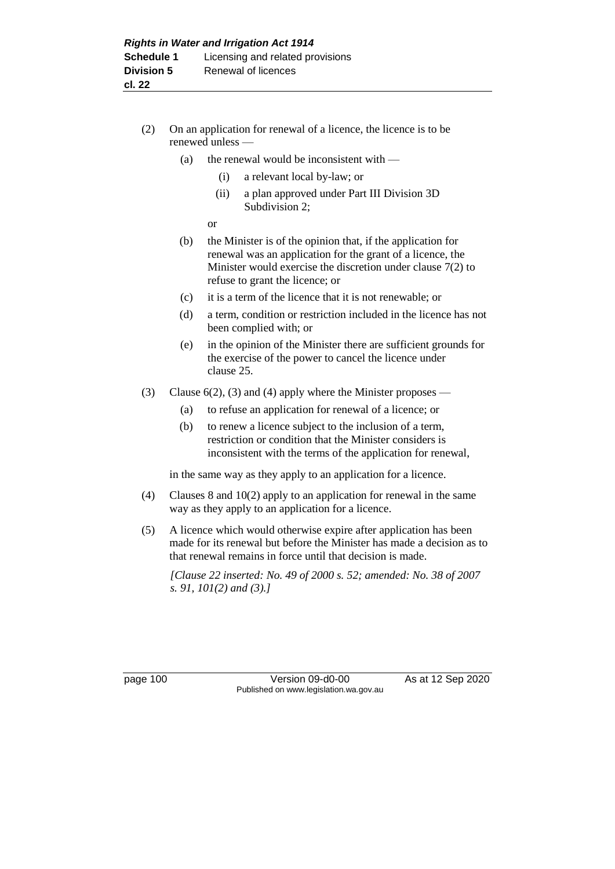- (2) On an application for renewal of a licence, the licence is to be renewed unless —
	- (a) the renewal would be inconsistent with  $-$ 
		- (i) a relevant local by-law; or
		- (ii) a plan approved under Part III Division 3D Subdivision 2;

or

- (b) the Minister is of the opinion that, if the application for renewal was an application for the grant of a licence, the Minister would exercise the discretion under clause 7(2) to refuse to grant the licence; or
- (c) it is a term of the licence that it is not renewable; or
- (d) a term, condition or restriction included in the licence has not been complied with; or
- (e) in the opinion of the Minister there are sufficient grounds for the exercise of the power to cancel the licence under clause 25.
- (3) Clause  $6(2)$ , (3) and (4) apply where the Minister proposes
	- (a) to refuse an application for renewal of a licence; or
	- (b) to renew a licence subject to the inclusion of a term, restriction or condition that the Minister considers is inconsistent with the terms of the application for renewal,

in the same way as they apply to an application for a licence.

- (4) Clauses 8 and 10(2) apply to an application for renewal in the same way as they apply to an application for a licence.
- (5) A licence which would otherwise expire after application has been made for its renewal but before the Minister has made a decision as to that renewal remains in force until that decision is made.

*[Clause 22 inserted: No. 49 of 2000 s. 52; amended: No. 38 of 2007 s. 91, 101(2) and (3).]*

page 100 Version 09-d0-00 As at 12 Sep 2020 Published on www.legislation.wa.gov.au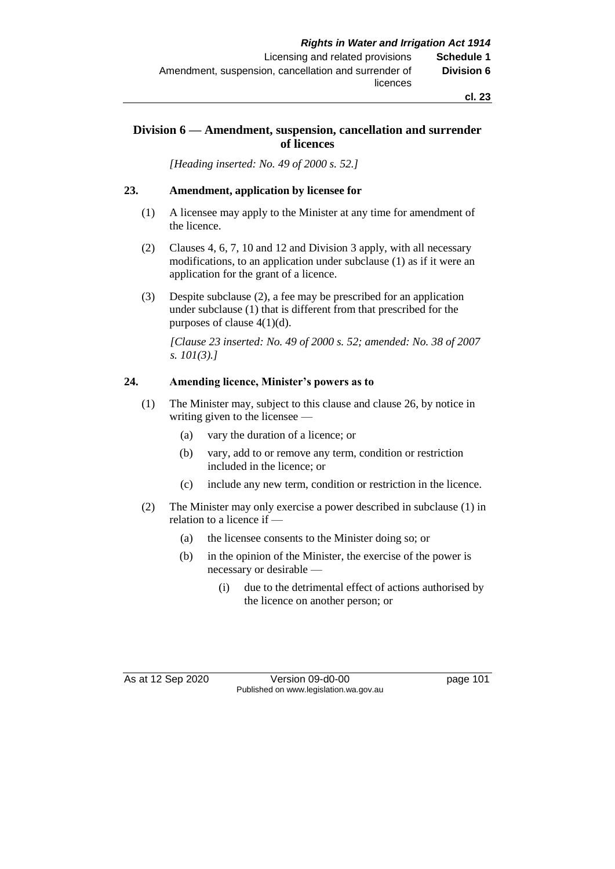## **Division 6 — Amendment, suspension, cancellation and surrender of licences**

*[Heading inserted: No. 49 of 2000 s. 52.]*

### **23. Amendment, application by licensee for**

- (1) A licensee may apply to the Minister at any time for amendment of the licence.
- (2) Clauses 4, 6, 7, 10 and 12 and Division 3 apply, with all necessary modifications, to an application under subclause (1) as if it were an application for the grant of a licence.
- (3) Despite subclause (2), a fee may be prescribed for an application under subclause (1) that is different from that prescribed for the purposes of clause 4(1)(d).

*[Clause 23 inserted: No. 49 of 2000 s. 52; amended: No. 38 of 2007 s. 101(3).]*

#### **24. Amending licence, Minister's powers as to**

- (1) The Minister may, subject to this clause and clause 26, by notice in writing given to the licensee —
	- (a) vary the duration of a licence; or
	- (b) vary, add to or remove any term, condition or restriction included in the licence; or
	- (c) include any new term, condition or restriction in the licence.
- (2) The Minister may only exercise a power described in subclause (1) in relation to a licence if —
	- (a) the licensee consents to the Minister doing so; or
	- (b) in the opinion of the Minister, the exercise of the power is necessary or desirable —
		- (i) due to the detrimental effect of actions authorised by the licence on another person; or

As at 12 Sep 2020 Version 09-d0-00 page 101 Published on www.legislation.wa.gov.au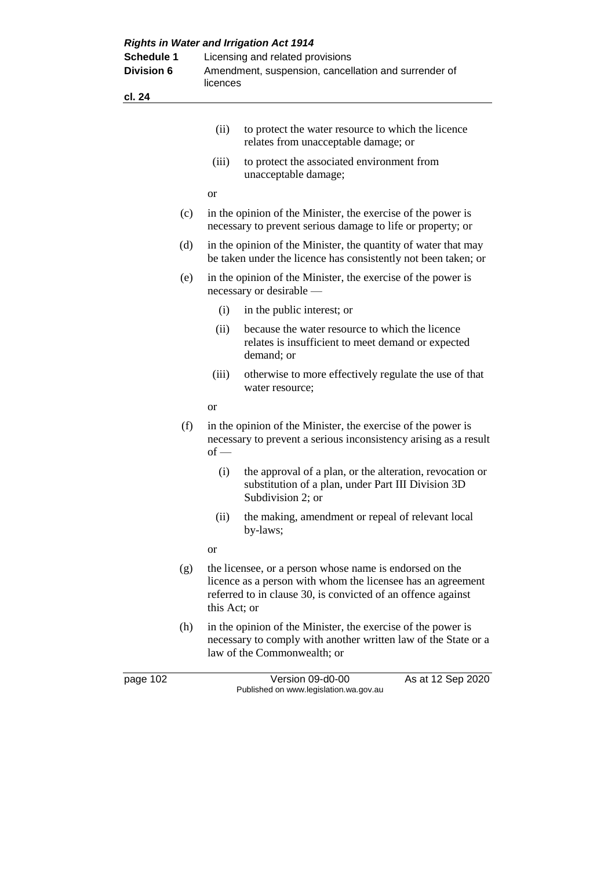| <b>Schedule 1</b><br><b>Division 6</b> |     | <b>Rights in Water and Irrigation Act 1914</b><br>Licensing and related provisions<br>Amendment, suspension, cancellation and surrender of<br>licences |                                                                                                                                                                                        |  |  |
|----------------------------------------|-----|--------------------------------------------------------------------------------------------------------------------------------------------------------|----------------------------------------------------------------------------------------------------------------------------------------------------------------------------------------|--|--|
| cl. 24                                 |     |                                                                                                                                                        |                                                                                                                                                                                        |  |  |
|                                        |     | (ii)                                                                                                                                                   | to protect the water resource to which the licence<br>relates from unacceptable damage; or                                                                                             |  |  |
|                                        |     | (iii)                                                                                                                                                  | to protect the associated environment from<br>unacceptable damage;                                                                                                                     |  |  |
|                                        |     | <b>or</b>                                                                                                                                              |                                                                                                                                                                                        |  |  |
|                                        | (c) |                                                                                                                                                        | in the opinion of the Minister, the exercise of the power is<br>necessary to prevent serious damage to life or property; or                                                            |  |  |
|                                        | (d) |                                                                                                                                                        | in the opinion of the Minister, the quantity of water that may<br>be taken under the licence has consistently not been taken; or                                                       |  |  |
|                                        | (e) |                                                                                                                                                        | in the opinion of the Minister, the exercise of the power is<br>necessary or desirable —                                                                                               |  |  |
|                                        |     | (i)                                                                                                                                                    | in the public interest; or                                                                                                                                                             |  |  |
|                                        |     | (ii)                                                                                                                                                   | because the water resource to which the licence<br>relates is insufficient to meet demand or expected<br>demand; or                                                                    |  |  |
|                                        |     | (iii)                                                                                                                                                  | otherwise to more effectively regulate the use of that<br>water resource;                                                                                                              |  |  |
|                                        |     | or                                                                                                                                                     |                                                                                                                                                                                        |  |  |
|                                        | (f) | $of -$                                                                                                                                                 | in the opinion of the Minister, the exercise of the power is<br>necessary to prevent a serious inconsistency arising as a result                                                       |  |  |
|                                        |     | (i)                                                                                                                                                    | the approval of a plan, or the alteration, revocation or<br>substitution of a plan, under Part III Division 3D<br>Subdivision 2; or                                                    |  |  |
|                                        |     | (ii)                                                                                                                                                   | the making, amendment or repeal of relevant local<br>by-laws;                                                                                                                          |  |  |
|                                        |     | or                                                                                                                                                     |                                                                                                                                                                                        |  |  |
|                                        | (g) | this Act; or                                                                                                                                           | the licensee, or a person whose name is endorsed on the<br>licence as a person with whom the licensee has an agreement<br>referred to in clause 30, is convicted of an offence against |  |  |
|                                        | (h) |                                                                                                                                                        | in the opinion of the Minister, the exercise of the power is<br>necessary to comply with another written law of the State or a<br>law of the Commonwealth; or                          |  |  |
| page 102                               |     |                                                                                                                                                        | Version 09-d0-00<br>As at 12 Sep 2020<br>Published on www.legislation.wa.gov.au                                                                                                        |  |  |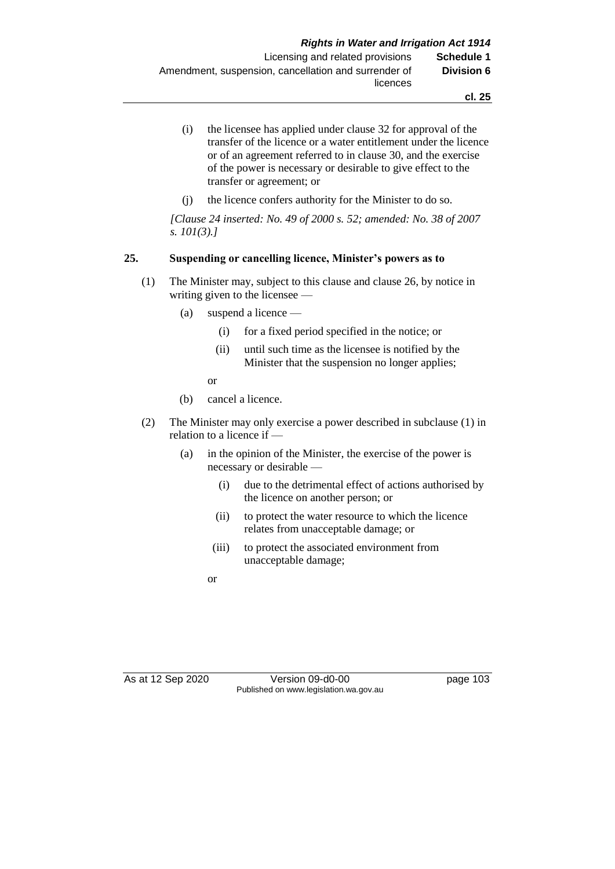- (i) the licensee has applied under clause 32 for approval of the transfer of the licence or a water entitlement under the licence or of an agreement referred to in clause 30, and the exercise of the power is necessary or desirable to give effect to the transfer or agreement; or
- (j) the licence confers authority for the Minister to do so.

*[Clause 24 inserted: No. 49 of 2000 s. 52; amended: No. 38 of 2007 s. 101(3).]*

### **25. Suspending or cancelling licence, Minister's powers as to**

- (1) The Minister may, subject to this clause and clause 26, by notice in writing given to the licensee —
	- (a) suspend a licence
		- (i) for a fixed period specified in the notice; or
		- (ii) until such time as the licensee is notified by the Minister that the suspension no longer applies;

or

- (b) cancel a licence.
- (2) The Minister may only exercise a power described in subclause (1) in relation to a licence if —
	- (a) in the opinion of the Minister, the exercise of the power is necessary or desirable —
		- (i) due to the detrimental effect of actions authorised by the licence on another person; or
		- (ii) to protect the water resource to which the licence relates from unacceptable damage; or
		- (iii) to protect the associated environment from unacceptable damage;

or

As at 12 Sep 2020 Version 09-d0-00 page 103 Published on www.legislation.wa.gov.au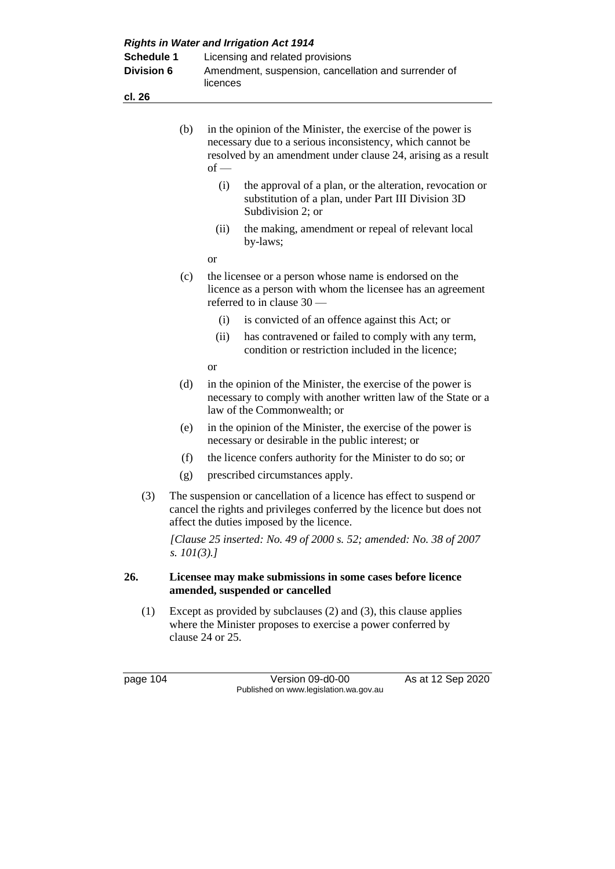| <b>Rights in Water and Irrigation Act 1914</b> |                |                                                                                                                                                                                                      |  |  |  |  |
|------------------------------------------------|----------------|------------------------------------------------------------------------------------------------------------------------------------------------------------------------------------------------------|--|--|--|--|
| <b>Schedule 1</b>                              |                | Licensing and related provisions                                                                                                                                                                     |  |  |  |  |
| <b>Division 6</b>                              |                | Amendment, suspension, cancellation and surrender of                                                                                                                                                 |  |  |  |  |
| cl. 26                                         |                | licences                                                                                                                                                                                             |  |  |  |  |
|                                                |                |                                                                                                                                                                                                      |  |  |  |  |
|                                                | (b)            | in the opinion of the Minister, the exercise of the power is<br>necessary due to a serious inconsistency, which cannot be<br>resolved by an amendment under clause 24, arising as a result<br>$of -$ |  |  |  |  |
|                                                |                | (i)<br>the approval of a plan, or the alteration, revocation or<br>substitution of a plan, under Part III Division 3D<br>Subdivision 2; or                                                           |  |  |  |  |
|                                                |                | (ii)<br>the making, amendment or repeal of relevant local<br>by-laws;                                                                                                                                |  |  |  |  |
|                                                |                | or                                                                                                                                                                                                   |  |  |  |  |
|                                                | (c)            | the licensee or a person whose name is endorsed on the<br>licence as a person with whom the licensee has an agreement<br>referred to in clause 30 -                                                  |  |  |  |  |
|                                                |                | is convicted of an offence against this Act; or<br>(i)                                                                                                                                               |  |  |  |  |
|                                                |                | has contravened or failed to comply with any term,<br>(ii)<br>condition or restriction included in the licence;                                                                                      |  |  |  |  |
|                                                |                | or                                                                                                                                                                                                   |  |  |  |  |
|                                                | (d)            | in the opinion of the Minister, the exercise of the power is<br>necessary to comply with another written law of the State or a<br>law of the Commonwealth; or                                        |  |  |  |  |
|                                                | (e)            | in the opinion of the Minister, the exercise of the power is<br>necessary or desirable in the public interest; or                                                                                    |  |  |  |  |
|                                                | (f)            | the licence confers authority for the Minister to do so; or                                                                                                                                          |  |  |  |  |
|                                                | (g)            | prescribed circumstances apply.                                                                                                                                                                      |  |  |  |  |
| (3)                                            |                | The suspension or cancellation of a licence has effect to suspend or<br>cancel the rights and privileges conferred by the licence but does not<br>affect the duties imposed by the licence.          |  |  |  |  |
|                                                | s. $101(3)$ .] | [Clause 25 inserted: No. 49 of 2000 s. 52; amended: No. 38 of 2007                                                                                                                                   |  |  |  |  |
| 26.                                            |                | Licensee may make submissions in some cases before licence<br>amended, suspended or cancelled                                                                                                        |  |  |  |  |
| (1)                                            |                | Except as provided by subclauses $(2)$ and $(3)$ , this clause applies<br>where the Minister proposes to exercise a power conferred by<br>clause 24 or 25.                                           |  |  |  |  |

page 104 **Version 09-d0-00** As at 12 Sep 2020 Published on www.legislation.wa.gov.au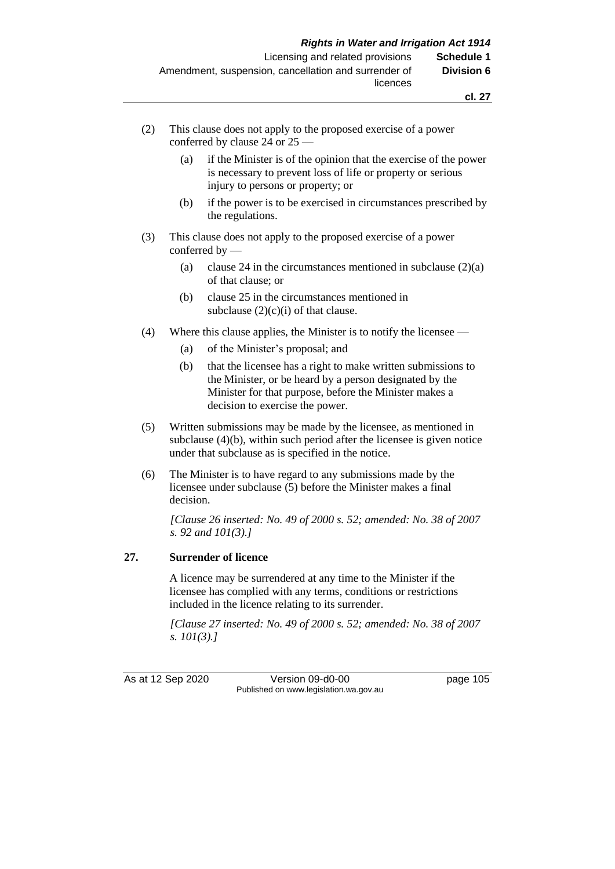- (2) This clause does not apply to the proposed exercise of a power conferred by clause 24 or 25 —
	- (a) if the Minister is of the opinion that the exercise of the power is necessary to prevent loss of life or property or serious injury to persons or property; or
	- (b) if the power is to be exercised in circumstances prescribed by the regulations.
- (3) This clause does not apply to the proposed exercise of a power conferred by —
	- (a) clause 24 in the circumstances mentioned in subclause (2)(a) of that clause; or
	- (b) clause 25 in the circumstances mentioned in subclause  $(2)(c)(i)$  of that clause.
- (4) Where this clause applies, the Minister is to notify the licensee
	- (a) of the Minister's proposal; and
	- (b) that the licensee has a right to make written submissions to the Minister, or be heard by a person designated by the Minister for that purpose, before the Minister makes a decision to exercise the power.
- (5) Written submissions may be made by the licensee, as mentioned in subclause (4)(b), within such period after the licensee is given notice under that subclause as is specified in the notice.
- (6) The Minister is to have regard to any submissions made by the licensee under subclause (5) before the Minister makes a final decision.

*[Clause 26 inserted: No. 49 of 2000 s. 52; amended: No. 38 of 2007 s. 92 and 101(3).]*

#### **27. Surrender of licence**

A licence may be surrendered at any time to the Minister if the licensee has complied with any terms, conditions or restrictions included in the licence relating to its surrender.

*[Clause 27 inserted: No. 49 of 2000 s. 52; amended: No. 38 of 2007 s. 101(3).]*

As at 12 Sep 2020 Version 09-d0-00 page 105 Published on www.legislation.wa.gov.au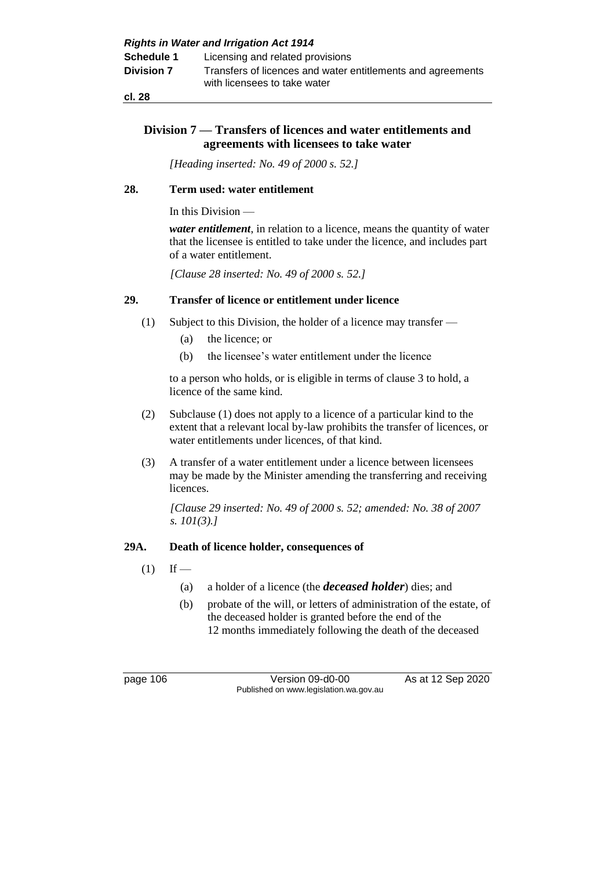**cl. 28**

## **Division 7 — Transfers of licences and water entitlements and agreements with licensees to take water**

*[Heading inserted: No. 49 of 2000 s. 52.]*

## **28. Term used: water entitlement**

In this Division —

*water entitlement*, in relation to a licence, means the quantity of water that the licensee is entitled to take under the licence, and includes part of a water entitlement.

*[Clause 28 inserted: No. 49 of 2000 s. 52.]*

### **29. Transfer of licence or entitlement under licence**

- (1) Subject to this Division, the holder of a licence may transfer
	- (a) the licence; or
	- (b) the licensee's water entitlement under the licence

to a person who holds, or is eligible in terms of clause 3 to hold, a licence of the same kind.

- (2) Subclause (1) does not apply to a licence of a particular kind to the extent that a relevant local by-law prohibits the transfer of licences, or water entitlements under licences, of that kind.
- (3) A transfer of a water entitlement under a licence between licensees may be made by the Minister amending the transferring and receiving licences.

*[Clause 29 inserted: No. 49 of 2000 s. 52; amended: No. 38 of 2007 s. 101(3).]*

## **29A. Death of licence holder, consequences of**

- $(1)$  If
	- (a) a holder of a licence (the *deceased holder*) dies; and
	- (b) probate of the will, or letters of administration of the estate, of the deceased holder is granted before the end of the 12 months immediately following the death of the deceased

page 106 Version 09-d0-00 As at 12 Sep 2020 Published on www.legislation.wa.gov.au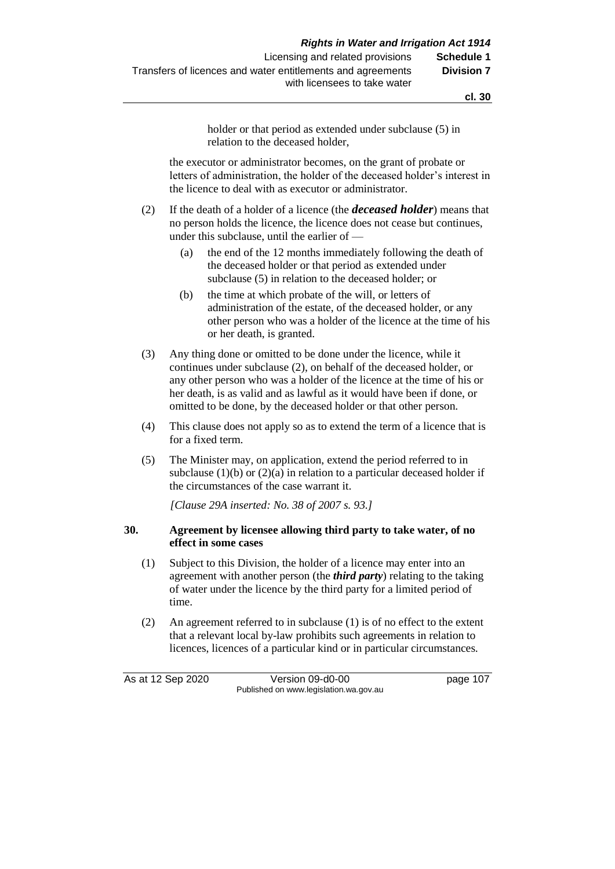**cl. 30**

holder or that period as extended under subclause (5) in relation to the deceased holder,

the executor or administrator becomes, on the grant of probate or letters of administration, the holder of the deceased holder's interest in the licence to deal with as executor or administrator.

- (2) If the death of a holder of a licence (the *deceased holder*) means that no person holds the licence, the licence does not cease but continues, under this subclause, until the earlier of —
	- (a) the end of the 12 months immediately following the death of the deceased holder or that period as extended under subclause (5) in relation to the deceased holder; or
	- (b) the time at which probate of the will, or letters of administration of the estate, of the deceased holder, or any other person who was a holder of the licence at the time of his or her death, is granted.
- (3) Any thing done or omitted to be done under the licence, while it continues under subclause (2), on behalf of the deceased holder, or any other person who was a holder of the licence at the time of his or her death, is as valid and as lawful as it would have been if done, or omitted to be done, by the deceased holder or that other person.
- (4) This clause does not apply so as to extend the term of a licence that is for a fixed term.
- (5) The Minister may, on application, extend the period referred to in subclause  $(1)(b)$  or  $(2)(a)$  in relation to a particular deceased holder if the circumstances of the case warrant it.

*[Clause 29A inserted: No. 38 of 2007 s. 93.]*

#### **30. Agreement by licensee allowing third party to take water, of no effect in some cases**

- (1) Subject to this Division, the holder of a licence may enter into an agreement with another person (the *third party*) relating to the taking of water under the licence by the third party for a limited period of time.
- (2) An agreement referred to in subclause (1) is of no effect to the extent that a relevant local by-law prohibits such agreements in relation to licences, licences of a particular kind or in particular circumstances.

As at 12 Sep 2020 Version 09-d0-00 page 107 Published on www.legislation.wa.gov.au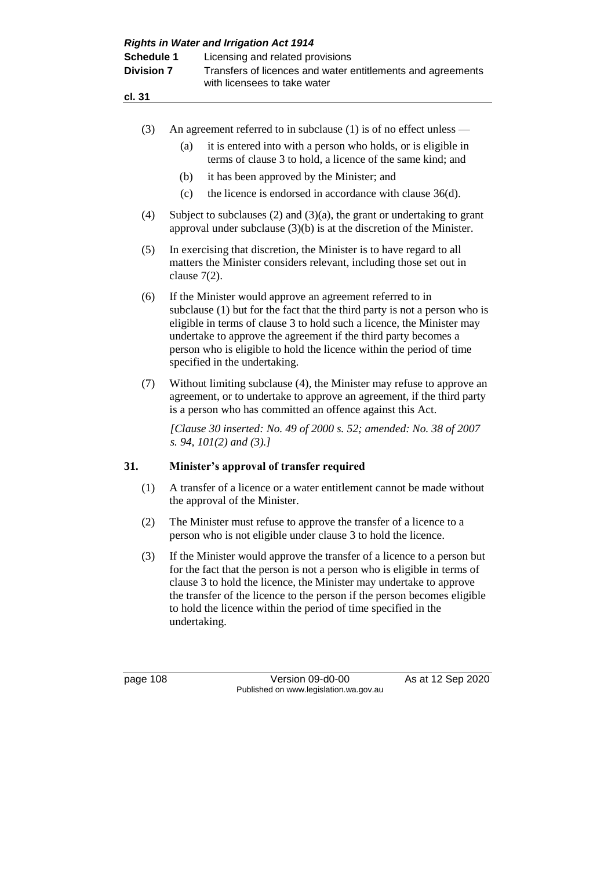|                                 |                                                                                                                                                                                                               | <b>Rights in Water and Irrigation Act 1914</b>                                                                                                                                                                                                                                                                                                                                                |  |  |  |  |
|---------------------------------|---------------------------------------------------------------------------------------------------------------------------------------------------------------------------------------------------------------|-----------------------------------------------------------------------------------------------------------------------------------------------------------------------------------------------------------------------------------------------------------------------------------------------------------------------------------------------------------------------------------------------|--|--|--|--|
| Schedule 1<br><b>Division 7</b> |                                                                                                                                                                                                               | Licensing and related provisions<br>Transfers of licences and water entitlements and agreements<br>with licensees to take water                                                                                                                                                                                                                                                               |  |  |  |  |
| cl. 31                          |                                                                                                                                                                                                               |                                                                                                                                                                                                                                                                                                                                                                                               |  |  |  |  |
|                                 |                                                                                                                                                                                                               |                                                                                                                                                                                                                                                                                                                                                                                               |  |  |  |  |
| (3)                             |                                                                                                                                                                                                               | An agreement referred to in subclause $(1)$ is of no effect unless —                                                                                                                                                                                                                                                                                                                          |  |  |  |  |
|                                 | (a)                                                                                                                                                                                                           | it is entered into with a person who holds, or is eligible in<br>terms of clause 3 to hold, a licence of the same kind; and                                                                                                                                                                                                                                                                   |  |  |  |  |
|                                 | (b)                                                                                                                                                                                                           | it has been approved by the Minister; and                                                                                                                                                                                                                                                                                                                                                     |  |  |  |  |
|                                 | (c)                                                                                                                                                                                                           | the licence is endorsed in accordance with clause 36(d).                                                                                                                                                                                                                                                                                                                                      |  |  |  |  |
| (4)                             |                                                                                                                                                                                                               | Subject to subclauses $(2)$ and $(3)(a)$ , the grant or undertaking to grant<br>approval under subclause $(3)(b)$ is at the discretion of the Minister.                                                                                                                                                                                                                                       |  |  |  |  |
| (5)                             | clause $7(2)$ .                                                                                                                                                                                               | In exercising that discretion, the Minister is to have regard to all<br>matters the Minister considers relevant, including those set out in                                                                                                                                                                                                                                                   |  |  |  |  |
| (6)                             |                                                                                                                                                                                                               | If the Minister would approve an agreement referred to in<br>subclause (1) but for the fact that the third party is not a person who is<br>eligible in terms of clause 3 to hold such a licence, the Minister may<br>undertake to approve the agreement if the third party becomes a<br>person who is eligible to hold the licence within the period of time<br>specified in the undertaking. |  |  |  |  |
| (7)                             | Without limiting subclause (4), the Minister may refuse to approve an<br>agreement, or to undertake to approve an agreement, if the third party<br>is a person who has committed an offence against this Act. |                                                                                                                                                                                                                                                                                                                                                                                               |  |  |  |  |
|                                 |                                                                                                                                                                                                               | [Clause 30 inserted: No. 49 of 2000 s. 52; amended: No. 38 of 2007<br>s. 94, $101(2)$ and (3).]                                                                                                                                                                                                                                                                                               |  |  |  |  |
| 31.                             |                                                                                                                                                                                                               | Minister's approval of transfer required                                                                                                                                                                                                                                                                                                                                                      |  |  |  |  |
| (1)                             |                                                                                                                                                                                                               | A transfer of a licence or a water entitlement cannot be made without<br>the approval of the Minister.                                                                                                                                                                                                                                                                                        |  |  |  |  |
| (2)                             |                                                                                                                                                                                                               | The Minister must refuse to approve the transfer of a licence to a<br>person who is not eligible under clause 3 to hold the licence.                                                                                                                                                                                                                                                          |  |  |  |  |
| (3)                             |                                                                                                                                                                                                               | If the Minister would approve the transfer of a licence to a person but<br>for the fact that the person is not a person who is eligible in terms of<br>clause 3 to hold the licence, the Minister may undertake to approve                                                                                                                                                                    |  |  |  |  |

undertaking.

page 108 Version 09-d0-00 As at 12 Sep 2020 Published on www.legislation.wa.gov.au

to hold the licence within the period of time specified in the

the transfer of the licence to the person if the person becomes eligible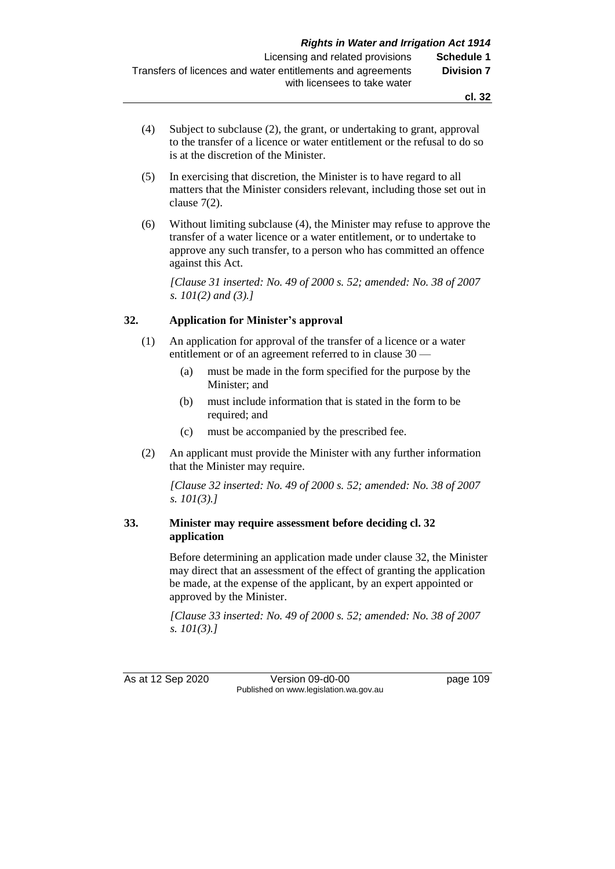- (4) Subject to subclause (2), the grant, or undertaking to grant, approval to the transfer of a licence or water entitlement or the refusal to do so is at the discretion of the Minister.
- (5) In exercising that discretion, the Minister is to have regard to all matters that the Minister considers relevant, including those set out in clause 7(2).
- (6) Without limiting subclause (4), the Minister may refuse to approve the transfer of a water licence or a water entitlement, or to undertake to approve any such transfer, to a person who has committed an offence against this Act.

*[Clause 31 inserted: No. 49 of 2000 s. 52; amended: No. 38 of 2007 s. 101(2) and (3).]*

## **32. Application for Minister's approval**

- (1) An application for approval of the transfer of a licence or a water entitlement or of an agreement referred to in clause 30 —
	- (a) must be made in the form specified for the purpose by the Minister; and
	- (b) must include information that is stated in the form to be required; and
	- (c) must be accompanied by the prescribed fee.
- (2) An applicant must provide the Minister with any further information that the Minister may require.

*[Clause 32 inserted: No. 49 of 2000 s. 52; amended: No. 38 of 2007 s. 101(3).]*

## **33. Minister may require assessment before deciding cl. 32 application**

Before determining an application made under clause 32, the Minister may direct that an assessment of the effect of granting the application be made, at the expense of the applicant, by an expert appointed or approved by the Minister.

*[Clause 33 inserted: No. 49 of 2000 s. 52; amended: No. 38 of 2007 s. 101(3).]*

As at 12 Sep 2020 Version 09-d0-00 page 109 Published on www.legislation.wa.gov.au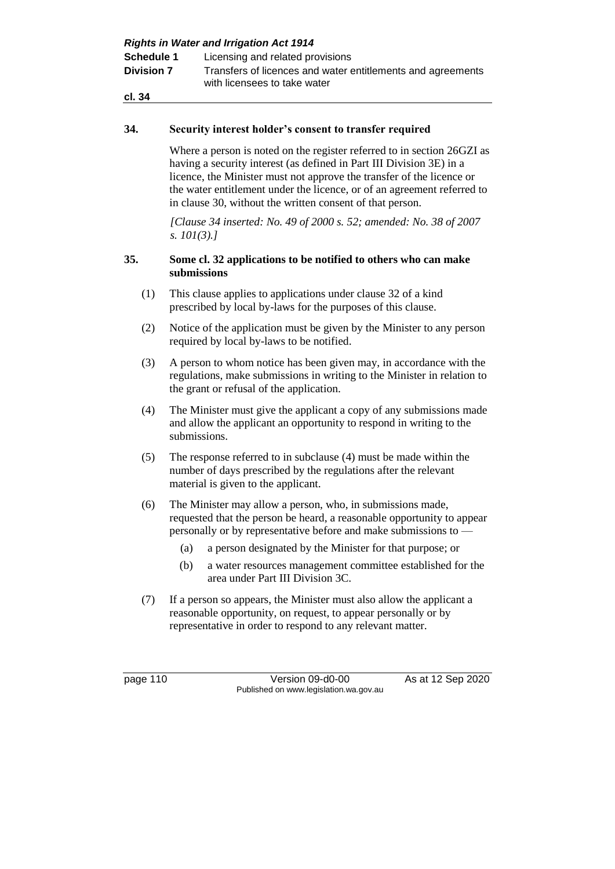| <b>Rights in Water and Irrigation Act 1914</b> |                                                                                             |  |  |  |
|------------------------------------------------|---------------------------------------------------------------------------------------------|--|--|--|
| <b>Schedule 1</b>                              | Licensing and related provisions                                                            |  |  |  |
| <b>Division 7</b>                              | Transfers of licences and water entitlements and agreements<br>with licensees to take water |  |  |  |
| cl. 34                                         |                                                                                             |  |  |  |

#### **34. Security interest holder's consent to transfer required**

Where a person is noted on the register referred to in section 26GZI as having a security interest (as defined in Part III Division 3E) in a licence, the Minister must not approve the transfer of the licence or the water entitlement under the licence, or of an agreement referred to in clause 30, without the written consent of that person.

*[Clause 34 inserted: No. 49 of 2000 s. 52; amended: No. 38 of 2007 s. 101(3).]*

### **35. Some cl. 32 applications to be notified to others who can make submissions**

- (1) This clause applies to applications under clause 32 of a kind prescribed by local by-laws for the purposes of this clause.
- (2) Notice of the application must be given by the Minister to any person required by local by-laws to be notified.
- (3) A person to whom notice has been given may, in accordance with the regulations, make submissions in writing to the Minister in relation to the grant or refusal of the application.
- (4) The Minister must give the applicant a copy of any submissions made and allow the applicant an opportunity to respond in writing to the submissions.
- (5) The response referred to in subclause (4) must be made within the number of days prescribed by the regulations after the relevant material is given to the applicant.
- (6) The Minister may allow a person, who, in submissions made, requested that the person be heard, a reasonable opportunity to appear personally or by representative before and make submissions to —
	- (a) a person designated by the Minister for that purpose; or
	- (b) a water resources management committee established for the area under Part III Division 3C.
- (7) If a person so appears, the Minister must also allow the applicant a reasonable opportunity, on request, to appear personally or by representative in order to respond to any relevant matter.

page 110 Version 09-d0-00 As at 12 Sep 2020 Published on www.legislation.wa.gov.au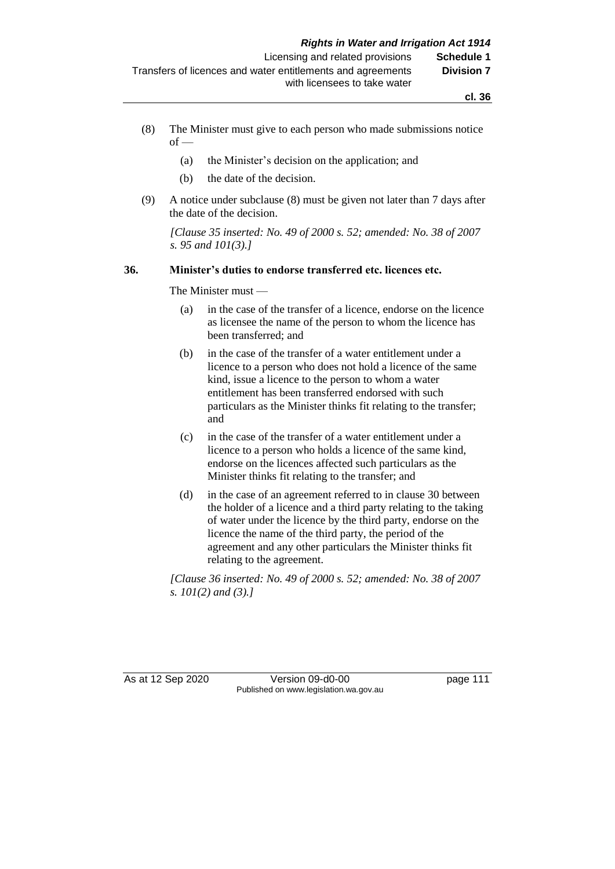- (8) The Minister must give to each person who made submissions notice  $of -$ 
	- (a) the Minister's decision on the application; and
	- (b) the date of the decision.
- (9) A notice under subclause (8) must be given not later than 7 days after the date of the decision.

*[Clause 35 inserted: No. 49 of 2000 s. 52; amended: No. 38 of 2007 s. 95 and 101(3).]*

#### **36. Minister's duties to endorse transferred etc. licences etc.**

The Minister must —

- (a) in the case of the transfer of a licence, endorse on the licence as licensee the name of the person to whom the licence has been transferred; and
- (b) in the case of the transfer of a water entitlement under a licence to a person who does not hold a licence of the same kind, issue a licence to the person to whom a water entitlement has been transferred endorsed with such particulars as the Minister thinks fit relating to the transfer; and
- (c) in the case of the transfer of a water entitlement under a licence to a person who holds a licence of the same kind, endorse on the licences affected such particulars as the Minister thinks fit relating to the transfer; and
- (d) in the case of an agreement referred to in clause 30 between the holder of a licence and a third party relating to the taking of water under the licence by the third party, endorse on the licence the name of the third party, the period of the agreement and any other particulars the Minister thinks fit relating to the agreement.

*[Clause 36 inserted: No. 49 of 2000 s. 52; amended: No. 38 of 2007 s. 101(2) and (3).]*

As at 12 Sep 2020 Version 09-d0-00 page 111 Published on www.legislation.wa.gov.au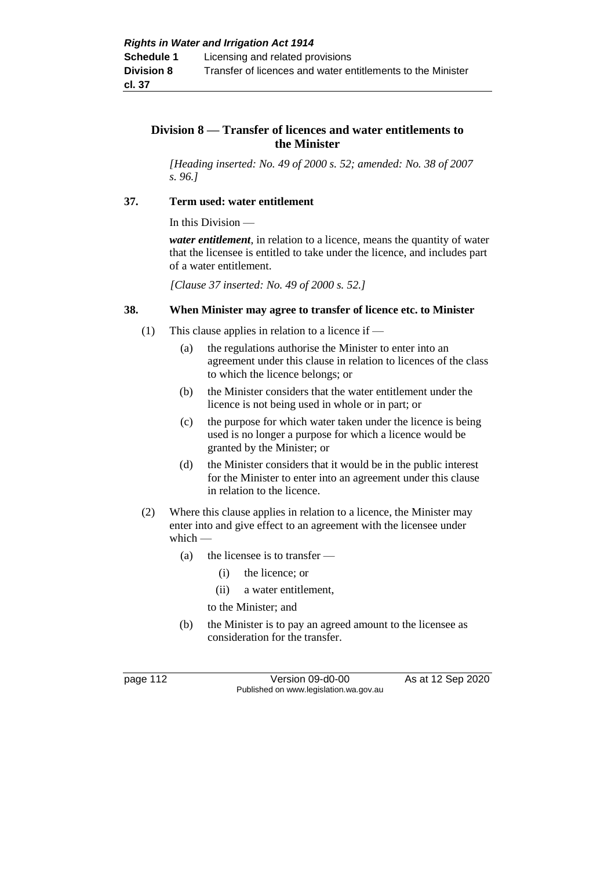## **Division 8 — Transfer of licences and water entitlements to the Minister**

*[Heading inserted: No. 49 of 2000 s. 52; amended: No. 38 of 2007 s. 96.]*

#### **37. Term used: water entitlement**

In this Division —

*water entitlement*, in relation to a licence, means the quantity of water that the licensee is entitled to take under the licence, and includes part of a water entitlement.

*[Clause 37 inserted: No. 49 of 2000 s. 52.]*

### **38. When Minister may agree to transfer of licence etc. to Minister**

- (1) This clause applies in relation to a licence if  $-$ 
	- (a) the regulations authorise the Minister to enter into an agreement under this clause in relation to licences of the class to which the licence belongs; or
	- (b) the Minister considers that the water entitlement under the licence is not being used in whole or in part; or
	- (c) the purpose for which water taken under the licence is being used is no longer a purpose for which a licence would be granted by the Minister; or
	- (d) the Minister considers that it would be in the public interest for the Minister to enter into an agreement under this clause in relation to the licence.
- (2) Where this clause applies in relation to a licence, the Minister may enter into and give effect to an agreement with the licensee under which —
	- (a) the licensee is to transfer
		- (i) the licence; or
		- (ii) a water entitlement,

to the Minister; and

(b) the Minister is to pay an agreed amount to the licensee as consideration for the transfer.

page 112 Version 09-d0-00 As at 12 Sep 2020 Published on www.legislation.wa.gov.au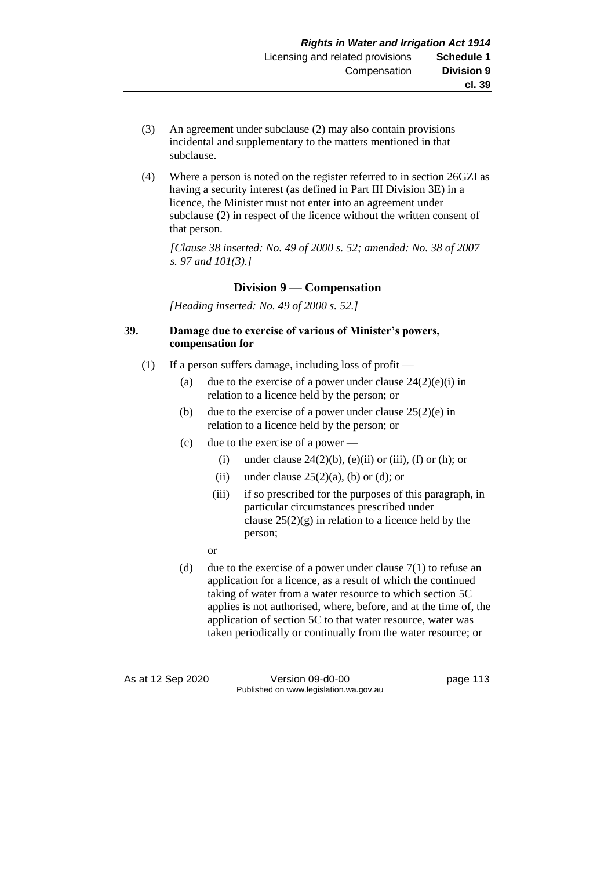- (3) An agreement under subclause (2) may also contain provisions incidental and supplementary to the matters mentioned in that subclause.
- (4) Where a person is noted on the register referred to in section 26GZI as having a security interest (as defined in Part III Division 3E) in a licence, the Minister must not enter into an agreement under subclause (2) in respect of the licence without the written consent of that person.

*[Clause 38 inse*r*ted: No. 49 of 2000 s. 52; amended: No. 38 of 2007 s. 97 and 101(3).]*

### **Division 9 — Compensation**

*[Heading inserted: No. 49 of 2000 s. 52.]*

#### **39. Damage due to exercise of various of Minister's powers, compensation for**

- (1) If a person suffers damage, including loss of profit
	- (a) due to the exercise of a power under clause  $24(2)(e)(i)$  in relation to a licence held by the person; or
	- (b) due to the exercise of a power under clause  $25(2)(e)$  in relation to a licence held by the person; or
	- (c) due to the exercise of a power
		- (i) under clause  $24(2)(b)$ , (e)(ii) or (iii), (f) or (h); or
		- (ii) under clause  $25(2)(a)$ , (b) or (d); or
		- (iii) if so prescribed for the purposes of this paragraph, in particular circumstances prescribed under clause  $25(2)(g)$  in relation to a licence held by the person;
		- or
	- (d) due to the exercise of a power under clause  $7(1)$  to refuse an application for a licence, as a result of which the continued taking of water from a water resource to which section 5C applies is not authorised, where, before, and at the time of, the application of section 5C to that water resource, water was taken periodically or continually from the water resource; or

As at 12 Sep 2020 Version 09-d0-00 page 113 Published on www.legislation.wa.gov.au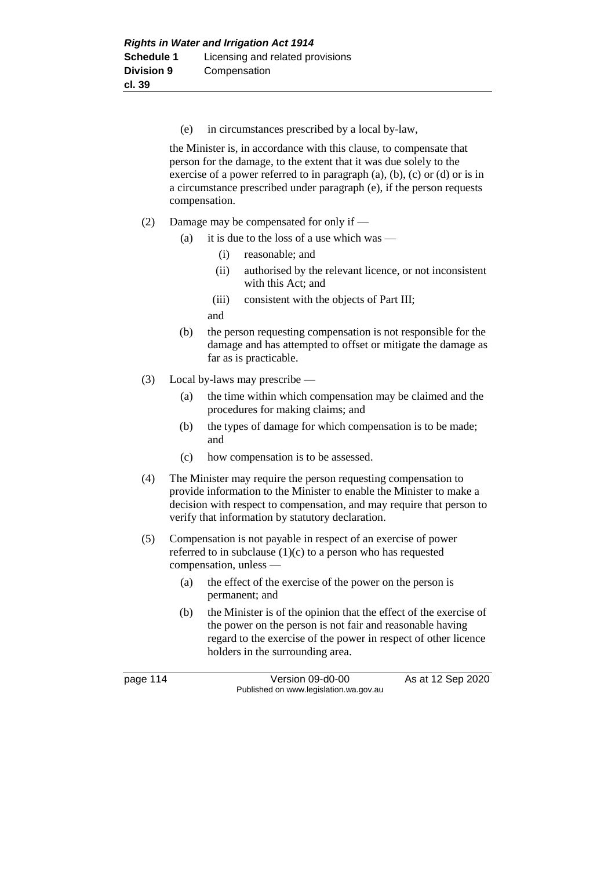(e) in circumstances prescribed by a local by-law,

the Minister is, in accordance with this clause, to compensate that person for the damage, to the extent that it was due solely to the exercise of a power referred to in paragraph (a), (b), (c) or (d) or is in a circumstance prescribed under paragraph (e), if the person requests compensation.

- (2) Damage may be compensated for only if
	- (a) it is due to the loss of a use which was
		- (i) reasonable; and
		- (ii) authorised by the relevant licence, or not inconsistent with this Act; and
		- (iii) consistent with the objects of Part III;
		- and
	- (b) the person requesting compensation is not responsible for the damage and has attempted to offset or mitigate the damage as far as is practicable.
- (3) Local by-laws may prescribe
	- (a) the time within which compensation may be claimed and the procedures for making claims; and
	- (b) the types of damage for which compensation is to be made; and
	- (c) how compensation is to be assessed.
- (4) The Minister may require the person requesting compensation to provide information to the Minister to enable the Minister to make a decision with respect to compensation, and may require that person to verify that information by statutory declaration.
- (5) Compensation is not payable in respect of an exercise of power referred to in subclause (1)(c) to a person who has requested compensation, unless —
	- (a) the effect of the exercise of the power on the person is permanent; and
	- (b) the Minister is of the opinion that the effect of the exercise of the power on the person is not fair and reasonable having regard to the exercise of the power in respect of other licence holders in the surrounding area.

page 114 Version 09-d0-00 As at 12 Sep 2020 Published on www.legislation.wa.gov.au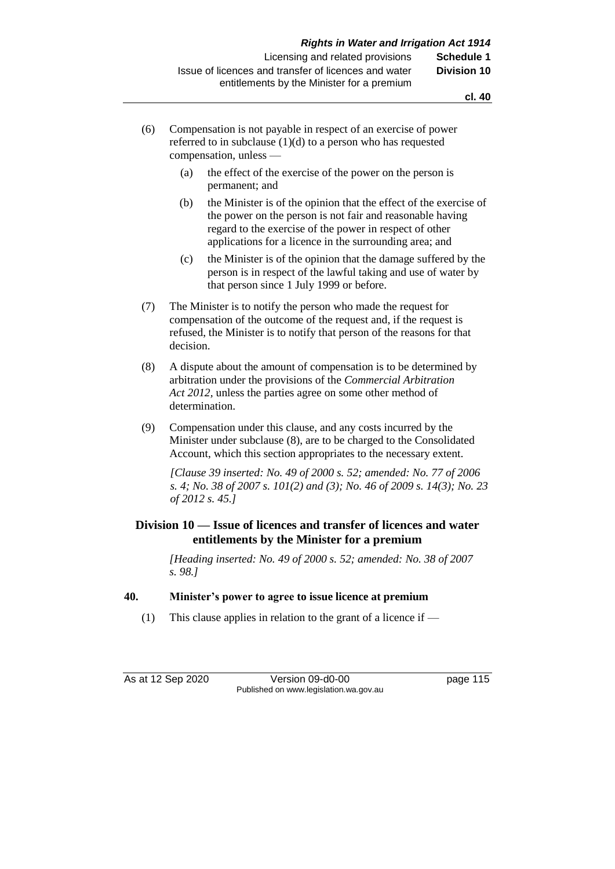- (6) Compensation is not payable in respect of an exercise of power referred to in subclause (1)(d) to a person who has requested compensation, unless —
	- (a) the effect of the exercise of the power on the person is permanent; and
	- (b) the Minister is of the opinion that the effect of the exercise of the power on the person is not fair and reasonable having regard to the exercise of the power in respect of other applications for a licence in the surrounding area; and
	- (c) the Minister is of the opinion that the damage suffered by the person is in respect of the lawful taking and use of water by that person since 1 July 1999 or before.
- (7) The Minister is to notify the person who made the request for compensation of the outcome of the request and, if the request is refused, the Minister is to notify that person of the reasons for that decision.
- (8) A dispute about the amount of compensation is to be determined by arbitration under the provisions of the *Commercial Arbitration Act 2012,* unless the parties agree on some other method of determination.
- (9) Compensation under this clause, and any costs incurred by the Minister under subclause (8), are to be charged to the Consolidated Account, which this section appropriates to the necessary extent.

*[Clause 39 inserted: No. 49 of 2000 s. 52; amended: No. 77 of 2006 s. 4; No. 38 of 2007 s. 101(2) and (3); No. 46 of 2009 s. 14(3); No. 23 of 2012 s. 45.]*

## **Division 10 — Issue of licences and transfer of licences and water entitlements by the Minister for a premium**

*[Heading inserted: No. 49 of 2000 s. 52; amended: No. 38 of 2007 s. 98.]*

#### **40. Minister's power to agree to issue licence at premium**

(1) This clause applies in relation to the grant of a licence if  $-$ 

As at 12 Sep 2020 Version 09-d0-00 page 115 Published on www.legislation.wa.gov.au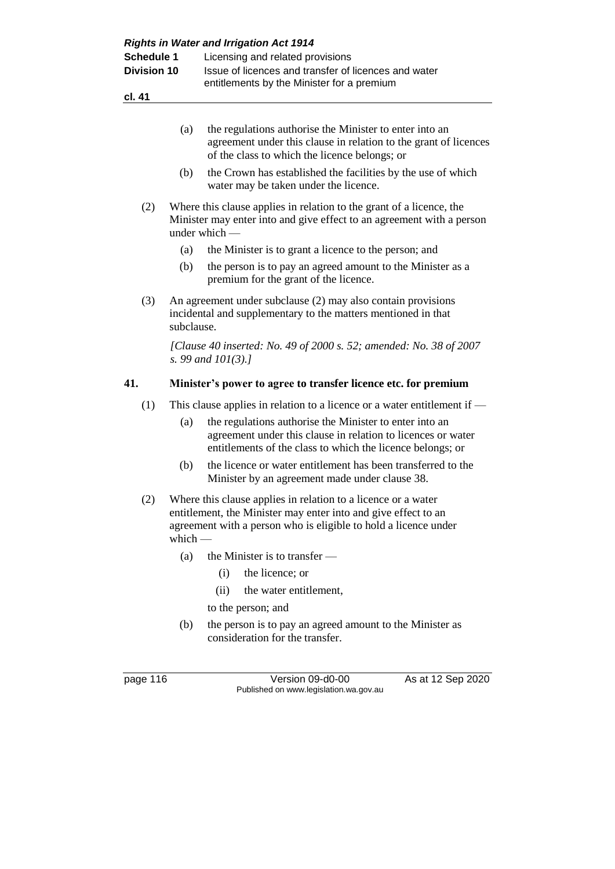| <b>Schedule 1</b>  |            | Licensing and related provisions                                                                                                                                                                   |  |  |  |  |  |
|--------------------|------------|----------------------------------------------------------------------------------------------------------------------------------------------------------------------------------------------------|--|--|--|--|--|
| <b>Division 10</b> |            | Issue of licences and transfer of licences and water                                                                                                                                               |  |  |  |  |  |
|                    |            | entitlements by the Minister for a premium                                                                                                                                                         |  |  |  |  |  |
| cl. 41             |            |                                                                                                                                                                                                    |  |  |  |  |  |
|                    |            |                                                                                                                                                                                                    |  |  |  |  |  |
|                    | (a)        | the regulations authorise the Minister to enter into an<br>agreement under this clause in relation to the grant of licences<br>of the class to which the licence belongs; or                       |  |  |  |  |  |
|                    | (b)        | the Crown has established the facilities by the use of which<br>water may be taken under the licence.                                                                                              |  |  |  |  |  |
| (2)                |            | Where this clause applies in relation to the grant of a licence, the<br>Minister may enter into and give effect to an agreement with a person<br>under which -                                     |  |  |  |  |  |
|                    | (a)        | the Minister is to grant a licence to the person; and                                                                                                                                              |  |  |  |  |  |
|                    | (b)        | the person is to pay an agreed amount to the Minister as a<br>premium for the grant of the licence.                                                                                                |  |  |  |  |  |
| (3)                | subclause. | An agreement under subclause (2) may also contain provisions<br>incidental and supplementary to the matters mentioned in that                                                                      |  |  |  |  |  |
|                    |            | [Clause 40 inserted: No. 49 of 2000 s. 52; amended: No. 38 of 2007<br>s. 99 and $101(3)$ .]                                                                                                        |  |  |  |  |  |
| 41.                |            | Minister's power to agree to transfer licence etc. for premium                                                                                                                                     |  |  |  |  |  |
| (1)                |            | This clause applies in relation to a licence or a water entitlement if $-$                                                                                                                         |  |  |  |  |  |
|                    | (a)        | the regulations authorise the Minister to enter into an<br>agreement under this clause in relation to licences or water<br>entitlements of the class to which the licence belongs; or              |  |  |  |  |  |
|                    | (b)        | the licence or water entitlement has been transferred to the<br>Minister by an agreement made under clause 38.                                                                                     |  |  |  |  |  |
| (2)                | which $-$  | Where this clause applies in relation to a licence or a water<br>entitlement, the Minister may enter into and give effect to an<br>agreement with a person who is eligible to hold a licence under |  |  |  |  |  |
|                    | (a)        | the Minister is to transfer —                                                                                                                                                                      |  |  |  |  |  |
|                    |            | the licence; or<br>(i)                                                                                                                                                                             |  |  |  |  |  |
|                    |            | (ii)<br>the water entitlement,                                                                                                                                                                     |  |  |  |  |  |
|                    |            | to the person; and                                                                                                                                                                                 |  |  |  |  |  |
|                    | (b)        | the person is to pay an agreed amount to the Minister as<br>consideration for the transfer.                                                                                                        |  |  |  |  |  |
| page 116           |            | Version 09-d0-00<br>As at 12 Sep 2020                                                                                                                                                              |  |  |  |  |  |
|                    |            | Published on www.legislation.wa.gov.au                                                                                                                                                             |  |  |  |  |  |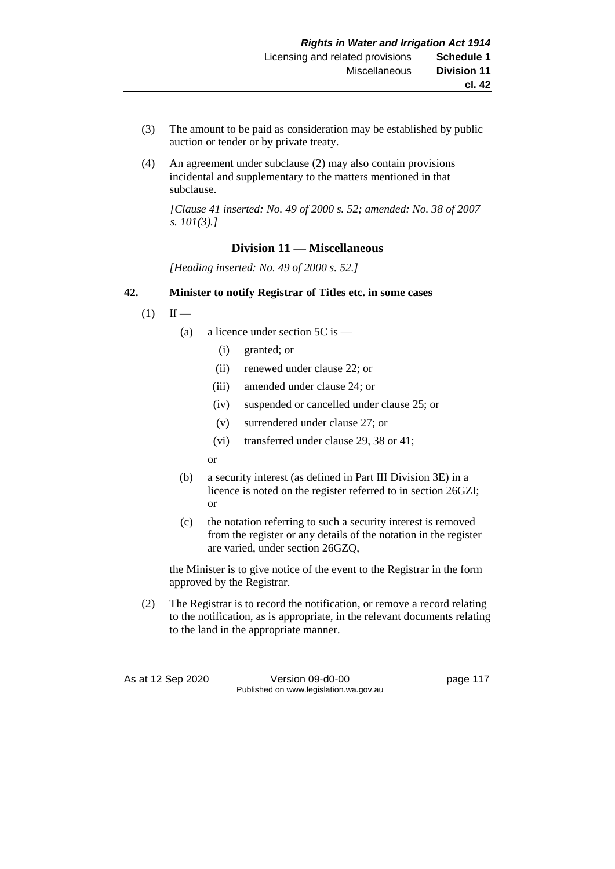- (3) The amount to be paid as consideration may be established by public auction or tender or by private treaty.
- (4) An agreement under subclause (2) may also contain provisions incidental and supplementary to the matters mentioned in that subclause.

*[Clause 41 inserted: No. 49 of 2000 s. 52; amended: No. 38 of 2007 s. 101(3).]*

## **Division 11 — Miscellaneous**

*[Heading inserted: No. 49 of 2000 s. 52.]*

#### **42. Minister to notify Registrar of Titles etc. in some cases**

- $(1)$  If
	- (a) a licence under section  $5C$  is
		- (i) granted; or
		- (ii) renewed under clause 22; or
		- (iii) amended under clause 24; or
		- (iv) suspended or cancelled under clause 25; or
		- (v) surrendered under clause 27; or
		- (vi) transferred under clause 29, 38 or 41;
		- or
	- (b) a security interest (as defined in Part III Division 3E) in a licence is noted on the register referred to in section 26GZI; or
	- (c) the notation referring to such a security interest is removed from the register or any details of the notation in the register are varied, under section 26GZQ,

the Minister is to give notice of the event to the Registrar in the form approved by the Registrar.

(2) The Registrar is to record the notification, or remove a record relating to the notification, as is appropriate, in the relevant documents relating to the land in the appropriate manner.

As at 12 Sep 2020 Version 09-d0-00 page 117 Published on www.legislation.wa.gov.au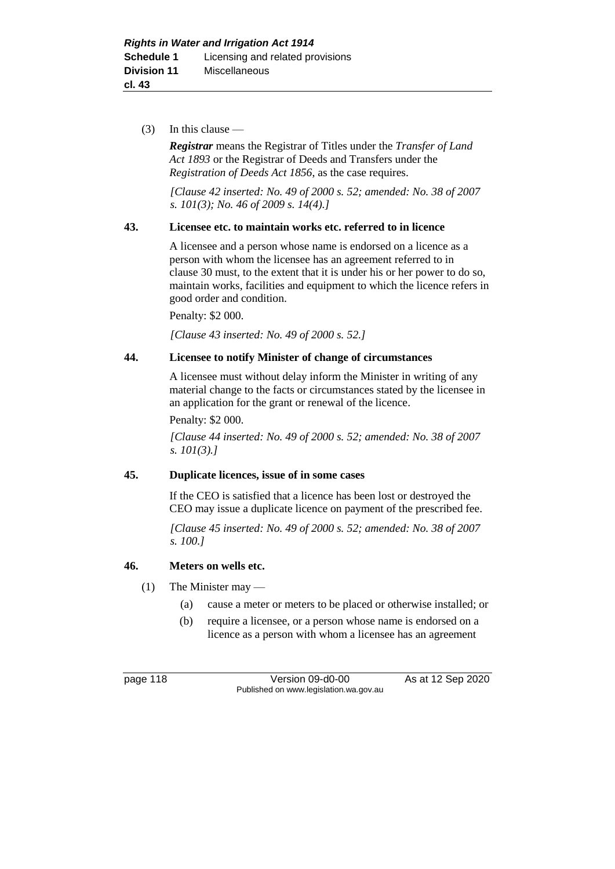(3) In this clause —

*Registrar* means the Registrar of Titles under the *Transfer of Land Act 1893* or the Registrar of Deeds and Transfers under the *Registration of Deeds Act 1856*, as the case requires.

*[Clause 42 inserted: No. 49 of 2000 s. 52; amended: No. 38 of 2007 s. 101(3); No. 46 of 2009 s. 14(4).]*

### **43. Licensee etc. to maintain works etc. referred to in licence**

A licensee and a person whose name is endorsed on a licence as a person with whom the licensee has an agreement referred to in clause 30 must, to the extent that it is under his or her power to do so, maintain works, facilities and equipment to which the licence refers in good order and condition.

Penalty: \$2 000.

*[Clause 43 inserted: No. 49 of 2000 s. 52.]*

## **44. Licensee to notify Minister of change of circumstances**

A licensee must without delay inform the Minister in writing of any material change to the facts or circumstances stated by the licensee in an application for the grant or renewal of the licence.

Penalty: \$2 000.

*[Clause 44 inserted: No. 49 of 2000 s. 52; amended: No. 38 of 2007 s. 101(3).]*

#### **45. Duplicate licences, issue of in some cases**

If the CEO is satisfied that a licence has been lost or destroyed the CEO may issue a duplicate licence on payment of the prescribed fee.

*[Clause 45 inserted: No. 49 of 2000 s. 52; amended: No. 38 of 2007 s. 100.]*

## **46. Meters on wells etc.**

- (1) The Minister may
	- (a) cause a meter or meters to be placed or otherwise installed; or
	- (b) require a licensee, or a person whose name is endorsed on a licence as a person with whom a licensee has an agreement

page 118 Version 09-d0-00 As at 12 Sep 2020 Published on www.legislation.wa.gov.au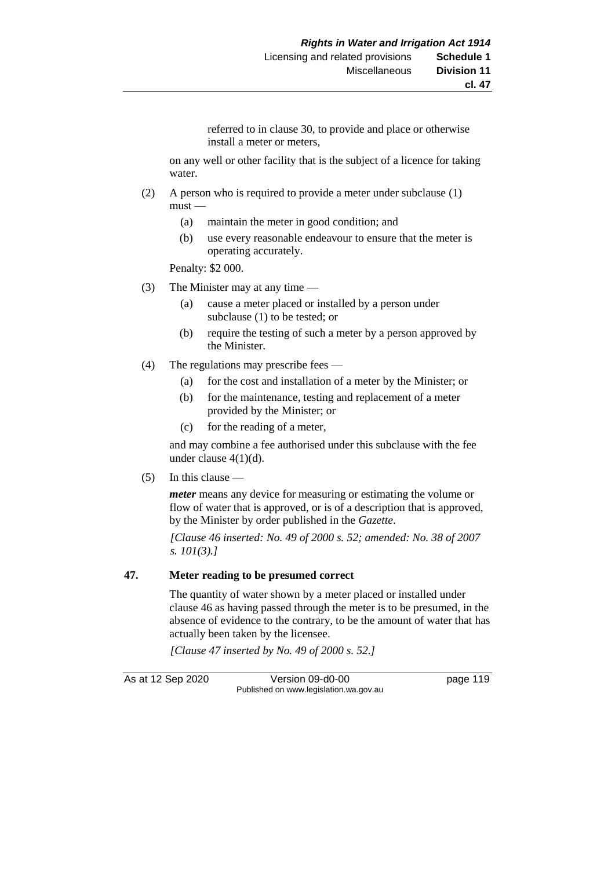referred to in clause 30, to provide and place or otherwise install a meter or meters,

on any well or other facility that is the subject of a licence for taking water.

- (2) A person who is required to provide a meter under subclause (1)  $must -$ 
	- (a) maintain the meter in good condition; and
	- (b) use every reasonable endeavour to ensure that the meter is operating accurately.

Penalty: \$2 000.

- (3) The Minister may at any time
	- (a) cause a meter placed or installed by a person under subclause (1) to be tested; or
	- (b) require the testing of such a meter by a person approved by the Minister.
- (4) The regulations may prescribe fees
	- (a) for the cost and installation of a meter by the Minister; or
	- (b) for the maintenance, testing and replacement of a meter provided by the Minister; or
	- (c) for the reading of a meter,

and may combine a fee authorised under this subclause with the fee under clause 4(1)(d).

 $(5)$  In this clause —

*meter* means any device for measuring or estimating the volume or flow of water that is approved, or is of a description that is approved, by the Minister by order published in the *Gazette*.

*[Clause 46 inserted: No. 49 of 2000 s. 52; amended: No. 38 of 2007 s. 101(3).]*

#### **47. Meter reading to be presumed correct**

The quantity of water shown by a meter placed or installed under clause 46 as having passed through the meter is to be presumed, in the absence of evidence to the contrary, to be the amount of water that has actually been taken by the licensee.

*[Clause 47 inserted by No. 49 of 2000 s. 52.]*

As at 12 Sep 2020 Version 09-d0-00 page 119 Published on www.legislation.wa.gov.au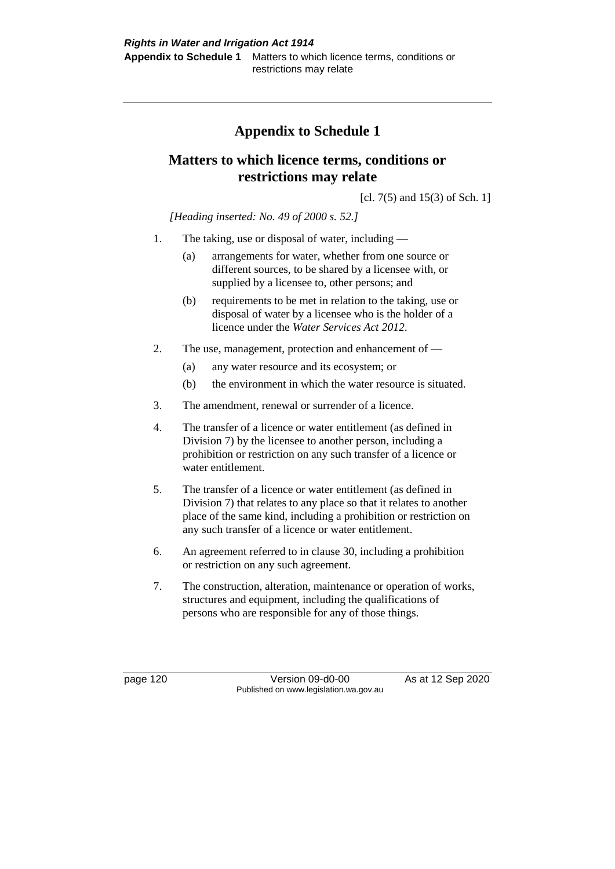# **Appendix to Schedule 1**

## **Matters to which licence terms, conditions or restrictions may relate**

[cl. 7(5) and 15(3) of Sch. 1]

*[Heading inserted: No. 49 of 2000 s. 52.]*

- 1. The taking, use or disposal of water, including
	- (a) arrangements for water, whether from one source or different sources, to be shared by a licensee with, or supplied by a licensee to, other persons; and
	- (b) requirements to be met in relation to the taking, use or disposal of water by a licensee who is the holder of a licence under the *Water Services Act 2012*.
- 2. The use, management, protection and enhancement of
	- (a) any water resource and its ecosystem; or
	- (b) the environment in which the water resource is situated.
- 3. The amendment, renewal or surrender of a licence.
- 4. The transfer of a licence or water entitlement (as defined in Division 7) by the licensee to another person, including a prohibition or restriction on any such transfer of a licence or water entitlement.
- 5. The transfer of a licence or water entitlement (as defined in Division 7) that relates to any place so that it relates to another place of the same kind, including a prohibition or restriction on any such transfer of a licence or water entitlement.
- 6. An agreement referred to in clause 30, including a prohibition or restriction on any such agreement.
- 7. The construction, alteration, maintenance or operation of works, structures and equipment, including the qualifications of persons who are responsible for any of those things.

page 120 Version 09-d0-00 As at 12 Sep 2020 Published on www.legislation.wa.gov.au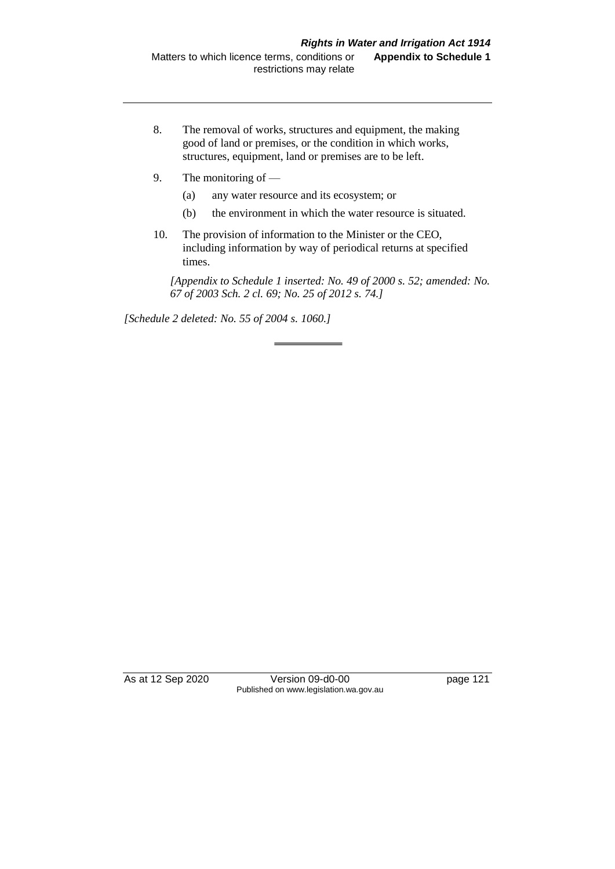- 8. The removal of works, structures and equipment, the making good of land or premises, or the condition in which works, structures, equipment, land or premises are to be left.
- 9. The monitoring of
	- (a) any water resource and its ecosystem; or
	- (b) the environment in which the water resource is situated.
- 10. The provision of information to the Minister or the CEO, including information by way of periodical returns at specified times.

*[Appendix to Schedule 1 inserted: No. 49 of 2000 s. 52; amended: No. 67 of 2003 Sch. 2 cl. 69; No. 25 of 2012 s. 74.]*

*[Schedule 2 deleted: No. 55 of 2004 s. 1060.]*

As at 12 Sep 2020 Version 09-d0-00 page 121 Published on www.legislation.wa.gov.au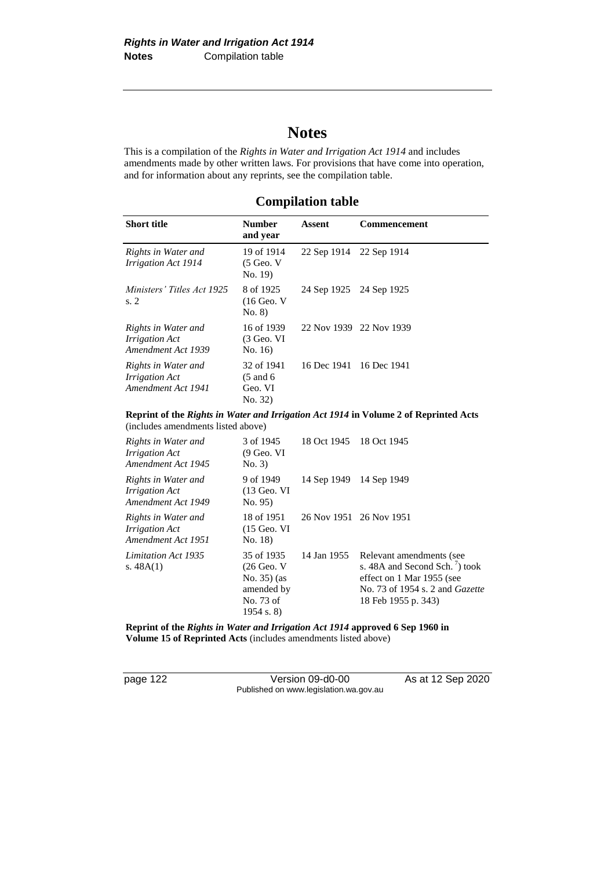# **Notes**

This is a compilation of the *Rights in Water and Irrigation Act 1914* and includes amendments made by other written laws. For provisions that have come into operation, and for information about any reprints, see the compilation table.

## **Compilation table**

| Short title                                                                          | <b>Number</b><br>and year                                | Assent                  | Commencement            |  |  |
|--------------------------------------------------------------------------------------|----------------------------------------------------------|-------------------------|-------------------------|--|--|
| Rights in Water and<br>Irrigation Act 1914                                           | 19 of 1914<br>$(5 \text{ Geo. V})$<br>No. 19             |                         | 22 Sep 1914 22 Sep 1914 |  |  |
| Ministers' Titles Act 1925<br>s. 2                                                   | 8 of 1925<br>$(16$ Geo. V<br>No. 8)                      | 24 Sep 1925 24 Sep 1925 |                         |  |  |
| Rights in Water and<br><i>Irrigation Act</i><br>Amendment Act 1939                   | 16 of 1939<br>$(3 \text{ Geo. VI})$<br>No. 16            |                         | 22 Nov 1939 22 Nov 1939 |  |  |
| Rights in Water and<br><i>Irrigation Act</i><br>Amendment Act 1941                   | 32 of 1941<br>$(5 \text{ and } 6)$<br>Geo. VI<br>No. 32) |                         | 16 Dec 1941 16 Dec 1941 |  |  |
| Reprint of the Rights in Water and Irrigation Act 1914 in Volume 2 of Reprinted Acts |                                                          |                         |                         |  |  |

**Reprint of the** *Rights in Water and Irrigation Act 1914* **in Volume 2 of Reprinted Acts**  (includes amendments listed above)

| Rights in Water and<br><i>Irrigation Act</i><br>Amendment Act 1945 | 3 of 1945<br>$(9$ Geo. VI<br>No. 3)                                                              | 18 Oct 1945             | 18 Oct 1945                                                                                                                                                          |
|--------------------------------------------------------------------|--------------------------------------------------------------------------------------------------|-------------------------|----------------------------------------------------------------------------------------------------------------------------------------------------------------------|
| Rights in Water and<br><i>Irrigation Act</i><br>Amendment Act 1949 | 9 of 1949<br>$(13$ Geo. VI<br>No. 95)                                                            | 14 Sep 1949             | 14 Sep 1949                                                                                                                                                          |
| Rights in Water and<br><i>Irrigation Act</i><br>Amendment Act 1951 | 18 of 1951<br>$(15 \text{ Geo. VI})$<br>No. 18                                                   | 26 Nov 1951 26 Nov 1951 |                                                                                                                                                                      |
| Limitation Act 1935<br>s. $48A(1)$                                 | 35 of 1935<br>$(26 \text{ Geo. V})$<br>No. $35$ ) (as<br>amended by<br>No. 73 of<br>$1954$ s. 8) | 14 Jan 1955             | Relevant amendments (see<br>s. 48A and Second Sch. <sup>7</sup> ) took<br>effect on 1 Mar 1955 (see<br>No. 73 of 1954 s. 2 and <i>Gazette</i><br>18 Feb 1955 p. 343) |

**Reprint of the** *Rights in Water and Irrigation Act 1914* **approved 6 Sep 1960 in Volume 15 of Reprinted Acts** (includes amendments listed above)

page 122 Version 09-d0-00 As at 12 Sep 2020 Published on www.legislation.wa.gov.au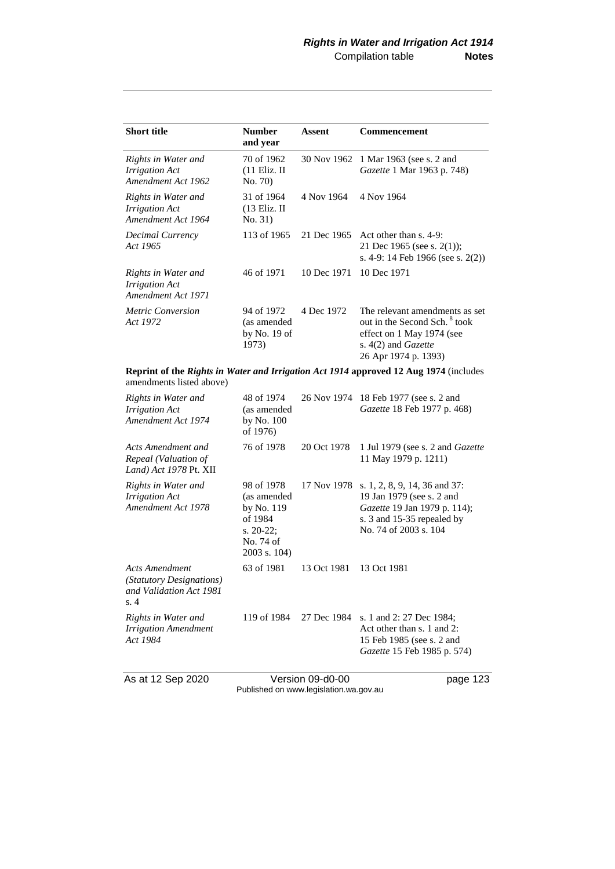| <b>Short title</b>                                                 | <b>Number</b><br>and year                            | <b>Assent</b> | Commencement                                                                                                                                           |
|--------------------------------------------------------------------|------------------------------------------------------|---------------|--------------------------------------------------------------------------------------------------------------------------------------------------------|
| Rights in Water and<br><i>Irrigation Act</i><br>Amendment Act 1962 | 70 of 1962<br>$(11$ Eliz. II<br>No. 70)              | 30 Nov 1962   | 1 Mar 1963 (see s. 2 and<br><i>Gazette</i> 1 Mar 1963 p. 748)                                                                                          |
| Rights in Water and<br><b>Irrigation Act</b><br>Amendment Act 1964 | 31 of 1964<br>$(13$ Eliz. II<br>No. 31)              | 4 Nov 1964    | 4 Nov 1964                                                                                                                                             |
| Decimal Currency<br>Act 1965                                       | 113 of 1965                                          | 21 Dec 1965   | Act other than $s$ , 4-9:<br>21 Dec 1965 (see s. $2(1)$ );<br>s. 4-9: 14 Feb 1966 (see s. 2(2))                                                        |
| Rights in Water and<br><i>Irrigation Act</i><br>Amendment Act 1971 | 46 of 1971                                           | 10 Dec 1971   | 10 Dec 1971                                                                                                                                            |
| <i>Metric Conversion</i><br>Act 1972                               | 94 of 1972<br>(as amended<br>by No. $19$ of<br>1973) | 4 Dec 1972    | The relevant amendments as set<br>out in the Second Sch. <sup>8</sup> took<br>effect on 1 May 1974 (see<br>s. 4(2) and Gazette<br>26 Apr 1974 p. 1393) |

**Reprint of the** *Rights in Water and Irrigation Act 1914* **approved 12 Aug 1974** (includes amendments listed above)

| Rights in Water and<br><b>Irrigation Act</b><br>Amendment Act 1974                  | 48 of 1974<br>(as amended<br>by No. 100<br>of 1976)                                             |             | 26 Nov 1974 18 Feb 1977 (see s. 2 and<br>Gazette 18 Feb 1977 p. 468)                                                                              |
|-------------------------------------------------------------------------------------|-------------------------------------------------------------------------------------------------|-------------|---------------------------------------------------------------------------------------------------------------------------------------------------|
| Acts Amendment and<br>Repeal (Valuation of<br>Land) Act 1978 Pt. XII                | 76 of 1978                                                                                      | 20 Oct 1978 | 1 Jul 1979 (see s. 2 and <i>Gazette</i><br>11 May 1979 p. 1211)                                                                                   |
| Rights in Water and<br><b>Irrigation Act</b><br>Amendment Act 1978                  | 98 of 1978<br>(as amended<br>by No. 119<br>of 1984<br>s. $20-22$ ;<br>No. 74 of<br>2003 s. 104) | 17 Nov 1978 | s. 1, 2, 8, 9, 14, 36 and 37:<br>19 Jan 1979 (see s. 2 and<br>Gazette 19 Jan 1979 p. 114);<br>s. 3 and 15-35 repealed by<br>No. 74 of 2003 s. 104 |
| <b>Acts Amendment</b><br>(Statutory Designations)<br>and Validation Act 1981<br>s.4 | 63 of 1981                                                                                      | 13 Oct 1981 | 13 Oct 1981                                                                                                                                       |
| Rights in Water and<br><b>Irrigation Amendment</b><br>Act 1984                      | 119 of 1984                                                                                     | 27 Dec 1984 | s. 1 and 2: 27 Dec 1984;<br>Act other than s. 1 and 2:<br>15 Feb 1985 (see s. 2 and<br>Gazette 15 Feb 1985 p. 574)                                |

As at 12 Sep 2020 Version 09-d0-00 page 123 Published on www.legislation.wa.gov.au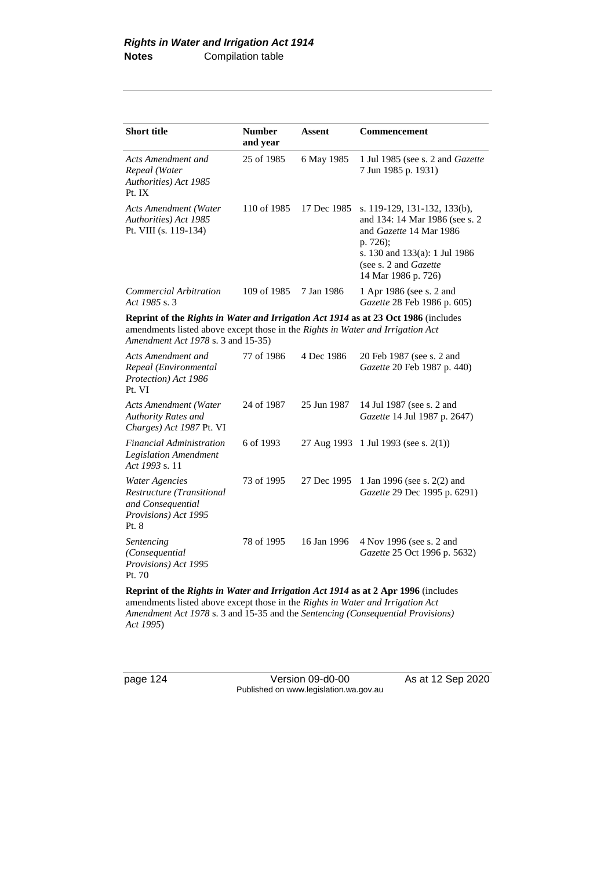| <b>Short title</b>                                                                                                                                                                                         | <b>Number</b><br>and year | Assent      | <b>Commencement</b>                                                                                                                                                                    |
|------------------------------------------------------------------------------------------------------------------------------------------------------------------------------------------------------------|---------------------------|-------------|----------------------------------------------------------------------------------------------------------------------------------------------------------------------------------------|
| Acts Amendment and<br>Repeal (Water<br>Authorities) Act 1985<br>Pt. IX                                                                                                                                     | 25 of 1985                | 6 May 1985  | 1 Jul 1985 (see s. 2 and Gazette<br>7 Jun 1985 p. 1931)                                                                                                                                |
| Acts Amendment (Water<br>Authorities) Act 1985<br>Pt. VIII (s. 119-134)                                                                                                                                    | 110 of 1985               | 17 Dec 1985 | s. 119-129, 131-132, 133(b),<br>and 134: 14 Mar 1986 (see s. 2<br>and Gazette 14 Mar 1986<br>p. 726);<br>s. 130 and 133(a): 1 Jul 1986<br>(see s. 2 and Gazette<br>14 Mar 1986 p. 726) |
| Commercial Arbitration<br>Act 1985 s. 3                                                                                                                                                                    | 109 of 1985               | 7 Jan 1986  | 1 Apr 1986 (see s. 2 and<br>Gazette 28 Feb 1986 p. 605)                                                                                                                                |
| Reprint of the Rights in Water and Irrigation Act 1914 as at 23 Oct 1986 (includes<br>amendments listed above except those in the Rights in Water and Irrigation Act<br>Amendment Act 1978 s. 3 and 15-35) |                           |             |                                                                                                                                                                                        |
| Acts Amendment and<br>Repeal (Environmental<br>Protection) Act 1986<br>Pt. VI                                                                                                                              | 77 of 1986                | 4 Dec 1986  | 20 Feb 1987 (see s. 2 and<br>Gazette 20 Feb 1987 p. 440)                                                                                                                               |
| <b>Acts Amendment (Water</b><br>Authority Rates and<br>Charges) Act 1987 Pt. VI                                                                                                                            | 24 of 1987                | 25 Jun 1987 | 14 Jul 1987 (see s. 2 and<br>Gazette 14 Jul 1987 p. 2647)                                                                                                                              |
| <i>Financial Administration</i><br><b>Legislation Amendment</b><br>Act 1993 s. 11                                                                                                                          | 6 of 1993                 | 27 Aug 1993 | 1 Jul 1993 (see s. $2(1)$ )                                                                                                                                                            |
| <b>Water Agencies</b><br>Restructure (Transitional<br>and Consequential<br>Provisions) Act 1995<br>Pt. 8                                                                                                   | 73 of 1995                | 27 Dec 1995 | 1 Jan 1996 (see s. 2(2) and<br>Gazette 29 Dec 1995 p. 6291)                                                                                                                            |
| Sentencing<br>(Consequential<br>Provisions) Act 1995<br>Pt. 70                                                                                                                                             | 78 of 1995                | 16 Jan 1996 | 4 Nov 1996 (see s. 2 and<br>Gazette 25 Oct 1996 p. 5632)                                                                                                                               |

**Reprint of the** *Rights in Water and Irrigation Act 1914* **as at 2 Apr 1996** (includes amendments listed above except those in the *Rights in Water and Irrigation Act Amendment Act 1978* s. 3 and 15-35 and the *Sentencing (Consequential Provisions) Act 1995*)

page 124 Version 09-d0-00 As at 12 Sep 2020 Published on www.legislation.wa.gov.au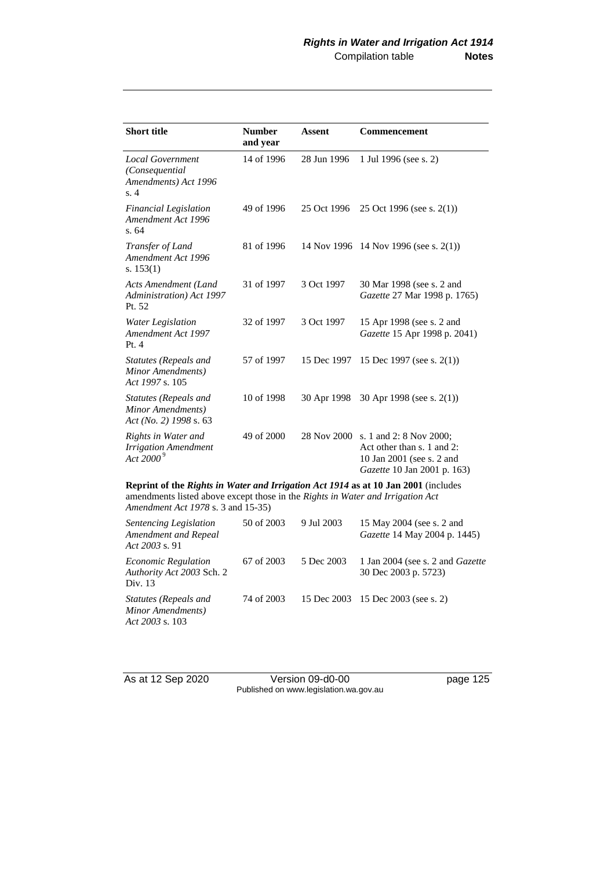| <b>Short title</b>                                                          | <b>Number</b><br>and year | Assent      | Commencement                                                                                                      |
|-----------------------------------------------------------------------------|---------------------------|-------------|-------------------------------------------------------------------------------------------------------------------|
| <b>Local Government</b><br>(Consequential<br>Amendments) Act 1996<br>s.4    | 14 of 1996                | 28 Jun 1996 | 1 Jul 1996 (see s. 2)                                                                                             |
| <b>Financial Legislation</b><br>Amendment Act 1996<br>s. 64                 | 49 of 1996                | 25 Oct 1996 | 25 Oct 1996 (see s. $2(1)$ )                                                                                      |
| Transfer of Land<br>Amendment Act 1996<br>s. $153(1)$                       | 81 of 1996                |             | 14 Nov 1996 14 Nov 1996 (see s. 2(1))                                                                             |
| Acts Amendment (Land<br>Administration) Act 1997<br>Pt. 52                  | 31 of 1997                | 3 Oct 1997  | 30 Mar 1998 (see s. 2 and<br>Gazette 27 Mar 1998 p. 1765)                                                         |
| Water Legislation<br>Amendment Act 1997<br>Pt.4                             | 32 of 1997                | 3 Oct 1997  | 15 Apr 1998 (see s. 2 and<br>Gazette 15 Apr 1998 p. 2041)                                                         |
| Statutes (Repeals and<br>Minor Amendments)<br>Act 1997 s. 105               | 57 of 1997                | 15 Dec 1997 | 15 Dec 1997 (see s. $2(1)$ )                                                                                      |
| <b>Statutes (Repeals and</b><br>Minor Amendments)<br>Act (No. 2) 1998 s. 63 | 10 of 1998                | 30 Apr 1998 | 30 Apr 1998 (see s. $2(1)$ )                                                                                      |
| Rights in Water and<br><b>Irrigation Amendment</b><br>Act 2000 $^9$         | 49 of 2000                | 28 Nov 2000 | s. 1 and 2: 8 Nov 2000;<br>Act other than s. 1 and 2:<br>10 Jan 2001 (see s. 2 and<br>Gazette 10 Jan 2001 p. 163) |

**Reprint of the** *Rights in Water and Irrigation Act 1914* **as at 10 Jan 2001** (includes amendments listed above except those in the *Rights in Water and Irrigation Act Amendment Act 1978* s. 3 and 15-35)

| Sentencing Legislation<br>Amendment and Repeal<br>Act $2003$ s. 91 | 50 of 2003 | 9 Jul 2003 | 15 May 2004 (see s. 2 and<br><i>Gazette</i> 14 May 2004 p. 1445) |
|--------------------------------------------------------------------|------------|------------|------------------------------------------------------------------|
| <i>Economic Regulation</i><br>Authority Act 2003 Sch. 2<br>Div. 13 | 67 of 2003 | 5 Dec 2003 | 1 Jan 2004 (see s. 2 and <i>Gazette</i><br>30 Dec 2003 p. 5723)  |
| Statutes (Repeals and<br>Minor Amendments)<br>Act 2003 s. $103$    | 74 of 2003 |            | 15 Dec 2003 15 Dec 2003 (see s. 2)                               |

As at 12 Sep 2020 Version 09-d0-00 page 125 Published on www.legislation.wa.gov.au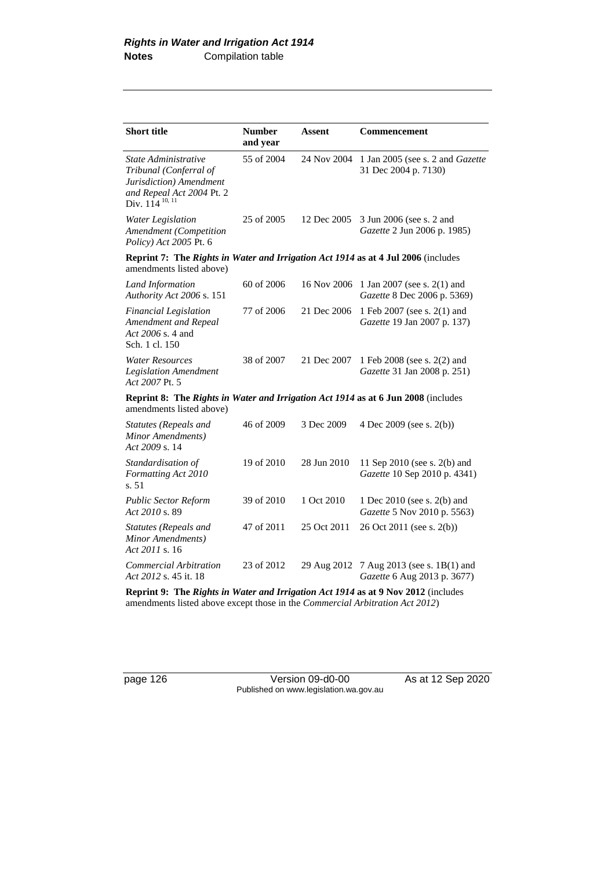| <b>Short title</b>                                                                                                                   | <b>Number</b><br>and year | Assent      | <b>Commencement</b>                                          |  |  |
|--------------------------------------------------------------------------------------------------------------------------------------|---------------------------|-------------|--------------------------------------------------------------|--|--|
| State Administrative<br>Tribunal (Conferral of<br>Jurisdiction) Amendment<br>and Repeal Act 2004 Pt. 2<br>Div. 114 <sup>10, 11</sup> | 55 of 2004                | 24 Nov 2004 | 1 Jan 2005 (see s. 2 and Gazette<br>31 Dec 2004 p. 7130)     |  |  |
| Water Legislation<br>Amendment (Competition<br>Policy) Act 2005 Pt. 6                                                                | 25 of 2005                | 12 Dec 2005 | 3 Jun 2006 (see s. 2 and<br>Gazette 2 Jun 2006 p. 1985)      |  |  |
| <b>Reprint 7: The Rights in Water and Irrigation Act 1914 as at 4 Jul 2006</b> (includes<br>amendments listed above)                 |                           |             |                                                              |  |  |
| Land Information<br>Authority Act 2006 s. 151                                                                                        | $60$ of $2006$            | 16 Nov 2006 | 1 Jan 2007 (see s. 2(1) and<br>Gazette 8 Dec 2006 p. 5369)   |  |  |
| <b>Financial Legislation</b><br>Amendment and Repeal<br>Act 2006 s. 4 and<br>Sch. 1 cl. 150                                          | 77 of 2006                | 21 Dec 2006 | 1 Feb 2007 (see s. 2(1) and<br>Gazette 19 Jan 2007 p. 137)   |  |  |
| <b>Water Resources</b><br><b>Legislation Amendment</b><br>Act 2007 Pt. 5                                                             | 38 of 2007                | 21 Dec 2007 | 1 Feb 2008 (see s. 2(2) and<br>Gazette 31 Jan 2008 p. 251)   |  |  |
| Reprint 8: The Rights in Water and Irrigation Act 1914 as at 6 Jun 2008 (includes<br>amendments listed above)                        |                           |             |                                                              |  |  |
| Statutes (Repeals and<br>Minor Amendments)<br>Act 2009 s. 14                                                                         | 46 of 2009                | 3 Dec 2009  | 4 Dec 2009 (see s. 2(b))                                     |  |  |
| Standardisation of<br>Formatting Act 2010<br>s. 51                                                                                   | 19 of 2010                | 28 Jun 2010 | 11 Sep 2010 (see s. 2(b) and<br>Gazette 10 Sep 2010 p. 4341) |  |  |
| <b>Public Sector Reform</b><br>Act 2010 s. 89                                                                                        | 39 of 2010                | 1 Oct 2010  | 1 Dec 2010 (see s. 2(b) and<br>Gazette 5 Nov 2010 p. 5563)   |  |  |
| <b>Statutes (Repeals and</b><br>Minor Amendments)<br>Act 2011 s. 16                                                                  | 47 of 2011                | 25 Oct 2011 | 26 Oct 2011 (see s. 2(b))                                    |  |  |
| Commercial Arbitration<br>Act 2012 s. 45 it. 18                                                                                      | 23 of 2012                | 29 Aug 2012 | 7 Aug 2013 (see s. 1B(1) and<br>Gazette 6 Aug 2013 p. 3677)  |  |  |

**Reprint 9: The** *Rights in Water and Irrigation Act 1914* **as at 9 Nov 2012** (includes amendments listed above except those in the *Commercial Arbitration Act 2012*)

page 126 Version 09-d0-00 As at 12 Sep 2020 Published on www.legislation.wa.gov.au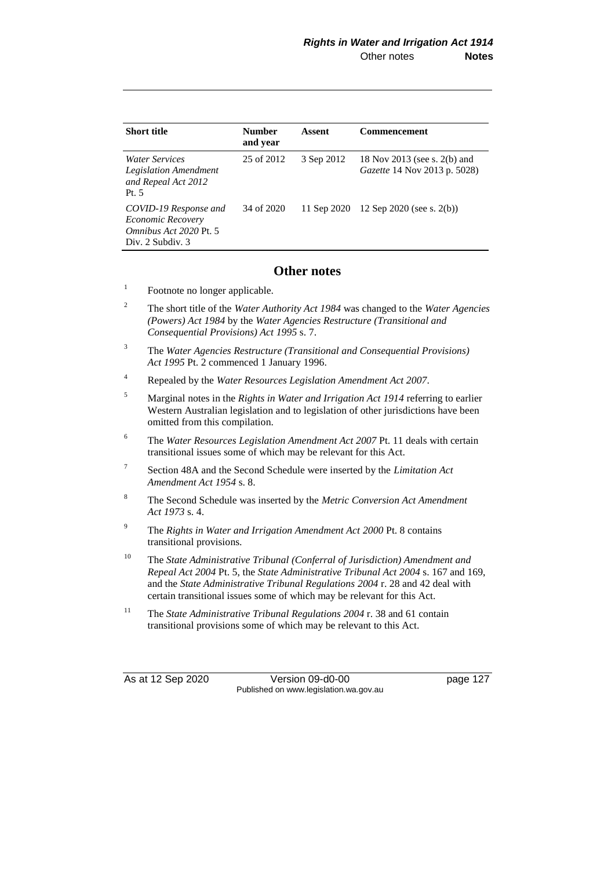| <b>Short title</b>                                                                           | <b>Number</b><br>and year | Assent      | <b>Commencement</b>                                                 |
|----------------------------------------------------------------------------------------------|---------------------------|-------------|---------------------------------------------------------------------|
| <i>Water Services</i><br><b>Legislation Amendment</b><br>and Repeal Act 2012<br>Pt.5         | 25 of 2012                | 3 Sep 2012  | 18 Nov 2013 (see s. 2(b) and<br><i>Gazette</i> 14 Nov 2013 p. 5028) |
| COVID-19 Response and<br>Economic Recovery<br>Omnibus Act 2020 Pt. 5<br>Div. $2$ Subdiv. $3$ | 34 of 2020                | 11 Sep 2020 | 12 Sep 2020 (see s. $2(b)$ )                                        |

## **Other notes**

- 1 Footnote no longer applicable.
- <sup>2</sup> The short title of the *Water Authority Act 1984* was changed to the *Water Agencies (Powers) Act 1984* by the *Water Agencies Restructure (Transitional and Consequential Provisions) Act 1995* s. 7.
- <sup>3</sup> The *Water Agencies Restructure (Transitional and Consequential Provisions) Act 1995* Pt. 2 commenced 1 January 1996.
- <sup>4</sup> Repealed by the *Water Resources Legislation Amendment Act 2007*.
- <sup>5</sup> Marginal notes in the *Rights in Water and Irrigation Act 1914* referring to earlier Western Australian legislation and to legislation of other jurisdictions have been omitted from this compilation.
- <sup>6</sup> The *Water Resources Legislation Amendment Act 2007* Pt. 11 deals with certain transitional issues some of which may be relevant for this Act.
- 7 Section 48A and the Second Schedule were inserted by the *Limitation Act Amendment Act 1954* s. 8.
- <sup>8</sup> The Second Schedule was inserted by the *Metric Conversion Act Amendment Act 1973* s. 4.
- <sup>9</sup> The *Rights in Water and Irrigation Amendment Act 2000* Pt. 8 contains transitional provisions.
- <sup>10</sup> The *State Administrative Tribunal (Conferral of Jurisdiction) Amendment and Repeal Act 2004* Pt. 5, the *State Administrative Tribunal Act 2004* s. 167 and 169, and the *State Administrative Tribunal Regulations 2004* r. 28 and 42 deal with certain transitional issues some of which may be relevant for this Act.
- <sup>11</sup> The *State Administrative Tribunal Regulations 2004* r. 38 and 61 contain transitional provisions some of which may be relevant to this Act.

As at 12 Sep 2020 Version 09-d0-00 page 127 Published on www.legislation.wa.gov.au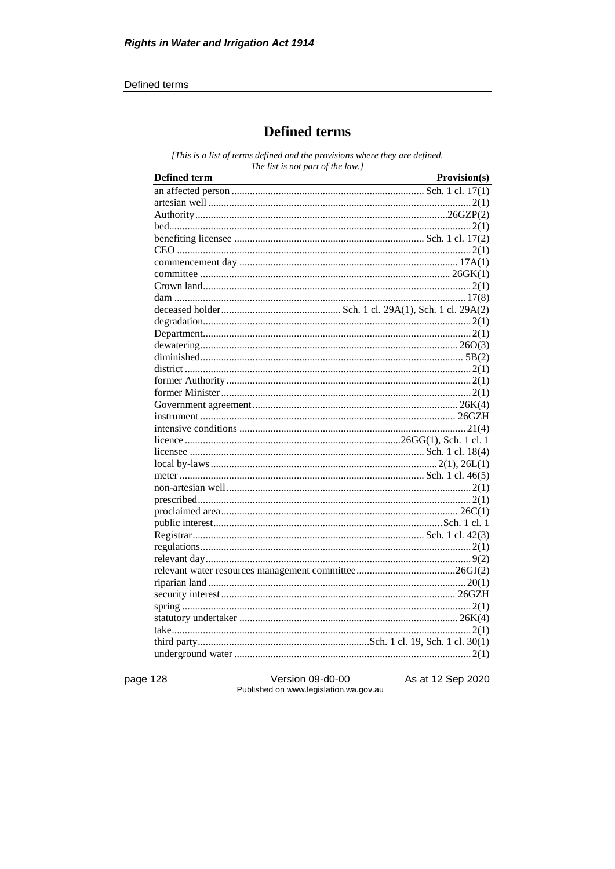#### Defined terms

# **Defined terms**

[This is a list of terms defined and the provisions where they are defined. The list is not part of the law.]

| <b>Defined term</b> | Provision(s) |
|---------------------|--------------|
|                     |              |
|                     |              |
|                     |              |
|                     |              |
|                     |              |
|                     |              |
|                     |              |
|                     |              |
|                     |              |
|                     |              |
|                     |              |
|                     |              |
|                     |              |
|                     |              |
|                     |              |
|                     |              |
|                     |              |
|                     |              |
|                     |              |
|                     |              |
|                     |              |
|                     |              |
|                     |              |
|                     |              |
|                     |              |
|                     |              |
|                     |              |
|                     |              |
|                     |              |
|                     |              |
|                     |              |
|                     |              |
|                     |              |
|                     |              |
|                     |              |
|                     |              |
|                     |              |
|                     |              |
|                     |              |
|                     |              |

page 128

Version 09-d0-00 Published on www.legislation.wa.gov.au As at 12 Sep 2020